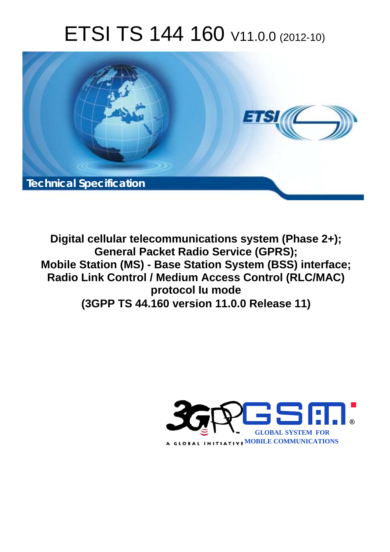# ETSI TS 144 160 V11.0.0 (2012-10)



**Digital cellular telecommunications system (Phase 2+); General Packet Radio Service (GPRS); Mobile Station (MS) - Base Station System (BSS) interface; Radio Link Control / Medium Access Control (RLC/MAC) protocol Iu mode (3GPP TS 44.160 version 11.0.0 Release 11)** 

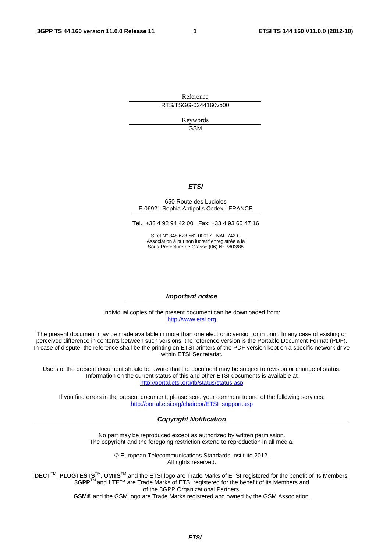Reference RTS/TSGG-0244160vb00

> Keywords GSM

### *ETSI*

#### 650 Route des Lucioles F-06921 Sophia Antipolis Cedex - FRANCE

Tel.: +33 4 92 94 42 00 Fax: +33 4 93 65 47 16

Siret N° 348 623 562 00017 - NAF 742 C Association à but non lucratif enregistrée à la Sous-Préfecture de Grasse (06) N° 7803/88

#### *Important notice*

Individual copies of the present document can be downloaded from: [http://www.etsi.org](http://www.etsi.org/)

The present document may be made available in more than one electronic version or in print. In any case of existing or perceived difference in contents between such versions, the reference version is the Portable Document Format (PDF). In case of dispute, the reference shall be the printing on ETSI printers of the PDF version kept on a specific network drive within ETSI Secretariat.

Users of the present document should be aware that the document may be subject to revision or change of status. Information on the current status of this and other ETSI documents is available at <http://portal.etsi.org/tb/status/status.asp>

If you find errors in the present document, please send your comment to one of the following services: [http://portal.etsi.org/chaircor/ETSI\\_support.asp](http://portal.etsi.org/chaircor/ETSI_support.asp)

#### *Copyright Notification*

No part may be reproduced except as authorized by written permission. The copyright and the foregoing restriction extend to reproduction in all media.

> © European Telecommunications Standards Institute 2012. All rights reserved.

**DECT**TM, **PLUGTESTS**TM, **UMTS**TM and the ETSI logo are Trade Marks of ETSI registered for the benefit of its Members. **3GPP**TM and **LTE**™ are Trade Marks of ETSI registered for the benefit of its Members and of the 3GPP Organizational Partners.

**GSM**® and the GSM logo are Trade Marks registered and owned by the GSM Association.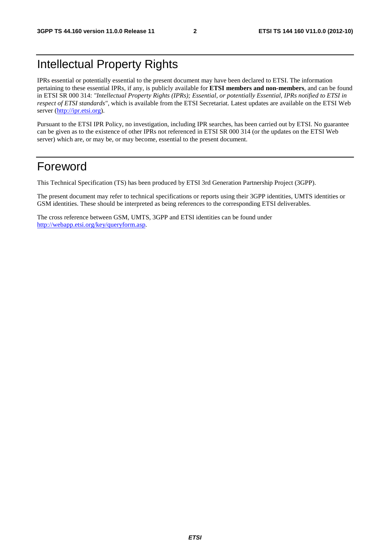## Intellectual Property Rights

IPRs essential or potentially essential to the present document may have been declared to ETSI. The information pertaining to these essential IPRs, if any, is publicly available for **ETSI members and non-members**, and can be found in ETSI SR 000 314: *"Intellectual Property Rights (IPRs); Essential, or potentially Essential, IPRs notified to ETSI in respect of ETSI standards"*, which is available from the ETSI Secretariat. Latest updates are available on the ETSI Web server [\(http://ipr.etsi.org](http://webapp.etsi.org/IPR/home.asp)).

Pursuant to the ETSI IPR Policy, no investigation, including IPR searches, has been carried out by ETSI. No guarantee can be given as to the existence of other IPRs not referenced in ETSI SR 000 314 (or the updates on the ETSI Web server) which are, or may be, or may become, essential to the present document.

## Foreword

This Technical Specification (TS) has been produced by ETSI 3rd Generation Partnership Project (3GPP).

The present document may refer to technical specifications or reports using their 3GPP identities, UMTS identities or GSM identities. These should be interpreted as being references to the corresponding ETSI deliverables.

The cross reference between GSM, UMTS, 3GPP and ETSI identities can be found under [http://webapp.etsi.org/key/queryform.asp.](http://webapp.etsi.org/key/queryform.asp)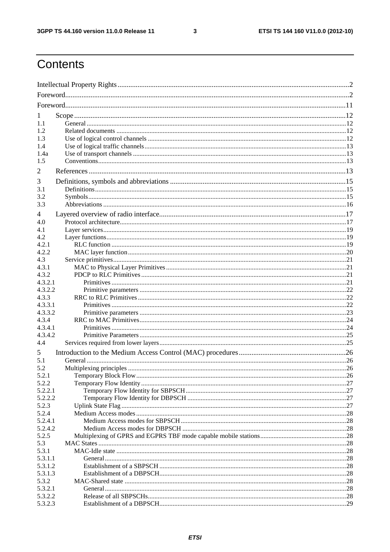$\mathbf{3}$ 

## Contents

| $\mathbf{I}$ |  |  |
|--------------|--|--|
| 1.1          |  |  |
| 1.2          |  |  |
| 1.3          |  |  |
| 1.4          |  |  |
| 1.4a         |  |  |
| 1.5          |  |  |
| 2            |  |  |
| 3            |  |  |
| 3.1          |  |  |
| 3.2          |  |  |
| 3.3          |  |  |
| 4            |  |  |
| 4.0          |  |  |
| 4.1          |  |  |
| 4.2          |  |  |
| 4.2.1        |  |  |
| 4.2.2        |  |  |
| 4.3          |  |  |
| 4.3.1        |  |  |
| 4.3.2        |  |  |
| 4.3.2.1      |  |  |
| 4.3.2.2      |  |  |
| 4.3.3        |  |  |
| 4.3.3.1      |  |  |
| 4.3.3.2      |  |  |
| 4.3.4        |  |  |
| 4.3.4.1      |  |  |
| 4.3.4.2      |  |  |
| 4.4          |  |  |
| 5            |  |  |
| 5.1          |  |  |
| 5.2          |  |  |
| 5.2.1        |  |  |
| 5.2.2        |  |  |
| 5.2.2.1      |  |  |
| 5.2.2.2      |  |  |
| 5.2.3        |  |  |
| 5.2.4        |  |  |
| 5.2.4.1      |  |  |
| 5.2.4.2      |  |  |
| 5.2.5<br>5.3 |  |  |
| 5.3.1        |  |  |
| 5.3.1.1      |  |  |
| 5.3.1.2      |  |  |
| 5.3.1.3      |  |  |
| 5.3.2        |  |  |
| 5.3.2.1      |  |  |
| 5.3.2.2      |  |  |
| 5.3.2.3      |  |  |
|              |  |  |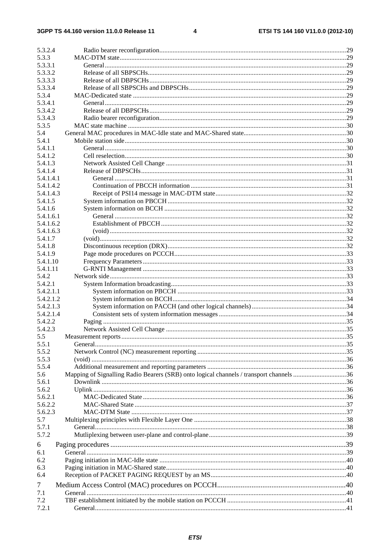#### $\overline{\mathbf{4}}$

| 5.3.2.4       |                                                                                         |     |
|---------------|-----------------------------------------------------------------------------------------|-----|
| 5.3.3         |                                                                                         |     |
| 5.3.3.1       |                                                                                         |     |
| 5.3.3.2       |                                                                                         |     |
| 5.3.3.3       |                                                                                         |     |
| 5.3.3.4       |                                                                                         |     |
| 5.3.4         |                                                                                         |     |
| 5.3.4.1       |                                                                                         |     |
| 5.3.4.2       |                                                                                         |     |
| 5.3.4.3       |                                                                                         |     |
|               |                                                                                         |     |
| 5.3.5         |                                                                                         |     |
| 5.4           |                                                                                         |     |
| 5.4.1         |                                                                                         |     |
| 5.4.1.1       |                                                                                         |     |
| 5.4.1.2       |                                                                                         |     |
| 5.4.1.3       |                                                                                         |     |
| 5.4.1.4       |                                                                                         |     |
| 5.4.1.4.1     |                                                                                         |     |
| 5.4.1.4.2     |                                                                                         |     |
| 5.4.1.4.3     |                                                                                         |     |
| 5.4.1.5       |                                                                                         |     |
| 5.4.1.6       |                                                                                         |     |
| 5.4.1.6.1     |                                                                                         |     |
| 5.4.1.6.2     |                                                                                         |     |
| 5.4.1.6.3     |                                                                                         |     |
| 5.4.1.7       |                                                                                         |     |
| 5.4.1.8       |                                                                                         |     |
| 5.4.1.9       |                                                                                         |     |
| 5.4.1.10      |                                                                                         |     |
|               |                                                                                         |     |
| 5.4.1.11      |                                                                                         |     |
| 5.4.2         |                                                                                         |     |
| 5.4.2.1       |                                                                                         |     |
| 5.4.2.1.1     |                                                                                         |     |
| 5.4.2.1.2     |                                                                                         |     |
| 5.4.2.1.3     |                                                                                         |     |
| 5.4.2.1.4     |                                                                                         |     |
| 5.4.2.2       |                                                                                         |     |
| 5.4.2.3       |                                                                                         |     |
| $5.5^{\circ}$ | Measurement reports.                                                                    | .35 |
| 5.5.1         |                                                                                         |     |
| 5.5.2         |                                                                                         |     |
| 5.5.3         |                                                                                         |     |
| 5.5.4         |                                                                                         |     |
| 5.6           | Mapping of Signalling Radio Bearers (SRB) onto logical channels / transport channels 36 |     |
| 5.6.1         |                                                                                         |     |
| 5.6.2         |                                                                                         |     |
| 5.6.2.1       |                                                                                         |     |
| 5.6.2.2       |                                                                                         |     |
| 5.6.2.3       |                                                                                         |     |
| 5.7           |                                                                                         |     |
| 5.7.1         |                                                                                         |     |
| 5.7.2         |                                                                                         |     |
|               |                                                                                         |     |
| 6             |                                                                                         |     |
| 6.1           |                                                                                         |     |
| 6.2           |                                                                                         |     |
| 6.3           |                                                                                         |     |
| 6.4           |                                                                                         |     |
| 7             |                                                                                         |     |
| 7.1           |                                                                                         |     |
| 7.2           |                                                                                         |     |
| 7.2.1         |                                                                                         |     |
|               |                                                                                         |     |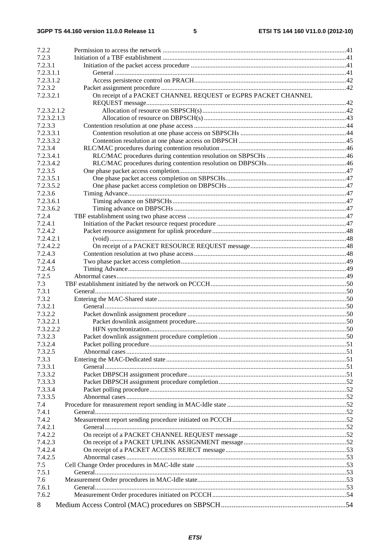$5\phantom{a}$ 

| 7.2.2       |                                                                |  |
|-------------|----------------------------------------------------------------|--|
| 7.2.3       |                                                                |  |
| 7.2.3.1     |                                                                |  |
| 7.2.3.1.1   |                                                                |  |
| 7.2.3.1.2   |                                                                |  |
| 7.2.3.2     |                                                                |  |
| 7.2.3.2.1   | On receipt of a PACKET CHANNEL REQUEST or EGPRS PACKET CHANNEL |  |
| 7.2.3.2.1.2 |                                                                |  |
| 7.2.3.2.1.3 |                                                                |  |
| 7.2.3.3     |                                                                |  |
| 7.2.3.3.1   |                                                                |  |
| 7.2.3.3.2   |                                                                |  |
| 7.2.3.4     |                                                                |  |
| 7.2.3.4.1   |                                                                |  |
| 7.2.3.4.2   |                                                                |  |
| 7.2.3.5     |                                                                |  |
| 7.2.3.5.1   |                                                                |  |
| 7.2.3.5.2   |                                                                |  |
| 7.2.3.6     |                                                                |  |
| 7.2.3.6.1   |                                                                |  |
| 7.2.3.6.2   |                                                                |  |
| 7.2.4       |                                                                |  |
| 7.2.4.1     |                                                                |  |
| 7.2.4.2     |                                                                |  |
| 7.2.4.2.1   |                                                                |  |
| 7.2.4.2.2   |                                                                |  |
| 7.2.4.3     |                                                                |  |
| 7.2.4.4     |                                                                |  |
| 7.2.4.5     |                                                                |  |
| 7.2.5       |                                                                |  |
| 7.3         |                                                                |  |
| 7.3.1       |                                                                |  |
| 7.3.2       |                                                                |  |
| 7.3.2.1     |                                                                |  |
| 7.3.2.2     |                                                                |  |
| 7.3.2.2.1   |                                                                |  |
| 7.3.2.2.2   |                                                                |  |
| 7.3.2.3     |                                                                |  |
| 7.3.2.4     |                                                                |  |
| 7.3.2.5     |                                                                |  |
| 7.3.3       |                                                                |  |
| 7.3.3.1     |                                                                |  |
| 7.3.3.2     |                                                                |  |
| 7.3.3.3     |                                                                |  |
| 7.3.3.4     |                                                                |  |
| 7.3.3.5     |                                                                |  |
| 7.4         |                                                                |  |
| 7.4.1       |                                                                |  |
| 7.4.2       |                                                                |  |
| 7.4.2.1     |                                                                |  |
| 7.4.2.2     |                                                                |  |
| 7.4.2.3     |                                                                |  |
| 7.4.2.4     |                                                                |  |
| 7.4.2.5     |                                                                |  |
| 7.5         |                                                                |  |
| 7.5.1       |                                                                |  |
| 7.6         |                                                                |  |
| 7.6.1       |                                                                |  |
| 7.6.2       |                                                                |  |
| 8           |                                                                |  |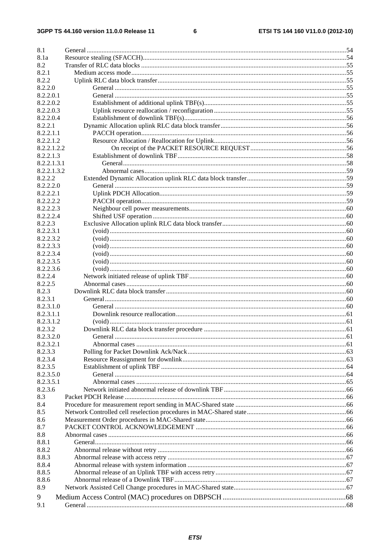$\bf 6$ 

| 8.1         |          |  |
|-------------|----------|--|
| 8.1a        |          |  |
| 8.2         |          |  |
| 8.2.1       |          |  |
| 8.2.2       |          |  |
| 8.2.2.0     |          |  |
| 8.2.2.0.1   |          |  |
| 8.2.2.0.2   |          |  |
| 8.2.2.0.3   |          |  |
|             |          |  |
| 8.2.2.0.4   |          |  |
| 8.2.2.1     |          |  |
| 8.2.2.1.1   |          |  |
| 8.2.2.1.2   |          |  |
| 8.2.2.1.2.2 |          |  |
| 8.2.2.1.3   |          |  |
| 8.2.2.1.3.1 |          |  |
| 8.2.2.1.3.2 |          |  |
| 8.2.2.2     |          |  |
| 8.2.2.2.0   |          |  |
| 8.2.2.2.1   |          |  |
| 8.2.2.2.2   |          |  |
| 8.2.2.2.3   |          |  |
| 8.2.2.2.4   |          |  |
| 8.2.2.3     |          |  |
| 8.2.2.3.1   |          |  |
| 8.2.2.3.2   |          |  |
| 8.2.2.3.3   |          |  |
| 8.2.2.3.4   |          |  |
| 8.2.2.3.5   |          |  |
| 8.2.2.3.6   |          |  |
| 8.2.2.4     |          |  |
| 8.2.2.5     |          |  |
| 8.2.3       |          |  |
| 8.2.3.1     |          |  |
| 8.2.3.1.0   |          |  |
| 8.2.3.1.1   |          |  |
| 8.2.3.1.2   |          |  |
| 8.2.3.2     |          |  |
| 8.2.3.2.0   | General. |  |
| 8.2.3.2.1   |          |  |
| 8.2.3.3     |          |  |
| 8.2.3.4     |          |  |
| 8.2.3.5     |          |  |
| 8.2.3.5.0   |          |  |
| 8.2.3.5.1   |          |  |
| 8.2.3.6     |          |  |
| 8.3         |          |  |
| 8.4         |          |  |
| 8.5         |          |  |
| 8.6         |          |  |
| 8.7         |          |  |
| 8.8         |          |  |
| 8.8.1       |          |  |
| 8.8.2       |          |  |
| 8.8.3       |          |  |
| 8.8.4       |          |  |
|             |          |  |
| 8.8.5       |          |  |
| 8.8.6       |          |  |
| 8.9         |          |  |
| 9           |          |  |
| 9.1         |          |  |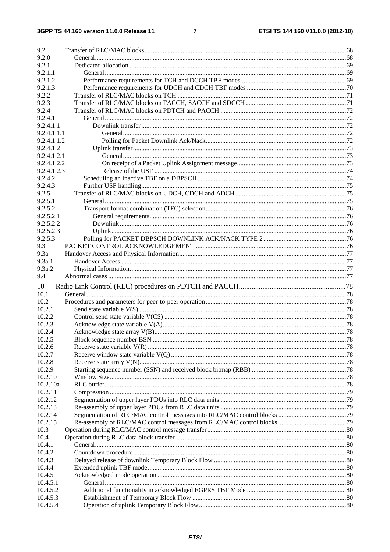### $\overline{7}$

| 9.2         |  |
|-------------|--|
| 9.2.0       |  |
| 9.2.1       |  |
| 9.2.1.1     |  |
| 9.2.1.2     |  |
| 9.2.1.3     |  |
| 9.2.2       |  |
| 9.2.3       |  |
| 9.2.4       |  |
| 9.2.4.1     |  |
| 9.2.4.1.1   |  |
| 9.2.4.1.1.1 |  |
| 9.2.4.1.1.2 |  |
| 9.2.4.1.2   |  |
| 9.2.4.1.2.1 |  |
| 9.2.4.1.2.2 |  |
| 9.2.4.1.2.3 |  |
| 9.2.4.2     |  |
| 9.2.4.3     |  |
| 9.2.5       |  |
| 9.2.5.1     |  |
| 9.2.5.2     |  |
| 9.2.5.2.1   |  |
| 9.2.5.2.2   |  |
| 9.2.5.2.3   |  |
| 9.2.5.3     |  |
| 9.3         |  |
| 9.3a        |  |
| 9.3a.1      |  |
| 9.3a.2      |  |
| 9.4         |  |
| 10          |  |
| 10.1        |  |
| 10.2        |  |
| 10.2.1      |  |
| 10.2.2      |  |
| 10.2.3      |  |
| 10.2.4      |  |
| 10.2.5      |  |
| 10.2.6      |  |
| 10.2.7      |  |
| 10.2.8      |  |
| 10.2.9      |  |
| 10.2.10     |  |
| 10.2.10a    |  |
| 10.2.11     |  |
| 10.2.12     |  |
| 10.2.13     |  |
| 10.2.14     |  |
| 10.2.15     |  |
| 10.3        |  |
| 10.4        |  |
| 10.4.1      |  |
| 10.4.2      |  |
| 10.4.3      |  |
| 10.4.4      |  |
| 10.4.5      |  |
| 10.4.5.1    |  |
| 10.4.5.2    |  |
| 10.4.5.3    |  |
| 10.4.5.4    |  |
|             |  |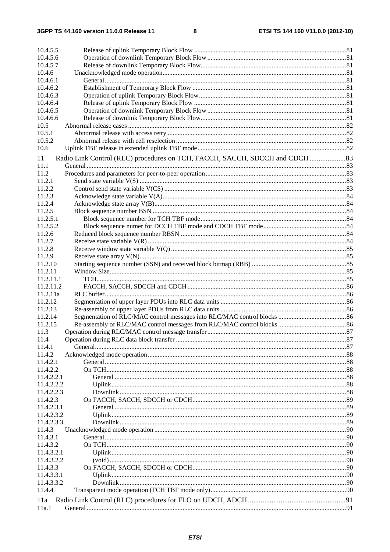| 10.4.5.5   |                                                                              |  |
|------------|------------------------------------------------------------------------------|--|
| 10.4.5.6   |                                                                              |  |
| 10.4.5.7   |                                                                              |  |
| 10.4.6     |                                                                              |  |
| 10.4.6.1   |                                                                              |  |
| 10.4.6.2   |                                                                              |  |
| 10.4.6.3   |                                                                              |  |
| 10.4.6.4   |                                                                              |  |
| 10.4.6.5   |                                                                              |  |
| 10.4.6.6   |                                                                              |  |
| 10.5       |                                                                              |  |
| 10.5.1     |                                                                              |  |
| 10.5.2     |                                                                              |  |
| 10.6       |                                                                              |  |
| 11         | Radio Link Control (RLC) procedures on TCH, FACCH, SACCH, SDCCH and CDCH  83 |  |
| 11.1       |                                                                              |  |
| 11.2       |                                                                              |  |
| 11.2.1     |                                                                              |  |
| 11.2.2     |                                                                              |  |
| 11.2.3     |                                                                              |  |
|            |                                                                              |  |
| 11.2.4     |                                                                              |  |
| 11.2.5     |                                                                              |  |
| 11.2.5.1   |                                                                              |  |
| 11.2.5.2   |                                                                              |  |
| 11.2.6     |                                                                              |  |
| 11.2.7     |                                                                              |  |
| 11.2.8     |                                                                              |  |
| 11.2.9     |                                                                              |  |
| 11.2.10    |                                                                              |  |
| 11.2.11    |                                                                              |  |
| 11.2.11.1  |                                                                              |  |
| 11.2.11.2  |                                                                              |  |
| 11.2.11a   |                                                                              |  |
| 11.2.12    |                                                                              |  |
| 11.2.13    |                                                                              |  |
| 11.2.14    |                                                                              |  |
| 11.2.15    |                                                                              |  |
| 11.3       |                                                                              |  |
| 11.4       |                                                                              |  |
| 11.4.1     |                                                                              |  |
| 11.4.2     |                                                                              |  |
| 11.4.2.1   |                                                                              |  |
| 11.4.2.2   |                                                                              |  |
| 11.4.2.2.1 |                                                                              |  |
| 11.4.2.2.2 |                                                                              |  |
| 11.4.2.2.3 |                                                                              |  |
| 11.4.2.3   |                                                                              |  |
| 11.4.2.3.1 |                                                                              |  |
| 11.4.2.3.2 |                                                                              |  |
| 11.4.2.3.3 |                                                                              |  |
| 11.4.3     |                                                                              |  |
| 11.4.3.1   |                                                                              |  |
| 11.4.3.2   |                                                                              |  |
| 11.4.3.2.1 |                                                                              |  |
| 11.4.3.2.2 |                                                                              |  |
| 11.4.3.3   |                                                                              |  |
| 11.4.3.3.1 |                                                                              |  |
| 11.4.3.3.2 |                                                                              |  |
| 11.4.4     |                                                                              |  |
| 11a        |                                                                              |  |
| 11a.1      |                                                                              |  |
|            |                                                                              |  |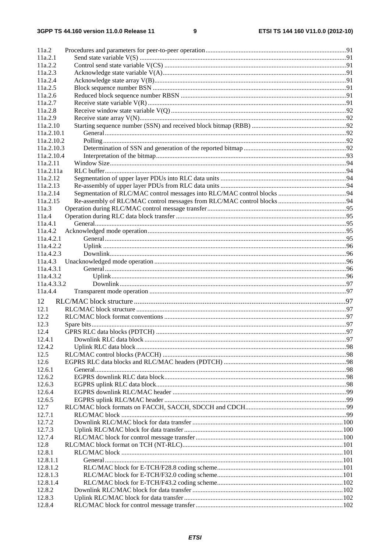| 11a.2              |  |
|--------------------|--|
| 11a.2.1            |  |
| 11a.2.2            |  |
| 11a.2.3            |  |
| 11a.2.4            |  |
| 11a.2.5<br>11a.2.6 |  |
| 11a.2.7            |  |
| 11a.2.8            |  |
| 11a.2.9            |  |
| 11a.2.10           |  |
| 11a.2.10.1         |  |
| 11a.2.10.2         |  |
| 11a.2.10.3         |  |
| 11a.2.10.4         |  |
| 11a.2.11           |  |
| 11a.2.11a          |  |
| 11a.2.12           |  |
| 11a.2.13           |  |
| 11a.2.14           |  |
| 11a.2.15           |  |
| 11a.3              |  |
| 11a.4              |  |
| 11a.4.1            |  |
| 11a.4.2            |  |
| 11a.4.2.1          |  |
| 11a.4.2.2          |  |
| 11a.4.2.3          |  |
| 11a.4.3            |  |
| 11a.4.3.1          |  |
| 11a.4.3.2          |  |
| 11a.4.3.3.2        |  |
| 11a.4.4            |  |
| 12                 |  |
| 12.1               |  |
| 12.2               |  |
| 12.3               |  |
| 12.4               |  |
| 12.4.1             |  |
| 12.4.2             |  |
| 12.5               |  |
| 12.6               |  |
| 12.6.1             |  |
| 12.6.2             |  |
| 12.6.3             |  |
| 12.6.4             |  |
| 12.6.5             |  |
| 12.7               |  |
| 12.7.1             |  |
| 12.7.2             |  |
| 12.7.3             |  |
| 12.7.4             |  |
| 12.8               |  |
| 12.8.1             |  |
| 12.8.1.1           |  |
| 12.8.1.2           |  |
| 12.8.1.3           |  |
| 12.8.1.4           |  |
| 12.8.2             |  |
| 12.8.3             |  |
| 12.8.4             |  |
|                    |  |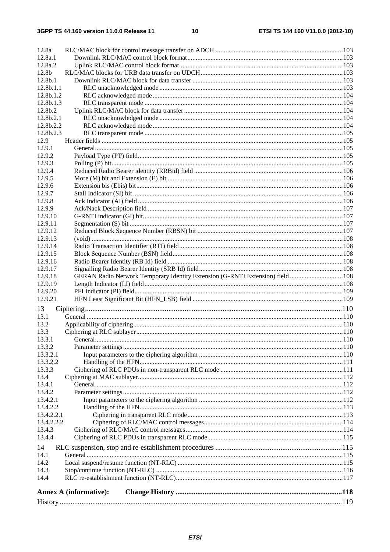| 12.8a               |                                                                                |  |
|---------------------|--------------------------------------------------------------------------------|--|
| 12.8a.1             |                                                                                |  |
| 12.8a.2             |                                                                                |  |
| 12.8b               |                                                                                |  |
| 12.8 <sub>b.1</sub> |                                                                                |  |
| 12.8b.1.1           |                                                                                |  |
| 12.8b.1.2           |                                                                                |  |
| 12.8b.1.3           |                                                                                |  |
| 12.8b.2             |                                                                                |  |
|                     |                                                                                |  |
| 12.8b.2.1           |                                                                                |  |
| 12.8b.2.2           |                                                                                |  |
| 12.8b.2.3           |                                                                                |  |
| 12.9                |                                                                                |  |
| 12.9.1              |                                                                                |  |
| 12.9.2              |                                                                                |  |
| 12.9.3              |                                                                                |  |
| 12.9.4              |                                                                                |  |
| 12.9.5              |                                                                                |  |
| 12.9.6              |                                                                                |  |
| 12.9.7              |                                                                                |  |
| 12.9.8              |                                                                                |  |
| 12.9.9              |                                                                                |  |
| 12.9.10             |                                                                                |  |
| 12.9.11             |                                                                                |  |
| 12.9.12             |                                                                                |  |
| 12.9.13             |                                                                                |  |
| 12.9.14             |                                                                                |  |
| 12.9.15             |                                                                                |  |
| 12.9.16             |                                                                                |  |
| 12.9.17             |                                                                                |  |
| 12.9.18             | GERAN Radio Network Temporary Identity Extension (G-RNTI Extension) field  108 |  |
|                     |                                                                                |  |
| 12.9.19             |                                                                                |  |
| 12.9.20             |                                                                                |  |
| 12.9.21             |                                                                                |  |
| 13                  |                                                                                |  |
| 13.1                |                                                                                |  |
| 13.2                |                                                                                |  |
| 13.3                |                                                                                |  |
| 13.3.1              |                                                                                |  |
| 13.3.2              |                                                                                |  |
| 13.3.2.1            |                                                                                |  |
| 13.3.2.2            |                                                                                |  |
| 13.3.3              |                                                                                |  |
| 13.4                |                                                                                |  |
|                     |                                                                                |  |
| 13.4.1<br>13.4.2    |                                                                                |  |
|                     |                                                                                |  |
| 13.4.2.1            |                                                                                |  |
| 13.4.2.2            |                                                                                |  |
| 13.4.2.2.1          |                                                                                |  |
| 13.4.2.2.2          |                                                                                |  |
| 13.4.3              |                                                                                |  |
| 13.4.4              |                                                                                |  |
| 14                  |                                                                                |  |
| 14.1                |                                                                                |  |
| 14.2                |                                                                                |  |
| 14.3                |                                                                                |  |
| 14.4                |                                                                                |  |
|                     |                                                                                |  |
|                     | <b>Annex A (informative):</b>                                                  |  |
|                     |                                                                                |  |
|                     |                                                                                |  |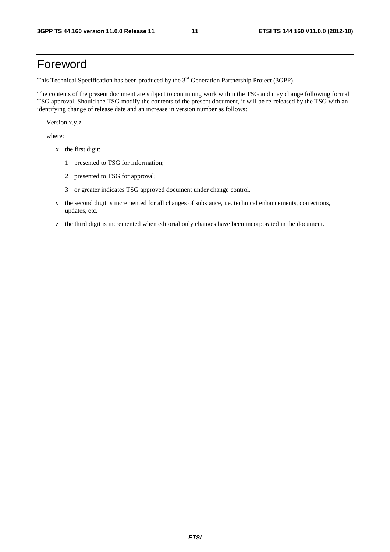## Foreword

This Technical Specification has been produced by the 3<sup>rd</sup> Generation Partnership Project (3GPP).

The contents of the present document are subject to continuing work within the TSG and may change following formal TSG approval. Should the TSG modify the contents of the present document, it will be re-released by the TSG with an identifying change of release date and an increase in version number as follows:

Version x.y.z

where:

- x the first digit:
	- 1 presented to TSG for information;
	- 2 presented to TSG for approval;
	- 3 or greater indicates TSG approved document under change control.
- y the second digit is incremented for all changes of substance, i.e. technical enhancements, corrections, updates, etc.
- z the third digit is incremented when editorial only changes have been incorporated in the document.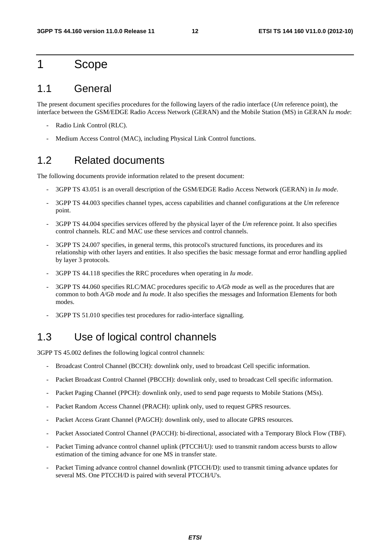### 1 Scope

### 1.1 General

The present document specifies procedures for the following layers of the radio interface (*Um* reference point), the interface between the GSM/EDGE Radio Access Network (GERAN) and the Mobile Station (MS) in GERAN *Iu mode*:

- Radio Link Control (RLC).
- Medium Access Control (MAC), including Physical Link Control functions.

### 1.2 Related documents

The following documents provide information related to the present document:

- 3GPP TS 43.051 is an overall description of the GSM/EDGE Radio Access Network (GERAN) in *Iu mode*.
- 3GPP TS 44.003 specifies channel types, access capabilities and channel configurations at the *Um* reference point.
- 3GPP TS 44.004 specifies services offered by the physical layer of the *Um* reference point. It also specifies control channels. RLC and MAC use these services and control channels.
- 3GPP TS 24.007 specifies, in general terms, this protocol's structured functions, its procedures and its relationship with other layers and entities. It also specifies the basic message format and error handling applied by layer 3 protocols.
- 3GPP TS 44.118 specifies the RRC procedures when operating in *Iu mode*.
- 3GPP TS 44.060 specifies RLC/MAC procedures specific to *A/Gb mode* as well as the procedures that are common to both *A/Gb mode* and *Iu mode*. It also specifies the messages and Information Elements for both modes.
- 3GPP TS 51.010 specifies test procedures for radio-interface signalling.

## 1.3 Use of logical control channels

3GPP TS 45.002 defines the following logical control channels:

- Broadcast Control Channel (BCCH): downlink only, used to broadcast Cell specific information.
- Packet Broadcast Control Channel (PBCCH): downlink only, used to broadcast Cell specific information.
- Packet Paging Channel (PPCH): downlink only, used to send page requests to Mobile Stations (MSs).
- Packet Random Access Channel (PRACH): uplink only, used to request GPRS resources.
- Packet Access Grant Channel (PAGCH): downlink only, used to allocate GPRS resources.
- Packet Associated Control Channel (PACCH): bi-directional, associated with a Temporary Block Flow (TBF).
- Packet Timing advance control channel uplink (PTCCH/U): used to transmit random access bursts to allow estimation of the timing advance for one MS in transfer state.
- Packet Timing advance control channel downlink (PTCCH/D): used to transmit timing advance updates for several MS. One PTCCH/D is paired with several PTCCH/U's.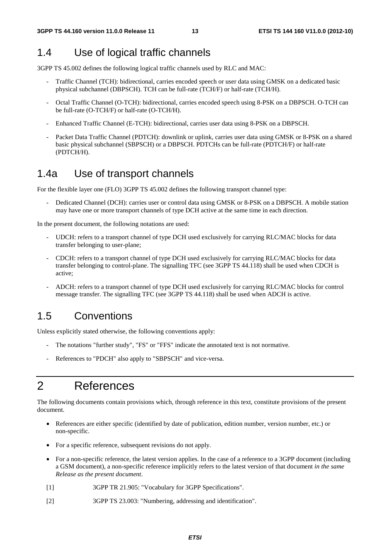### 1.4 Use of logical traffic channels

3GPP TS 45.002 defines the following logical traffic channels used by RLC and MAC:

- Traffic Channel (TCH): bidirectional, carries encoded speech or user data using GMSK on a dedicated basic physical subchannel (DBPSCH). TCH can be full-rate (TCH/F) or half-rate (TCH/H).
- Octal Traffic Channel (O-TCH): bidirectional, carries encoded speech using 8-PSK on a DBPSCH. O-TCH can be full-rate (O-TCH/F) or half-rate (O-TCH/H).
- Enhanced Traffic Channel (E-TCH): bidirectional, carries user data using 8-PSK on a DBPSCH.
- Packet Data Traffic Channel (PDTCH): downlink or uplink, carries user data using GMSK or 8-PSK on a shared basic physical subchannel (SBPSCH) or a DBPSCH. PDTCHs can be full-rate (PDTCH/F) or half-rate (PDTCH/H).

### 1.4a Use of transport channels

For the flexible layer one (FLO) 3GPP TS 45.002 defines the following transport channel type:

Dedicated Channel (DCH): carries user or control data using GMSK or 8-PSK on a DBPSCH. A mobile station may have one or more transport channels of type DCH active at the same time in each direction.

In the present document, the following notations are used:

- UDCH: refers to a transport channel of type DCH used exclusively for carrying RLC/MAC blocks for data transfer belonging to user-plane;
- CDCH: refers to a transport channel of type DCH used exclusively for carrying RLC/MAC blocks for data transfer belonging to control-plane. The signalling TFC (see 3GPP TS 44.118) shall be used when CDCH is active;
- ADCH: refers to a transport channel of type DCH used exclusively for carrying RLC/MAC blocks for control message transfer. The signalling TFC (see 3GPP TS 44.118) shall be used when ADCH is active.

### 1.5 Conventions

Unless explicitly stated otherwise, the following conventions apply:

- The notations "further study", "FS" or "FFS" indicate the annotated text is not normative.
- References to "PDCH" also apply to "SBPSCH" and vice-versa.

## 2 References

The following documents contain provisions which, through reference in this text, constitute provisions of the present document.

- References are either specific (identified by date of publication, edition number, version number, etc.) or non-specific.
- For a specific reference, subsequent revisions do not apply.
- For a non-specific reference, the latest version applies. In the case of a reference to a 3GPP document (including a GSM document), a non-specific reference implicitly refers to the latest version of that document *in the same Release as the present document*.
- [1] 3GPP TR 21.905: "Vocabulary for 3GPP Specifications".
- [2] 3GPP TS 23.003: "Numbering, addressing and identification".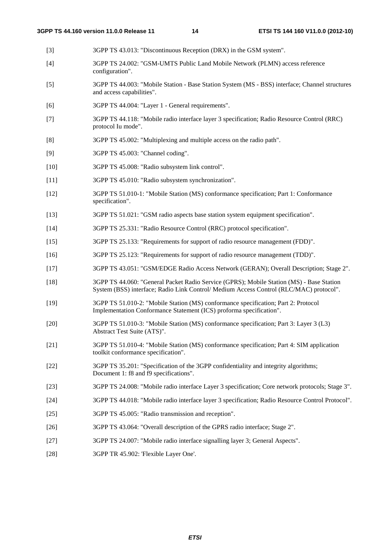- [3] 3GPP TS 43.013: "Discontinuous Reception (DRX) in the GSM system".
- [4] 3GPP TS 24.002: "GSM-UMTS Public Land Mobile Network (PLMN) access reference configuration".
- [5] 3GPP TS 44.003: "Mobile Station Base Station System (MS BSS) interface; Channel structures and access capabilities".
- [6] 3GPP TS 44.004: "Layer 1 General requirements".
- [7] 3GPP TS 44.118: "Mobile radio interface layer 3 specification; Radio Resource Control (RRC) protocol Iu mode".
- [8] 3GPP TS 45.002: "Multiplexing and multiple access on the radio path".
- [9] 3GPP TS 45.003: "Channel coding".
- [10] 3GPP TS 45.008: "Radio subsystem link control".
- [11] 3GPP TS 45.010: "Radio subsystem synchronization".
- [12] 3GPP TS 51.010-1: "Mobile Station (MS) conformance specification; Part 1: Conformance specification".
- [13] 3GPP TS 51.021: "GSM radio aspects base station system equipment specification".
- [14] 3GPP TS 25.331: "Radio Resource Control (RRC) protocol specification".
- [15] 3GPP TS 25.133: "Requirements for support of radio resource management (FDD)".
- [16] 3GPP TS 25.123: "Requirements for support of radio resource management (TDD)".
- [17] 3GPP TS 43.051: "GSM/EDGE Radio Access Network (GERAN); Overall Description; Stage 2".
- [18] 3GPP TS 44.060: "General Packet Radio Service (GPRS); Mobile Station (MS) Base Station System (BSS) interface; Radio Link Control/ Medium Access Control (RLC/MAC) protocol".
- [19] 3GPP TS 51.010-2: "Mobile Station (MS) conformance specification; Part 2: Protocol Implementation Conformance Statement (ICS) proforma specification".
- [20] 3GPP TS 51.010-3: "Mobile Station (MS) conformance specification; Part 3: Layer 3 (L3) Abstract Test Suite (ATS)".
- [21] 3GPP TS 51.010-4: "Mobile Station (MS) conformance specification; Part 4: SIM application toolkit conformance specification".
- [22] 3GPP TS 35.201: "Specification of the 3GPP confidentiality and integrity algorithms; Document 1: f8 and f9 specifications".
- [23] 3GPP TS 24.008: "Mobile radio interface Layer 3 specification; Core network protocols; Stage 3".
- [24] 3GPP TS 44.018: "Mobile radio interface layer 3 specification; Radio Resource Control Protocol".
- [25] 3GPP TS 45.005: "Radio transmission and reception".
- [26] 3GPP TS 43.064: "Overall description of the GPRS radio interface; Stage 2".
- [27] 3GPP TS 24.007: "Mobile radio interface signalling layer 3; General Aspects".
- [28] 3GPP TR 45.902: 'Flexible Layer One'.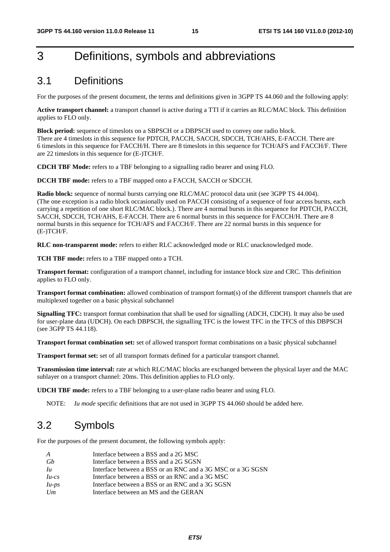## 3 Definitions, symbols and abbreviations

## 3.1 Definitions

For the purposes of the present document, the terms and definitions given in 3GPP TS 44.060 and the following apply:

**Active transport channel:** a transport channel is active during a TTI if it carries an RLC/MAC block. This definition applies to FLO only.

**Block period:** sequence of timeslots on a SBPSCH or a DBPSCH used to convey one radio block. There are 4 timeslots in this sequence for PDTCH, PACCH, SACCH, SDCCH, TCH/AHS, E-FACCH. There are 6 timeslots in this sequence for FACCH/H. There are 8 timeslots in this sequence for TCH/AFS and FACCH/F. There are 22 timeslots in this sequence for (E-)TCH/F.

**CDCH TBF Mode:** refers to a TBF belonging to a signalling radio bearer and using FLO.

**DCCH TBF mode:** refers to a TBF mapped onto a FACCH, SACCH or SDCCH.

**Radio block:** sequence of normal bursts carrying one RLC/MAC protocol data unit (see 3GPP TS 44.004). (The one exception is a radio block occasionally used on PACCH consisting of a sequence of four access bursts, each carrying a repetition of one short RLC/MAC block.). There are 4 normal bursts in this sequence for PDTCH, PACCH, SACCH, SDCCH, TCH/AHS, E-FACCH. There are 6 normal bursts in this sequence for FACCH/H. There are 8 normal bursts in this sequence for TCH/AFS and FACCH/F. There are 22 normal bursts in this sequence for (E-)TCH/F.

**RLC non-transparent mode:** refers to either RLC acknowledged mode or RLC unacknowledged mode.

**TCH TBF mode:** refers to a TBF mapped onto a TCH.

**Transport format:** configuration of a transport channel, including for instance block size and CRC. This definition applies to FLO only.

**Transport format combination:** allowed combination of transport format(s) of the different transport channels that are multiplexed together on a basic physical subchannel

**Signalling TFC:** transport format combination that shall be used for signalling (ADCH, CDCH). It may also be used for user-plane data (UDCH). On each DBPSCH, the signalling TFC is the lowest TFC in the TFCS of this DBPSCH (see 3GPP TS 44.118).

**Transport format combination set:** set of allowed transport format combinations on a basic physical subchannel

**Transport format set:** set of all transport formats defined for a particular transport channel.

**Transmission time interval:** rate at which RLC/MAC blocks are exchanged between the physical layer and the MAC sublayer on a transport channel: 20ms. This definition applies to FLO only.

**UDCH TBF mode:** refers to a TBF belonging to a user-plane radio bearer and using FLO.

NOTE: *Iu mode* specific definitions that are not used in 3GPP TS 44.060 should be added here.

### 3.2 Symbols

For the purposes of the present document, the following symbols apply:

| A              | Interface between a BSS and a 2G MSC                        |
|----------------|-------------------------------------------------------------|
| Gb             | Interface between a BSS and a 2G SGSN                       |
| I <sub>u</sub> | Interface between a BSS or an RNC and a 3G MSC or a 3G SGSN |
| $Iu-cs$        | Interface between a BSS or an RNC and a 3G MSC              |
| $Iu-ps$        | Interface between a BSS or an RNC and a 3G SGSN             |
| Um             | Interface between an MS and the GERAN                       |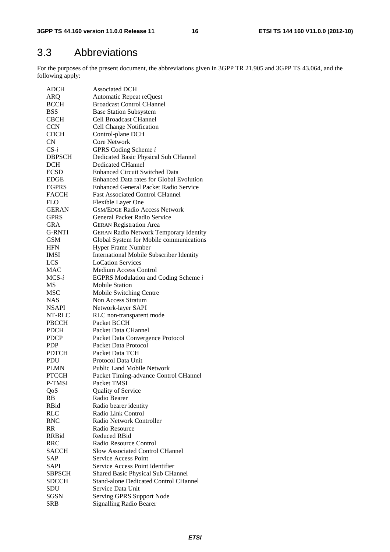## 3.3 Abbreviations

For the purposes of the present document, the abbreviations given in 3GPP TR 21.905 and 3GPP TS 43.064, and the following apply:

| <b>ADCH</b>         | <b>Associated DCH</b>                           |
|---------------------|-------------------------------------------------|
| ARQ                 | Automatic Repeat reQuest                        |
| <b>BCCH</b>         | <b>Broadcast Control CHannel</b>                |
| <b>BSS</b>          | <b>Base Station Subsystem</b>                   |
| <b>CBCH</b>         | Cell Broadcast CHannel                          |
| <b>CCN</b>          | Cell Change Notification                        |
| <b>CDCH</b>         | Control-plane DCH                               |
| <b>CN</b>           | <b>Core Network</b>                             |
| $CS-i$              | GPRS Coding Scheme i                            |
| <b>DBPSCH</b>       | Dedicated Basic Physical Sub CHannel            |
| <b>DCH</b>          | <b>Dedicated CHannel</b>                        |
| <b>ECSD</b>         | <b>Enhanced Circuit Switched Data</b>           |
| <b>EDGE</b>         | <b>Enhanced Data rates for Global Evolution</b> |
| <b>EGPRS</b>        | <b>Enhanced General Packet Radio Service</b>    |
| <b>FACCH</b>        | <b>Fast Associated Control CHannel</b>          |
| FLO.                | Flexible Layer One                              |
| <b>GERAN</b>        | <b>GSM/EDGE Radio Access Network</b>            |
| <b>GPRS</b>         | General Packet Radio Service                    |
| GRA                 | <b>GERAN Registration Area</b>                  |
| <b>G-RNTI</b>       | <b>GERAN Radio Network Temporary Identity</b>   |
| GSM                 | Global System for Mobile communications         |
| <b>HFN</b>          | Hyper Frame Number                              |
| <b>IMSI</b>         | International Mobile Subscriber Identity        |
| LCS                 | <b>LoCation Services</b>                        |
| <b>MAC</b>          | Medium Access Control                           |
| $MCS-i$             | EGPRS Modulation and Coding Scheme i            |
| <b>MS</b>           | <b>Mobile Station</b>                           |
| <b>MSC</b>          | Mobile Switching Centre                         |
| NAS.                | Non Access Stratum                              |
| <b>NSAPI</b>        | Network-layer SAPI                              |
| NT-RLC              | RLC non-transparent mode                        |
| PBCCH               | Packet BCCH                                     |
| <b>PDCH</b>         | Packet Data CHannel                             |
| <b>PDCP</b>         | Packet Data Convergence Protocol                |
| <b>PDP</b>          | Packet Data Protocol                            |
|                     | Packet Data TCH                                 |
| <b>PDTCH</b><br>PDU | Protocol Data Unit                              |
| <b>PLMN</b>         | <b>Public Land Mobile Network</b>               |
| <b>PTCCH</b>        |                                                 |
| P-TMSI              | Packet Timing-advance Control CHannel           |
|                     | Packet TMSI<br>Quality of Service               |
| QoS<br>RB           | Radio Bearer                                    |
| RBid                |                                                 |
| <b>RLC</b>          | Radio bearer identity<br>Radio Link Control     |
|                     | Radio Network Controller                        |
| <b>RNC</b>          |                                                 |
| <b>RR</b>           | Radio Resource<br><b>Reduced RBid</b>           |
| <b>RRBid</b>        |                                                 |
| <b>RRC</b>          | Radio Resource Control                          |
| <b>SACCH</b>        | Slow Associated Control CHannel                 |
| <b>SAP</b>          | Service Access Point                            |
| <b>SAPI</b>         | Service Access Point Identifier                 |
| <b>SBPSCH</b>       | Shared Basic Physical Sub CHannel               |
| <b>SDCCH</b>        | <b>Stand-alone Dedicated Control CHannel</b>    |
| SDU                 | Service Data Unit                               |
| SGSN                | Serving GPRS Support Node                       |
| <b>SRB</b>          | <b>Signalling Radio Bearer</b>                  |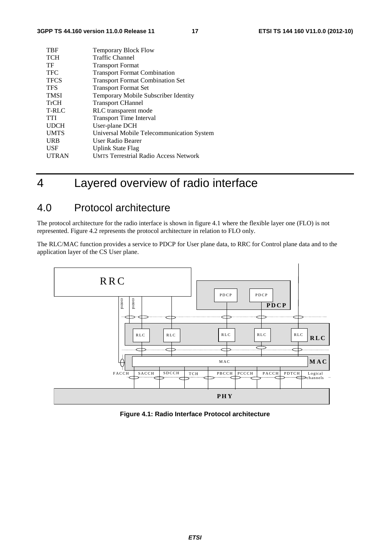| TBF          | <b>Temporary Block Flow</b>                  |
|--------------|----------------------------------------------|
| <b>TCH</b>   | Traffic Channel                              |
| TF           | <b>Transport Format</b>                      |
| <b>TFC</b>   | <b>Transport Format Combination</b>          |
| <b>TFCS</b>  | <b>Transport Format Combination Set</b>      |
| <b>TFS</b>   | <b>Transport Format Set</b>                  |
| <b>TMSI</b>  | Temporary Mobile Subscriber Identity         |
| <b>TrCH</b>  | <b>Transport CHannel</b>                     |
| T-RLC        | RLC transparent mode                         |
| TTI          | <b>Transport Time Interval</b>               |
| <b>UDCH</b>  | User-plane DCH                               |
| <b>UMTS</b>  | Universal Mobile Telecommunication System    |
| <b>URB</b>   | User Radio Bearer                            |
| <b>USF</b>   | <b>Uplink State Flag</b>                     |
| <b>UTRAN</b> | <b>UMTS Terrestrial Radio Access Network</b> |
|              |                                              |

## 4 Layered overview of radio interface

## 4.0 Protocol architecture

The protocol architecture for the radio interface is shown in figure 4.1 where the flexible layer one (FLO) is not represented. Figure 4.2 represents the protocol architecture in relation to FLO only.

The RLC/MAC function provides a service to PDCP for User plane data, to RRC for Control plane data and to the application layer of the CS User plane.



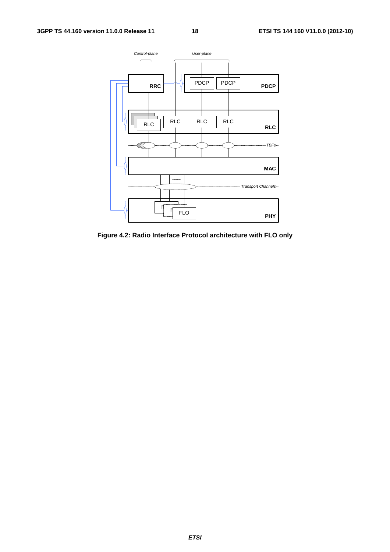

**Figure 4.2: Radio Interface Protocol architecture with FLO only**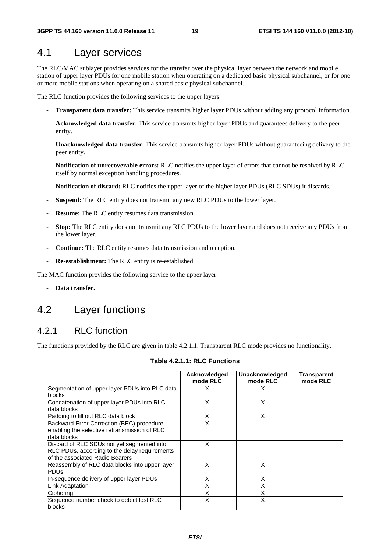### 4.1 Layer services

The RLC/MAC sublayer provides services for the transfer over the physical layer between the network and mobile station of upper layer PDUs for one mobile station when operating on a dedicated basic physical subchannel, or for one or more mobile stations when operating on a shared basic physical subchannel.

The RLC function provides the following services to the upper layers:

- **Transparent data transfer:** This service transmits higher layer PDUs without adding any protocol information.
- **Acknowledged data transfer:** This service transmits higher layer PDUs and guarantees delivery to the peer entity.
- **Unacknowledged data transfer:** This service transmits higher layer PDUs without guaranteeing delivery to the peer entity.
- **Notification of unrecoverable errors:** RLC notifies the upper layer of errors that cannot be resolved by RLC itself by normal exception handling procedures.
- **Notification of discard:** RLC notifies the upper layer of the higher layer PDUs (RLC SDUs) it discards.
- Suspend: The RLC entity does not transmit any new RLC PDUs to the lower layer.
- **Resume:** The RLC entity resumes data transmission.
- **Stop:** The RLC entity does not transmit any RLC PDUs to the lower layer and does not receive any PDUs from the lower layer.
- **Continue:** The RLC entity resumes data transmission and reception.
- Re-establishment: The RLC entity is re-established.

The MAC function provides the following service to the upper layer:

- **Data transfer.** 

### 4.2 Layer functions

### 4.2.1 RLC function

The functions provided by the RLC are given in table 4.2.1.1. Transparent RLC mode provides no functionality.

|                                                                                                                                | Acknowledged<br>mode RLC | Unacknowledged<br>mode RLC | Transparent<br>mode RLC |
|--------------------------------------------------------------------------------------------------------------------------------|--------------------------|----------------------------|-------------------------|
| Segmentation of upper layer PDUs into RLC data<br><b>blocks</b>                                                                | X                        | X                          |                         |
| Concatenation of upper layer PDUs into RLC<br>data blocks                                                                      | X                        | Χ                          |                         |
| Padding to fill out RLC data block                                                                                             | X                        | X                          |                         |
| Backward Error Correction (BEC) procedure<br>enabling the selective retransmission of RLC<br>data blocks                       | X                        |                            |                         |
| Discard of RLC SDUs not yet segmented into<br>RLC PDUs, according to the delay requirements<br>of the associated Radio Bearers | X                        |                            |                         |
| Reassembly of RLC data blocks into upper layer<br><b>PDU<sub>s</sub></b>                                                       | X                        | X                          |                         |
| In-sequence delivery of upper layer PDUs                                                                                       | X                        | X                          |                         |
| Link Adaptation                                                                                                                | X                        | Χ                          |                         |
| Ciphering                                                                                                                      | X                        | Χ                          |                         |
| Sequence number check to detect lost RLC<br>blocks                                                                             | X                        | X                          |                         |

#### **Table 4.2.1.1: RLC Functions**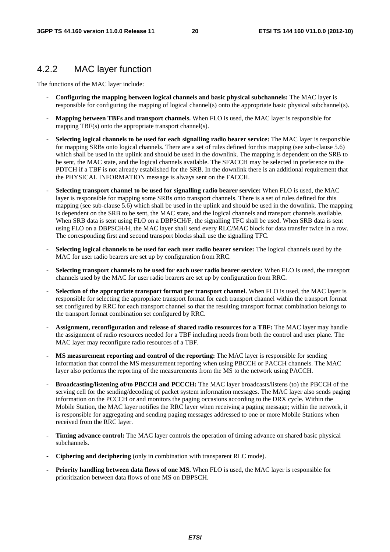### 4.2.2 MAC layer function

The functions of the MAC layer include:

- **Configuring the mapping between logical channels and basic physical subchannels:** The MAC layer is responsible for configuring the mapping of logical channel(s) onto the appropriate basic physical subchannel(s).
- **Mapping between TBFs and transport channels.** When FLO is used, the MAC layer is responsible for mapping TBF(s) onto the appropriate transport channel(s).
- **Selecting logical channels to be used for each signalling radio bearer service:** The MAC layer is responsible for mapping SRBs onto logical channels. There are a set of rules defined for this mapping (see sub-clause 5.6) which shall be used in the uplink and should be used in the downlink. The mapping is dependent on the SRB to be sent, the MAC state, and the logical channels available. The SFACCH may be selected in preference to the PDTCH if a TBF is not already established for the SRB. In the downlink there is an additional requirement that the PHYSICAL INFORMATION message is always sent on the FACCH.
- **Selecting transport channel to be used for signalling radio bearer service:** When FLO is used, the MAC layer is responsible for mapping some SRBs onto transport channels. There is a set of rules defined for this mapping (see sub-clause 5.6) which shall be used in the uplink and should be used in the downlink. The mapping is dependent on the SRB to be sent, the MAC state, and the logical channels and transport channels available. When SRB data is sent using FLO on a DBPSCH/F, the signalling TFC shall be used. When SRB data is sent using FLO on a DBPSCH/H, the MAC layer shall send every RLC/MAC block for data transfer twice in a row. The corresponding first and second transport blocks shall use the signalling TFC.
- **Selecting logical channels to be used for each user radio bearer service:** The logical channels used by the MAC for user radio bearers are set up by configuration from RRC.
- **Selecting transport channels to be used for each user radio bearer service:** When FLO is used, the transport channels used by the MAC for user radio bearers are set up by configuration from RRC.
- **Selection of the appropriate transport format per transport channel.** When FLO is used, the MAC layer is responsible for selecting the appropriate transport format for each transport channel within the transport format set configured by RRC for each transport channel so that the resulting transport format combination belongs to the transport format combination set configured by RRC.
- **Assignment, reconfiguration and release of shared radio resources for a TBF:** The MAC layer may handle the assignment of radio resources needed for a TBF including needs from both the control and user plane. The MAC layer may reconfigure radio resources of a TBF.
- **MS measurement reporting and control of the reporting:** The MAC layer is responsible for sending information that control the MS measurement reporting when using PBCCH or PACCH channels. The MAC layer also performs the reporting of the measurements from the MS to the network using PACCH.
- **Broadcasting/listening of/to PBCCH and PCCCH:** The MAC layer broadcasts/listens (to) the PBCCH of the serving cell for the sending/decoding of packet system information messages. The MAC layer also sends paging information on the PCCCH or and monitors the paging occasions according to the DRX cycle. Within the Mobile Station, the MAC layer notifies the RRC layer when receiving a paging message; within the network, it is responsible for aggregating and sending paging messages addressed to one or more Mobile Stations when received from the RRC layer.
- **Timing advance control:** The MAC layer controls the operation of timing advance on shared basic physical subchannels.
- **Ciphering and deciphering** (only in combination with transparent RLC mode).
- **Priority handling between data flows of one MS.** When FLO is used, the MAC layer is responsible for prioritization between data flows of one MS on DBPSCH.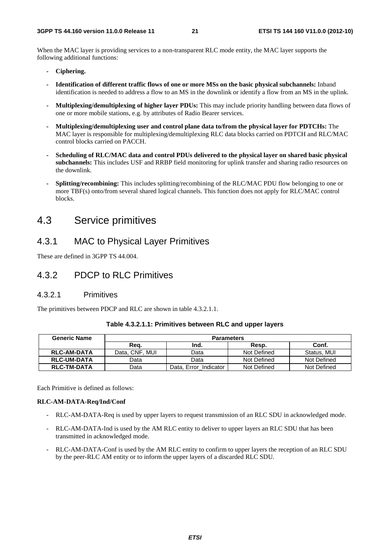When the MAC layer is providing services to a non-transparent RLC mode entity, the MAC layer supports the following additional functions:

- **Ciphering.**
- **Identification of different traffic flows of one or more MSs on the basic physical subchannels:** Inband identification is needed to address a flow to an MS in the downlink or identify a flow from an MS in the uplink.
- **Multiplexing/demultiplexing of higher layer PDUs:** This may include priority handling between data flows of one or more mobile stations, e.g. by attributes of Radio Bearer services.
- **Multiplexing/demultiplexing user and control plane data to/from the physical layer for PDTCHs:** The MAC layer is responsible for multiplexing/demultiplexing RLC data blocks carried on PDTCH and RLC/MAC control blocks carried on PACCH.
- **Scheduling of RLC/MAC data and control PDUs delivered to the physical layer on shared basic physical subchannels:** This includes USF and RRBP field monitoring for uplink transfer and sharing radio resources on the downlink.
- **Splitting/recombining:** This includes splitting/recombining of the RLC/MAC PDU flow belonging to one or more TBF(s) onto/from several shared logical channels. This function does not apply for RLC/MAC control blocks.

### 4.3 Service primitives

### 4.3.1 MAC to Physical Layer Primitives

These are defined in 3GPP TS 44.004.

### 4.3.2 PDCP to RLC Primitives

### 4.3.2.1 Primitives

The primitives between PDCP and RLC are shown in table 4.3.2.1.1.

| <b>Generic Name</b> | <b>Parameters</b> |                       |             |             |
|---------------------|-------------------|-----------------------|-------------|-------------|
|                     | Rea.              | Ind.                  | Resp.       | Conf.       |
| <b>RLC-AM-DATA</b>  | Data. CNF. MUI    | Data                  | Not Defined | Status, MUI |
| <b>RLC-UM-DATA</b>  | Data              | Data                  | Not Defined | Not Defined |
| <b>RLC-TM-DATA</b>  | Data              | Data, Error Indicator | Not Defined | Not Defined |

#### **Table 4.3.2.1.1: Primitives between RLC and upper layers**

Each Primitive is defined as follows:

#### **RLC-AM-DATA-Req/Ind/Conf**

- RLC-AM-DATA-Req is used by upper layers to request transmission of an RLC SDU in acknowledged mode.
- RLC-AM-DATA-Ind is used by the AM RLC entity to deliver to upper layers an RLC SDU that has been transmitted in acknowledged mode.
- RLC-AM-DATA-Conf is used by the AM RLC entity to confirm to upper layers the reception of an RLC SDU by the peer-RLC AM entity or to inform the upper layers of a discarded RLC SDU.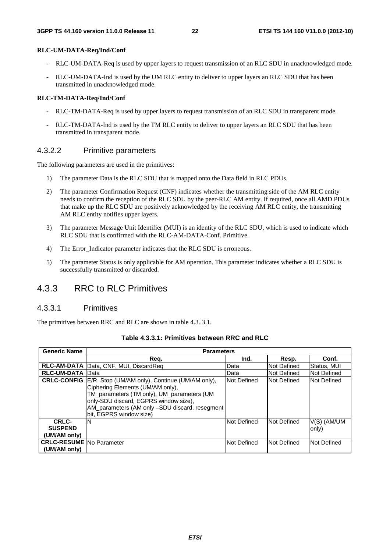#### **RLC-UM-DATA-Req/Ind/Conf**

- RLC-UM-DATA-Req is used by upper layers to request transmission of an RLC SDU in unacknowledged mode.
- RLC-UM-DATA-Ind is used by the UM RLC entity to deliver to upper layers an RLC SDU that has been transmitted in unacknowledged mode.

#### **RLC-TM-DATA-Req/Ind/Conf**

- RLC-TM-DATA-Req is used by upper layers to request transmission of an RLC SDU in transparent mode.
- RLC-TM-DATA-Ind is used by the TM RLC entity to deliver to upper layers an RLC SDU that has been transmitted in transparent mode.

### 4.3.2.2 Primitive parameters

The following parameters are used in the primitives:

- 1) The parameter Data is the RLC SDU that is mapped onto the Data field in RLC PDUs.
- 2) The parameter Confirmation Request (CNF) indicates whether the transmitting side of the AM RLC entity needs to confirm the reception of the RLC SDU by the peer-RLC AM entity. If required, once all AMD PDUs that make up the RLC SDU are positively acknowledged by the receiving AM RLC entity, the transmitting AM RLC entity notifies upper layers.
- 3) The parameter Message Unit Identifier (MUI) is an identity of the RLC SDU, which is used to indicate which RLC SDU that is confirmed with the RLC-AM-DATA-Conf. Primitive.
- 4) The Error Indicator parameter indicates that the RLC SDU is erroneous.
- 5) The parameter Status is only applicable for AM operation. This parameter indicates whether a RLC SDU is successfully transmitted or discarded.

### 4.3.3 RRC to RLC Primitives

#### 4.3.3.1 Primitives

The primitives between RRC and RLC are shown in table 4.3..3.1.

| <b>Generic Name</b>                              | <b>Parameters</b>                                                                                                                                                                                                                                      |             |             |                      |
|--------------------------------------------------|--------------------------------------------------------------------------------------------------------------------------------------------------------------------------------------------------------------------------------------------------------|-------------|-------------|----------------------|
|                                                  | Req.                                                                                                                                                                                                                                                   | Ind.        | Resp.       | Conf.                |
|                                                  | RLC-AM-DATA   Data, CNF, MUI, DiscardReq                                                                                                                                                                                                               | Data        | Not Defined | Status, MUI          |
| <b>RLC-UM-DATA Data</b>                          |                                                                                                                                                                                                                                                        | Data        | Not Defined | <b>Not Defined</b>   |
| <b>CRLC-CONFIG</b>                               | E/R, Stop (UM/AM only), Continue (UM/AM only),<br>Ciphering Elements (UM/AM only),<br>TM_parameters (TM only), UM_parameters (UM<br>only-SDU discard, EGPRS window size),<br>AM_parameters (AM only -SDU discard, resegment<br>bit, EGPRS window size) | Not Defined | Not Defined | Not Defined          |
| CRLC-<br><b>SUSPEND</b><br>(UM/AM only)          | ΙN                                                                                                                                                                                                                                                     | Not Defined | Not Defined | V(S) (AM/UM<br>only) |
| <b>CRLC-RESUME INO Parameter</b><br>(UM/AM only) |                                                                                                                                                                                                                                                        | Not Defined | Not Defined | Not Defined          |

#### **Table 4.3.3.1: Primitives between RRC and RLC**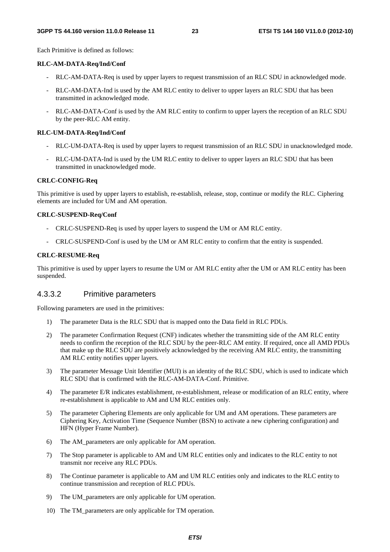Each Primitive is defined as follows:

#### **RLC-AM-DATA-Req/Ind/Conf**

- RLC-AM-DATA-Req is used by upper layers to request transmission of an RLC SDU in acknowledged mode.
- RLC-AM-DATA-Ind is used by the AM RLC entity to deliver to upper layers an RLC SDU that has been transmitted in acknowledged mode.
- RLC-AM-DATA-Conf is used by the AM RLC entity to confirm to upper layers the reception of an RLC SDU by the peer-RLC AM entity.

#### **RLC-UM-DATA-Req/Ind/Conf**

- RLC-UM-DATA-Req is used by upper layers to request transmission of an RLC SDU in unacknowledged mode.
- RLC-UM-DATA-Ind is used by the UM RLC entity to deliver to upper layers an RLC SDU that has been transmitted in unacknowledged mode.

#### **CRLC-CONFIG-Req**

This primitive is used by upper layers to establish, re-establish, release, stop, continue or modify the RLC. Ciphering elements are included for UM and AM operation.

#### **CRLC-SUSPEND-Req/Conf**

- CRLC-SUSPEND-Req is used by upper layers to suspend the UM or AM RLC entity.
- CRLC-SUSPEND-Conf is used by the UM or AM RLC entity to confirm that the entity is suspended.

#### **CRLC-RESUME-Req**

This primitive is used by upper layers to resume the UM or AM RLC entity after the UM or AM RLC entity has been suspended.

#### 4.3.3.2 Primitive parameters

Following parameters are used in the primitives:

- 1) The parameter Data is the RLC SDU that is mapped onto the Data field in RLC PDUs.
- 2) The parameter Confirmation Request (CNF) indicates whether the transmitting side of the AM RLC entity needs to confirm the reception of the RLC SDU by the peer-RLC AM entity. If required, once all AMD PDUs that make up the RLC SDU are positively acknowledged by the receiving AM RLC entity, the transmitting AM RLC entity notifies upper layers.
- 3) The parameter Message Unit Identifier (MUI) is an identity of the RLC SDU, which is used to indicate which RLC SDU that is confirmed with the RLC-AM-DATA-Conf. Primitive.
- 4) The parameter E/R indicates establishment, re-establishment, release or modification of an RLC entity, where re-establishment is applicable to AM and UM RLC entities only.
- 5) The parameter Ciphering Elements are only applicable for UM and AM operations. These parameters are Ciphering Key, Activation Time (Sequence Number (BSN) to activate a new ciphering configuration) and HFN (Hyper Frame Number).
- 6) The AM\_parameters are only applicable for AM operation.
- 7) The Stop parameter is applicable to AM and UM RLC entities only and indicates to the RLC entity to not transmit nor receive any RLC PDUs.
- 8) The Continue parameter is applicable to AM and UM RLC entities only and indicates to the RLC entity to continue transmission and reception of RLC PDUs.
- 9) The UM\_parameters are only applicable for UM operation.
- 10) The TM\_parameters are only applicable for TM operation.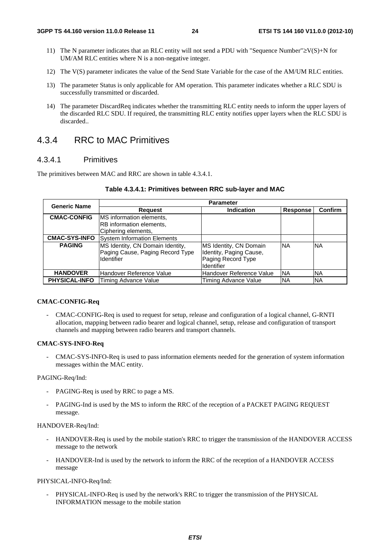- 11) The N parameter indicates that an RLC entity will not send a PDU with "Sequence Number"≥V(S)+N for UM/AM RLC entities where N is a non-negative integer.
- 12) The V(S) parameter indicates the value of the Send State Variable for the case of the AM/UM RLC entities.
- 13) The parameter Status is only applicable for AM operation. This parameter indicates whether a RLC SDU is successfully transmitted or discarded.
- 14) The parameter DiscardReq indicates whether the transmitting RLC entity needs to inform the upper layers of the discarded RLC SDU. If required, the transmitting RLC entity notifies upper layers when the RLC SDU is discarded..

### 4.3.4 RRC to MAC Primitives

### 4.3.4.1 Primitives

The primitives between MAC and RRC are shown in table 4.3.4.1.

| <b>Generic Name</b>  | <b>Parameter</b>                                                                   |                                                                                              |                 |           |  |  |
|----------------------|------------------------------------------------------------------------------------|----------------------------------------------------------------------------------------------|-----------------|-----------|--|--|
|                      | <b>Request</b>                                                                     | <b>Indication</b>                                                                            | <b>Response</b> | Confirm   |  |  |
| <b>CMAC-CONFIG</b>   | <b>IMS</b> information elements,                                                   |                                                                                              |                 |           |  |  |
|                      | RB information elements,                                                           |                                                                                              |                 |           |  |  |
|                      | Ciphering elements,                                                                |                                                                                              |                 |           |  |  |
| <b>CMAC-SYS-INFO</b> | <b>System Information Elements</b>                                                 |                                                                                              |                 |           |  |  |
| <b>PAGING</b>        | MS Identity, CN Domain Identity,<br>Paging Cause, Paging Record Type<br>Identifier | MS Identity, CN Domain<br>Identity, Paging Cause,<br>Paging Record Type<br><b>Identifier</b> | <b>NA</b>       | <b>NA</b> |  |  |
| <b>HANDOVER</b>      | Handover Reference Value                                                           | Handover Reference Value                                                                     | <b>NA</b>       | <b>NA</b> |  |  |
| <b>PHYSICAL-INFO</b> | Timing Advance Value                                                               | Timing Advance Value                                                                         | <b>NA</b>       | <b>NA</b> |  |  |

| Table 4.3.4.1: Primitives between RRC sub-layer and MAC |  |  |  |
|---------------------------------------------------------|--|--|--|
|---------------------------------------------------------|--|--|--|

#### **CMAC-CONFIG-Req**

- CMAC-CONFIG-Req is used to request for setup, release and configuration of a logical channel, G-RNTI allocation, mapping between radio bearer and logical channel, setup, release and configuration of transport channels and mapping between radio bearers and transport channels.

#### **CMAC-SYS-INFO-Req**

- CMAC-SYS-INFO-Req is used to pass information elements needed for the generation of system information messages within the MAC entity.

#### PAGING-Req/Ind:

- PAGING-Req is used by RRC to page a MS.
- PAGING-Ind is used by the MS to inform the RRC of the reception of a PACKET PAGING REQUEST message.

#### HANDOVER-Req/Ind:

- HANDOVER-Req is used by the mobile station's RRC to trigger the transmission of the HANDOVER ACCESS message to the network
- HANDOVER-Ind is used by the network to inform the RRC of the reception of a HANDOVER ACCESS message

#### PHYSICAL-INFO-Req/Ind:

PHYSICAL-INFO-Req is used by the network's RRC to trigger the transmission of the PHYSICAL INFORMATION message to the mobile station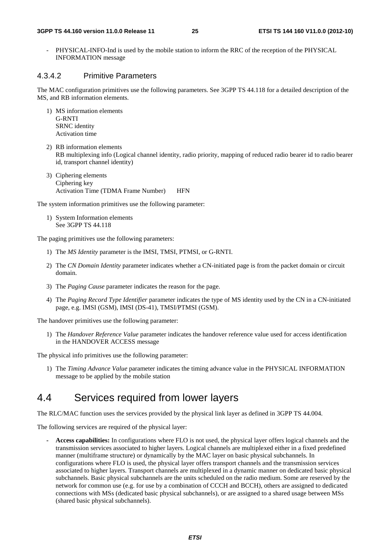- PHYSICAL-INFO-Ind is used by the mobile station to inform the RRC of the reception of the PHYSICAL INFORMATION message

### 4.3.4.2 Primitive Parameters

The MAC configuration primitives use the following parameters. See 3GPP TS 44.118 for a detailed description of the MS, and RB information elements.

- 1) MS information elements G-RNTI SRNC identity Activation time
- 2) RB information elements RB multiplexing info (Logical channel identity, radio priority, mapping of reduced radio bearer id to radio bearer id, transport channel identity)
- 3) Ciphering elements Ciphering key Activation Time (TDMA Frame Number) HFN

The system information primitives use the following parameter:

1) System Information elements See 3GPP TS 44.118

The paging primitives use the following parameters:

- 1) The *MS Identity* parameter is the IMSI, TMSI, PTMSI, or G-RNTI.
- 2) The *CN Domain Identity* parameter indicates whether a CN-initiated page is from the packet domain or circuit domain.
- 3) The *Paging Cause* parameter indicates the reason for the page.
- 4) The *Paging Record Type Identifier* parameter indicates the type of MS identity used by the CN in a CN-initiated page, e.g. IMSI (GSM), IMSI (DS-41), TMSI/PTMSI (GSM).

The handover primitives use the following parameter:

1) The *Handover Reference Value* parameter indicates the handover reference value used for access identification in the HANDOVER ACCESS message

The physical info primitives use the following parameter:

1) The *Timing Advance Value* parameter indicates the timing advance value in the PHYSICAL INFORMATION message to be applied by the mobile station

### 4.4 Services required from lower layers

The RLC/MAC function uses the services provided by the physical link layer as defined in 3GPP TS 44.004.

The following services are required of the physical layer:

**- Access capabilities:** In configurations where FLO is not used, the physical layer offers logical channels and the transmission services associated to higher layers. Logical channels are multiplexed either in a fixed predefined manner (multiframe structure) or dynamically by the MAC layer on basic physical subchannels. In configurations where FLO is used, the physical layer offers transport channels and the transmission services associated to higher layers. Transport channels are multiplexed in a dynamic manner on dedicated basic physical subchannels. Basic physical subchannels are the units scheduled on the radio medium. Some are reserved by the network for common use (e.g. for use by a combination of CCCH and BCCH), others are assigned to dedicated connections with MSs (dedicated basic physical subchannels), or are assigned to a shared usage between MSs (shared basic physical subchannels).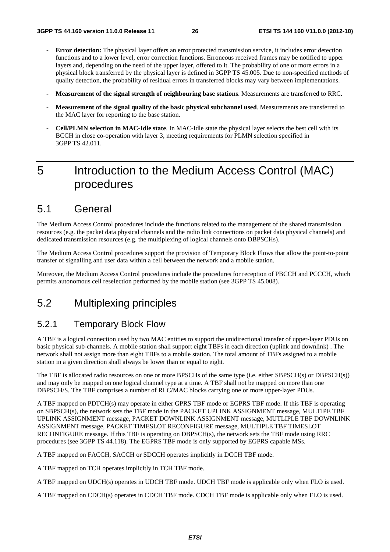- **Error detection:** The physical layer offers an error protected transmission service, it includes error detection functions and to a lower level, error correction functions. Erroneous received frames may be notified to upper layers and, depending on the need of the upper layer, offered to it. The probability of one or more errors in a physical block transferred by the physical layer is defined in 3GPP TS 45.005. Due to non-specified methods of quality detection, the probability of residual errors in transferred blocks may vary between implementations.
- **Measurement of the signal strength of neighbouring base stations**. Measurements are transferred to RRC.
- **Measurement of the signal quality of the basic physical subchannel used**. Measurements are transferred to the MAC layer for reporting to the base station.
- **Cell/PLMN selection in MAC-Idle state**. In MAC-Idle state the physical layer selects the best cell with its BCCH in close co-operation with layer 3, meeting requirements for PLMN selection specified in 3GPP TS 42.011.

## 5 Introduction to the Medium Access Control (MAC) procedures

### 5.1 General

The Medium Access Control procedures include the functions related to the management of the shared transmission resources (e.g. the packet data physical channels and the radio link connections on packet data physical channels) and dedicated transmission resources (e.g. the multiplexing of logical channels onto DBPSCHs).

The Medium Access Control procedures support the provision of Temporary Block Flows that allow the point-to-point transfer of signalling and user data within a cell between the network and a mobile station.

Moreover, the Medium Access Control procedures include the procedures for reception of PBCCH and PCCCH, which permits autonomous cell reselection performed by the mobile station (see 3GPP TS 45.008).

### 5.2 Multiplexing principles

### 5.2.1 Temporary Block Flow

A TBF is a logical connection used by two MAC entities to support the unidirectional transfer of upper-layer PDUs on basic physical sub-channels. A mobile station shall support eight TBFs in each direction (uplink and downlink) . The network shall not assign more than eight TBFs to a mobile station. The total amount of TBFs assigned to a mobile station in a given direction shall always be lower than or equal to eight.

The TBF is allocated radio resources on one or more BPSCHs of the same type (i.e. either SBPSCH(s) or DBPSCH(s)) and may only be mapped on one logical channel type at a time. A TBF shall not be mapped on more than one DBPSCH/S. The TBF comprises a number of RLC/MAC blocks carrying one or more upper-layer PDUs.

A TBF mapped on PDTCH(s) may operate in either GPRS TBF mode or EGPRS TBF mode. If this TBF is operating on SBPSCH(s), the network sets the TBF mode in the PACKET UPLINK ASSIGNMENT message, MULTIPE TBF UPLINK ASSIGNMENT message, PACKET DOWNLINK ASSIGNMENT message, MUTLIPLE TBF DOWNLINK ASSIGNMENT message, PACKET TIMESLOT RECONFIGURE message, MULTIPLE TBF TIMESLOT RECONFIGURE message. If this TBF is operating on DBPSCH(s), the network sets the TBF mode using RRC procedures (see 3GPP TS 44.118). The EGPRS TBF mode is only supported by EGPRS capable MSs.

A TBF mapped on FACCH, SACCH or SDCCH operates implicitly in DCCH TBF mode.

A TBF mapped on TCH operates implicitly in TCH TBF mode.

A TBF mapped on UDCH(s) operates in UDCH TBF mode. UDCH TBF mode is applicable only when FLO is used.

A TBF mapped on CDCH(s) operates in CDCH TBF mode. CDCH TBF mode is applicable only when FLO is used.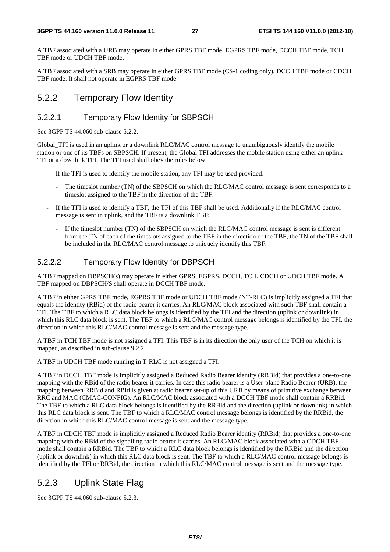A TBF associated with a URB may operate in either GPRS TBF mode, EGPRS TBF mode, DCCH TBF mode, TCH TBF mode or UDCH TBF mode.

A TBF associated with a SRB may operate in either GPRS TBF mode (CS-1 coding only), DCCH TBF mode or CDCH TBF mode. It shall not operate in EGPRS TBF mode.

### 5.2.2 Temporary Flow Identity

### 5.2.2.1 Temporary Flow Identity for SBPSCH

See 3GPP TS 44.060 sub-clause 5.2.2.

Global\_TFI is used in an uplink or a downlink RLC/MAC control message to unambiguously identify the mobile station or one of its TBFs on SBPSCH. If present, the Global TFI addresses the mobile station using either an uplink TFI or a downlink TFI. The TFI used shall obey the rules below:

- If the TFI is used to identify the mobile station, any TFI may be used provided:
	- The timeslot number (TN) of the SBPSCH on which the RLC/MAC control message is sent corresponds to a timeslot assigned to the TBF in the direction of the TBF.
- If the TFI is used to identify a TBF, the TFI of this TBF shall be used. Additionally if the RLC/MAC control message is sent in uplink, and the TBF is a downlink TBF:
	- If the timeslot number (TN) of the SBPSCH on which the RLC/MAC control message is sent is different from the TN of each of the timeslots assigned to the TBF in the direction of the TBF, the TN of the TBF shall be included in the RLC/MAC control message to uniquely identify this TBF.

### 5.2.2.2 Temporary Flow Identity for DBPSCH

A TBF mapped on DBPSCH(s) may operate in either GPRS, EGPRS, DCCH, TCH, CDCH or UDCH TBF mode. A TBF mapped on DBPSCH/S shall operate in DCCH TBF mode.

A TBF in either GPRS TBF mode, EGPRS TBF mode or UDCH TBF mode (NT-RLC) is implicitly assigned a TFI that equals the identity (RBid) of the radio bearer it carries. An RLC/MAC block associated with such TBF shall contain a TFI. The TBF to which a RLC data block belongs is identified by the TFI and the direction (uplink or downlink) in which this RLC data block is sent. The TBF to which a RLC/MAC control message belongs is identified by the TFI, the direction in which this RLC/MAC control message is sent and the message type.

A TBF in TCH TBF mode is not assigned a TFI. This TBF is in its direction the only user of the TCH on which it is mapped, as described in sub-clause 9.2.2.

A TBF in UDCH TBF mode running in T-RLC is not assigned a TFI.

A TBF in DCCH TBF mode is implicitly assigned a Reduced Radio Bearer identity (RRBid) that provides a one-to-one mapping with the RBid of the radio bearer it carries. In case this radio bearer is a User-plane Radio Bearer (URB), the mapping between RRBid and RBid is given at radio bearer set-up of this URB by means of primitive exchange between RRC and MAC (CMAC-CONFIG). An RLC/MAC block associated with a DCCH TBF mode shall contain a RRBid. The TBF to which a RLC data block belongs is identified by the RRBid and the direction (uplink or downlink) in which this RLC data block is sent. The TBF to which a RLC/MAC control message belongs is identified by the RRBid, the direction in which this RLC/MAC control message is sent and the message type.

A TBF in CDCH TBF mode is implicitly assigned a Reduced Radio Bearer identity (RRBid) that provides a one-to-one mapping with the RBid of the signalling radio bearer it carries. An RLC/MAC block associated with a CDCH TBF mode shall contain a RRBid. The TBF to which a RLC data block belongs is identified by the RRBid and the direction (uplink or downlink) in which this RLC data block is sent. The TBF to which a RLC/MAC control message belongs is identified by the TFI or RRBid, the direction in which this RLC/MAC control message is sent and the message type.

### 5.2.3 Uplink State Flag

See 3GPP TS 44.060 sub-clause 5.2.3.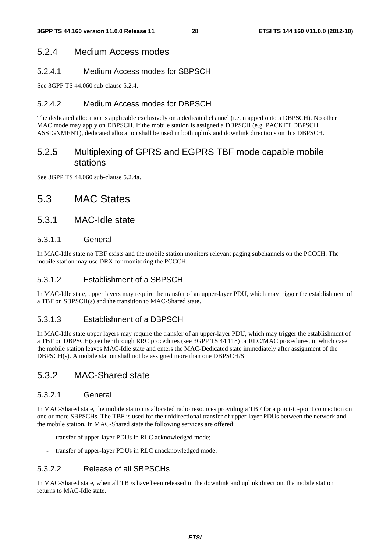### 5.2.4 Medium Access modes

### 5.2.4.1 Medium Access modes for SBPSCH

See 3GPP TS 44.060 sub-clause 5.2.4.

### 5.2.4.2 Medium Access modes for DBPSCH

The dedicated allocation is applicable exclusively on a dedicated channel (i.e. mapped onto a DBPSCH). No other MAC mode may apply on DBPSCH. If the mobile station is assigned a DBPSCH (e.g. PACKET DBPSCH ASSIGNMENT), dedicated allocation shall be used in both uplink and downlink directions on this DBPSCH.

### 5.2.5 Multiplexing of GPRS and EGPRS TBF mode capable mobile stations

See 3GPP TS 44.060 sub-clause 5.2.4a.

### 5.3 MAC States

### 5.3.1 MAC-Idle state

### 5.3.1.1 General

In MAC-Idle state no TBF exists and the mobile station monitors relevant paging subchannels on the PCCCH. The mobile station may use DRX for monitoring the PCCCH.

### 5.3.1.2 Establishment of a SBPSCH

In MAC-Idle state, upper layers may require the transfer of an upper-layer PDU, which may trigger the establishment of a TBF on SBPSCH(s) and the transition to MAC-Shared state.

### 5.3.1.3 Establishment of a DBPSCH

In MAC-Idle state upper layers may require the transfer of an upper-layer PDU, which may trigger the establishment of a TBF on DBPSCH(s) either through RRC procedures (see 3GPP TS 44.118) or RLC/MAC procedures, in which case the mobile station leaves MAC-Idle state and enters the MAC-Dedicated state immediately after assignment of the DBPSCH(s). A mobile station shall not be assigned more than one DBPSCH/S.

### 5.3.2 MAC-Shared state

### 5.3.2.1 General

In MAC-Shared state, the mobile station is allocated radio resources providing a TBF for a point-to-point connection on one or more SBPSCHs. The TBF is used for the unidirectional transfer of upper-layer PDUs between the network and the mobile station. In MAC-Shared state the following services are offered:

- transfer of upper-layer PDUs in RLC acknowledged mode;
- transfer of upper-layer PDUs in RLC unacknowledged mode.

### 5.3.2.2 Release of all SBPSCHs

In MAC-Shared state, when all TBFs have been released in the downlink and uplink direction, the mobile station returns to MAC-Idle state.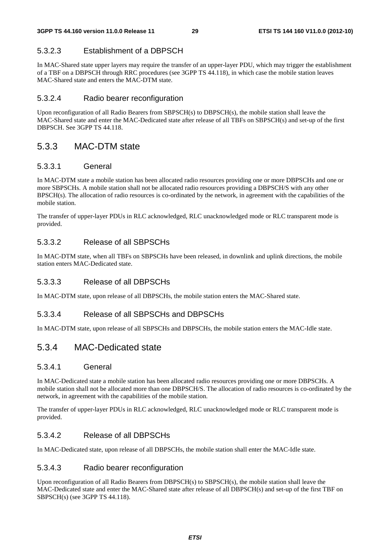### 5.3.2.3 Establishment of a DBPSCH

In MAC-Shared state upper layers may require the transfer of an upper-layer PDU, which may trigger the establishment of a TBF on a DBPSCH through RRC procedures (see 3GPP TS 44.118), in which case the mobile station leaves MAC-Shared state and enters the MAC-DTM state.

### 5.3.2.4 Radio bearer reconfiguration

Upon reconfiguration of all Radio Bearers from SBPSCH(s) to DBPSCH(s), the mobile station shall leave the MAC-Shared state and enter the MAC-Dedicated state after release of all TBFs on SBPSCH(s) and set-up of the first DBPSCH. See 3GPP TS 44.118.

### 5.3.3 MAC-DTM state

### 5.3.3.1 General

In MAC-DTM state a mobile station has been allocated radio resources providing one or more DBPSCHs and one or more SBPSCHs. A mobile station shall not be allocated radio resources providing a DBPSCH/S with any other BPSCH(s). The allocation of radio resources is co-ordinated by the network, in agreement with the capabilities of the mobile station.

The transfer of upper-layer PDUs in RLC acknowledged, RLC unacknowledged mode or RLC transparent mode is provided.

### 5.3.3.2 Release of all SBPSCHs

In MAC-DTM state, when all TBFs on SBPSCHs have been released, in downlink and uplink directions, the mobile station enters MAC-Dedicated state.

### 5.3.3.3 Release of all DBPSCHs

In MAC-DTM state, upon release of all DBPSCHs, the mobile station enters the MAC-Shared state.

### 5.3.3.4 Release of all SBPSCHs and DBPSCHs

In MAC-DTM state, upon release of all SBPSCHs and DBPSCHs, the mobile station enters the MAC-Idle state.

### 5.3.4 MAC-Dedicated state

### 5.3.4.1 General

In MAC-Dedicated state a mobile station has been allocated radio resources providing one or more DBPSCHs. A mobile station shall not be allocated more than one DBPSCH/S. The allocation of radio resources is co-ordinated by the network, in agreement with the capabilities of the mobile station.

The transfer of upper-layer PDUs in RLC acknowledged, RLC unacknowledged mode or RLC transparent mode is provided.

### 5.3.4.2 Release of all DBPSCHs

In MAC-Dedicated state, upon release of all DBPSCHs, the mobile station shall enter the MAC-Idle state.

### 5.3.4.3 Radio bearer reconfiguration

Upon reconfiguration of all Radio Bearers from DBPSCH(s) to SBPSCH(s), the mobile station shall leave the MAC-Dedicated state and enter the MAC-Shared state after release of all DBPSCH(s) and set-up of the first TBF on SBPSCH(s) (see 3GPP TS 44.118).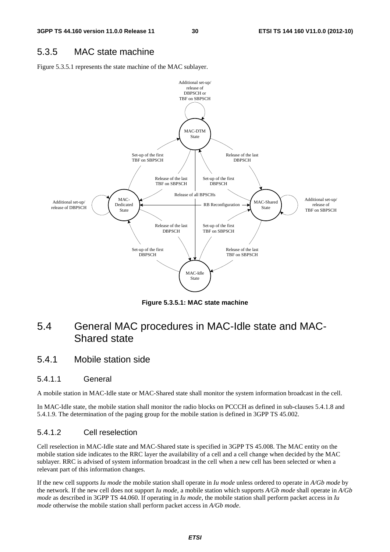### 5.3.5 MAC state machine

Figure 5.3.5.1 represents the state machine of the MAC sublayer.



**Figure 5.3.5.1: MAC state machine** 

### 5.4 General MAC procedures in MAC-Idle state and MAC-Shared state

### 5.4.1 Mobile station side

### 5.4.1.1 General

A mobile station in MAC-Idle state or MAC-Shared state shall monitor the system information broadcast in the cell.

In MAC-Idle state, the mobile station shall monitor the radio blocks on PCCCH as defined in sub-clauses 5.4.1.8 and 5.4.1.9. The determination of the paging group for the mobile station is defined in 3GPP TS 45.002.

### 5.4.1.2 Cell reselection

Cell reselection in MAC-Idle state and MAC-Shared state is specified in 3GPP TS 45.008. The MAC entity on the mobile station side indicates to the RRC layer the availability of a cell and a cell change when decided by the MAC sublayer. RRC is advised of system information broadcast in the cell when a new cell has been selected or when a relevant part of this information changes.

If the new cell supports *Iu mode* the mobile station shall operate in *Iu mode* unless ordered to operate in *A/Gb mode* by the network. If the new cell does not support *Iu mode*, a mobile station which supports *A/Gb mode* shall operate in *A/Gb mode* as described in 3GPP TS 44.060. If operating in *Iu mode*, the mobile station shall perform packet access in *Iu mode* otherwise the mobile station shall perform packet access in *A/Gb mode*.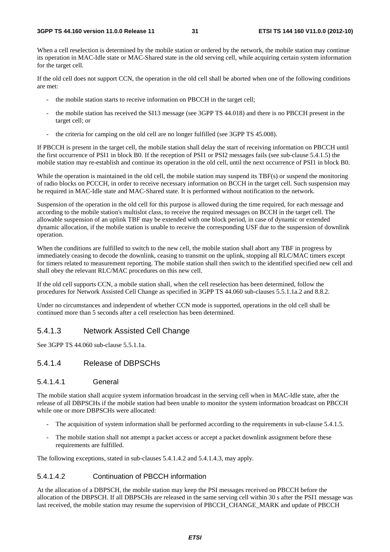When a cell reselection is determined by the mobile station or ordered by the network, the mobile station may continue its operation in MAC-Idle state or MAC-Shared state in the old serving cell, while acquiring certain system information for the target cell.

If the old cell does not support CCN, the operation in the old cell shall be aborted when one of the following conditions are met:

- the mobile station starts to receive information on PBCCH in the target cell;
- the mobile station has received the SI13 message (see 3GPP TS 44.018) and there is no PBCCH present in the target cell; or
- the criteria for camping on the old cell are no longer fulfilled (see 3GPP TS 45.008).

If PBCCH is present in the target cell, the mobile station shall delay the start of receiving information on PBCCH until the first occurrence of PSI1 in block B0. If the reception of PSI1 or PSI2 messages fails (see sub-clause 5.4.1.5) the mobile station may re-establish and continue its operation in the old cell, until the next occurrence of PSI1 in block B0.

While the operation is maintained in the old cell, the mobile station may suspend its TBF(s) or suspend the monitoring of radio blocks on PCCCH, in order to receive necessary information on BCCH in the target cell. Such suspension may be required in MAC-Idle state and MAC-Shared state. It is performed without notification to the network.

Suspension of the operation in the old cell for this purpose is allowed during the time required, for each message and according to the mobile station's multislot class, to receive the required messages on BCCH in the target cell. The allowable suspension of an uplink TBF may be extended with one block period, in case of dynamic or extended dynamic allocation, if the mobile station is unable to receive the corresponding USF due to the suspension of downlink operation.

When the conditions are fulfilled to switch to the new cell, the mobile station shall abort any TBF in progress by immediately ceasing to decode the downlink, ceasing to transmit on the uplink, stopping all RLC/MAC timers except for timers related to measurement reporting. The mobile station shall then switch to the identified specified new cell and shall obey the relevant RLC/MAC procedures on this new cell.

If the old cell supports CCN, a mobile station shall, when the cell reselection has been determined, follow the procedures for Network Assisted Cell Change as specified in 3GPP TS 44.060 sub-clauses 5.5.1.1a.2 and 8.8.2.

Under no circumstances and independent of whether CCN mode is supported, operations in the old cell shall be continued more than 5 seconds after a cell reselection has been determined.

### 5.4.1.3 Network Assisted Cell Change

See 3GPP TS 44.060 sub-clause 5.5.1.1a.

### 5.4.1.4 Release of DBPSCHs

### 5.4.1.4.1 General

The mobile station shall acquire system information broadcast in the serving cell when in MAC-Idle state, after the release of all DBPSCHs if the mobile station had been unable to monitor the system information broadcast on PBCCH while one or more DBPSCHs were allocated:

- The acquisition of system information shall be performed according to the requirements in sub-clause 5.4.1.5.
- The mobile station shall not attempt a packet access or accept a packet downlink assignment before these requirements are fulfilled.

The following exceptions, stated in sub-clauses 5.4.1.4.2 and 5.4.1.4.3, may apply.

#### 5.4.1.4.2 Continuation of PBCCH information

At the allocation of a DBPSCH, the mobile station may keep the PSI messages received on PBCCH before the allocation of the DBPSCH. If all DBPSCHs are released in the same serving cell within 30 s after the PSI1 message was last received, the mobile station may resume the supervision of PBCCH\_CHANGE\_MARK and update of PBCCH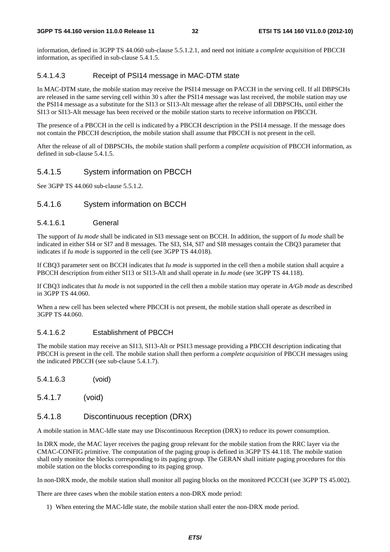#### **3GPP TS 44.160 version 11.0.0 Release 11 32 ETSI TS 144 160 V11.0.0 (2012-10)**

information, defined in 3GPP TS 44.060 sub-clause 5.5.1.2.1, and need not initiate a *complete acquisition* of PBCCH information, as specified in sub-clause 5.4.1.5.

### 5.4.1.4.3 Receipt of PSI14 message in MAC-DTM state

In MAC-DTM state, the mobile station may receive the PSI14 message on PACCH in the serving cell. If all DBPSCHs are released in the same serving cell within 30 s after the PSI14 message was last received, the mobile station may use the PSI14 message as a substitute for the SI13 or SI13-Alt message after the release of all DBPSCHs, until either the SI13 or SI13-Alt message has been received or the mobile station starts to receive information on PBCCH.

The presence of a PBCCH in the cell is indicated by a PBCCH description in the PSI14 message. If the message does not contain the PBCCH description, the mobile station shall assume that PBCCH is not present in the cell.

After the release of all of DBPSCHs, the mobile station shall perform a *complete acquisition* of PBCCH information, as defined in sub-clause 5.4.1.5.

### 5.4.1.5 System information on PBCCH

See 3GPP TS 44.060 sub-clause 5.5.1.2.

### 5.4.1.6 System information on BCCH

#### 5.4.1.6.1 General

The support of *Iu mode* shall be indicated in SI3 message sent on BCCH. In addition, the support of *Iu mode* shall be indicated in either SI4 or SI7 and 8 messages. The SI3, SI4, SI7 and SI8 messages contain the CBQ3 parameter that indicates if *Iu mode* is supported in the cell (see 3GPP TS 44.018).

If CBQ3 parameter sent on BCCH indicates that *Iu mode* is supported in the cell then a mobile station shall acquire a PBCCH description from either SI13 or SI13-Alt and shall operate in *Iu mode* (see 3GPP TS 44.118).

If CBQ3 indicates that *Iu mode* is not supported in the cell then a mobile station may operate in *A/Gb mode* as described in 3GPP TS 44.060.

When a new cell has been selected where PBCCH is not present, the mobile station shall operate as described in 3GPP TS 44.060.

### 5.4.1.6.2 Establishment of PBCCH

The mobile station may receive an SI13, SI13-Alt or PSI13 message providing a PBCCH description indicating that PBCCH is present in the cell. The mobile station shall then perform a *complete acquisition* of PBCCH messages using the indicated PBCCH (see sub-clause 5.4.1.7).

- 5.4.1.6.3 (void)
- 5.4.1.7 (void)

### 5.4.1.8 Discontinuous reception (DRX)

A mobile station in MAC-Idle state may use Discontinuous Reception (DRX) to reduce its power consumption.

In DRX mode, the MAC layer receives the paging group relevant for the mobile station from the RRC layer via the CMAC-CONFIG primitive. The computation of the paging group is defined in 3GPP TS 44.118. The mobile station shall only monitor the blocks corresponding to its paging group. The GERAN shall initiate paging procedures for this mobile station on the blocks corresponding to its paging group.

In non-DRX mode, the mobile station shall monitor all paging blocks on the monitored PCCCH (see 3GPP TS 45.002).

There are three cases when the mobile station enters a non-DRX mode period:

1) When entering the MAC-Idle state, the mobile station shall enter the non-DRX mode period.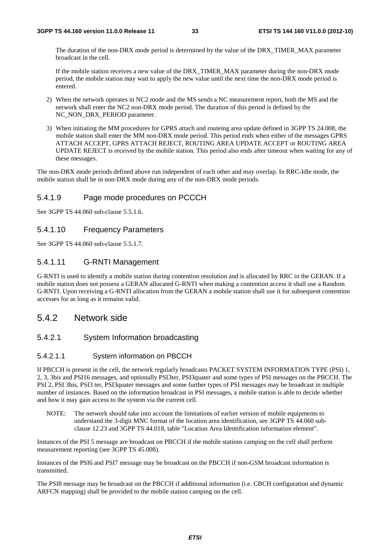The duration of the non-DRX mode period is determined by the value of the DRX\_TIMER\_MAX parameter broadcast in the cell.

If the mobile station receives a new value of the DRX\_TIMER\_MAX parameter during the non-DRX mode period, the mobile station may wait to apply the new value until the next time the non-DRX mode period is entered.

- 2) When the network operates in NC2 mode and the MS sends a NC measurement report, both the MS and the network shall enter the NC2 non-DRX mode period. The duration of this period is defined by the NC\_NON\_DRX\_PERIOD parameter.
- 3) When initiating the MM procedures for GPRS attach and routeing area update defined in 3GPP TS 24.008, the mobile station shall enter the MM non-DRX mode period. This period ends when either of the messages GPRS ATTACH ACCEPT, GPRS ATTACH REJECT, ROUTING AREA UPDATE ACCEPT or ROUTING AREA UPDATE REJECT is received by the mobile station. This period also ends after timeout when waiting for any of these messages.

The non-DRX mode periods defined above run independent of each other and may overlap. In RRC-Idle mode, the mobile station shall be in non-DRX mode during any of the non-DRX mode periods.

### 5.4.1.9 Page mode procedures on PCCCH

See 3GPP TS 44.060 sub-clause 5.5.1.6.

### 5.4.1.10 Frequency Parameters

See 3GPP TS 44.060 sub-clause 5.5.1.7.

### 5.4.1.11 G-RNTI Management

G-RNTI is used to identify a mobile station during contention resolution and is allocated by RRC in the GERAN. If a mobile station does not possess a GERAN allocated G-RNTI when making a contention access it shall use a Random G-RNTI. Upon receiving a G-RNTI allocation from the GERAN a mobile station shall use it for subsequent contention accesses for as long as it remains valid.

### 5.4.2 Network side

### 5.4.2.1 System Information broadcasting

#### 5.4.2.1.1 System information on PBCCH

If PBCCH is present in the cell, the network regularly broadcasts PACKET SYSTEM INFORMATION TYPE (PSI) 1, 2, 3, 3bis and PSI16 messages, and optionally PSI3ter, PSI3quater and some types of PSI messages on the PBCCH. The PSI 2, PSI 3bis, PSI3 ter, PSI3quater messages and some further types of PSI messages may be broadcast in multiple number of instances. Based on the information broadcast in PSI messages, a mobile station is able to decide whether and how it may gain access to the system via the current cell.

NOTE: The network should take into account the limitations of earlier version of mobile equipments to understand the 3-digit MNC format of the location area identification, see 3GPP TS 44.060 subclause 12.23 and 3GPP TS 44.018, table "Location Area Identification information element".

Instances of the PSI 5 message are broadcast on PBCCH if the mobile stations camping on the cell shall perform measurement reporting (see 3GPP TS 45.008).

Instances of the PSI6 and PSI7 message may be broadcast on the PBCCH if non-GSM broadcast information is transmitted.

The PSI8 message may be broadcast on the PBCCH if additional information (i.e. CBCH configuration and dynamic ARFCN mapping) shall be provided to the mobile station camping on the cell.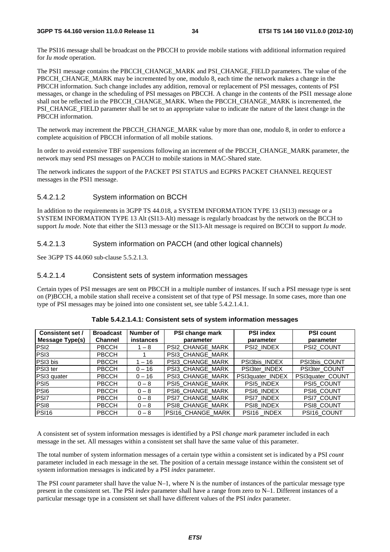The PSI16 message shall be broadcast on the PBCCH to provide mobile stations with additional information required for *Iu mode* operation.

The PSI1 message contains the PBCCH\_CHANGE\_MARK and PSI\_CHANGE\_FIELD parameters. The value of the PBCCH\_CHANGE\_MARK may be incremented by one, modulo 8, each time the network makes a change in the PBCCH information. Such change includes any addition, removal or replacement of PSI messages, contents of PSI messages, or change in the scheduling of PSI messages on PBCCH. A change in the contents of the PSI1 message alone shall not be reflected in the PBCCH\_CHANGE\_MARK. When the PBCCH\_CHANGE\_MARK is incremented, the PSI\_CHANGE\_FIELD parameter shall be set to an appropriate value to indicate the nature of the latest change in the PBCCH information.

The network may increment the PBCCH\_CHANGE\_MARK value by more than one, modulo 8, in order to enforce a complete acquisition of PBCCH information of all mobile stations.

In order to avoid extensive TBF suspensions following an increment of the PBCCH\_CHANGE\_MARK parameter, the network may send PSI messages on PACCH to mobile stations in MAC-Shared state.

The network indicates the support of the PACKET PSI STATUS and EGPRS PACKET CHANNEL REQUEST messages in the PSI1 message.

#### 5.4.2.1.2 System information on BCCH

In addition to the requirements in 3GPP TS 44.018, a SYSTEM INFORMATION TYPE 13 (SI13) message or a SYSTEM INFORMATION TYPE 13 Alt (SI13-Alt) message is regularly broadcast by the network on the BCCH to support *Iu mode*. Note that either the SI13 message or the SI13-Alt message is required on BCCH to support *Iu mode*.

#### 5.4.2.1.3 System information on PACCH (and other logical channels)

See 3GPP TS 44.060 sub-clause 5.5.2.1.3.

#### 5.4.2.1.4 Consistent sets of system information messages

Certain types of PSI messages are sent on PBCCH in a multiple number of instances. If such a PSI message type is sent on (P)BCCH, a mobile station shall receive a consistent set of that type of PSI message. In some cases, more than one type of PSI messages may be joined into one consistent set, see table 5.4.2.1.4.1.

| <b>Consistent set /</b> | <b>Broadcast</b> | Number of        | PSI change mark   | <b>PSI index</b> | <b>PSI count</b> |
|-------------------------|------------------|------------------|-------------------|------------------|------------------|
| Message Type(s)         | <b>Channel</b>   | <b>instances</b> | parameter         | parameter        | parameter        |
| PSI <sub>2</sub>        | <b>PBCCH</b>     | $1 - 8$          | PSI2_CHANGE_MARK  | PSI2_INDEX       | PSI2_COUNT       |
| PS <sub>13</sub>        | <b>PBCCH</b>     |                  | PSI3_CHANGE_MARK  |                  |                  |
| PSI3 bis                | <b>PBCCH</b>     | $1 - 16$         | PSI3_CHANGE_MARK  | PSI3bis INDEX    | PSI3bis_COUNT    |
| PSI3 ter                | <b>PBCCH</b>     | $0 - 16$         | PSI3_CHANGE_MARK  | PSI3ter INDEX    | PSI3ter_COUNT    |
| PSI3 quater             | <b>PBCCH</b>     | $0 - 16$         | PSI3_CHANGE_MARK  | PSI3quater_INDEX | PSI3quater_COUNT |
| PS <sub>I5</sub>        | <b>PBCCH</b>     | $0 - 8$          | PSI5_CHANGE_MARK  | PSI5 INDEX       | PSI5 COUNT       |
| PS <sub>16</sub>        | <b>PBCCH</b>     | $0 - 8$          | PSI6 CHANGE MARK  | PSI6 INDEX       | PSI6 COUNT       |
| <b>PSI7</b>             | <b>PBCCH</b>     | $0 - 8$          | PSI7_CHANGE_MARK  | PSI7_INDEX       | PSI7_COUNT       |
| PS <sub>18</sub>        | <b>PBCCH</b>     | $0 - 8$          | PSI8 CHANGE MARK  | PSI8_INDEX       | PSI8_COUNT       |
| <b>PSI16</b>            | <b>PBCCH</b>     | $0 - 8$          | PSI16_CHANGE_MARK | PSI16 INDEX      | PSI16 COUNT      |

#### **Table 5.4.2.1.4.1: Consistent sets of system information messages**

A consistent set of system information messages is identified by a PSI *change mark* parameter included in each message in the set. All messages within a consistent set shall have the same value of this parameter.

The total number of system information messages of a certain type within a consistent set is indicated by a PSI *count* parameter included in each message in the set. The position of a certain message instance within the consistent set of system information messages is indicated by a PSI *index* parameter.

The PSI *count* parameter shall have the value N–1, where N is the number of instances of the particular message type present in the consistent set. The PSI *index* parameter shall have a range from zero to N–1. Different instances of a particular message type in a consistent set shall have different values of the PSI *index* parameter.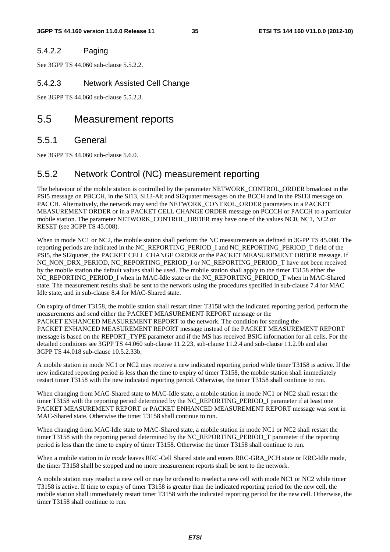### 5.4.2.2 Paging

See 3GPP TS 44.060 sub-clause 5.5.2.2.

### 5.4.2.3 Network Assisted Cell Change

See 3GPP TS 44.060 sub-clause 5.5.2.3.

### 5.5 Measurement reports

### 5.5.1 General

See 3GPP TS 44.060 sub-clause 5.6.0.

### 5.5.2 Network Control (NC) measurement reporting

The behaviour of the mobile station is controlled by the parameter NETWORK\_CONTROL\_ORDER broadcast in the PSI5 message on PBCCH, in the SI13, SI13-Alt and SI2quater messages on the BCCH and in the PSI13 message on PACCH. Alternatively, the network may send the NETWORK\_CONTROL\_ORDER parameters in a PACKET MEASUREMENT ORDER or in a PACKET CELL CHANGE ORDER message on PCCCH or PACCH to a particular mobile station. The parameter NETWORK\_CONTROL\_ORDER may have one of the values NC0, NC1, NC2 or RESET (see 3GPP TS 45.008).

When in mode NC1 or NC2, the mobile station shall perform the NC measurements as defined in 3GPP TS 45.008. The reporting periods are indicated in the NC\_REPORTING\_PERIOD\_I and NC\_REPORTING\_PERIOD\_T field of the PSI5, the SI2quater, the PACKET CELL CHANGE ORDER or the PACKET MEASUREMENT ORDER message. If NC\_NON\_DRX\_PERIOD, NC\_REPORTING\_PERIOD\_I or NC\_REPORTING\_PERIOD\_T have not been received by the mobile station the default values shall be used. The mobile station shall apply to the timer T3158 either the NC\_REPORTING\_PERIOD\_I when in MAC-Idle state or the NC\_REPORTING\_PERIOD\_T when in MAC-Shared state. The measurement results shall be sent to the network using the procedures specified in sub-clause 7.4 for MAC Idle state, and in sub-clause 8.4 for MAC-Shared state.

On expiry of timer T3158, the mobile station shall restart timer T3158 with the indicated reporting period, perform the measurements and send either the PACKET MEASUREMENT REPORT message or the PACKET ENHANCED MEASUREMENT REPORT to the network. The condition for sending the PACKET ENHANCED MEASUREMENT REPORT message instead of the PACKET MEASUREMENT REPORT message is based on the REPORT TYPE parameter and if the MS has received BSIC information for all cells. For the detailed conditions see 3GPP TS 44.060 sub-clause 11.2.23, sub-clause 11.2.4 and sub-clause 11.2.9b and also 3GPP TS 44.018 sub-clause 10.5.2.33b.

A mobile station in mode NC1 or NC2 may receive a new indicated reporting period while timer T3158 is active. If the new indicated reporting period is less than the time to expiry of timer T3158, the mobile station shall immediately restart timer T3158 with the new indicated reporting period. Otherwise, the timer T3158 shall continue to run.

When changing from MAC-Shared state to MAC-Idle state, a mobile station in mode NC1 or NC2 shall restart the timer T3158 with the reporting period determined by the NC\_REPORTING\_PERIOD\_I parameter if at least one PACKET MEASUREMENT REPORT or PACKET ENHANCED MEASUREMENT REPORT message was sent in MAC-Shared state. Otherwise the timer T3158 shall continue to run.

When changing from MAC-Idle state to MAC-Shared state, a mobile station in mode NC1 or NC2 shall restart the timer T3158 with the reporting period determined by the NC\_REPORTING\_PERIOD\_T parameter if the reporting period is less than the time to expiry of timer T3158. Otherwise the timer T3158 shall continue to run.

When a mobile station in *Iu mode* leaves RRC-Cell Shared state and enters RRC-GRA PCH state or RRC-Idle mode, the timer T3158 shall be stopped and no more measurement reports shall be sent to the network.

A mobile station may reselect a new cell or may be ordered to reselect a new cell with mode NC1 or NC2 while timer T3158 is active. If time to expiry of timer T3158 is greater than the indicated reporting period for the new cell, the mobile station shall immediately restart timer T3158 with the indicated reporting period for the new cell. Otherwise, the timer T3158 shall continue to run.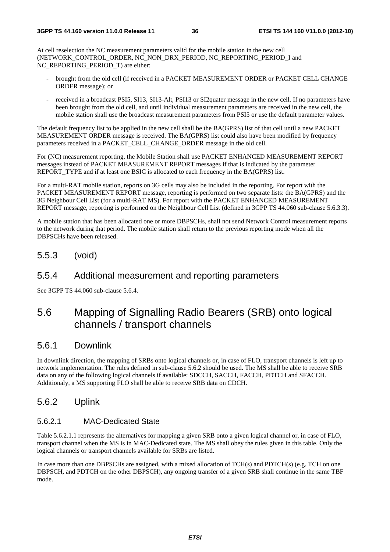At cell reselection the NC measurement parameters valid for the mobile station in the new cell (NETWORK\_CONTROL\_ORDER, NC\_NON\_DRX\_PERIOD, NC\_REPORTING\_PERIOD\_I and NC\_REPORTING\_PERIOD\_T) are either:

- brought from the old cell (if received in a PACKET MEASUREMENT ORDER or PACKET CELL CHANGE ORDER message); or
- received in a broadcast PSI5, SI13, SI13-Alt, PSI13 or SI2quater message in the new cell. If no parameters have been brought from the old cell, and until individual measurement parameters are received in the new cell, the mobile station shall use the broadcast measurement parameters from PSI5 or use the default parameter values.

The default frequency list to be applied in the new cell shall be the BA(GPRS) list of that cell until a new PACKET MEASUREMENT ORDER message is received. The BA(GPRS) list could also have been modified by frequency parameters received in a PACKET\_CELL\_CHANGE\_ORDER message in the old cell.

For (NC) measurement reporting, the Mobile Station shall use PACKET ENHANCED MEASUREMENT REPORT messages instead of PACKET MEASUREMENT REPORT messages if that is indicated by the parameter REPORT\_TYPE and if at least one BSIC is allocated to each frequency in the BA(GPRS) list.

For a multi-RAT mobile station, reports on 3G cells may also be included in the reporting. For report with the PACKET MEASUREMENT REPORT message, reporting is performed on two separate lists: the BA(GPRS) and the 3G Neighbour Cell List (for a multi-RAT MS). For report with the PACKET ENHANCED MEASUREMENT REPORT message, reporting is performed on the Neighbour Cell List (defined in 3GPP TS 44.060 sub-clause 5.6.3.3).

A mobile station that has been allocated one or more DBPSCHs, shall not send Network Control measurement reports to the network during that period. The mobile station shall return to the previous reporting mode when all the DBPSCHs have been released.

## 5.5.3 (void)

## 5.5.4 Additional measurement and reporting parameters

See 3GPP TS 44.060 sub-clause 5.6.4.

# 5.6 Mapping of Signalling Radio Bearers (SRB) onto logical channels / transport channels

## 5.6.1 Downlink

In downlink direction, the mapping of SRBs onto logical channels or, in case of FLO, transport channels is left up to network implementation. The rules defined in sub-clause 5.6.2 should be used. The MS shall be able to receive SRB data on any of the following logical channels if available: SDCCH, SACCH, FACCH, PDTCH and SFACCH. Additionaly, a MS supporting FLO shall be able to receive SRB data on CDCH.

## 5.6.2 Uplink

### 5.6.2.1 MAC-Dedicated State

Table 5.6.2.1.1 represents the alternatives for mapping a given SRB onto a given logical channel or, in case of FLO, transport channel when the MS is in MAC-Dedicated state. The MS shall obey the rules given in this table. Only the logical channels or transport channels available for SRBs are listed.

In case more than one DBPSCHs are assigned, with a mixed allocation of TCH(s) and PDTCH(s) (e.g. TCH on one DBPSCH, and PDTCH on the other DBPSCH), any ongoing transfer of a given SRB shall continue in the same TBF mode.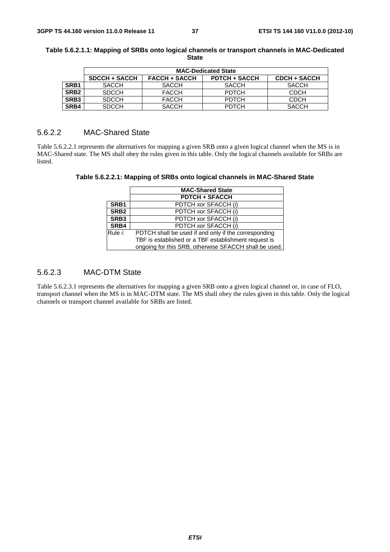|                  | <b>MAC-Dedicated State</b> |                      |                      |                     |
|------------------|----------------------------|----------------------|----------------------|---------------------|
|                  | <b>SDCCH + SACCH</b>       | <b>FACCH + SACCH</b> | <b>PDTCH + SACCH</b> | <b>CDCH + SACCH</b> |
| SRB <sub>1</sub> | <b>SACCH</b>               | <b>SACCH</b>         | <b>SACCH</b>         | <b>SACCH</b>        |
| SRB <sub>2</sub> | <b>SDCCH</b>               | <b>FACCH</b>         | <b>PDTCH</b>         | <b>CDCH</b>         |
| SRB <sub>3</sub> | <b>SDCCH</b>               | <b>FACCH</b>         | <b>PDTCH</b>         | <b>CDCH</b>         |
| SRB4             | <b>SDCCH</b>               | <b>SACCH</b>         | <b>PDTCH</b>         | <b>SACCH</b>        |

#### **Table 5.6.2.1.1: Mapping of SRBs onto logical channels or transport channels in MAC-Dedicated State**

## 5.6.2.2 MAC-Shared State

Table 5.6.2.2.1 represents the alternatives for mapping a given SRB onto a given logical channel when the MS is in MAC-Shared state. The MS shall obey the rules given in this table. Only the logical channels available for SRBs are listed.

| Table 5.6.2.2.1: Mapping of SRBs onto logical channels in MAC-Shared State |  |
|----------------------------------------------------------------------------|--|
|                                                                            |  |

|                  | <b>MAC-Shared State</b>                               |  |  |
|------------------|-------------------------------------------------------|--|--|
|                  | <b>PDTCH + SFACCH</b>                                 |  |  |
| SRB <sub>1</sub> | PDTCH xor SFACCH (i)                                  |  |  |
| SRB <sub>2</sub> | PDTCH xor SFACCH (i)                                  |  |  |
| SRB <sub>3</sub> | PDTCH xor SFACCH (i)                                  |  |  |
| SRB4             | PDTCH xor SFACCH (i)                                  |  |  |
| Rule <i>i</i> :  | PDTCH shall be used if and only if the corresponding  |  |  |
|                  | TBF is established or a TBF establishment request is  |  |  |
|                  | ongoing for this SRB, otherwise SFACCH shall be used. |  |  |

## 5.6.2.3 MAC-DTM State

Table 5.6.2.3.1 represents the alternatives for mapping a given SRB onto a given logical channel or, in case of FLO, transport channel when the MS is in MAC-DTM state. The MS shall obey the rules given in this table. Only the logical channels or transport channel available for SRBs are listed.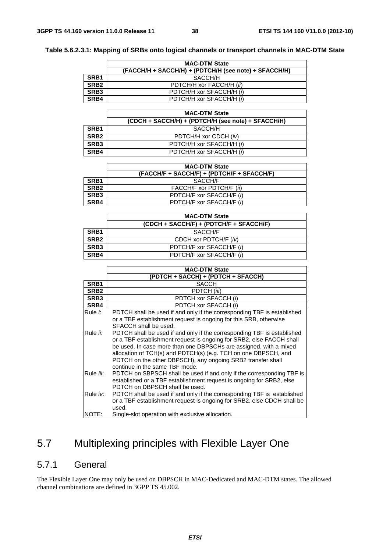|  | Table 5.6.2.3.1: Mapping of SRBs onto logical channels or transport channels in MAC-DTM State |
|--|-----------------------------------------------------------------------------------------------|
|  |                                                                                               |

|                  | <b>MAC-DTM State</b>                                  |  |  |
|------------------|-------------------------------------------------------|--|--|
|                  | (FACCH/H + SACCH/H) + (PDTCH/H (see note) + SFACCH/H) |  |  |
| SRB <sub>1</sub> | SACCH/H                                               |  |  |
| SRB <sub>2</sub> | PDTCH/H xor FACCH/H (ii)                              |  |  |
| SRB <sub>3</sub> | PDTCH/H xor SFACCH/H (i)                              |  |  |
| SRB4             | PDTCH/H xor SFACCH/H (i)                              |  |  |

|                  | <b>MAC-DTM State</b>                               |  |
|------------------|----------------------------------------------------|--|
|                  | (CDCH + SACCH/H) + (PDTCH/H (see note) + SFACCH/H) |  |
| SRB <sub>1</sub> | SACCH/H                                            |  |
| SRB <sub>2</sub> | PDTCH/H xor CDCH (iv)                              |  |
| SRB <sub>3</sub> | PDTCH/H xor SFACCH/H (i)                           |  |
| SRB4             | PDTCH/H xor SFACCH/H (i)                           |  |

|                  | <b>MAC-DTM State</b>                       |  |
|------------------|--------------------------------------------|--|
|                  | (FACCH/F + SACCH/F) + (PDTCH/F + SFACCH/F) |  |
| SRB <sub>1</sub> | SACCH/F                                    |  |
| SRB <sub>2</sub> | FACCH/F xor PDTCH/F (ii)                   |  |
| SRB <sub>3</sub> | PDTCH/F xor SFACCH/F (i)                   |  |
| SRB4             | PDTCH/F xor SFACCH/F (i)                   |  |

|                  | <b>MAC-DTM State</b>                    |  |
|------------------|-----------------------------------------|--|
|                  | (CDCH + SACCH/F) + (PDTCH/F + SFACCH/F) |  |
| SRB <sub>1</sub> | SACCH/F                                 |  |
| SRB <sub>2</sub> | CDCH xor PDTCH/F (iv)                   |  |
| SRB <sub>3</sub> | PDTCH/F xor SFACCH/F (i)                |  |
| SRB4             | PDTCH/F xor SFACCH/F (i)                |  |

|                  | <b>MAC-DTM State</b>                                                    |  |  |
|------------------|-------------------------------------------------------------------------|--|--|
|                  | (PDTCH + SACCH) + (PDTCH + SFACCH)                                      |  |  |
| SRB <sub>1</sub> | <b>SACCH</b>                                                            |  |  |
| SRB <sub>2</sub> | PDTCH (iii)                                                             |  |  |
| SRB <sub>3</sub> | PDTCH xor SFACCH (i)                                                    |  |  |
| SRB4             | PDTCH xor SFACCH (i)                                                    |  |  |
| Rule <i>i</i> :  | PDTCH shall be used if and only if the corresponding TBF is established |  |  |
|                  | or a TBF establishment request is ongoing for this SRB, otherwise       |  |  |
|                  | SFACCH shall be used.                                                   |  |  |
| Rule <i>ii</i> : | PDTCH shall be used if and only if the corresponding TBF is established |  |  |
|                  | or a TBF establishment request is ongoing for SRB2, else FACCH shall    |  |  |
|                  | be used. In case more than one DBPSCHs are assigned, with a mixed       |  |  |
|                  | allocation of TCH(s) and PDTCH(s) (e.g. TCH on one DBPSCH, and          |  |  |
|                  | PDTCH on the other DBPSCH), any ongoing SRB2 transfer shall             |  |  |
|                  | continue in the same TBF mode.                                          |  |  |
| Rule iii:        | PDTCH on SBPSCH shall be used if and only if the corresponding TBF is   |  |  |
|                  | established or a TBF establishment request is ongoing for SRB2, else    |  |  |
|                  | PDTCH on DBPSCH shall be used.                                          |  |  |
| Rule iv:         | PDTCH shall be used if and only if the corresponding TBF is established |  |  |
|                  | or a TBF establishment request is ongoing for SRB2, else CDCH shall be  |  |  |
|                  | used.                                                                   |  |  |
| NOTE:            | Single-slot operation with exclusive allocation.                        |  |  |

# 5.7 Multiplexing principles with Flexible Layer One

## 5.7.1 General

The Flexible Layer One may only be used on DBPSCH in MAC-Dedicated and MAC-DTM states. The allowed channel combinations are defined in 3GPP TS 45.002.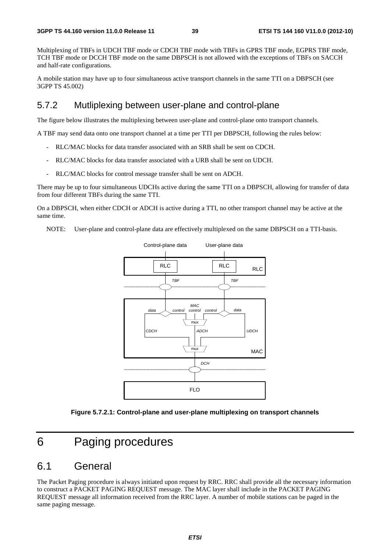Multiplexing of TBFs in UDCH TBF mode or CDCH TBF mode with TBFs in GPRS TBF mode, EGPRS TBF mode, TCH TBF mode or DCCH TBF mode on the same DBPSCH is not allowed with the exceptions of TBFs on SACCH and half-rate configurations.

A mobile station may have up to four simultaneous active transport channels in the same TTI on a DBPSCH (see 3GPP TS 45.002)

## 5.7.2 Mutliplexing between user-plane and control-plane

The figure below illustrates the multiplexing between user-plane and control-plane onto transport channels.

A TBF may send data onto one transport channel at a time per TTI per DBPSCH, following the rules below:

- RLC/MAC blocks for data transfer associated with an SRB shall be sent on CDCH.
- RLC/MAC blocks for data transfer associated with a URB shall be sent on UDCH.
- RLC/MAC blocks for control message transfer shall be sent on ADCH.

There may be up to four simultaneous UDCHs active during the same TTI on a DBPSCH, allowing for transfer of data from four different TBFs during the same TTI.

On a DBPSCH, when either CDCH or ADCH is active during a TTI, no other transport channel may be active at the same time.

NOTE: User-plane and control-plane data are effectively multiplexed on the same DBPSCH on a TTI-basis.



**Figure 5.7.2.1: Control-plane and user-plane multiplexing on transport channels** 

# 6 Paging procedures

## 6.1 General

The Packet Paging procedure is always initiated upon request by RRC. RRC shall provide all the necessary information to construct a PACKET PAGING REQUEST message. The MAC layer shall include in the PACKET PAGING REQUEST message all information received from the RRC layer. A number of mobile stations can be paged in the same paging message.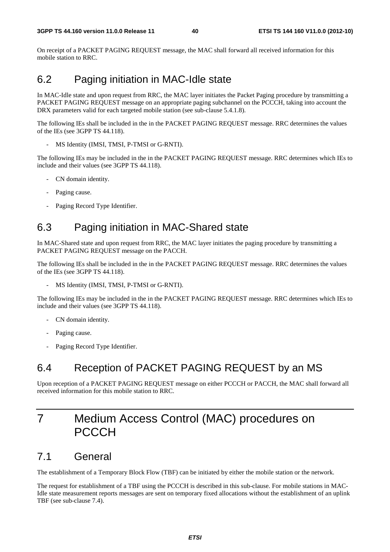On receipt of a PACKET PAGING REQUEST message, the MAC shall forward all received information for this mobile station to RRC.

# 6.2 Paging initiation in MAC-Idle state

In MAC-Idle state and upon request from RRC, the MAC layer initiates the Packet Paging procedure by transmitting a PACKET PAGING REQUEST message on an appropriate paging subchannel on the PCCCH, taking into account the DRX parameters valid for each targeted mobile station (see sub-clause 5.4.1.8).

The following IEs shall be included in the in the PACKET PAGING REQUEST message. RRC determines the values of the IEs (see 3GPP TS 44.118).

MS Identity (IMSI, TMSI, P-TMSI or G-RNTI).

The following IEs may be included in the in the PACKET PAGING REQUEST message. RRC determines which IEs to include and their values (see 3GPP TS 44.118).

- CN domain identity.
- Paging cause.
- Paging Record Type Identifier.

# 6.3 Paging initiation in MAC-Shared state

In MAC-Shared state and upon request from RRC, the MAC layer initiates the paging procedure by transmitting a PACKET PAGING REQUEST message on the PACCH.

The following IEs shall be included in the in the PACKET PAGING REQUEST message. RRC determines the values of the IEs (see 3GPP TS 44.118).

MS Identity (IMSI, TMSI, P-TMSI or G-RNTI).

The following IEs may be included in the in the PACKET PAGING REQUEST message. RRC determines which IEs to include and their values (see 3GPP TS 44.118).

- CN domain identity.
- Paging cause.
- Paging Record Type Identifier.

# 6.4 Reception of PACKET PAGING REQUEST by an MS

Upon reception of a PACKET PAGING REQUEST message on either PCCCH or PACCH, the MAC shall forward all received information for this mobile station to RRC.

# 7 Medium Access Control (MAC) procedures on **PCCCH**

# 7.1 General

The establishment of a Temporary Block Flow (TBF) can be initiated by either the mobile station or the network.

The request for establishment of a TBF using the PCCCH is described in this sub-clause. For mobile stations in MAC-Idle state measurement reports messages are sent on temporary fixed allocations without the establishment of an uplink TBF (see sub-clause 7.4).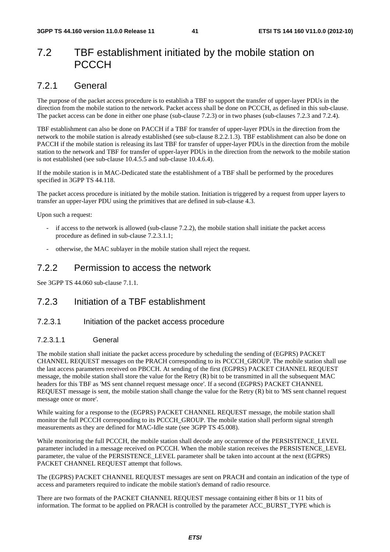# 7.2 TBF establishment initiated by the mobile station on **PCCCH**

# 7.2.1 General

The purpose of the packet access procedure is to establish a TBF to support the transfer of upper-layer PDUs in the direction from the mobile station to the network. Packet access shall be done on PCCCH, as defined in this sub-clause. The packet access can be done in either one phase (sub-clause 7.2.3) or in two phases (sub-clauses 7.2.3 and 7.2.4).

TBF establishment can also be done on PACCH if a TBF for transfer of upper-layer PDUs in the direction from the network to the mobile station is already established (see sub-clause 8.2.2.1.3). TBF establishment can also be done on PACCH if the mobile station is releasing its last TBF for transfer of upper-layer PDUs in the direction from the mobile station to the network and TBF for transfer of upper-layer PDUs in the direction from the network to the mobile station is not established (see sub-clause 10.4.5.5 and sub-clause 10.4.6.4).

If the mobile station is in MAC-Dedicated state the establishment of a TBF shall be performed by the procedures specified in 3GPP TS 44.118.

The packet access procedure is initiated by the mobile station. Initiation is triggered by a request from upper layers to transfer an upper-layer PDU using the primitives that are defined in sub-clause 4.3.

Upon such a request:

- if access to the network is allowed (sub-clause  $7.2.2$ ), the mobile station shall initiate the packet access procedure as defined in sub-clause 7.2.3.1.1;
- otherwise, the MAC sublayer in the mobile station shall reject the request.

## 7.2.2 Permission to access the network

See 3GPP TS 44.060 sub-clause 7.1.1.

## 7.2.3 Initiation of a TBF establishment

## 7.2.3.1 Initiation of the packet access procedure

### 7.2.3.1.1 General

The mobile station shall initiate the packet access procedure by scheduling the sending of (EGPRS) PACKET CHANNEL REQUEST messages on the PRACH corresponding to its PCCCH\_GROUP. The mobile station shall use the last access parameters received on PBCCH. At sending of the first (EGPRS) PACKET CHANNEL REQUEST message, the mobile station shall store the value for the Retry (R) bit to be transmitted in all the subsequent MAC headers for this TBF as 'MS sent channel request message once'. If a second (EGPRS) PACKET CHANNEL REQUEST message is sent, the mobile station shall change the value for the Retry (R) bit to 'MS sent channel request message once or more'.

While waiting for a response to the (EGPRS) PACKET CHANNEL REQUEST message, the mobile station shall monitor the full PCCCH corresponding to its PCCCH\_GROUP. The mobile station shall perform signal strength measurements as they are defined for MAC-Idle state (see 3GPP TS 45.008).

While monitoring the full PCCCH, the mobile station shall decode any occurrence of the PERSISTENCE\_LEVEL parameter included in a message received on PCCCH. When the mobile station receives the PERSISTENCE\_LEVEL parameter, the value of the PERSISTENCE\_LEVEL parameter shall be taken into account at the next (EGPRS) PACKET CHANNEL REQUEST attempt that follows.

The (EGPRS) PACKET CHANNEL REQUEST messages are sent on PRACH and contain an indication of the type of access and parameters required to indicate the mobile station's demand of radio resource.

There are two formats of the PACKET CHANNEL REQUEST message containing either 8 bits or 11 bits of information. The format to be applied on PRACH is controlled by the parameter ACC\_BURST\_TYPE which is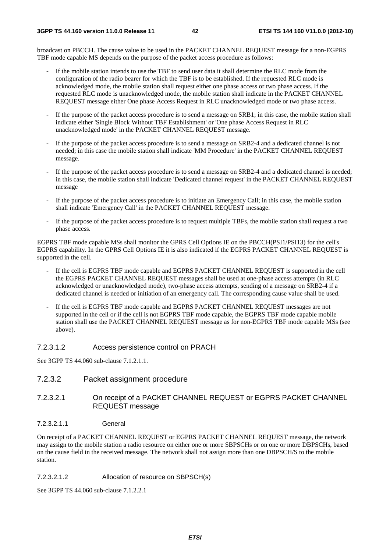broadcast on PBCCH. The cause value to be used in the PACKET CHANNEL REQUEST message for a non-EGPRS TBF mode capable MS depends on the purpose of the packet access procedure as follows:

- If the mobile station intends to use the TBF to send user data it shall determine the RLC mode from the configuration of the radio bearer for which the TBF is to be established. If the requested RLC mode is acknowledged mode, the mobile station shall request either one phase access or two phase access. If the requested RLC mode is unacknowledged mode, the mobile station shall indicate in the PACKET CHANNEL REQUEST message either One phase Access Request in RLC unacknowledged mode or two phase access.
- If the purpose of the packet access procedure is to send a message on SRB1; in this case, the mobile station shall indicate either 'Single Block Without TBF Establishment' or 'One phase Access Request in RLC unacknowledged mode' in the PACKET CHANNEL REQUEST message.
- If the purpose of the packet access procedure is to send a message on SRB2-4 and a dedicated channel is not needed; in this case the mobile station shall indicate 'MM Procedure' in the PACKET CHANNEL REQUEST message.
- If the purpose of the packet access procedure is to send a message on SRB2-4 and a dedicated channel is needed; in this case, the mobile station shall indicate 'Dedicated channel request' in the PACKET CHANNEL REQUEST message
- If the purpose of the packet access procedure is to initiate an Emergency Call; in this case, the mobile station shall indicate 'Emergency Call' in the PACKET CHANNEL REQUEST message.
- If the purpose of the packet access procedure is to request multiple TBFs, the mobile station shall request a two phase access.

EGPRS TBF mode capable MSs shall monitor the GPRS Cell Options IE on the PBCCH(PSI1/PSI13) for the cell's EGPRS capability. In the GPRS Cell Options IE it is also indicated if the EGPRS PACKET CHANNEL REQUEST is supported in the cell.

- If the cell is EGPRS TBF mode capable and EGPRS PACKET CHANNEL REQUEST is supported in the cell the EGPRS PACKET CHANNEL REQUEST messages shall be used at one-phase access attempts (in RLC acknowledged or unacknowledged mode), two-phase access attempts, sending of a message on SRB2-4 if a dedicated channel is needed or initiation of an emergency call. The corresponding cause value shall be used.
- If the cell is EGPRS TBF mode capable and EGPRS PACKET CHANNEL REQUEST messages are not supported in the cell or if the cell is not EGPRS TBF mode capable, the EGPRS TBF mode capable mobile station shall use the PACKET CHANNEL REQUEST message as for non-EGPRS TBF mode capable MSs (see above).

#### 7.2.3.1.2 Access persistence control on PRACH

See 3GPP TS 44.060 sub-clause 7.1.2.1.1.

- 7.2.3.2 Packet assignment procedure
- 7.2.3.2.1 On receipt of a PACKET CHANNEL REQUEST or EGPRS PACKET CHANNEL REQUEST message
- 7.2.3.2.1.1 General

On receipt of a PACKET CHANNEL REQUEST or EGPRS PACKET CHANNEL REQUEST message, the network may assign to the mobile station a radio resource on either one or more SBPSCHs or on one or more DBPSCHs, based on the cause field in the received message. The network shall not assign more than one DBPSCH/S to the mobile station.

#### 7.2.3.2.1.2 Allocation of resource on SBPSCH(s)

See 3GPP TS 44.060 sub-clause 7.1.2.2.1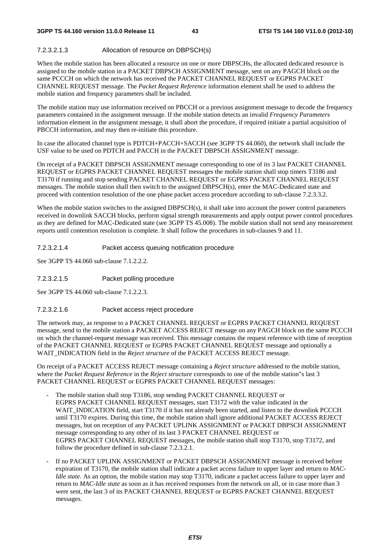#### 7.2.3.2.1.3 Allocation of resource on DBPSCH(s)

When the mobile station has been allocated a resource on one or more DBPSCHs, the allocated dedicated resource is assigned to the mobile station in a PACKET DBPSCH ASSIGNMENT message, sent on any PAGCH block on the same PCCCH on which the network has received the PACKET CHANNEL REQUEST or EGPRS PACKET CHANNEL REQUEST message. The *Packet Request Reference* information element shall be used to address the mobile station and frequency parameters shall be included.

The mobile station may use information received on PBCCH or a previous assignment message to decode the frequency parameters contained in the assignment message. If the mobile station detects an invalid *Frequency Parameters* information element in the assignment message, it shall abort the procedure, if required initiate a partial acquisition of PBCCH information, and may then re-initiate this procedure.

In case the allocated channel type is PDTCH+PACCH+SACCH (see 3GPP TS 44.060), the network shall include the USF value to be used on PDTCH and PACCH in the PACKET DBPSCH ASSIGNMENT message.

On receipt of a PACKET DBPSCH ASSIGNMENT message corresponding to one of its 3 last PACKET CHANNEL REQUEST or EGPRS PACKET CHANNEL REQUEST messages the mobile station shall stop timers T3186 and T3170 if running and stop sending PACKET CHANNEL REQUEST or EGPRS PACKET CHANNEL REQUEST messages. The mobile station shall then switch to the assigned DBPSCH(s), enter the MAC-Dedicated state and proceed with contention resolution of the one phase packet access procedure according to sub-clause 7.2.3.3.2.

When the mobile station switches to the assigned DBPSCH(s), it shall take into account the power control parameters received in downlink SACCH blocks, perform signal strength measurements and apply output power control procedures as they are defined for MAC-Dedicated state (see 3GPP TS 45.008). The mobile station shall not send any measurement reports until contention resolution is complete. It shall follow the procedures in sub-clauses 9 and 11.

7.2.3.2.1.4 Packet access queuing notification procedure

See 3GPP TS 44.060 sub-clause 7.1.2.2.2.

7.2.3.2.1.5 Packet polling procedure

See 3GPP TS 44.060 sub-clause 7.1.2.2.3.

#### 7.2.3.2.1.6 Packet access reject procedure

The network may, as response to a PACKET CHANNEL REQUEST or EGPRS PACKET CHANNEL REQUEST message, send to the mobile station a PACKET ACCESS REJECT message on any PAGCH block on the same PCCCH on which the channel-request message was received. This message contains the request reference with time of reception of the PACKET CHANNEL REQUEST or EGPRS PACKET CHANNEL REQUEST message and optionally a WAIT\_INDICATION field in the *Reject structure* of the PACKET ACCESS REJECT message.

On receipt of a PACKET ACCESS REJECT message containing a *Reject structure* addressed to the mobile station, where the *Packet Request Reference* in the *Reject structure* corresponds to one of the mobile station"s last 3 PACKET CHANNEL REQUEST or EGPRS PACKET CHANNEL REQUEST messages:

- The mobile station shall stop T3186, stop sending PACKET CHANNEL REQUEST or EGPRS PACKET CHANNEL REQUEST messages, start T3172 with the value indicated in the WAIT\_INDICATION field, start T3170 if it has not already been started, and listen to the downlink PCCCH until T3170 expires. During this time, the mobile station shall ignore additional PACKET ACCESS REJECT messages, but on reception of any PACKET UPLINK ASSIGNMENT or PACKET DBPSCH ASSIGNMENT message corresponding to any other of its last 3 PACKET CHANNEL REQUEST or EGPRS PACKET CHANNEL REQUEST messages, the mobile station shall stop T3170, stop T3172, and follow the procedure defined in sub-clause 7.2.3.2.1.
- If no PACKET UPLINK ASSIGNMENT or PACKET DBPSCH ASSIGNMENT message is received before expiration of T3170, the mobile station shall indicate a packet access failure to upper layer and return to *MAC-Idle state.* As an option, the mobile station may stop T3170, indicate a packet access failure to upper layer and return to *MAC-Idle state* as soon as it has received responses from the network on all, or in case more than 3 were sent, the last 3 of its PACKET CHANNEL REQUEST or EGPRS PACKET CHANNEL REQUEST messages.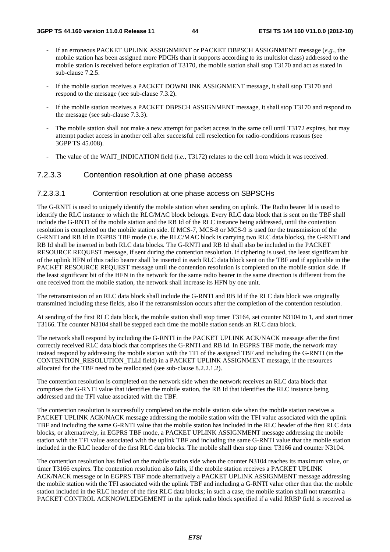- If an erroneous PACKET UPLINK ASSIGNMENT or PACKET DBPSCH ASSIGNMENT message (*e.g.*, the mobile station has been assigned more PDCHs than it supports according to its multislot class) addressed to the mobile station is received before expiration of T3170, the mobile station shall stop T3170 and act as stated in sub-clause 7.2.5.
- If the mobile station receives a PACKET DOWNLINK ASSIGNMENT message, it shall stop T3170 and respond to the message (see sub-clause 7.3.2).
- If the mobile station receives a PACKET DBPSCH ASSIGNMENT message, it shall stop T3170 and respond to the message (see sub-clause 7.3.3).
- The mobile station shall not make a new attempt for packet access in the same cell until T3172 expires, but may attempt packet access in another cell after successful cell reselection for radio-conditions reasons (see 3GPP TS 45.008).
- The value of the WAIT\_INDICATION field (*i.e.*, T3172) relates to the cell from which it was received.

### 7.2.3.3 Contention resolution at one phase access

#### 7.2.3.3.1 Contention resolution at one phase access on SBPSCHs

The G-RNTI is used to uniquely identify the mobile station when sending on uplink. The Radio bearer Id is used to identify the RLC instance to which the RLC/MAC block belongs. Every RLC data block that is sent on the TBF shall include the G-RNTI of the mobile station and the RB Id of the RLC instance being addressed, until the contention resolution is completed on the mobile station side. If MCS-7, MCS-8 or MCS-9 is used for the transmission of the G-RNTI and RB Id in EGPRS TBF mode (i.e. the RLC/MAC block is carrying two RLC data blocks), the G-RNTI and RB Id shall be inserted in both RLC data blocks. The G-RNTI and RB Id shall also be included in the PACKET RESOURCE REQUEST message, if sent during the contention resolution. If ciphering is used, the least significant bit of the uplink HFN of this radio bearer shall be inserted in each RLC data block sent on the TBF and if applicable in the PACKET RESOURCE REQUEST message until the contention resolution is completed on the mobile station side. If the least significant bit of the HFN in the network for the same radio bearer in the same direction is different from the one received from the mobile station, the network shall increase its HFN by one unit.

The retransmission of an RLC data block shall include the G-RNTI and RB Id if the RLC data block was originally transmitted including these fields, also if the retransmission occurs after the completion of the contention resolution.

At sending of the first RLC data block, the mobile station shall stop timer T3164, set counter N3104 to 1, and start timer T3166. The counter N3104 shall be stepped each time the mobile station sends an RLC data block.

The network shall respond by including the G-RNTI in the PACKET UPLINK ACK/NACK message after the first correctly received RLC data block that comprises the G-RNTI and RB Id. In EGPRS TBF mode, the network may instead respond by addressing the mobile station with the TFI of the assigned TBF and including the G-RNTI (in the CONTENTION\_RESOLUTION\_TLLI field) in a PACKET UPLINK ASSIGNMENT message, if the resources allocated for the TBF need to be reallocated (see sub-clause 8.2.2.1.2).

The contention resolution is completed on the network side when the network receives an RLC data block that comprises the G-RNTI value that identifies the mobile station, the RB Id that identifies the RLC instance being addressed and the TFI value associated with the TBF.

The contention resolution is successfully completed on the mobile station side when the mobile station receives a PACKET UPLINK ACK/NACK message addressing the mobile station with the TFI value associated with the uplink TBF and including the same G-RNTI value that the mobile station has included in the RLC header of the first RLC data blocks, or alternatively, in EGPRS TBF mode, a PACKET UPLINK ASSIGNMENT message addressing the mobile station with the TFI value associated with the uplink TBF and including the same G-RNTI value that the mobile station included in the RLC header of the first RLC data blocks. The mobile shall then stop timer T3166 and counter N3104.

The contention resolution has failed on the mobile station side when the counter N3104 reaches its maximum value, or timer T3166 expires. The contention resolution also fails, if the mobile station receives a PACKET UPLINK ACK/NACK message or in EGPRS TBF mode alternatively a PACKET UPLINK ASSIGNMENT message addressing the mobile station with the TFI associated with the uplink TBF and including a G-RNTI value other than that the mobile station included in the RLC header of the first RLC data blocks; in such a case, the mobile station shall not transmit a PACKET CONTROL ACKNOWLEDGEMENT in the uplink radio block specified if a valid RRBP field is received as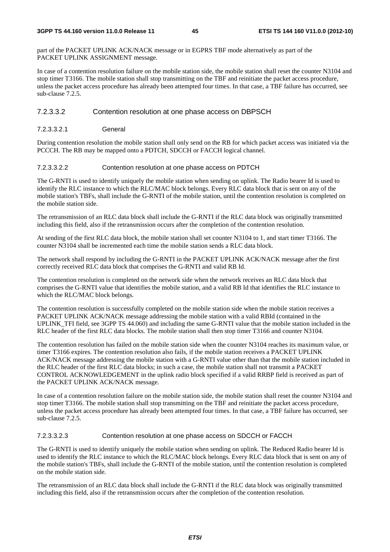part of the PACKET UPLINK ACK/NACK message or in EGPRS TBF mode alternatively as part of the PACKET UPLINK ASSIGNMENT message.

In case of a contention resolution failure on the mobile station side, the mobile station shall reset the counter N3104 and stop timer T3166. The mobile station shall stop transmitting on the TBF and reinitiate the packet access procedure, unless the packet access procedure has already been attempted four times. In that case, a TBF failure has occurred, see sub-clause 7.2.5.

#### 7.2.3.3.2 Contention resolution at one phase access on DBPSCH

7.2.3.3.2.1 General

During contention resolution the mobile station shall only send on the RB for which packet access was initiated via the PCCCH. The RB may be mapped onto a PDTCH, SDCCH or FACCH logical channel.

#### 7.2.3.3.2.2 Contention resolution at one phase access on PDTCH

The G-RNTI is used to identify uniquely the mobile station when sending on uplink. The Radio bearer Id is used to identify the RLC instance to which the RLC/MAC block belongs. Every RLC data block that is sent on any of the mobile station's TBFs, shall include the G-RNTI of the mobile station, until the contention resolution is completed on the mobile station side.

The retransmission of an RLC data block shall include the G-RNTI if the RLC data block was originally transmitted including this field, also if the retransmission occurs after the completion of the contention resolution.

At sending of the first RLC data block, the mobile station shall set counter N3104 to 1, and start timer T3166. The counter N3104 shall be incremented each time the mobile station sends a RLC data block.

The network shall respond by including the G-RNTI in the PACKET UPLINK ACK/NACK message after the first correctly received RLC data block that comprises the G-RNTI and valid RB Id.

The contention resolution is completed on the network side when the network receives an RLC data block that comprises the G-RNTI value that identifies the mobile station, and a valid RB Id that identifies the RLC instance to which the RLC/MAC block belongs.

The contention resolution is successfully completed on the mobile station side when the mobile station receives a PACKET UPLINK ACK/NACK message addressing the mobile station with a valid RBId (contained in the UPLINK TFI field, see 3GPP TS 44.060) and including the same G-RNTI value that the mobile station included in the RLC header of the first RLC data blocks. The mobile station shall then stop timer T3166 and counter N3104.

The contention resolution has failed on the mobile station side when the counter N3104 reaches its maximum value, or timer T3166 expires. The contention resolution also fails, if the mobile station receives a PACKET UPLINK ACK/NACK message addressing the mobile station with a G-RNTI value other than that the mobile station included in the RLC header of the first RLC data blocks; in such a case, the mobile station shall not transmit a PACKET CONTROL ACKNOWLEDGEMENT in the uplink radio block specified if a valid RRBP field is received as part of the PACKET UPLINK ACK/NACK message.

In case of a contention resolution failure on the mobile station side, the mobile station shall reset the counter N3104 and stop timer T3166. The mobile station shall stop transmitting on the TBF and reinitiate the packet access procedure, unless the packet access procedure has already been attempted four times. In that case, a TBF failure has occurred, see sub-clause 7.2.5.

#### 7.2.3.3.2.3 Contention resolution at one phase access on SDCCH or FACCH

The G-RNTI is used to identify uniquely the mobile station when sending on uplink. The Reduced Radio bearer Id is used to identify the RLC instance to which the RLC/MAC block belongs. Every RLC data block that is sent on any of the mobile station's TBFs, shall include the G-RNTI of the mobile station, until the contention resolution is completed on the mobile station side.

The retransmission of an RLC data block shall include the G-RNTI if the RLC data block was originally transmitted including this field, also if the retransmission occurs after the completion of the contention resolution.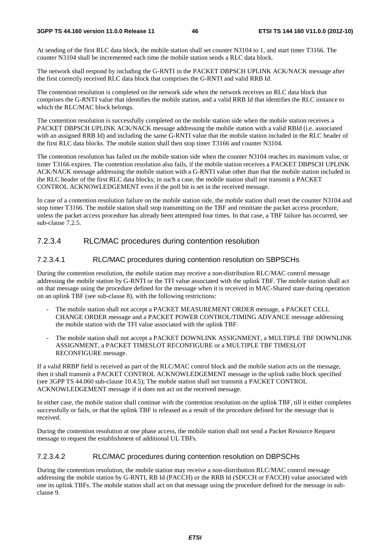At sending of the first RLC data block, the mobile station shall set counter N3104 to 1, and start timer T3166. The counter N3104 shall be incremented each time the mobile station sends a RLC data block.

The network shall respond by including the G-RNTI in the PACKET DBPSCH UPLINK ACK/NACK message after the first correctly received RLC data block that comprises the G-RNTI and valid RRB Id.

The contention resolution is completed on the network side when the network receives an RLC data block that comprises the G-RNTI value that identifies the mobile station, and a valid RRB Id that identifies the RLC instance to which the RLC/MAC block belongs.

The contention resolution is successfully completed on the mobile station side when the mobile station receives a PACKET DBPSCH UPLINK ACK/NACK message addressing the mobile station with a valid RBId (i.e. associated with an assigned RRB Id) and including the same G-RNTI value that the mobile station included in the RLC header of the first RLC data blocks. The mobile station shall then stop timer T3166 and counter N3104.

The contention resolution has failed on the mobile station side when the counter N3104 reaches its maximum value, or timer T3166 expires. The contention resolution also fails, if the mobile station receives a PACKET DBPSCH UPLINK ACK/NACK message addressing the mobile station with a G-RNTI value other than that the mobile station included in the RLC header of the first RLC data blocks; in such a case, the mobile station shall not transmit a PACKET CONTROL ACKNOWLEDGEMENT even if the poll bit is set in the received message.

In case of a contention resolution failure on the mobile station side, the mobile station shall reset the counter N3104 and stop timer T3166. The mobile station shall stop transmitting on the TBF and reinitiate the packet access procedure, unless the packet access procedure has already been attempted four times. In that case, a TBF failure has occurred, see sub-clause 7.2.5.

## 7.2.3.4 RLC/MAC procedures during contention resolution

#### 7.2.3.4.1 RLC/MAC procedures during contention resolution on SBPSCHs

During the contention resolution, the mobile station may receive a non-distribution RLC/MAC control message addressing the mobile station by G-RNTI or the TFI value associated with the uplink TBF. The mobile station shall act on that message using the procedure defined for the message when it is received in MAC-Shared state during operation on an uplink TBF (see sub-clause 8), with the following restrictions:

- The mobile station shall not accept a PACKET MEASUREMENT ORDER message, a PACKET CELL CHANGE ORDER message and a PACKET POWER CONTROL/TIMING ADVANCE message addressing the mobile station with the TFI value associated with the uplink TBF.
- The mobile station shall not accept a PACKET DOWNLINK ASSIGNMENT, a MULTIPLE TBF DOWNLINK ASSIGNMENT, a PACKET TIMESLOT RECONFIGURE or a MULTIPLE TBF TIMESLOT RECONFIGURE message.

If a valid RRBP field is received as part of the RLC/MAC control block and the mobile station acts on the message, then it shall transmit a PACKET CONTROL ACKNOWLEDGEMENT message in the uplink radio block specified (see 3GPP TS 44.060 sub-clause 10.4.5); The mobile station shall not transmit a PACKET CONTROL ACKNOWLEDGEMENT message if it does not act on the received message.

In either case, the mobile station shall continue with the contention resolution on the uplink TBF, till it either completes successfully or fails, or that the uplink TBF is released as a result of the procedure defined for the message that is received.

During the contention resolution at one phase access, the mobile station shall not send a Packet Resource Request message to request the establishment of additional UL TBFs.

#### 7.2.3.4.2 RLC/MAC procedures during contention resolution on DBPSCHs

During the contention resolution, the mobile station may receive a non-distribution RLC/MAC control message addressing the mobile station by G-RNTI, RB Id (PACCH) or the RRB Id (SDCCH or FACCH) value associated with one its uplink TBFs. The mobile station shall act on that message using the procedure defined for the message in subclause 9.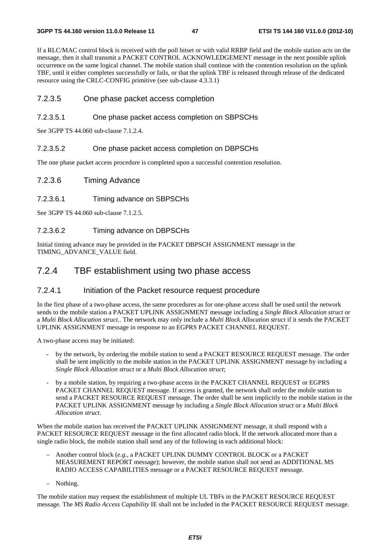If a RLC/MAC control block is received with the poll bitset or with valid RRBP field and the mobile station acts on the message, then it shall transmit a PACKET CONTROL ACKNOWLEDGEMENT message in the next possible uplink occurrence on the same logical channel. The mobile station shall continue with the contention resolution on the uplink TBF, until it either completes successfully or fails, or that the uplink TBF is released through release of the dedicated resource using the CRLC-CONFIG primitive (see sub-clause 4.3.3.1)

## 7.2.3.5 One phase packet access completion

#### 7.2.3.5.1 One phase packet access completion on SBPSCHs

See 3GPP TS 44.060 sub-clause 7.1.2.4.

#### 7.2.3.5.2 One phase packet access completion on DBPSCHs

The one phase packet access procedure is completed upon a successful contention resolution.

#### 7.2.3.6 Timing Advance

#### 7.2.3.6.1 Timing advance on SBPSCHs

See 3GPP TS 44.060 sub-clause 7.1.2.5.

#### 7.2.3.6.2 Timing advance on DBPSCHs

Initial timing advance may be provided in the PACKET DBPSCH ASSIGNMENT message in the TIMING\_ADVANCE\_VALUE field.

## 7.2.4 TBF establishment using two phase access

#### 7.2.4.1 Initiation of the Packet resource request procedure

In the first phase of a two-phase access, the same procedures as for one-phase access shall be used until the network sends to the mobile station a PACKET UPLINK ASSIGNMENT message including a *Single Block Allocation struct* or a *Multi Block Allocation struct.*. The network may only include a *Multi Block Allocation struct* if it sends the PACKET UPLINK ASSIGNMENT message in response to an EGPRS PACKET CHANNEL REQUEST.

A two-phase access may be initiated:

- by the network, by ordering the mobile station to send a PACKET RESOURCE REQUEST message. The order shall be sent implicitly to the mobile station in the PACKET UPLINK ASSIGNMENT message by including a *Single Block Allocation struct* or a *Multi Block Allocation struct*;
- by a mobile station, by requiring a two-phase access in the PACKET CHANNEL REQUEST or EGPRS PACKET CHANNEL REQUEST message. If access is granted, the network shall order the mobile station to send a PACKET RESOURCE REQUEST message. The order shall be sent implicitly to the mobile station in the PACKET UPLINK ASSIGNMENT message by including a *Single Block Allocation struct* or a *Multi Block Allocation struct*.

When the mobile station has received the PACKET UPLINK ASSIGNMENT message, it shall respond with a PACKET RESOURCE REQUEST message in the first allocated radio block. If the network allocated more than a single radio block, the mobile station shall send any of the following in each additional block:

- Another control block (*e.g.*, a PACKET UPLINK DUMMY CONTROL BLOCK or a PACKET MEASUREMENT REPORT message); however, the mobile station shall not send an ADDITIONAL MS RADIO ACCESS CAPABILITIES message or a PACKET RESOURCE REQUEST message.
- Nothing.

The mobile station may request the establishment of multiple UL TBFs in the PACKET RESOURCE REQUEST message. The *MS Radio Access Capability* IE shall not be included in the PACKET RESOURCE REQUEST message.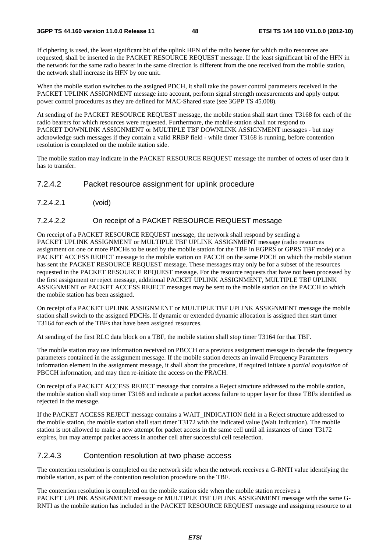If ciphering is used, the least significant bit of the uplink HFN of the radio bearer for which radio resources are requested, shall be inserted in the PACKET RESOURCE REQUEST message. If the least significant bit of the HFN in the network for the same radio bearer in the same direction is different from the one received from the mobile station, the network shall increase its HFN by one unit.

When the mobile station switches to the assigned PDCH, it shall take the power control parameters received in the PACKET UPLINK ASSIGNMENT message into account, perform signal strength measurements and apply output power control procedures as they are defined for MAC-Shared state (see 3GPP TS 45.008).

At sending of the PACKET RESOURCE REQUEST message, the mobile station shall start timer T3168 for each of the radio bearers for which resources were requested. Furthermore, the mobile station shall not respond to PACKET DOWNLINK ASSIGNMENT or MULTIPLE TBF DOWNLINK ASSIGNMENT messages - but may acknowledge such messages if they contain a valid RRBP field - while timer T3168 is running, before contention resolution is completed on the mobile station side.

The mobile station may indicate in the PACKET RESOURCE REQUEST message the number of octets of user data it has to transfer.

#### 7.2.4.2 Packet resource assignment for uplink procedure

7.2.4.2.1 (void)

#### 7.2.4.2.2 On receipt of a PACKET RESOURCE REQUEST message

On receipt of a PACKET RESOURCE REQUEST message, the network shall respond by sending a PACKET UPLINK ASSIGNMENT or MULTIPLE TBF UPLINK ASSIGNMENT message (radio resources assignment on one or more PDCHs to be used by the mobile station for the TBF in EGPRS or GPRS TBF mode) or a PACKET ACCESS REJECT message to the mobile station on PACCH on the same PDCH on which the mobile station has sent the PACKET RESOURCE REQUEST message. These messages may only be for a subset of the resources requested in the PACKET RESOURCE REQUEST message. For the resource requests that have not been processed by the first assignment or reject message, additional PACKET UPLINK ASSIGNMENT, MULTIPLE TBF UPLINK ASSIGNMENT or PACKET ACCESS REJECT messages may be sent to the mobile station on the PACCH to which the mobile station has been assigned.

On receipt of a PACKET UPLINK ASSIGNMENT or MULTIPLE TBF UPLINK ASSIGNMENT message the mobile station shall switch to the assigned PDCHs. If dynamic or extended dynamic allocation is assigned then start timer T3164 for each of the TBFs that have been assigned resources.

At sending of the first RLC data block on a TBF, the mobile station shall stop timer T3164 for that TBF.

The mobile station may use information received on PBCCH or a previous assignment message to decode the frequency parameters contained in the assignment message. If the mobile station detects an invalid Frequency Parameters information element in the assignment message, it shall abort the procedure, if required initiate a *partial acquisition* of PBCCH information, and may then re-initiate the access on the PRACH.

On receipt of a PACKET ACCESS REJECT message that contains a Reject structure addressed to the mobile station, the mobile station shall stop timer T3168 and indicate a packet access failure to upper layer for those TBFs identified as rejected in the message.

If the PACKET ACCESS REJECT message contains a WAIT\_INDICATION field in a Reject structure addressed to the mobile station, the mobile station shall start timer T3172 with the indicated value (Wait Indication). The mobile station is not allowed to make a new attempt for packet access in the same cell until all instances of timer T3172 expires, but may attempt packet access in another cell after successful cell reselection.

## 7.2.4.3 Contention resolution at two phase access

The contention resolution is completed on the network side when the network receives a G-RNTI value identifying the mobile station, as part of the contention resolution procedure on the TBF.

The contention resolution is completed on the mobile station side when the mobile station receives a PACKET UPLINK ASSIGNMENT message or MULTIPLE TBF UPLINK ASSIGNMENT message with the same G-RNTI as the mobile station has included in the PACKET RESOURCE REQUEST message and assigning resource to at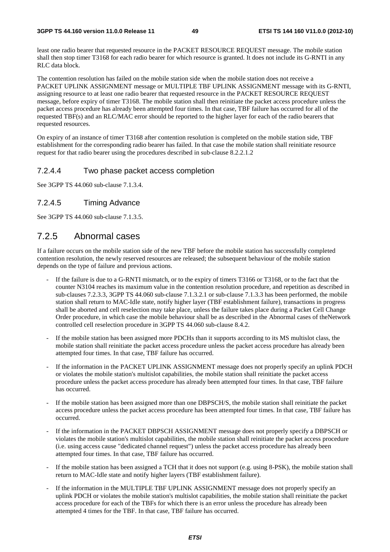least one radio bearer that requested resource in the PACKET RESOURCE REQUEST message. The mobile station shall then stop timer T3168 for each radio bearer for which resource is granted. It does not include its G-RNTI in any RLC data block.

The contention resolution has failed on the mobile station side when the mobile station does not receive a PACKET UPLINK ASSIGNMENT message or MULTIPLE TBF UPLINK ASSIGNMENT message with its G-RNTI, assigning resource to at least one radio bearer that requested resource in the PACKET RESOURCE REQUEST message, before expiry of timer T3168. The mobile station shall then reinitiate the packet access procedure unless the packet access procedure has already been attempted four times. In that case, TBF failure has occurred for all of the requested TBF(s) and an RLC/MAC error should be reported to the higher layer for each of the radio bearers that requested resources.

On expiry of an instance of timer T3168 after contention resolution is completed on the mobile station side, TBF establishment for the corresponding radio bearer has failed. In that case the mobile station shall reinitiate resource request for that radio bearer using the procedures described in sub-clause 8.2.2.1.2

## 7.2.4.4 Two phase packet access completion

See 3GPP TS 44.060 sub-clause 7.1.3.4.

### 7.2.4.5 Timing Advance

See 3GPP TS 44.060 sub-clause 7.1.3.5.

## 7.2.5 Abnormal cases

If a failure occurs on the mobile station side of the new TBF before the mobile station has successfully completed contention resolution, the newly reserved resources are released; the subsequent behaviour of the mobile station depends on the type of failure and previous actions.

- If the failure is due to a G-RNTI mismatch, or to the expiry of timers T3166 or T3168, or to the fact that the counter N3104 reaches its maximum value in the contention resolution procedure, and repetition as described in sub-clauses 7.2.3.3, 3GPP TS 44.060 sub-clause 7.1.3.2.1 or sub-clause 7.1.3.3 has been performed, the mobile station shall return to MAC-Idle state, notify higher layer (TBF establishment failure), transactions in progress shall be aborted and cell reselection may take place, unless the failure takes place during a Packet Cell Change Order procedure, in which case the mobile behaviour shall be as described in the Abnormal cases of theNetwork controlled cell reselection procedure in 3GPP TS 44.060 sub-clause 8.4.2.
- If the mobile station has been assigned more PDCHs than it supports according to its MS multislot class, the mobile station shall reinitiate the packet access procedure unless the packet access procedure has already been attempted four times. In that case, TBF failure has occurred.
- If the information in the PACKET UPLINK ASSIGNMENT message does not properly specify an uplink PDCH or violates the mobile station's multislot capabilities, the mobile station shall reinitiate the packet access procedure unless the packet access procedure has already been attempted four times. In that case, TBF failure has occurred.
- If the mobile station has been assigned more than one DBPSCH/S, the mobile station shall reinitiate the packet access procedure unless the packet access procedure has been attempted four times. In that case, TBF failure has occurred.
- If the information in the PACKET DBPSCH ASSIGNMENT message does not properly specify a DBPSCH or violates the mobile station's multislot capabilities, the mobile station shall reinitiate the packet access procedure (i.e. using access cause "dedicated channel request") unless the packet access procedure has already been attempted four times. In that case, TBF failure has occurred.
- If the mobile station has been assigned a TCH that it does not support (e.g. using 8-PSK), the mobile station shall return to MAC-Idle state and notify higher layers (TBF establishment failure).
- If the information in the MULTIPLE TBF UPLINK ASSIGNMENT message does not properly specify an uplink PDCH or violates the mobile station's multislot capabilities, the mobile station shall reinitiate the packet access procedure for each of the TBFs for which there is an error unless the procedure has already been attempted 4 times for the TBF. In that case, TBF failure has occurred.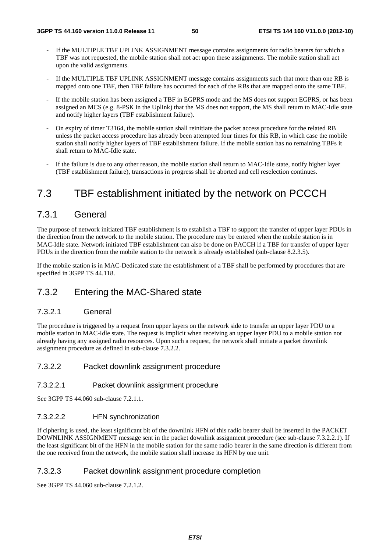- If the MULTIPLE TBF UPLINK ASSIGNMENT message contains assignments for radio bearers for which a TBF was not requested, the mobile station shall not act upon these assignments. The mobile station shall act upon the valid assignments.
- If the MULTIPLE TBF UPLINK ASSIGNMENT message contains assignments such that more than one RB is mapped onto one TBF, then TBF failure has occurred for each of the RBs that are mapped onto the same TBF.
- If the mobile station has been assigned a TBF in EGPRS mode and the MS does not support EGPRS, or has been assigned an MCS (e.g. 8-PSK in the Uplink) that the MS does not support, the MS shall return to MAC-Idle state and notify higher layers (TBF establishment failure).
- On expiry of timer T3164, the mobile station shall reinitiate the packet access procedure for the related RB unless the packet access procedure has already been attempted four times for this RB, in which case the mobile station shall notify higher layers of TBF establishment failure. If the mobile station has no remaining TBFs it shall return to MAC-Idle state.
- If the failure is due to any other reason, the mobile station shall return to MAC-Idle state, notify higher layer (TBF establishment failure), transactions in progress shall be aborted and cell reselection continues.

# 7.3 TBF establishment initiated by the network on PCCCH

## 7.3.1 General

The purpose of network initiated TBF establishment is to establish a TBF to support the transfer of upper layer PDUs in the direction from the network to the mobile station. The procedure may be entered when the mobile station is in MAC-Idle state. Network initiated TBF establishment can also be done on PACCH if a TBF for transfer of upper layer PDUs in the direction from the mobile station to the network is already established (sub-clause 8.2.3.5).

If the mobile station is in MAC-Dedicated state the establishment of a TBF shall be performed by procedures that are specified in 3GPP TS 44.118.

# 7.3.2 Entering the MAC-Shared state

## 7.3.2.1 General

The procedure is triggered by a request from upper layers on the network side to transfer an upper layer PDU to a mobile station in MAC-Idle state. The request is implicit when receiving an upper layer PDU to a mobile station not already having any assigned radio resources. Upon such a request, the network shall initiate a packet downlink assignment procedure as defined in sub-clause 7.3.2.2.

## 7.3.2.2 Packet downlink assignment procedure

### 7.3.2.2.1 Packet downlink assignment procedure

See 3GPP TS 44.060 sub-clause 7.2.1.1.

#### 7.3.2.2.2 HFN synchronization

If ciphering is used, the least significant bit of the downlink HFN of this radio bearer shall be inserted in the PACKET DOWNLINK ASSIGNMENT message sent in the packet downlink assignment procedure (see sub-clause 7.3.2.2.1). If the least significant bit of the HFN in the mobile station for the same radio bearer in the same direction is different from the one received from the network, the mobile station shall increase its HFN by one unit.

### 7.3.2.3 Packet downlink assignment procedure completion

See 3GPP TS 44.060 sub-clause 7.2.1.2.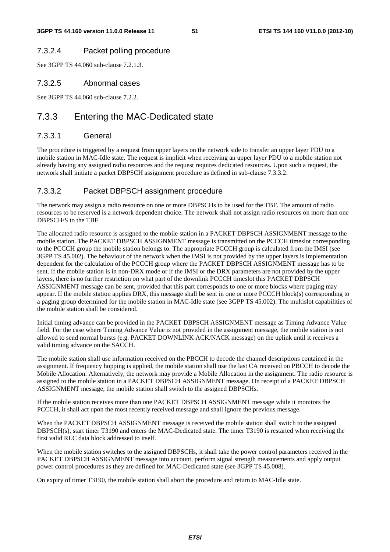## 7.3.2.4 Packet polling procedure

See 3GPP TS 44.060 sub-clause 7.2.1.3.

## 7.3.2.5 Abnormal cases

See 3GPP TS 44.060 sub-clause 7.2.2.

# 7.3.3 Entering the MAC-Dedicated state

## 7.3.3.1 General

The procedure is triggered by a request from upper layers on the network side to transfer an upper layer PDU to a mobile station in MAC-Idle state. The request is implicit when receiving an upper layer PDU to a mobile station not already having any assigned radio resources and the request requires dedicated resources. Upon such a request, the network shall initiate a packet DBPSCH assignment procedure as defined in sub-clause 7.3.3.2.

## 7.3.3.2 Packet DBPSCH assignment procedure

The network may assign a radio resource on one or more DBPSCHs to be used for the TBF. The amount of radio resources to be reserved is a network dependent choice. The network shall not assign radio resources on more than one DBPSCH/S to the TBF.

The allocated radio resource is assigned to the mobile station in a PACKET DBPSCH ASSIGNMENT message to the mobile station. The PACKET DBPSCH ASSIGNMENT message is transmitted on the PCCCH timeslot corresponding to the PCCCH group the mobile station belongs to. The appropriate PCCCH group is calculated from the IMSI (see 3GPP TS 45.002). The behaviour of the network when the IMSI is not provided by the upper layers is implementation dependent for the calculation of the PCCCH group where the PACKET DBPSCH ASSIGNMENT message has to be sent. If the mobile station is in non-DRX mode or if the IMSI or the DRX parameters are not provided by the upper layers, there is no further restriction on what part of the downlink PCCCH timeslot this PACKET DBPSCH ASSIGNMENT message can be sent, provided that this part corresponds to one or more blocks where paging may appear. If the mobile station applies DRX, this message shall be sent in one or more PCCCH block(s) corresponding to a paging group determined for the mobile station in MAC-Idle state (see 3GPP TS 45.002). The multislot capabilities of the mobile station shall be considered.

Initial timing advance can be provided in the PACKET DBPSCH ASSIGNMENT message as Timing Advance Value field. For the case where Timing Advance Value is not provided in the assignment message, the mobile station is not allowed to send normal bursts (e.g. PACKET DOWNLINK ACK/NACK message) on the uplink until it receives a valid timing advance on the SACCH.

The mobile station shall use information received on the PBCCH to decode the channel descriptions contained in the assignment. If frequency hopping is applied, the mobile station shall use the last CA received on PBCCH to decode the Mobile Allocation. Alternatively, the network may provide a Mobile Allocation in the assignment. The radio resource is assigned to the mobile station in a PACKET DBPSCH ASSIGNMENT message. On receipt of a PACKET DBPSCH ASSIGNMENT message, the mobile station shall switch to the assigned DBPSCHs.

If the mobile station receives more than one PACKET DBPSCH ASSIGNMENT message while it monitors the PCCCH, it shall act upon the most recently received message and shall ignore the previous message.

When the PACKET DBPSCH ASSIGNMENT message is received the mobile station shall switch to the assigned DBPSCH(s), start timer T3190 and enters the MAC-Dedicated state. The timer T3190 is restarted when receiving the first valid RLC data block addressed to itself.

When the mobile station switches to the assigned DBPSCHs, it shall take the power control parameters received in the PACKET DBPSCH ASSIGNMENT message into account, perform signal strength measurements and apply output power control procedures as they are defined for MAC-Dedicated state (see 3GPP TS 45.008).

On expiry of timer T3190, the mobile station shall abort the procedure and return to MAC-Idle state.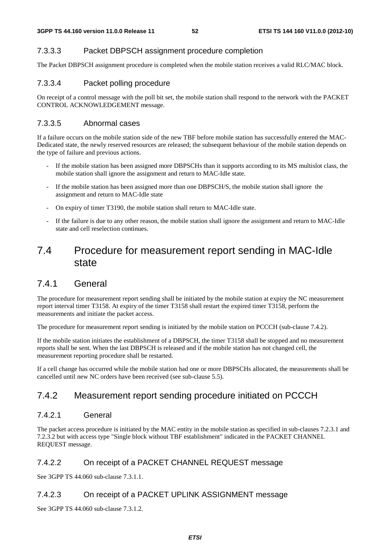## 7.3.3.3 Packet DBPSCH assignment procedure completion

The Packet DBPSCH assignment procedure is completed when the mobile station receives a valid RLC/MAC block.

## 7.3.3.4 Packet polling procedure

On receipt of a control message with the poll bit set, the mobile station shall respond to the network with the PACKET CONTROL ACKNOWLEDGEMENT message.

## 7.3.3.5 Abnormal cases

If a failure occurs on the mobile station side of the new TBF before mobile station has successfully entered the MAC-Dedicated state, the newly reserved resources are released; the subsequent behaviour of the mobile station depends on the type of failure and previous actions.

- If the mobile station has been assigned more DBPSCHs than it supports according to its MS multislot class, the mobile station shall ignore the assignment and return to MAC-Idle state.
- If the mobile station has been assigned more than one DBPSCH/S, the mobile station shall ignore the assignment and return to MAC-Idle state
- On expiry of timer T3190, the mobile station shall return to MAC-Idle state.
- If the failure is due to any other reason, the mobile station shall ignore the assignment and return to MAC-Idle state and cell reselection continues.

# 7.4 Procedure for measurement report sending in MAC-Idle state

## 7.4.1 General

The procedure for measurement report sending shall be initiated by the mobile station at expiry the NC measurement report interval timer T3158. At expiry of the timer T3158 shall restart the expired timer T3158, perform the measurements and initiate the packet access.

The procedure for measurement report sending is initiated by the mobile station on PCCCH (sub-clause 7.4.2).

If the mobile station initiates the establishment of a DBPSCH, the timer T3158 shall be stopped and no measurement reports shall be sent. When the last DBPSCH is released and if the mobile station has not changed cell, the measurement reporting procedure shall be restarted.

If a cell change has occurred while the mobile station had one or more DBPSCHs allocated, the measurements shall be cancelled until new NC orders have been received (see sub-clause 5.5).

# 7.4.2 Measurement report sending procedure initiated on PCCCH

## 7.4.2.1 General

The packet access procedure is initiated by the MAC entity in the mobile station as specified in sub-clauses 7.2.3.1 and 7.2.3.2 but with access type "Single block without TBF establishment" indicated in the PACKET CHANNEL REQUEST message.

## 7.4.2.2 On receipt of a PACKET CHANNEL REQUEST message

See 3GPP TS 44.060 sub-clause 7.3.1.1.

## 7.4.2.3 On receipt of a PACKET UPLINK ASSIGNMENT message

See 3GPP TS 44.060 sub-clause 7.3.1.2.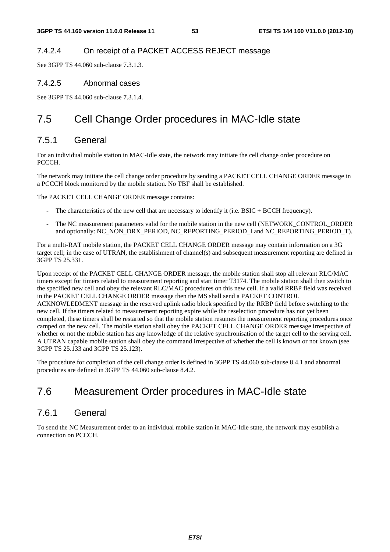## 7.4.2.4 On receipt of a PACKET ACCESS REJECT message

See 3GPP TS 44.060 sub-clause 7.3.1.3.

### 7.4.2.5 Abnormal cases

See 3GPP TS 44.060 sub-clause 7.3.1.4.

# 7.5 Cell Change Order procedures in MAC-Idle state

## 7.5.1 General

For an individual mobile station in MAC-Idle state, the network may initiate the cell change order procedure on PCCCH.

The network may initiate the cell change order procedure by sending a PACKET CELL CHANGE ORDER message in a PCCCH block monitored by the mobile station. No TBF shall be established.

The PACKET CELL CHANGE ORDER message contains:

- The characteristics of the new cell that are necessary to identify it (i.e. BSIC + BCCH frequency).
- The NC measurement parameters valid for the mobile station in the new cell (NETWORK\_CONTROL\_ORDER and optionally: NC\_NON\_DRX\_PERIOD, NC\_REPORTING\_PERIOD\_I and NC\_REPORTING\_PERIOD\_T).

For a multi-RAT mobile station, the PACKET CELL CHANGE ORDER message may contain information on a 3G target cell; in the case of UTRAN, the establishment of channel(s) and subsequent measurement reporting are defined in 3GPP TS 25.331.

Upon receipt of the PACKET CELL CHANGE ORDER message, the mobile station shall stop all relevant RLC/MAC timers except for timers related to measurement reporting and start timer T3174. The mobile station shall then switch to the specified new cell and obey the relevant RLC/MAC procedures on this new cell. If a valid RRBP field was received in the PACKET CELL CHANGE ORDER message then the MS shall send a PACKET CONTROL ACKNOWLEDMENT message in the reserved uplink radio block specified by the RRBP field before switching to the new cell. If the timers related to measurement reporting expire while the reselection procedure has not yet been completed, these timers shall be restarted so that the mobile station resumes the measurement reporting procedures once camped on the new cell. The mobile station shall obey the PACKET CELL CHANGE ORDER message irrespective of whether or not the mobile station has any knowledge of the relative synchronisation of the target cell to the serving cell. A UTRAN capable mobile station shall obey the command irrespective of whether the cell is known or not known (see 3GPP TS 25.133 and 3GPP TS 25.123).

The procedure for completion of the cell change order is defined in 3GPP TS 44.060 sub-clause 8.4.1 and abnormal procedures are defined in 3GPP TS 44.060 sub-clause 8.4.2.

# 7.6 Measurement Order procedures in MAC-Idle state

## 7.6.1 General

To send the NC Measurement order to an individual mobile station in MAC-Idle state, the network may establish a connection on PCCCH.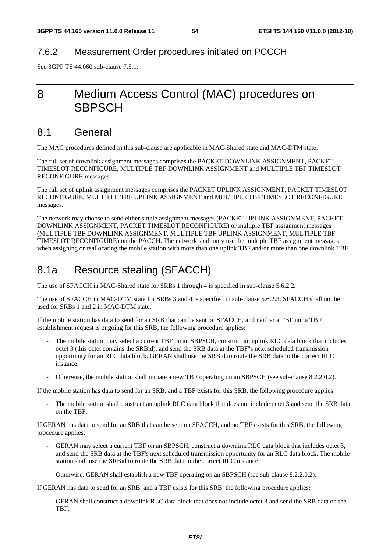## 7.6.2 Measurement Order procedures initiated on PCCCH

See 3GPP TS 44.060 sub-clause 7.5.1.

# 8 Medium Access Control (MAC) procedures on **SBPSCH**

## 8.1 General

The MAC procedures defined in this sub-clause are applicable in MAC-Shared state and MAC-DTM state.

The full set of downlink assignment messages comprises the PACKET DOWNLINK ASSIGNMENT, PACKET TIMESLOT RECONFIGURE, MULTIPLE TBF DOWNLINK ASSIGNMENT and MULTIPLE TBF TIMESLOT RECONFIGURE messages.

The full set of uplink assignment messages comprises the PACKET UPLINK ASSIGNMENT, PACKET TIMESLOT RECONFIGURE, MULTIPLE TBF UPLINK ASSIGNMENT and MULTIPLE TBF TIMESLOT RECONFIGURE messages.

The network may choose to send either single assignment messages (PACKET UPLINK ASSIGNMENT, PACKET DOWNLINK ASSIGNMENT, PACKET TIMESLOT RECONFIGURE) or multiple TBF assignment messages (MULTIPLE TBF DOWNLINK ASSIGNMENT, MULTIPLE TBF UPLINK ASSIGNMENT, MULTIPLE TBF TIMESLOT RECONFIGURE) on the PACCH. The network shall only use the multiple TBF assignment messages when assigning or reallocating the mobile station with more than one uplink TBF and/or more than one downlink TBF.

# 8.1a Resource stealing (SFACCH)

The use of SFACCH in MAC-Shared state for SRBs 1 through 4 is specified in sub-clause 5.6.2.2.

The use of SFACCH in MAC-DTM state for SRBs 3 and 4 is specified in sub-clause 5.6.2.3. SFACCH shall not be used for SRBs 1 and 2 in MAC-DTM state.

If the mobile station has data to send for an SRB that can be sent on SFACCH, and neither a TBF nor a TBF establishment request is ongoing for this SRB, the following procedure applies:

- The mobile station may select a current TBF on an SBPSCH, construct an uplink RLC data block that includes octet 3 (this octet contains the SRBid), and send the SRB data at the TBF"s next scheduled transmission opportunity for an RLC data block. GERAN shall use the SRBid to route the SRB data to the correct RLC instance.
- Otherwise, the mobile station shall initiate a new TBF operating on an SBPSCH (see sub-clause 8.2.2.0.2).

If the mobile station has data to send for an SRB, and a TBF exists for this SRB, the following procedure applies:

The mobile station shall construct an uplink RLC data block that does not include octet 3 and send the SRB data on the TBF.

If GERAN has data to send for an SRB that can be sent on SFACCH, and no TBF exists for this SRB, the following procedure applies:

- GERAN may select a current TBF on an SBPSCH, construct a downlink RLC data block that includes octet 3, and send the SRB data at the TBF's next scheduled transmission opportunity for an RLC data block. The mobile station shall use the SRBid to route the SRB data to the correct RLC instance.
- Otherwise, GERAN shall establish a new TBF operating on an SBPSCH (see sub-clause 8.2.2.0.2).

If GERAN has data to send for an SRB, and a TBF exists for this SRB, the following procedure applies:

GERAN shall construct a downlink RLC data block that does not include octet 3 and send the SRB data on the TBF.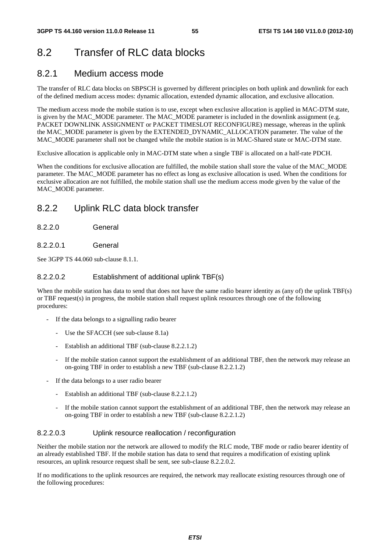# 8.2 Transfer of RLC data blocks

# 8.2.1 Medium access mode

The transfer of RLC data blocks on SBPSCH is governed by different principles on both uplink and downlink for each of the defined medium access modes: dynamic allocation, extended dynamic allocation, and exclusive allocation.

The medium access mode the mobile station is to use, except when exclusive allocation is applied in MAC-DTM state, is given by the MAC\_MODE parameter. The MAC\_MODE parameter is included in the downlink assignment (e.g. PACKET DOWNLINK ASSIGNMENT or PACKET TIMESLOT RECONFIGURE) message, whereas in the uplink the MAC\_MODE parameter is given by the EXTENDED\_DYNAMIC\_ALLOCATION parameter. The value of the MAC\_MODE parameter shall not be changed while the mobile station is in MAC-Shared state or MAC-DTM state.

Exclusive allocation is applicable only in MAC-DTM state when a single TBF is allocated on a half-rate PDCH.

When the conditions for exclusive allocation are fulfilled, the mobile station shall store the value of the MAC\_MODE parameter. The MAC\_MODE parameter has no effect as long as exclusive allocation is used. When the conditions for exclusive allocation are not fulfilled, the mobile station shall use the medium access mode given by the value of the MAC\_MODE parameter.

## 8.2.2 Uplink RLC data block transfer

8.2.2.0 General

### 8.2.2.0.1 General

See 3GPP TS 44.060 sub-clause 8.1.1.

### 8.2.2.0.2 Establishment of additional uplink TBF(s)

When the mobile station has data to send that does not have the same radio bearer identity as (any of) the uplink TBF(s) or TBF request(s) in progress, the mobile station shall request uplink resources through one of the following procedures:

- If the data belongs to a signalling radio bearer
	- Use the SFACCH (see sub-clause 8.1a)
	- Establish an additional TBF (sub-clause 8.2.2.1.2)
	- If the mobile station cannot support the establishment of an additional TBF, then the network may release an on-going TBF in order to establish a new TBF (sub-clause 8.2.2.1.2)
- If the data belongs to a user radio bearer
	- Establish an additional TBF (sub-clause 8.2.2.1.2)
	- If the mobile station cannot support the establishment of an additional TBF, then the network may release an on-going TBF in order to establish a new TBF (sub-clause 8.2.2.1.2)

### 8.2.2.0.3 Uplink resource reallocation / reconfiguration

Neither the mobile station nor the network are allowed to modify the RLC mode, TBF mode or radio bearer identity of an already established TBF. If the mobile station has data to send that requires a modification of existing uplink resources, an uplink resource request shall be sent, see sub-clause 8.2.2.0.2.

If no modifications to the uplink resources are required, the network may reallocate existing resources through one of the following procedures: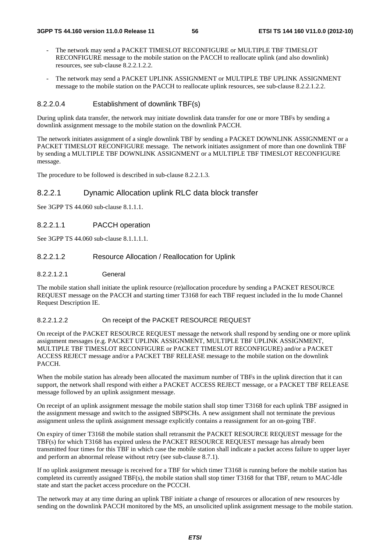- The network may send a PACKET TIMESLOT RECONFIGURE or MULTIPLE TBF TIMESLOT RECONFIGURE message to the mobile station on the PACCH to reallocate uplink (and also downlink) resources, see sub-clause 8.2.2.1.2.2.
- The network may send a PACKET UPLINK ASSIGNMENT or MULTIPLE TBF UPLINK ASSIGNMENT message to the mobile station on the PACCH to reallocate uplink resources, see sub-clause 8.2.2.1.2.2.

#### 8.2.2.0.4 Establishment of downlink TBF(s)

During uplink data transfer, the network may initiate downlink data transfer for one or more TBFs by sending a downlink assignment message to the mobile station on the downlink PACCH.

The network initiates assignment of a single downlink TBF by sending a PACKET DOWNLINK ASSIGNMENT or a PACKET TIMESLOT RECONFIGURE message. The network initiates assignment of more than one downlink TBF by sending a MULTIPLE TBF DOWNLINK ASSIGNMENT or a MULTIPLE TBF TIMESLOT RECONFIGURE message.

The procedure to be followed is described in sub-clause 8.2.2.1.3.

#### 8.2.2.1 Dynamic Allocation uplink RLC data block transfer

See 3GPP TS 44.060 sub-clause 8.1.1.1.

#### 8.2.2.1.1 PACCH operation

See 3GPP TS 44.060 sub-clause 8.1.1.1.1.

#### 8.2.2.1.2 Resource Allocation / Reallocation for Uplink

#### 8.2.2.1.2.1 General

The mobile station shall initiate the uplink resource (re)allocation procedure by sending a PACKET RESOURCE REQUEST message on the PACCH and starting timer T3168 for each TBF request included in the Iu mode Channel Request Description IE.

#### 8.2.2.1.2.2 On receipt of the PACKET RESOURCE REQUEST

On receipt of the PACKET RESOURCE REQUEST message the network shall respond by sending one or more uplink assignment messages (e.g. PACKET UPLINK ASSIGNMENT, MULTIPLE TBF UPLINK ASSIGNMENT, MULTIPLE TBF TIMESLOT RECONFIGURE or PACKET TIMESLOT RECONFIGURE) and/or a PACKET ACCESS REJECT message and/or a PACKET TBF RELEASE message to the mobile station on the downlink PACCH.

When the mobile station has already been allocated the maximum number of TBFs in the uplink direction that it can support, the network shall respond with either a PACKET ACCESS REJECT message, or a PACKET TBF RELEASE message followed by an uplink assignment message.

On receipt of an uplink assignment message the mobile station shall stop timer T3168 for each uplink TBF assigned in the assignment message and switch to the assigned SBPSCHs. A new assignment shall not terminate the previous assignment unless the uplink assignment message explicitly contains a reassignment for an on-going TBF.

On expiry of timer T3168 the mobile station shall retransmit the PACKET RESOURCE REQUEST message for the TBF(s) for which T3168 has expired unless the PACKET RESOURCE REQUEST message has already been transmitted four times for this TBF in which case the mobile station shall indicate a packet access failure to upper layer and perform an abnormal release without retry (see sub-clause 8.7.1).

If no uplink assignment message is received for a TBF for which timer T3168 is running before the mobile station has completed its currently assigned TBF(s), the mobile station shall stop timer T3168 for that TBF, return to MAC-Idle state and start the packet access procedure on the PCCCH.

The network may at any time during an uplink TBF initiate a change of resources or allocation of new resources by sending on the downlink PACCH monitored by the MS, an unsolicited uplink assignment message to the mobile station.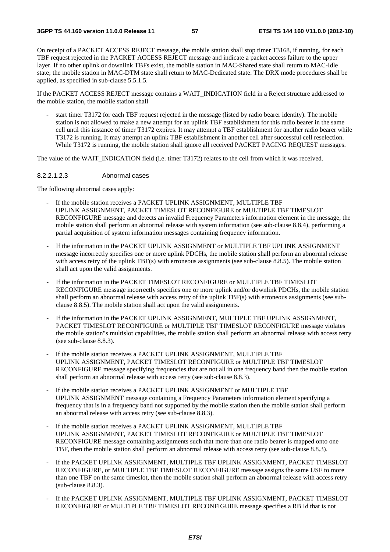On receipt of a PACKET ACCESS REJECT message, the mobile station shall stop timer T3168, if running, for each TBF request rejected in the PACKET ACCESS REJECT message and indicate a packet access failure to the upper layer. If no other uplink or downlink TBFs exist, the mobile station in MAC-Shared state shall return to MAC-Idle state; the mobile station in MAC-DTM state shall return to MAC-Dedicated state. The DRX mode procedures shall be applied, as specified in sub-clause 5.5.1.5.

If the PACKET ACCESS REJECT message contains a WAIT\_INDICATION field in a Reject structure addressed to the mobile station, the mobile station shall

start timer T3172 for each TBF request rejected in the message (listed by radio bearer identity). The mobile station is not allowed to make a new attempt for an uplink TBF establishment for this radio bearer in the same cell until this instance of timer T3172 expires. It may attempt a TBF establishment for another radio bearer while T3172 is running. It may attempt an uplink TBF establishment in another cell after successful cell reselection. While T3172 is running, the mobile station shall ignore all received PACKET PAGING REQUEST messages.

The value of the WAIT\_INDICATION field (i.e. timer T3172) relates to the cell from which it was received.

#### 8.2.2.1.2.3 Abnormal cases

The following abnormal cases apply:

- If the mobile station receives a PACKET UPLINK ASSIGNMENT, MULTIPLE TBF UPLINK ASSIGNMENT, PACKET TIMESLOT RECONFIGURE or MULTIPLE TBF TIMESLOT RECONFIGURE message and detects an invalid Frequency Parameters information element in the message, the mobile station shall perform an abnormal release with system information (see sub-clause 8.8.4), performing a partial acquisition of system information messages containing frequency information.
- If the information in the PACKET UPLINK ASSIGNMENT or MULTIPLE TBF UPLINK ASSIGNMENT message incorrectly specifies one or more uplink PDCHs, the mobile station shall perform an abnormal release with access retry of the uplink TBF(s) with erroneous assignments (see sub-clause 8.8.5). The mobile station shall act upon the valid assignments.
- If the information in the PACKET TIMESLOT RECONFIGURE or MULTIPLE TBF TIMESLOT RECONFIGURE message incorrectly specifies one or more uplink and/or downlink PDCHs, the mobile station shall perform an abnormal release with access retry of the uplink TBF(s) with erroneous assignments (see subclause 8.8.5). The mobile station shall act upon the valid assignments.
- If the information in the PACKET UPLINK ASSIGNMENT, MULTIPLE TBF UPLINK ASSIGNMENT, PACKET TIMESLOT RECONFIGURE or MULTIPLE TBF TIMESLOT RECONFIGURE message violates the mobile station"s multislot capabilities, the mobile station shall perform an abnormal release with access retry (see sub-clause 8.8.3).
- If the mobile station receives a PACKET UPLINK ASSIGNMENT, MULTIPLE TBF UPLINK ASSIGNMENT, PACKET TIMESLOT RECONFIGURE or MULTIPLE TBF TIMESLOT RECONFIGURE message specifying frequencies that are not all in one frequency band then the mobile station shall perform an abnormal release with access retry (see sub-clause 8.8.3).
- If the mobile station receives a PACKET UPLINK ASSIGNMENT or MULTIPLE TBF UPLINK ASSIGNMENT message containing a Frequency Parameters information element specifying a frequency that is in a frequency band not supported by the mobile station then the mobile station shall perform an abnormal release with access retry (see sub-clause 8.8.3).
- If the mobile station receives a PACKET UPLINK ASSIGNMENT, MULTIPLE TBF UPLINK ASSIGNMENT, PACKET TIMESLOT RECONFIGURE or MULTIPLE TBF TIMESLOT RECONFIGURE message containing assignments such that more than one radio bearer is mapped onto one TBF, then the mobile station shall perform an abnormal release with access retry (see sub-clause 8.8.3).
- If the PACKET UPLINK ASSIGNMENT, MULTIPLE TBF UPLINK ASSIGNMENT. PACKET TIMESLOT RECONFIGURE, or MULTIPLE TBF TIMESLOT RECONFIGURE message assigns the same USF to more than one TBF on the same timeslot, then the mobile station shall perform an abnormal release with access retry (sub-clause 8.8.3).
- If the PACKET UPLINK ASSIGNMENT, MULTIPLE TBF UPLINK ASSIGNMENT, PACKET TIMESLOT RECONFIGURE or MULTIPLE TBF TIMESLOT RECONFIGURE message specifies a RB Id that is not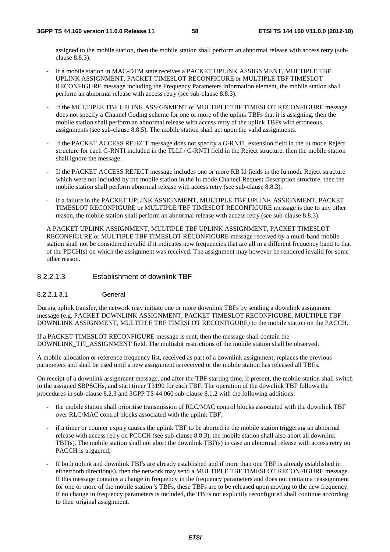assigned to the mobile station, then the mobile station shall perform an abnormal release with access retry (subclause 8.8.3).

- If a mobile station in MAC-DTM state receives a PACKET UPLINK ASSIGNMENT, MULTIPLE TBF UPLINK ASSIGNMENT, PACKET TIMESLOT RECONFIGURE or MULTIPLE TBF TIMESLOT RECONFIGURE message including the Frequency Parameters information element, the mobile station shall perform an abnormal release with access retry (see sub-clause 8.8.3).
- If the MULTIPLE TBF UPLINK ASSIGNMENT or MULTIPLE TBF TIMESLOT RECONFIGURE message does not specify a Channel Coding scheme for one or more of the uplink TBFs that it is assigning, then the mobile station shall perform an abnormal release with access retry of the uplink TBFs with erroneous assignments (see sub-clause 8.8.5). The mobile station shall act upon the valid assignments.
- If the PACKET ACCESS REJECT message does not specify a G-RNTI\_extension field in the Iu mode Reject structure for each G-RNTI included in the TLLI / G-RNTI field in the Reject structure, then the mobile station shall ignore the message.
- If the PACKET ACCESS REJECT message includes one or more RB Id fields in the Iu mode Reject structure which were not included by the mobile station in the Iu mode Channel Request Description structure, then the mobile station shall perform abnormal release with access retry (see sub-clause 8.8.3).
- If a failure in the PACKET UPLINK ASSIGNMENT, MULTIPLE TBF UPLINK ASSIGNMENT, PACKET TIMESLOT RECONFIGURE or MULTIPLE TBF TIMESLOT RECONFIGURE message is due to any other reason, the mobile station shall perform an abnormal release with access retry (see sub-clause 8.8.3).

A PACKET UPLINK ASSIGNMENT, MULTIPLE TBF UPLINK ASSIGNMENT, PACKET TIMESLOT RECONFIGURE or MULTIPLE TBF TIMESLOT RECONFIGURE message received by a multi-band mobile station shall not be considered invalid if it indicates new frequencies that are all in a different frequency band to that of the PDCH(s) on which the assignment was received. The assignment may however be rendered invalid for some other reason.

#### 8.2.2.1.3 Establishment of downlink TBF

8.2.2.1.3.1 General

During uplink transfer, the network may initiate one or more downlink TBFs by sending a downlink assignment message (e.g. PACKET DOWNLINK ASSIGNMENT, PACKET TIMESLOT RECONFIGURE, MULTIPLE TBF DOWNLINK ASSIGNMENT, MULTIPLE TBF TIMESLOT RECONFIGURE) to the mobile station on the PACCH.

If a PACKET TIMESLOT RECONFIGURE message is sent, then the message shall contain the DOWNLINK\_TFI\_ASSIGNMENT field. The multislot restrictions of the mobile station shall be observed.

A mobile allocation or reference frequency list, received as part of a downlink assignment, replaces the previous parameters and shall be used until a new assignment is received or the mobile station has released all TBFs.

On receipt of a downlink assignment message, and after the TBF starting time, if present, the mobile station shall switch to the assigned SBPSCHs, and start timer T3190 for each TBF. The operation of the downlink TBF follows the procedures in sub-clause 8.2.3 and 3GPP TS 44.060 sub-clause 8.1.2 with the following additions:

- the mobile station shall prioritise transmission of RLC/MAC control blocks associated with the downlink TBF over RLC/MAC control blocks associated with the uplink TBF;
- if a timer or counter expiry causes the uplink TBF to be aborted in the mobile station triggering an abnormal release with access retry on PCCCH (see sub-clause 8.8.3), the mobile station shall also abort all downlink TBF(s). The mobile station shall not abort the downlink TBF(s) in case an abnormal release with access retry on PACCH is triggered;
- If both uplink and downlink TBFs are already established and if more than one TBF is already established in either/both direction(s), then the network may send a MULTIPLE TBF TIMESLOT RECONFIGURE message. If this message contains a change in frequency in the frequency parameters and does not contain a reassignment for one or more of the mobile station"s TBFs, these TBFs are to be released upon moving to the new frequency. If no change in frequency parameters is included, the TBFs not explicitly reconfigured shall continue according to their original assignment.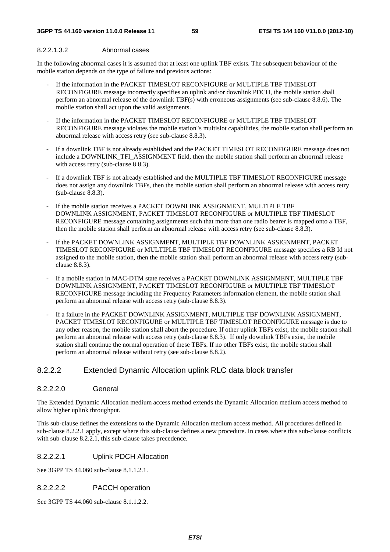### 8.2.2.1.3.2 Abnormal cases

In the following abnormal cases it is assumed that at least one uplink TBF exists. The subsequent behaviour of the mobile station depends on the type of failure and previous actions:

- If the information in the PACKET TIMESLOT RECONFIGURE or MULTIPLE TBF TIMESLOT RECONFIGURE message incorrectly specifies an uplink and/or downlink PDCH, the mobile station shall perform an abnormal release of the downlink TBF(s) with erroneous assignments (see sub-clause 8.8.6). The mobile station shall act upon the valid assignments.
- If the information in the PACKET TIMESLOT RECONFIGURE or MULTIPLE TBF TIMESLOT RECONFIGURE message violates the mobile station"s multislot capabilities, the mobile station shall perform an abnormal release with access retry (see sub-clause 8.8.3).
- If a downlink TBF is not already established and the PACKET TIMESLOT RECONFIGURE message does not include a DOWNLINK\_TFI\_ASSIGNMENT field, then the mobile station shall perform an abnormal release with access retry (sub-clause 8.8.3).
- If a downlink TBF is not already established and the MULTIPLE TBF TIMESLOT RECONFIGURE message does not assign any downlink TBFs, then the mobile station shall perform an abnormal release with access retry (sub-clause 8.8.3).
- If the mobile station receives a PACKET DOWNLINK ASSIGNMENT, MULTIPLE TBF DOWNLINK ASSIGNMENT, PACKET TIMESLOT RECONFIGURE or MULTIPLE TBF TIMESLOT RECONFIGURE message containing assignments such that more than one radio bearer is mapped onto a TBF, then the mobile station shall perform an abnormal release with access retry (see sub-clause 8.8.3).
- If the PACKET DOWNLINK ASSIGNMENT, MULTIPLE TBF DOWNLINK ASSIGNMENT, PACKET TIMESLOT RECONFIGURE or MULTIPLE TBF TIMESLOT RECONFIGURE message specifies a RB Id not assigned to the mobile station, then the mobile station shall perform an abnormal release with access retry (subclause 8.8.3).
- If a mobile station in MAC-DTM state receives a PACKET DOWNLINK ASSIGNMENT, MULTIPLE TBF DOWNLINK ASSIGNMENT, PACKET TIMESLOT RECONFIGURE or MULTIPLE TBF TIMESLOT RECONFIGURE message including the Frequency Parameters information element, the mobile station shall perform an abnormal release with access retry (sub-clause 8.8.3).
- If a failure in the PACKET DOWNLINK ASSIGNMENT, MULTIPLE TBF DOWNLINK ASSIGNMENT, PACKET TIMESLOT RECONFIGURE or MULTIPLE TBF TIMESLOT RECONFIGURE message is due to any other reason, the mobile station shall abort the procedure. If other uplink TBFs exist, the mobile station shall perform an abnormal release with access retry (sub-clause 8.8.3). If only downlink TBFs exist, the mobile station shall continue the normal operation of these TBFs. If no other TBFs exist, the mobile station shall perform an abnormal release without retry (see sub-clause 8.8.2).

## 8.2.2.2 Extended Dynamic Allocation uplink RLC data block transfer

## 8.2.2.2.0 General

The Extended Dynamic Allocation medium access method extends the Dynamic Allocation medium access method to allow higher uplink throughput.

This sub-clause defines the extensions to the Dynamic Allocation medium access method. All procedures defined in sub-clause 8.2.2.1 apply, except where this sub-clause defines a new procedure. In cases where this sub-clause conflicts with sub-clause 8.2.2.1, this sub-clause takes precedence.

## 8.2.2.2.1 Uplink PDCH Allocation

See 3GPP TS 44.060 sub-clause 8.1.1.2.1.

## 8.2.2.2.2 PACCH operation

See 3GPP TS 44.060 sub-clause 8.1.1.2.2.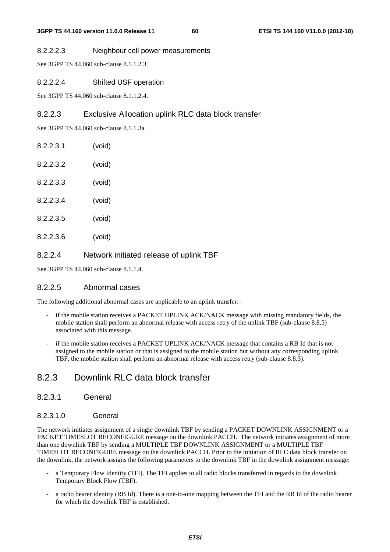#### 8.2.2.2.3 Neighbour cell power measurements

See 3GPP TS 44.060 sub-clause 8.1.1.2.3.

#### 8.2.2.2.4 Shifted USF operation

See 3GPP TS 44.060 sub-clause 8.1.1.2.4.

## 8.2.2.3 Exclusive Allocation uplink RLC data block transfer

See 3GPP TS 44.060 sub-clause 8.1.1.3a.

| 8.2.2.3.1 | (void) |
|-----------|--------|
| 8.2.2.3.2 | (void) |
| 8.2.2.3.3 | (void) |
| 82234     | (void) |
| 8.2.2.3.5 | (void) |
| 82236     | (void) |

## 8.2.2.4 Network initiated release of uplink TBF

See 3GPP TS 44.060 sub-clause 8.1.1.4.

### 8.2.2.5 Abnormal cases

The following additional abnormal cases are applicable to an uplink transfer:-

- if the mobile station receives a PACKET UPLINK ACK/NACK message with missing mandatory fields, the mobile station shall perform an abnormal release with access retry of the uplink TBF (sub-clause 8.8.5) associated with this message.
- if the mobile station receives a PACKET UPLINK ACK/NACK message that contains a RB Id that is not assigned to the mobile station or that is assigned to the mobile station but without any corresponding uplink TBF, the mobile station shall perform an abnormal release with access retry (sub-clause 8.8.3).

## 8.2.3 Downlink RLC data block transfer

### 8.2.3.1 General

#### 8.2.3.1.0 General

The network initiates assignment of a single downlink TBF by sending a PACKET DOWNLINK ASSIGNMENT or a PACKET TIMESLOT RECONFIGURE message on the downlink PACCH. The network initiates assignment of more than one downlink TBF by sending a MULTIPLE TBF DOWNLINK ASSIGNMENT or a MULTIPLE TBF TIMESLOT RECONFIGURE message on the downlink PACCH. Prior to the initiation of RLC data block transfer on the downlink, the network assigns the following parameters to the downlink TBF in the downlink assignment message:

- a Temporary Flow Identity (TFI). The TFI applies to all radio blocks transferred in regards to the downlink Temporary Block Flow (TBF).
- a radio bearer identity (RB Id). There is a one-to-one mapping between the TFI and the RB Id of the radio bearer for which the downlink TBF is established.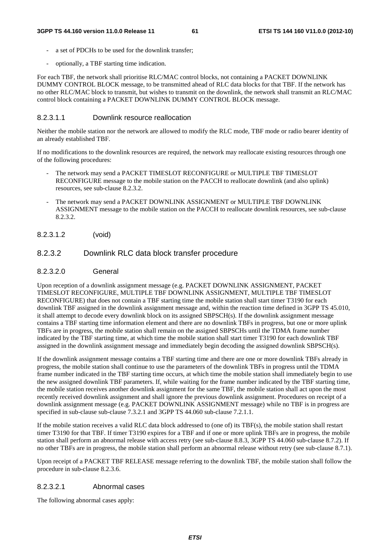- a set of PDCHs to be used for the downlink transfer:
- optionally, a TBF starting time indication.

For each TBF, the network shall prioritise RLC/MAC control blocks, not containing a PACKET DOWNLINK DUMMY CONTROL BLOCK message, to be transmitted ahead of RLC data blocks for that TBF. If the network has no other RLC/MAC block to transmit, but wishes to transmit on the downlink, the network shall transmit an RLC/MAC control block containing a PACKET DOWNLINK DUMMY CONTROL BLOCK message.

#### 8.2.3.1.1 Downlink resource reallocation

Neither the mobile station nor the network are allowed to modify the RLC mode, TBF mode or radio bearer identity of an already established TBF.

If no modifications to the downlink resources are required, the network may reallocate existing resources through one of the following procedures:

- The network may send a PACKET TIMESLOT RECONFIGURE or MULTIPLE TBF TIMESLOT RECONFIGURE message to the mobile station on the PACCH to reallocate downlink (and also uplink) resources, see sub-clause 8.2.3.2.
- The network may send a PACKET DOWNLINK ASSIGNMENT or MULTIPLE TBF DOWNLINK ASSIGNMENT message to the mobile station on the PACCH to reallocate downlink resources, see sub-clause 8.2.3.2.

8.2.3.1.2 (void)

#### 8.2.3.2 Downlink RLC data block transfer procedure

#### 8.2.3.2.0 General

Upon reception of a downlink assignment message (e.g. PACKET DOWNLINK ASSIGNMENT, PACKET TIMESLOT RECONFIGURE, MULTIPLE TBF DOWNLINK ASSIGNMENT, MULTIPLE TBF TIMESLOT RECONFIGURE) that does not contain a TBF starting time the mobile station shall start timer T3190 for each downlink TBF assigned in the downlink assignment message and, within the reaction time defined in 3GPP TS 45.010, it shall attempt to decode every downlink block on its assigned SBPSCH(s). If the downlink assignment message contains a TBF starting time information element and there are no downlink TBFs in progress, but one or more uplink TBFs are in progress, the mobile station shall remain on the assigned SBPSCHs until the TDMA frame number indicated by the TBF starting time, at which time the mobile station shall start timer T3190 for each downlink TBF assigned in the downlink assignment message and immediately begin decoding the assigned downlink SBPSCH(s).

If the downlink assignment message contains a TBF starting time and there are one or more downlink TBFs already in progress, the mobile station shall continue to use the parameters of the downlink TBFs in progress until the TDMA frame number indicated in the TBF starting time occurs, at which time the mobile station shall immediately begin to use the new assigned downlink TBF parameters. If, while waiting for the frame number indicated by the TBF starting time, the mobile station receives another downlink assignment for the same TBF, the mobile station shall act upon the most recently received downlink assignment and shall ignore the previous downlink assignment. Procedures on receipt of a downlink assignment message (e.g. PACKET DOWNLINK ASSIGNMENT message) while no TBF is in progress are specified in sub-clause sub-clause 7.3.2.1 and 3GPP TS 44.060 sub-clause 7.2.1.1.

If the mobile station receives a valid RLC data block addressed to (one of) its TBF(s), the mobile station shall restart timer T3190 for that TBF. If timer T3190 expires for a TBF and if one or more uplink TBFs are in progress, the mobile station shall perform an abnormal release with access retry (see sub-clause 8.8.3, 3GPP TS 44.060 sub-clause 8.7.2). If no other TBFs are in progress, the mobile station shall perform an abnormal release without retry (see sub-clause 8.7.1).

Upon receipt of a PACKET TBF RELEASE message referring to the downlink TBF, the mobile station shall follow the procedure in sub-clause 8.2.3.6.

#### 8.2.3.2.1 Abnormal cases

The following abnormal cases apply: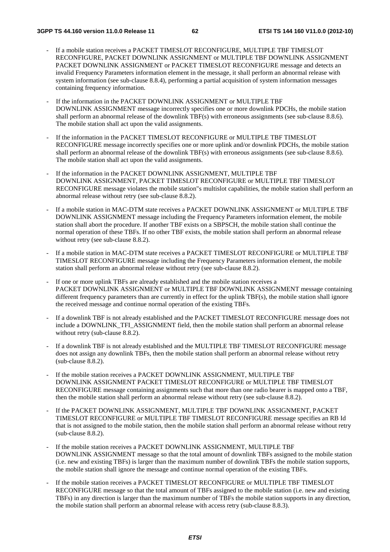- If a mobile station receives a PACKET TIMESLOT RECONFIGURE, MULTIPLE TBF TIMESLOT RECONFIGURE, PACKET DOWNLINK ASSIGNMENT or MULTIPLE TBF DOWNLINK ASSIGNMENT PACKET DOWNLINK ASSIGNMENT or PACKET TIMESLOT RECONFIGURE message and detects an invalid Frequency Parameters information element in the message, it shall perform an abnormal release with system information (see sub-clause 8.8.4), performing a partial acquisition of system information messages containing frequency information.
- If the information in the PACKET DOWNLINK ASSIGNMENT or MULTIPLE TBF DOWNLINK ASSIGNMENT message incorrectly specifies one or more downlink PDCHs, the mobile station shall perform an abnormal release of the downlink TBF(s) with erroneous assignments (see sub-clause 8.8.6). The mobile station shall act upon the valid assignments.
- If the information in the PACKET TIMESLOT RECONFIGURE or MULTIPLE TBF TIMESLOT RECONFIGURE message incorrectly specifies one or more uplink and/or downlink PDCHs, the mobile station shall perform an abnormal release of the downlink TBF(s) with erroneous assignments (see sub-clause 8.8.6). The mobile station shall act upon the valid assignments.
- If the information in the PACKET DOWNLINK ASSIGNMENT, MULTIPLE TBF DOWNLINK ASSIGNMENT, PACKET TIMESLOT RECONFIGURE or MULTIPLE TBF TIMESLOT RECONFIGURE message violates the mobile station"s multislot capabilities, the mobile station shall perform an abnormal release without retry (see sub-clause 8.8.2).
- If a mobile station in MAC-DTM state receives a PACKET DOWNLINK ASSIGNMENT or MULTIPLE TBF DOWNLINK ASSIGNMENT message including the Frequency Parameters information element, the mobile station shall abort the procedure. If another TBF exists on a SBPSCH, the mobile station shall continue the normal operation of these TBFs. If no other TBF exists, the mobile station shall perform an abnormal release without retry (see sub-clause 8.8.2).
- If a mobile station in MAC-DTM state receives a PACKET TIMESLOT RECONFIGURE or MULTIPLE TBF TIMESLOT RECONFIGURE message including the Frequency Parameters information element, the mobile station shall perform an abnormal release without retry (see sub-clause 8.8.2).
- If one or more uplink TBFs are already established and the mobile station receives a PACKET DOWNLINK ASSIGNMENT or MULTIPLE TBF DOWNLINK ASSIGNMENT message containing different frequency parameters than are currently in effect for the uplink TBF(s), the mobile station shall ignore the received message and continue normal operation of the existing TBFs.
- If a downlink TBF is not already established and the PACKET TIMESLOT RECONFIGURE message does not include a DOWNLINK\_TFI\_ASSIGNMENT field, then the mobile station shall perform an abnormal release without retry (sub-clause 8.8.2).
- If a downlink TBF is not already established and the MULTIPLE TBF TIMESLOT RECONFIGURE message does not assign any downlink TBFs, then the mobile station shall perform an abnormal release without retry (sub-clause 8.8.2).
- If the mobile station receives a PACKET DOWNLINK ASSIGNMENT, MULTIPLE TBF DOWNLINK ASSIGNMENT PACKET TIMESLOT RECONFIGURE or MULTIPLE TBF TIMESLOT RECONFIGURE message containing assignments such that more than one radio bearer is mapped onto a TBF, then the mobile station shall perform an abnormal release without retry (see sub-clause 8.8.2).
- If the PACKET DOWNLINK ASSIGNMENT, MULTIPLE TBF DOWNLINK ASSIGNMENT, PACKET TIMESLOT RECONFIGURE or MULTIPLE TBF TIMESLOT RECONFIGURE message specifies an RB Id that is not assigned to the mobile station, then the mobile station shall perform an abnormal release without retry (sub-clause 8.8.2).
- If the mobile station receives a PACKET DOWNLINK ASSIGNMENT, MULTIPLE TBF DOWNLINK ASSIGNMENT message so that the total amount of downlink TBFs assigned to the mobile station (i.e. new and existing TBFs) is larger than the maximum number of downlink TBFs the mobile station supports, the mobile station shall ignore the message and continue normal operation of the existing TBFs.
- If the mobile station receives a PACKET TIMESLOT RECONFIGURE or MULTIPLE TBF TIMESLOT RECONFIGURE message so that the total amount of TBFs assigned to the mobile station (i.e. new and existing TBFs) in any direction is larger than the maximum number of TBFs the mobile station supports in any direction, the mobile station shall perform an abnormal release with access retry (sub-clause 8.8.3).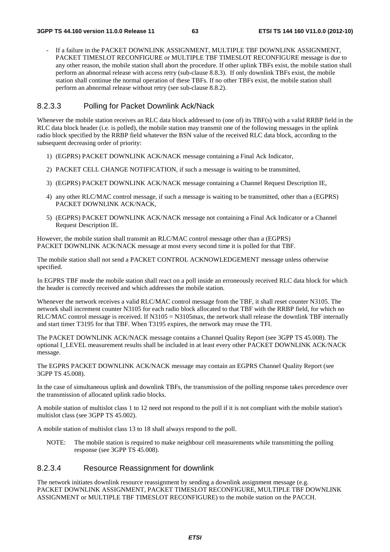If a failure in the PACKET DOWNLINK ASSIGNMENT, MULTIPLE TBF DOWNLINK ASSIGNMENT. PACKET TIMESLOT RECONFIGURE or MULTIPLE TBF TIMESLOT RECONFIGURE message is due to any other reason, the mobile station shall abort the procedure. If other uplink TBFs exist, the mobile station shall perform an abnormal release with access retry (sub-clause 8.8.3). If only downlink TBFs exist, the mobile station shall continue the normal operation of these TBFs. If no other TBFs exist, the mobile station shall perform an abnormal release without retry (see sub-clause 8.8.2).

## 8.2.3.3 Polling for Packet Downlink Ack/Nack

Whenever the mobile station receives an RLC data block addressed to (one of) its TBF(s) with a valid RRBP field in the RLC data block header (i.e. is polled), the mobile station may transmit one of the following messages in the uplink radio block specified by the RRBP field whatever the BSN value of the received RLC data block, according to the subsequent decreasing order of priority:

- 1) (EGPRS) PACKET DOWNLINK ACK/NACK message containing a Final Ack Indicator,
- 2) PACKET CELL CHANGE NOTIFICATION, if such a message is waiting to be transmitted,
- 3) (EGPRS) PACKET DOWNLINK ACK/NACK message containing a Channel Request Description IE,
- 4) any other RLC/MAC control message, if such a message is waiting to be transmitted, other than a (EGPRS) PACKET DOWNLINK ACK/NACK,
- 5) (EGPRS) PACKET DOWNLINK ACK/NACK message not containing a Final Ack Indicator or a Channel Request Description IE.

However, the mobile station shall transmit an RLC/MAC control message other than a (EGPRS) PACKET DOWNLINK ACK/NACK message at most every second time it is polled for that TBF.

The mobile station shall not send a PACKET CONTROL ACKNOWLEDGEMENT message unless otherwise specified.

In EGPRS TBF mode the mobile station shall react on a poll inside an erroneously received RLC data block for which the header is correctly received and which addresses the mobile station.

Whenever the network receives a valid RLC/MAC control message from the TBF, it shall reset counter N3105. The network shall increment counter N3105 for each radio block allocated to that TBF with the RRBP field, for which no RLC/MAC control message is received. If N3105 = N3105max, the network shall release the downlink TBF internally and start timer T3195 for that TBF. When T3195 expires, the network may reuse the TFI.

The PACKET DOWNLINK ACK/NACK message contains a Channel Quality Report (see 3GPP TS 45.008). The optional I\_LEVEL measurement results shall be included in at least every other PACKET DOWNLINK ACK/NACK message.

The EGPRS PACKET DOWNLINK ACK/NACK message may contain an EGPRS Channel Quality Report (see 3GPP TS 45.008).

In the case of simultaneous uplink and downlink TBFs, the transmission of the polling response takes precedence over the transmission of allocated uplink radio blocks.

A mobile station of multislot class 1 to 12 need not respond to the poll if it is not compliant with the mobile station's multislot class (see 3GPP TS 45.002).

A mobile station of multislot class 13 to 18 shall always respond to the poll.

NOTE: The mobile station is required to make neighbour cell measurements while transmitting the polling response (see 3GPP TS 45.008).

#### 8.2.3.4 Resource Reassignment for downlink

The network initiates downlink resource reassignment by sending a downlink assignment message (e.g. PACKET DOWNLINK ASSIGNMENT, PACKET TIMESLOT RECONFIGURE, MULTIPLE TBF DOWNLINK ASSIGNMENT or MULTIPLE TBF TIMESLOT RECONFIGURE) to the mobile station on the PACCH.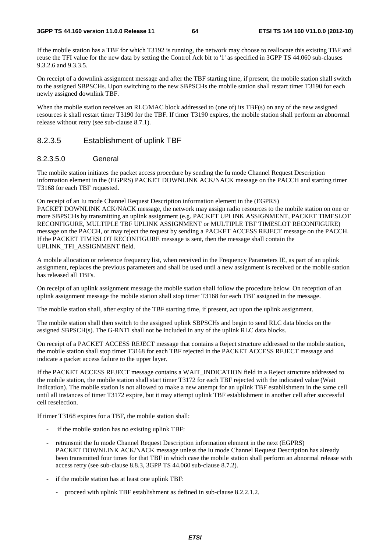If the mobile station has a TBF for which T3192 is running, the network may choose to reallocate this existing TBF and reuse the TFI value for the new data by setting the Control Ack bit to '1' as specified in 3GPP TS 44.060 sub-clauses 9.3.2.6 and 9.3.3.5.

On receipt of a downlink assignment message and after the TBF starting time, if present, the mobile station shall switch to the assigned SBPSCHs. Upon switching to the new SBPSCHs the mobile station shall restart timer T3190 for each newly assigned downlink TBF.

When the mobile station receives an RLC/MAC block addressed to (one of) its TBF(s) on any of the new assigned resources it shall restart timer T3190 for the TBF. If timer T3190 expires, the mobile station shall perform an abnormal release without retry (see sub-clause 8.7.1).

### 8.2.3.5 Establishment of uplink TBF

#### 8.2.3.5.0 General

The mobile station initiates the packet access procedure by sending the Iu mode Channel Request Description information element in the (EGPRS) PACKET DOWNLINK ACK/NACK message on the PACCH and starting timer T3168 for each TBF requested.

On receipt of an Iu mode Channel Request Description information element in the (EGPRS) PACKET DOWNLINK ACK/NACK message, the network may assign radio resources to the mobile station on one or more SBPSCHs by transmitting an uplink assignment (e.g. PACKET UPLINK ASSIGNMENT, PACKET TIMESLOT RECONFIGURE, MULTIPLE TBF UPLINK ASSIGNMENT or MULTIPLE TBF TIMESLOT RECONFIGURE) message on the PACCH, or may reject the request by sending a PACKET ACCESS REJECT message on the PACCH. If the PACKET TIMESLOT RECONFIGURE message is sent, then the message shall contain the UPLINK\_TFI\_ASSIGNMENT field.

A mobile allocation or reference frequency list, when received in the Frequency Parameters IE, as part of an uplink assignment, replaces the previous parameters and shall be used until a new assignment is received or the mobile station has released all TBFs.

On receipt of an uplink assignment message the mobile station shall follow the procedure below. On reception of an uplink assignment message the mobile station shall stop timer T3168 for each TBF assigned in the message.

The mobile station shall, after expiry of the TBF starting time, if present, act upon the uplink assignment.

The mobile station shall then switch to the assigned uplink SBPSCHs and begin to send RLC data blocks on the assigned SBPSCH(s). The G-RNTI shall not be included in any of the uplink RLC data blocks.

On receipt of a PACKET ACCESS REJECT message that contains a Reject structure addressed to the mobile station, the mobile station shall stop timer T3168 for each TBF rejected in the PACKET ACCESS REJECT message and indicate a packet access failure to the upper layer.

If the PACKET ACCESS REJECT message contains a WAIT\_INDICATION field in a Reject structure addressed to the mobile station, the mobile station shall start timer T3172 for each TBF rejected with the indicated value (Wait Indication). The mobile station is not allowed to make a new attempt for an uplink TBF establishment in the same cell until all instances of timer T3172 expire, but it may attempt uplink TBF establishment in another cell after successful cell reselection.

If timer T3168 expires for a TBF, the mobile station shall:

- if the mobile station has no existing uplink TBF:
- retransmit the Iu mode Channel Request Description information element in the next (EGPRS) PACKET DOWNLINK ACK/NACK message unless the Iu mode Channel Request Description has already been transmitted four times for that TBF in which case the mobile station shall perform an abnormal release with access retry (see sub-clause 8.8.3, 3GPP TS 44.060 sub-clause 8.7.2).
- if the mobile station has at least one uplink TBF:
	- proceed with uplink TBF establishment as defined in sub-clause 8.2.2.1.2.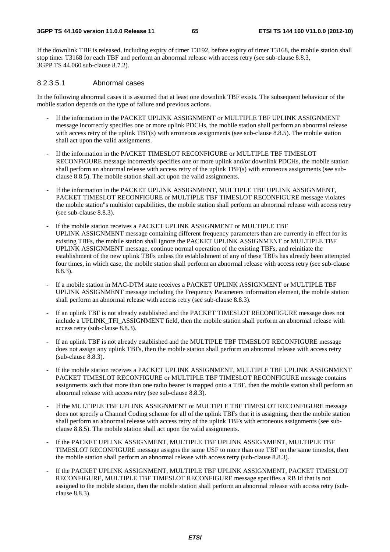If the downlink TBF is released, including expiry of timer T3192, before expiry of timer T3168, the mobile station shall stop timer T3168 for each TBF and perform an abnormal release with access retry (see sub-clause 8.8.3, 3GPP TS 44.060 sub-clause 8.7.2).

#### 8.2.3.5.1 Abnormal cases

In the following abnormal cases it is assumed that at least one downlink TBF exists. The subsequent behaviour of the mobile station depends on the type of failure and previous actions.

- If the information in the PACKET UPLINK ASSIGNMENT or MULTIPLE TBF UPLINK ASSIGNMENT message incorrectly specifies one or more uplink PDCHs, the mobile station shall perform an abnormal release with access retry of the uplink TBF(s) with erroneous assignments (see sub-clause 8.8.5). The mobile station shall act upon the valid assignments.
- If the information in the PACKET TIMESLOT RECONFIGURE or MULTIPLE TBF TIMESLOT RECONFIGURE message incorrectly specifies one or more uplink and/or downlink PDCHs, the mobile station shall perform an abnormal release with access retry of the uplink TBF(s) with erroneous assignments (see subclause 8.8.5). The mobile station shall act upon the valid assignments.
- If the information in the PACKET UPLINK ASSIGNMENT, MULTIPLE TBF UPLINK ASSIGNMENT, PACKET TIMESLOT RECONFIGURE or MULTIPLE TBF TIMESLOT RECONFIGURE message violates the mobile station"s multislot capabilities, the mobile station shall perform an abnormal release with access retry (see sub-clause 8.8.3).
- If the mobile station receives a PACKET UPLINK ASSIGNMENT or MULTIPLE TBF UPLINK ASSIGNMENT message containing different frequency parameters than are currently in effect for its existing TBFs, the mobile station shall ignore the PACKET UPLINK ASSIGNMENT or MULTIPLE TBF UPLINK ASSIGNMENT message, continue normal operation of the existing TBFs, and reinitiate the establishment of the new uplink TBFs unless the establishment of any of these TBFs has already been attempted four times, in which case, the mobile station shall perform an abnormal release with access retry (see sub-clause 8.8.3).
- If a mobile station in MAC-DTM state receives a PACKET UPLINK ASSIGNMENT or MULTIPLE TBF UPLINK ASSIGNMENT message including the Frequency Parameters information element, the mobile station shall perform an abnormal release with access retry (see sub-clause 8.8.3).
- If an uplink TBF is not already established and the PACKET TIMESLOT RECONFIGURE message does not include a UPLINK\_TFI\_ASSIGNMENT field, then the mobile station shall perform an abnormal release with access retry (sub-clause 8.8.3).
- If an uplink TBF is not already established and the MULTIPLE TBF TIMESLOT RECONFIGURE message does not assign any uplink TBFs, then the mobile station shall perform an abnormal release with access retry (sub-clause 8.8.3).
- If the mobile station receives a PACKET UPLINK ASSIGNMENT, MULTIPLE TBF UPLINK ASSIGNMENT PACKET TIMESLOT RECONFIGURE or MULTIPLE TBF TIMESLOT RECONFIGURE message contains assignments such that more than one radio bearer is mapped onto a TBF, then the mobile station shall perform an abnormal release with access retry (see sub-clause 8.8.3).
- If the MULTIPLE TBF UPLINK ASSIGNMENT or MULTIPLE TBF TIMESLOT RECONFIGURE message does not specify a Channel Coding scheme for all of the uplink TBFs that it is assigning, then the mobile station shall perform an abnormal release with access retry of the uplink TBFs with erroneous assignments (see subclause 8.8.5). The mobile station shall act upon the valid assignments.
- If the PACKET UPLINK ASSIGNMENT, MULTIPLE TBF UPLINK ASSIGNMENT, MULTIPLE TBF TIMESLOT RECONFIGURE message assigns the same USF to more than one TBF on the same timeslot, then the mobile station shall perform an abnormal release with access retry (sub-clause 8.8.3).
- If the PACKET UPLINK ASSIGNMENT, MULTIPLE TBF UPLINK ASSIGNMENT, PACKET TIMESLOT RECONFIGURE, MULTIPLE TBF TIMESLOT RECONFIGURE message specifies a RB Id that is not assigned to the mobile station, then the mobile station shall perform an abnormal release with access retry (subclause 8.8.3).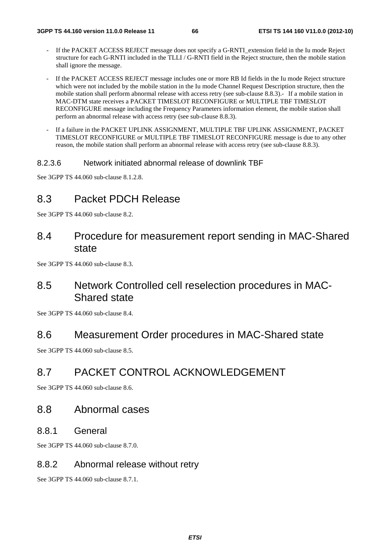- If the PACKET ACCESS REJECT message does not specify a G-RNTI\_extension field in the Iu mode Reject structure for each G-RNTI included in the TLLI / G-RNTI field in the Reject structure, then the mobile station shall ignore the message.
- If the PACKET ACCESS REJECT message includes one or more RB Id fields in the Iu mode Reject structure which were not included by the mobile station in the Iu mode Channel Request Description structure, then the mobile station shall perform abnormal release with access retry (see sub-clause 8.8.3).- If a mobile station in MAC-DTM state receives a PACKET TIMESLOT RECONFIGURE or MULTIPLE TBF TIMESLOT RECONFIGURE message including the Frequency Parameters information element, the mobile station shall perform an abnormal release with access retry (see sub-clause 8.8.3).
- If a failure in the PACKET UPLINK ASSIGNMENT, MULTIPLE TBF UPLINK ASSIGNMENT, PACKET TIMESLOT RECONFIGURE or MULTIPLE TBF TIMESLOT RECONFIGURE message is due to any other reason, the mobile station shall perform an abnormal release with access retry (see sub-clause 8.8.3).

## 8.2.3.6 Network initiated abnormal release of downlink TBF

See 3GPP TS 44.060 sub-clause 8.1.2.8.

# 8.3 Packet PDCH Release

See 3GPP TS 44.060 sub-clause 8.2.

# 8.4 Procedure for measurement report sending in MAC-Shared state

See 3GPP TS 44.060 sub-clause 8.3.

# 8.5 Network Controlled cell reselection procedures in MAC-Shared state

See 3GPP TS 44.060 sub-clause 8.4.

## 8.6 Measurement Order procedures in MAC-Shared state

See 3GPP TS 44.060 sub-clause 8.5.

# 8.7 PACKET CONTROL ACKNOWLEDGEMENT

See 3GPP TS 44.060 sub-clause 8.6.

## 8.8 Abnormal cases

## 8.8.1 General

See 3GPP TS 44.060 sub-clause 8.7.0.

## 8.8.2 Abnormal release without retry

See 3GPP TS 44.060 sub-clause 8.7.1.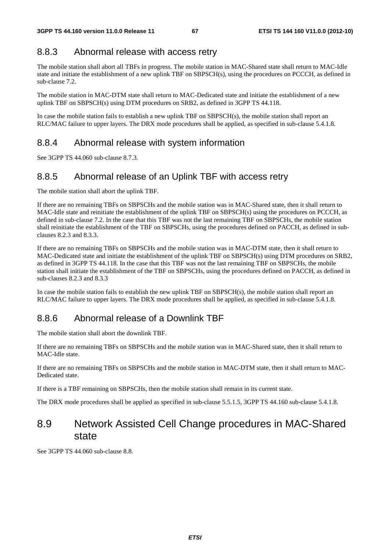## 8.8.3 Abnormal release with access retry

The mobile station shall abort all TBFs in progress. The mobile station in MAC-Shared state shall return to MAC-Idle state and initiate the establishment of a new uplink TBF on SBPSCH(s), using the procedures on PCCCH, as defined in sub-clause 7.2.

The mobile station in MAC-DTM state shall return to MAC-Dedicated state and initiate the establishment of a new uplink TBF on SBPSCH(s) using DTM procedures on SRB2, as defined in 3GPP TS 44.118.

In case the mobile station fails to establish a new uplink TBF on SBPSCH(s), the mobile station shall report an RLC/MAC failure to upper layers. The DRX mode procedures shall be applied, as specified in sub-clause 5.4.1.8.

## 8.8.4 Abnormal release with system information

See 3GPP TS 44.060 sub-clause 8.7.3.

## 8.8.5 Abnormal release of an Uplink TBF with access retry

The mobile station shall abort the uplink TBF.

If there are no remaining TBFs on SBPSCHs and the mobile station was in MAC-Shared state, then it shall return to MAC-Idle state and reinitiate the establishment of the uplink TBF on SBPSCH(s) using the procedures on PCCCH, as defined in sub-clause 7.2. In the case that this TBF was not the last remaining TBF on SBPSCHs, the mobile station shall reinitiate the establishment of the TBF on SBPSCHs, using the procedures defined on PACCH, as defined in subclauses 8.2.3 and 8.3.3.

If there are no remaining TBFs on SBPSCHs and the mobile station was in MAC-DTM state, then it shall return to MAC-Dedicated state and initiate the establishment of the uplink TBF on SBPSCH(s) using DTM procedures on SRB2, as defined in 3GPP TS 44.118. In the case that this TBF was not the last remaining TBF on SBPSCHs, the mobile station shall initiate the establishment of the TBF on SBPSCHs, using the procedures defined on PACCH, as defined in sub-clauses 8.2.3 and 8.3.3

In case the mobile station fails to establish the new uplink TBF on SBPSCH(s), the mobile station shall report an RLC/MAC failure to upper layers. The DRX mode procedures shall be applied, as specified in sub-clause 5.4.1.8.

# 8.8.6 Abnormal release of a Downlink TBF

The mobile station shall abort the downlink TBF.

If there are no remaining TBFs on SBPSCHs and the mobile station was in MAC-Shared state, then it shall return to MAC-Idle state.

If there are no remaining TBFs on SBPSCHs and the mobile station in MAC-DTM state, then it shall return to MAC-Dedicated state.

If there is a TBF remaining on SBPSCHs, then the mobile station shall remain in its current state.

The DRX mode procedures shall be applied as specified in sub-clause 5.5.1.5, 3GPP TS 44.160 sub-clause 5.4.1.8.

# 8.9 Network Assisted Cell Change procedures in MAC-Shared state

See 3GPP TS 44.060 sub-clause 8.8.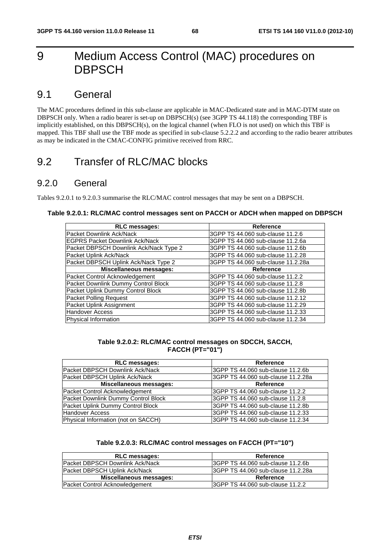# 9 Medium Access Control (MAC) procedures on **DBPSCH**

# 9.1 General

The MAC procedures defined in this sub-clause are applicable in MAC-Dedicated state and in MAC-DTM state on DBPSCH only. When a radio bearer is set-up on DBPSCH(s) (see 3GPP TS 44.118) the corresponding TBF is implicitly established, on this DBPSCH(s), on the logical channel (when FLO is not used) on which this TBF is mapped. This TBF shall use the TBF mode as specified in sub-clause 5.2.2.2 and according to the radio bearer attributes as may be indicated in the CMAC-CONFIG primitive received from RRC.

# 9.2 Transfer of RLC/MAC blocks

## 9.2.0 General

Tables 9.2.0.1 to 9.2.0.3 summarise the RLC/MAC control messages that may be sent on a DBPSCH.

| <b>RLC messages:</b>                   | Reference                          |
|----------------------------------------|------------------------------------|
| Packet Downlink Ack/Nack               | 3GPP TS 44.060 sub-clause 11.2.6   |
| <b>EGPRS Packet Downlink Ack/Nack</b>  | 3GPP TS 44.060 sub-clause 11.2.6a  |
| Packet DBPSCH Downlink Ack/Nack Type 2 | 3GPP TS 44.060 sub-clause 11.2.6b  |
| Packet Uplink Ack/Nack                 | 3GPP TS 44.060 sub-clause 11.2.28  |
| Packet DBPSCH Uplink Ack/Nack Type 2   | 3GPP TS 44.060 sub-clause 11.2.28a |
| <b>Miscellaneous messages:</b>         | <b>Reference</b>                   |
| Packet Control Acknowledgement         | 3GPP TS 44.060 sub-clause 11.2.2   |
| Packet Downlink Dummy Control Block    | 3GPP TS 44.060 sub-clause 11.2.8   |
| Packet Uplink Dummy Control Block      | 3GPP TS 44.060 sub-clause 11.2.8b  |
| <b>Packet Polling Request</b>          | 3GPP TS 44.060 sub-clause 11.2.12  |
| Packet Uplink Assignment               | 3GPP TS 44.060 sub-clause 11.2.29  |
| Handover Access                        | 3GPP TS 44.060 sub-clause 11.2.33  |
| Physical Information                   | 3GPP TS 44.060 sub-clause 11.2.34  |

**Table 9.2.0.2: RLC/MAC control messages on SDCCH, SACCH, FACCH (PT="01")** 

| <b>RLC messages:</b>                | Reference                          |
|-------------------------------------|------------------------------------|
| Packet DBPSCH Downlink Ack/Nack     | 3GPP TS 44.060 sub-clause 11.2.6b  |
| Packet DBPSCH Uplink Ack/Nack       | 3GPP TS 44.060 sub-clause 11.2.28a |
| <b>Miscellaneous messages:</b>      | Reference                          |
| Packet Control Acknowledgement      | 3GPP TS 44.060 sub-clause 11.2.2   |
| Packet Downlink Dummy Control Block | 3GPP TS 44.060 sub-clause 11.2.8   |
| Packet Uplink Dummy Control Block   | I3GPP TS 44.060 sub-clause 11.2.8b |
| <b>Handover Access</b>              | 3GPP TS 44.060 sub-clause 11.2.33  |
| Physical Information (not on SACCH) | 3GPP TS 44.060 sub-clause 11.2.34  |

|  | Table 9.2.0.3: RLC/MAC control messages on FACCH (PT="10") |
|--|------------------------------------------------------------|
|--|------------------------------------------------------------|

| <b>RLC messages:</b>                    | Reference                           |
|-----------------------------------------|-------------------------------------|
| <b>IPacket DBPSCH Downlink Ack/Nack</b> | 13GPP TS 44.060 sub-clause 11.2.6b  |
| <b>Packet DBPSCH Uplink Ack/Nack</b>    | 13GPP TS 44.060 sub-clause 11.2.28a |
| Miscellaneous messages:                 | Reference                           |
| Packet Control Acknowledgement          | 3GPP TS 44.060 sub-clause 11.2.2    |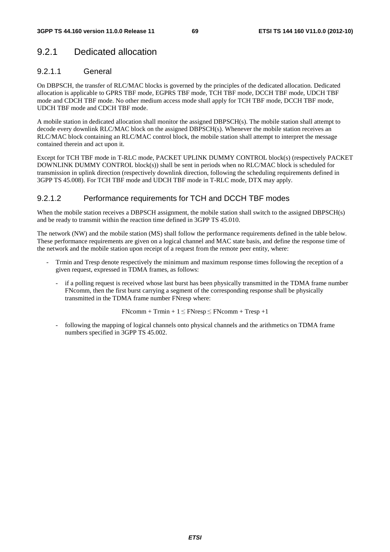# 9.2.1 Dedicated allocation

## 9.2.1.1 General

On DBPSCH, the transfer of RLC/MAC blocks is governed by the principles of the dedicated allocation. Dedicated allocation is applicable to GPRS TBF mode, EGPRS TBF mode, TCH TBF mode, DCCH TBF mode, UDCH TBF mode and CDCH TBF mode. No other medium access mode shall apply for TCH TBF mode, DCCH TBF mode, UDCH TBF mode and CDCH TBF mode.

A mobile station in dedicated allocation shall monitor the assigned DBPSCH(s). The mobile station shall attempt to decode every downlink RLC/MAC block on the assigned DBPSCH(s). Whenever the mobile station receives an RLC/MAC block containing an RLC/MAC control block, the mobile station shall attempt to interpret the message contained therein and act upon it.

Except for TCH TBF mode in T-RLC mode, PACKET UPLINK DUMMY CONTROL block(s) (respectively PACKET DOWNLINK DUMMY CONTROL block(s)) shall be sent in periods when no RLC/MAC block is scheduled for transmission in uplink direction (respectively downlink direction, following the scheduling requirements defined in 3GPP TS 45.008). For TCH TBF mode and UDCH TBF mode in T-RLC mode, DTX may apply.

## 9.2.1.2 Performance requirements for TCH and DCCH TBF modes

When the mobile station receives a DBPSCH assignment, the mobile station shall switch to the assigned DBPSCH(s) and be ready to transmit within the reaction time defined in 3GPP TS 45.010.

The network (NW) and the mobile station (MS) shall follow the performance requirements defined in the table below. These performance requirements are given on a logical channel and MAC state basis, and define the response time of the network and the mobile station upon receipt of a request from the remote peer entity, where:

- Trmin and Tresp denote respectively the minimum and maximum response times following the reception of a given request, expressed in TDMA frames, as follows:
	- if a polling request is received whose last burst has been physically transmitted in the TDMA frame number FNcomm, then the first burst carrying a segment of the corresponding response shall be physically transmitted in the TDMA frame number FNresp where:

 $FNcomm + Trmin + 1 \leq FNresp \leq FNcomm + Tresp +1$ 

following the mapping of logical channels onto physical channels and the arithmetics on TDMA frame numbers specified in 3GPP TS 45.002.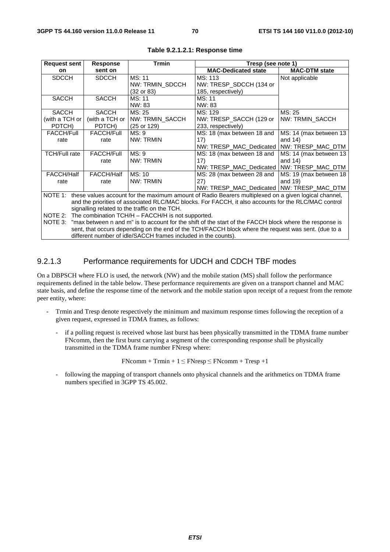| <b>Request sent</b>                                                                                                                                                   | <b>Response</b>   | <b>Trmin</b>           | Tresp (see note 1)                                                                                   |                         |
|-----------------------------------------------------------------------------------------------------------------------------------------------------------------------|-------------------|------------------------|------------------------------------------------------------------------------------------------------|-------------------------|
| on                                                                                                                                                                    | sent on           |                        | <b>MAC-Dedicated state</b>                                                                           | <b>MAC-DTM state</b>    |
| <b>SDCCH</b>                                                                                                                                                          | <b>SDCCH</b>      | MS: 11                 | MS: 113                                                                                              | Not applicable          |
|                                                                                                                                                                       |                   | NW: TRMIN_SDCCH        | NW: TRESP_SDCCH (134 or                                                                              |                         |
|                                                                                                                                                                       |                   | (32 or 83)             | 185, respectively)                                                                                   |                         |
| <b>SACCH</b>                                                                                                                                                          | <b>SACCH</b>      | MS: 11                 | MS: 11                                                                                               |                         |
|                                                                                                                                                                       |                   | NW: 83                 | NW: 83                                                                                               |                         |
| <b>SACCH</b>                                                                                                                                                          | <b>SACCH</b>      | MS: 25                 | MS: 129                                                                                              | MS: 25                  |
| (with a TCH or                                                                                                                                                        | (with a TCH or    | NW: TRMIN_SACCH        | NW: TRESP_SACCH (129 or                                                                              | NW: TRMIN_SACCH         |
| PDTCH)                                                                                                                                                                | PDTCH)            | $(25 \text{ or } 129)$ | 233, respectively)                                                                                   |                         |
| <b>FACCH/Full</b>                                                                                                                                                     | <b>FACCH/Full</b> | MS: 9                  | MS: 18 (max between 18 and                                                                           | MS: 14 (max between 13) |
| rate                                                                                                                                                                  | rate              | NW: TRMIN              | 17)                                                                                                  | and $14$ )              |
|                                                                                                                                                                       |                   |                        | NW: TRESP_MAC_Dedicated   NW: TRESP_MAC_DTM                                                          |                         |
| <b>TCH/Full rate</b>                                                                                                                                                  | <b>FACCH/Full</b> | MS: 9                  | MS: 18 (max between 18 and                                                                           | MS: 14 (max between 13  |
|                                                                                                                                                                       | rate              | NW: TRMIN              | 17)                                                                                                  | and $14$ )              |
|                                                                                                                                                                       |                   |                        | NW: TRESP MAC Dedicated INW: TRESP MAC DTM                                                           |                         |
| FACCH/Half                                                                                                                                                            | <b>FACCH/Half</b> | MS: 10                 | MS: 28 (max between 28 and                                                                           | MS: 19 (max between 18  |
| rate                                                                                                                                                                  | rate              | NW: TRMIN              | 27)                                                                                                  | and $19$ )              |
|                                                                                                                                                                       |                   |                        | NW: TRESP_MAC_Dedicated   NW: TRESP_MAC_DTM                                                          |                         |
| NOTE 1:<br>these values account for the maximum amount of Radio Bearers multiplexed on a given logical channel,                                                       |                   |                        |                                                                                                      |                         |
|                                                                                                                                                                       |                   |                        | and the priorities of associated RLC/MAC blocks. For FACCH, it also accounts for the RLC/MAC control |                         |
| signalling related to the traffic on the TCH.                                                                                                                         |                   |                        |                                                                                                      |                         |
| NOTE 2: The combination TCH/H - FACCH/H is not supported.                                                                                                             |                   |                        |                                                                                                      |                         |
| NOTE 3:<br>"max between n and m" is to account for the shift of the start of the FACCH block where the response is                                                    |                   |                        |                                                                                                      |                         |
| sent, that occurs depending on the end of the TCH/FACCH block where the request was sent. (due to a<br>different number of idle/SACCH frames included in the counts). |                   |                        |                                                                                                      |                         |

#### **Table 9.2.1.2.1: Response time**

## 9.2.1.3 Performance requirements for UDCH and CDCH TBF modes

On a DBPSCH where FLO is used, the network (NW) and the mobile station (MS) shall follow the performance requirements defined in the table below. These performance requirements are given on a transport channel and MAC state basis, and define the response time of the network and the mobile station upon receipt of a request from the remote peer entity, where:

- Trmin and Tresp denote respectively the minimum and maximum response times following the reception of a given request, expressed in TDMA frames, as follows:
	- if a polling request is received whose last burst has been physically transmitted in the TDMA frame number FNcomm, then the first burst carrying a segment of the corresponding response shall be physically transmitted in the TDMA frame number FNresp where:

 $FNcomm + Trmin + 1 \leq FNresp \leq FNcomm + Tresp +1$ 

following the mapping of transport channels onto physical channels and the arithmetics on TDMA frame numbers specified in 3GPP TS 45.002.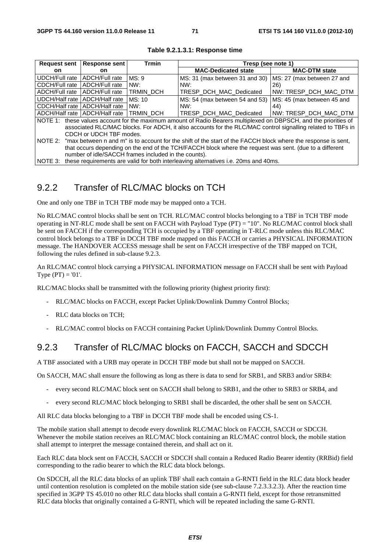| <b>Request sent</b>                                                                                                   | <b>Response sent</b> | <b>Trmin</b> | Tresp (see note 1)             |                            |  |
|-----------------------------------------------------------------------------------------------------------------------|----------------------|--------------|--------------------------------|----------------------------|--|
| <b>on</b>                                                                                                             | on.                  |              | <b>MAC-Dedicated state</b>     | <b>MAC-DTM state</b>       |  |
| UDCH/Full rate                                                                                                        | ADCH/Full rate       | MS: 9        | MS: 31 (max between 31 and 30) | MS: 27 (max between 27 and |  |
| l CDCH/Full rate                                                                                                      | ADCH/Full rate       | NW:          | NW:                            | 26)                        |  |
| l ADCH/Full rate                                                                                                      | ADCH/Full rate       | TRMIN DCH    | TRESP DCH MAC Dedicated        | NW: TRESP DCH MAC DTM      |  |
| UDCH/Half rate   ADCH/Half rate                                                                                       |                      | MS: 10       | MS: 54 (max between 54 and 53) | MS: 45 (max between 45 and |  |
| l CDCH/Half rate   ADCH/Half rate                                                                                     |                      | NW:          | NW:                            | 44)                        |  |
| l ADCH/Half rate   ADCH/Half rate                                                                                     |                      | TRMIN DCH    | TRESP DCH MAC Dedicated        | INW:TRESP DCH MAC DTM      |  |
| NOTE 1: these values account for the maximum amount of Radio Bearers multiplexed on DBPSCH, and the priorities of     |                      |              |                                |                            |  |
| associated RLC/MAC blocks. For ADCH, it also accounts for the RLC/MAC control signalling related to TBFs in           |                      |              |                                |                            |  |
| CDCH or UDCH TBF modes.                                                                                               |                      |              |                                |                            |  |
| NOTE 2: "max between n and m" is to account for the shift of the start of the FACCH block where the response is sent, |                      |              |                                |                            |  |
| that occurs depending on the end of the TCH/FACCH block where the request was sent. (due to a different               |                      |              |                                |                            |  |
| number of idle/SACCH frames included in the counts).                                                                  |                      |              |                                |                            |  |
| NOTE 3: these requirements are valid for both interleaving alternatives i.e. 20ms and 40ms.                           |                      |              |                                |                            |  |

**Table 9.2.1.3.1: Response time** 

# 9.2.2 Transfer of RLC/MAC blocks on TCH

One and only one TBF in TCH TBF mode may be mapped onto a TCH.

No RLC/MAC control blocks shall be sent on TCH. RLC/MAC control blocks belonging to a TBF in TCH TBF mode operating in NT-RLC mode shall be sent on FACCH with Payload Type (PT) = "10". No RLC/MAC control block shall be sent on FACCH if the corresponding TCH is occupied by a TBF operating in T-RLC mode unless this RLC/MAC control block belongs to a TBF in DCCH TBF mode mapped on this FACCH or carries a PHYSICAL INFORMATION message. The HANDOVER ACCESS message shall be sent on FACCH irrespective of the TBF mapped on TCH, following the rules defined in sub-clause 9.2.3.

An RLC/MAC control block carrying a PHYSICAL INFORMATION message on FACCH shall be sent with Payload Type  $(PT) = '01'.$ 

RLC/MAC blocks shall be transmitted with the following priority (highest priority first):

- RLC/MAC blocks on FACCH, except Packet Uplink/Downlink Dummy Control Blocks;
- RLC data blocks on TCH:
- RLC/MAC control blocks on FACCH containing Packet Uplink/Downlink Dummy Control Blocks.

## 9.2.3 Transfer of RLC/MAC blocks on FACCH, SACCH and SDCCH

A TBF associated with a URB may operate in DCCH TBF mode but shall not be mapped on SACCH.

On SACCH, MAC shall ensure the following as long as there is data to send for SRB1, and SRB3 and/or SRB4:

- every second RLC/MAC block sent on SACCH shall belong to SRB1, and the other to SRB3 or SRB4, and
- every second RLC/MAC block belonging to SRB1 shall be discarded, the other shall be sent on SACCH.

All RLC data blocks belonging to a TBF in DCCH TBF mode shall be encoded using CS-1.

The mobile station shall attempt to decode every downlink RLC/MAC block on FACCH, SACCH or SDCCH. Whenever the mobile station receives an RLC/MAC block containing an RLC/MAC control block, the mobile station shall attempt to interpret the message contained therein, and shall act on it.

Each RLC data block sent on FACCH, SACCH or SDCCH shall contain a Reduced Radio Bearer identity (RRBid) field corresponding to the radio bearer to which the RLC data block belongs.

On SDCCH, all the RLC data blocks of an uplink TBF shall each contain a G-RNTI field in the RLC data block header until contention resolution is completed on the mobile station side (see sub-clause 7.2.3.3.2.3). After the reaction time specified in 3GPP TS 45.010 no other RLC data blocks shall contain a G-RNTI field, except for those retransmitted RLC data blocks that originally contained a G-RNTI, which will be repeated including the same G-RNTI.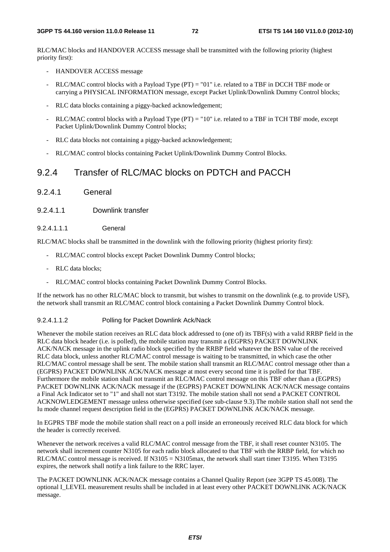RLC/MAC blocks and HANDOVER ACCESS message shall be transmitted with the following priority (highest priority first):

- HANDOVER ACCESS message
- RLC/MAC control blocks with a Payload Type  $(PT) = "01"$  i.e. related to a TBF in DCCH TBF mode or carrying a PHYSICAL INFORMATION message, except Packet Uplink/Downlink Dummy Control blocks;
- RLC data blocks containing a piggy-backed acknowledgement;
- RLC/MAC control blocks with a Payload Type  $(PT) = "10"$  i.e. related to a TBF in TCH TBF mode, except Packet Uplink/Downlink Dummy Control blocks;
- RLC data blocks not containing a piggy-backed acknowledgement;
- RLC/MAC control blocks containing Packet Uplink/Downlink Dummy Control Blocks.

## 9.2.4 Transfer of RLC/MAC blocks on PDTCH and PACCH

9.2.4.1 General

#### 9.2.4.1.1 Downlink transfer

9.2.4.1.1 General

RLC/MAC blocks shall be transmitted in the downlink with the following priority (highest priority first):

- RLC/MAC control blocks except Packet Downlink Dummy Control blocks;
- RLC data blocks;
- RLC/MAC control blocks containing Packet Downlink Dummy Control Blocks.

If the network has no other RLC/MAC block to transmit, but wishes to transmit on the downlink (e.g. to provide USF), the network shall transmit an RLC/MAC control block containing a Packet Downlink Dummy Control block.

#### 9.2.4.1.1.2 Polling for Packet Downlink Ack/Nack

Whenever the mobile station receives an RLC data block addressed to (one of) its TBF(s) with a valid RRBP field in the RLC data block header (i.e. is polled), the mobile station may transmit a (EGPRS) PACKET DOWNLINK ACK/NACK message in the uplink radio block specified by the RRBP field whatever the BSN value of the received RLC data block, unless another RLC/MAC control message is waiting to be transmitted, in which case the other RLC/MAC control message shall be sent. The mobile station shall transmit an RLC/MAC control message other than a (EGPRS) PACKET DOWNLINK ACK/NACK message at most every second time it is polled for that TBF. Furthermore the mobile station shall not transmit an RLC/MAC control message on this TBF other than a (EGPRS) PACKET DOWNLINK ACK/NACK message if the (EGPRS) PACKET DOWNLINK ACK/NACK message contains a Final Ack Indicator set to "1" and shall not start T3192. The mobile station shall not send a PACKET CONTROL ACKNOWLEDGEMENT message unless otherwise specified (see sub-clause 9.3).The mobile station shall not send the Iu mode channel request description field in the (EGPRS) PACKET DOWNLINK ACK/NACK message.

In EGPRS TBF mode the mobile station shall react on a poll inside an erroneously received RLC data block for which the header is correctly received.

Whenever the network receives a valid RLC/MAC control message from the TBF, it shall reset counter N3105. The network shall increment counter N3105 for each radio block allocated to that TBF with the RRBP field, for which no RLC/MAC control message is received. If N3105 = N3105max, the network shall start timer T3195. When T3195 expires, the network shall notify a link failure to the RRC layer.

The PACKET DOWNLINK ACK/NACK message contains a Channel Quality Report (see 3GPP TS 45.008). The optional I\_LEVEL measurement results shall be included in at least every other PACKET DOWNLINK ACK/NACK message.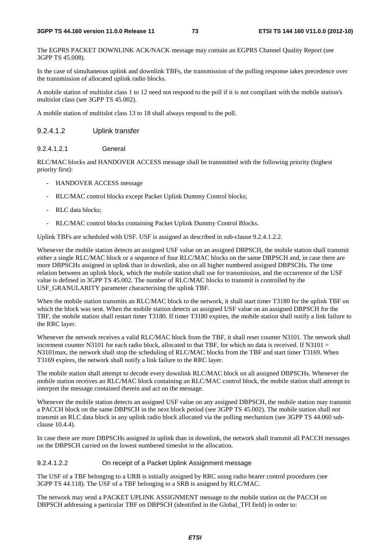The EGPRS PACKET DOWNLINK ACK/NACK message may contain an EGPRS Channel Quality Report (see 3GPP TS 45.008).

In the case of simultaneous uplink and downlink TBFs, the transmission of the polling response takes precedence over the transmission of allocated uplink radio blocks.

A mobile station of multislot class 1 to 12 need not respond to the poll if it is not compliant with the mobile station's multislot class (see 3GPP TS 45.002).

A mobile station of multislot class 13 to 18 shall always respond to the poll.

#### 9.2.4.1.2 Uplink transfer

9.2.4.1.2.1 General

RLC/MAC blocks and HANDOVER ACCESS message shall be transmitted with the following priority (highest priority first):

- HANDOVER ACCESS message
- RLC/MAC control blocks except Packet Uplink Dummy Control blocks;
- RLC data blocks;
- RLC/MAC control blocks containing Packet Uplink Dummy Control Blocks.

Uplink TBFs are scheduled with USF. USF is assigned as described in sub-clause 9.2.4.1.2.2.

Whenever the mobile station detects an assigned USF value on an assigned DBPSCH, the mobile station shall transmit either a single RLC/MAC block or a sequence of four RLC/MAC blocks on the same DBPSCH and, in case there are more DBPSCHs assigned in uplink than in downlink, also on all higher numbered assigned DBPSCHs. The time relation between an uplink block, which the mobile station shall use for transmission, and the occurrence of the USF value is defined in 3GPP TS 45.002. The number of RLC/MAC blocks to transmit is controlled by the USF\_GRANULARITY parameter characterising the uplink TBF.

When the mobile station transmits an RLC/MAC block to the network, it shall start timer T3180 for the uplink TBF on which the block was sent. When the mobile station detects an assigned USF value on an assigned DBPSCH for the TBF, the mobile station shall restart timer T3180. If timer T3180 expires, the mobile station shall notify a link failure to the RRC layer.

Whenever the network receives a valid RLC/MAC block from the TBF, it shall reset counter N3101. The network shall increment counter N3101 for each radio block, allocated to that TBF, for which no data is received. If N3101  $=$ N3101max, the network shall stop the scheduling of RLC/MAC blocks from the TBF and start timer T3169. When T3169 expires, the network shall notify a link failure to the RRC layer.

The mobile station shall attempt to decode every downlink RLC/MAC block on all assigned DBPSCHs. Whenever the mobile station receives an RLC/MAC block containing an RLC/MAC control block, the mobile station shall attempt to interpret the message contained therein and act on the message.

Whenever the mobile station detects an assigned USF value on any assigned DBPSCH, the mobile station may transmit a PACCH block on the same DBPSCH in the next block period (see 3GPP TS 45.002). The mobile station shall not transmit an RLC data block in any uplink radio block allocated via the polling mechanism (see 3GPP TS 44.060 subclause 10.4.4).

In case there are more DBPSCHs assigned in uplink than in downlink, the network shall transmit all PACCH messages on the DBPSCH carried on the lowest numbered timeslot in the allocation.

#### 9.2.4.1.2.2 On receipt of a Packet Uplink Assignment message

The USF of a TBF belonging to a URB is initially assigned by RRC using radio bearer control procedures (see 3GPP TS 44.118). The USF of a TBF belonging to a SRB is assigned by RLC/MAC.

The network may send a PACKET UPLINK ASSIGNMENT message to the mobile station on the PACCH on DBPSCH addressing a particular TBF on DBPSCH (identified in the Global\_TFI field) in order to: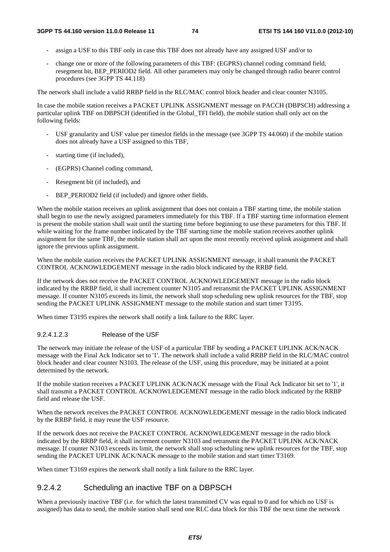- assign a USF to this TBF only in case this TBF does not already have any assigned USF and/or to
- change one or more of the following parameters of this TBF: (EGPRS) channel coding command field, resegment bit, BEP\_PERIOD2 field. All other parameters may only be changed through radio bearer control procedures (see 3GPP TS 44.118)

The network shall include a valid RRBP field in the RLC/MAC control block header and clear counter N3105.

In case the mobile station receives a PACKET UPLINK ASSIGNMENT message on PACCH (DBPSCH) addressing a particular uplink TBF on DBPSCH (identified in the Global\_TFI field), the mobile station shall only act on the following fields:

- USF granularity and USF value per timeslot fields in the message (see 3GPP TS 44.060) if the mobile station does not already have a USF assigned to this TBF,
- starting time (if included),
- (EGPRS) Channel coding command,
- Resegment bit (if included), and
- BEP\_PERIOD2 field (if included) and ignore other fields.

When the mobile station receives an uplink assignment that does not contain a TBF starting time, the mobile station shall begin to use the newly assigned parameters immediately for this TBF. If a TBF starting time information element is present the mobile station shall wait until the starting time before beginning to use these parameters for this TBF. If while waiting for the frame number indicated by the TBF starting time the mobile station receives another uplink assignment for the same TBF, the mobile station shall act upon the most recently received uplink assignment and shall ignore the previous uplink assignment.

When the mobile station receives the PACKET UPLINK ASSIGNMENT message, it shall transmit the PACKET CONTROL ACKNOWLEDGEMENT message in the radio block indicated by the RRBP field.

If the network does not receive the PACKET CONTROL ACKNOWLEDGEMENT message in the radio block indicated by the RRBP field, it shall increment counter N3105 and retransmit the PACKET UPLINK ASSIGNMENT message. If counter N3105 exceeds its limit, the network shall stop scheduling new uplink resources for the TBF, stop sending the PACKET UPLINK ASSIGNMENT message to the mobile station and start timer T3195.

When timer T3195 expires the network shall notify a link failure to the RRC layer.

#### 9.2.4.1.2.3 Release of the USF

The network may initiate the release of the USF of a particular TBF by sending a PACKET UPLINK ACK/NACK message with the Final Ack Indicator set to '1'. The network shall include a valid RRBP field in the RLC/MAC control block header and clear counter N3103. The release of the USF, using this procedure, may be initiated at a point determined by the network.

If the mobile station receives a PACKET UPLINK ACK/NACK message with the Final Ack Indicator bit set to '1', it shall transmit a PACKET CONTROL ACKNOWLEDGEMENT message in the radio block indicated by the RRBP field and release the USF.

When the network receives the PACKET CONTROL ACKNOWLEDGEMENT message in the radio block indicated by the RRBP field, it may reuse the USF resource.

If the network does not receive the PACKET CONTROL ACKNOWLEDGEMENT message in the radio block indicated by the RRBP field, it shall increment counter N3103 and retransmit the PACKET UPLINK ACK/NACK message. If counter N3103 exceeds its limit, the network shall stop scheduling new uplink resources for the TBF, stop sending the PACKET UPLINK ACK/NACK message to the mobile station and start timer T3169.

When timer T3169 expires the network shall notify a link failure to the RRC layer.

## 9.2.4.2 Scheduling an inactive TBF on a DBPSCH

When a previously inactive TBF (i.e. for which the latest transmitted CV was equal to 0 and for which no USF is assigned) has data to send, the mobile station shall send one RLC data block for this TBF the next time the network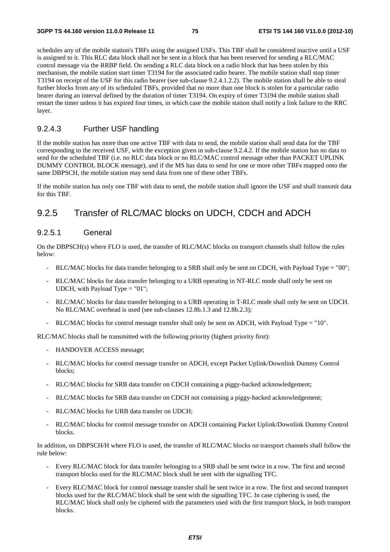schedules any of the mobile station's TBFs using the assigned USFs. This TBF shall be considered inactive until a USF is assigned to it. This RLC data block shall not be sent in a block that has been reserved for sending a RLC/MAC control message via the RRBP field. On sending a RLC data block on a radio block that has been stolen by this mechanism, the mobile station start timer T3194 for the associated radio bearer. The mobile station shall stop timer T3194 on receipt of the USF for this radio bearer (see sub-clause 9.2.4.1.2.2). The mobile station shall be able to steal further blocks from any of its scheduled TBFs, provided that no more than one block is stolen for a particular radio bearer during an interval defined by the duration of timer T3194. On expiry of timer T3194 the mobile station shall restart the timer unless it has expired four times, in which case the mobile station shall notify a link failure to the RRC layer.

#### 9.2.4.3 Further USF handling

If the mobile station has more than one active TBF with data to send, the mobile station shall send data for the TBF corresponding to the received USF, with the exception given in sub-clause 9.2.4.2. If the mobile station has no data to send for the scheduled TBF (i.e. no RLC data block or no RLC/MAC control message other than PACKET UPLINK DUMMY CONTROL BLOCK message), and if the MS has data to send for one or more other TBFs mapped onto the same DBPSCH, the mobile station may send data from one of these other TBFs.

If the mobile station has only one TBF with data to send, the mobile station shall ignore the USF and shall transmit data for this TBF.

# 9.2.5 Transfer of RLC/MAC blocks on UDCH, CDCH and ADCH

#### 9.2.5.1 General

On the DBPSCH(s) where FLO is used, the transfer of RLC/MAC blocks on transport channels shall follow the rules below:

- RLC/MAC blocks for data transfer belonging to a SRB shall only be sent on CDCH, with Payload Type = "00";
- RLC/MAC blocks for data transfer belonging to a URB operating in NT-RLC mode shall only be sent on UDCH, with Payload Type = "01";
- RLC/MAC blocks for data transfer belonging to a URB operating in T-RLC mode shall only be sent on UDCH. No RLC/MAC overhead is used (see sub-clauses 12.8b.1.3 and 12.8b.2.3);
- RLC/MAC blocks for control message transfer shall only be sent on ADCH, with Payload Type = "10".

RLC/MAC blocks shall be transmitted with the following priority (highest priority first):

- HANDOVER ACCESS message;
- RLC/MAC blocks for control message transfer on ADCH, except Packet Uplink/Downlink Dummy Control blocks;
- RLC/MAC blocks for SRB data transfer on CDCH containing a piggy-backed acknowledgement;
- RLC/MAC blocks for SRB data transfer on CDCH not containing a piggy-backed acknowledgement;
- RLC/MAC blocks for URB data transfer on UDCH;
- RLC/MAC blocks for control message transfer on ADCH containing Packet Uplink/Downlink Dummy Control blocks.

In addition, on DBPSCH/H where FLO is used, the transfer of RLC/MAC blocks on transport channels shall follow the rule below:

- Every RLC/MAC block for data transfer belonging to a SRB shall be sent twice in a row. The first and second transport blocks used for the RLC/MAC block shall be sent with the signalling TFC.
- Every RLC/MAC block for control message transfer shall be sent twice in a row. The first and second transport blocks used for the RLC/MAC block shall be sent with the signalling TFC. In case ciphering is used, the RLC/MAC block shall only be ciphered with the parameters used with the first transport block, in both transport blocks.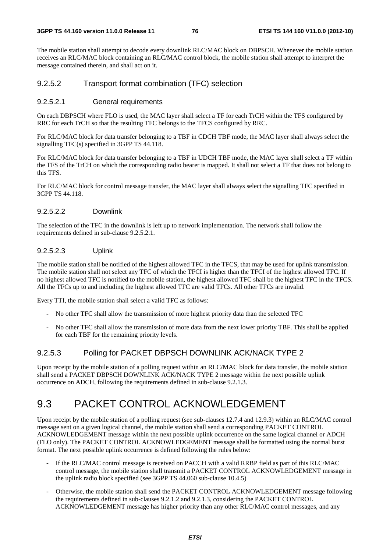The mobile station shall attempt to decode every downlink RLC/MAC block on DBPSCH. Whenever the mobile station receives an RLC/MAC block containing an RLC/MAC control block, the mobile station shall attempt to interpret the message contained therein, and shall act on it.

#### 9.2.5.2 Transport format combination (TFC) selection

#### 9.2.5.2.1 General requirements

On each DBPSCH where FLO is used, the MAC layer shall select a TF for each TrCH within the TFS configured by RRC for each TrCH so that the resulting TFC belongs to the TFCS configured by RRC.

For RLC/MAC block for data transfer belonging to a TBF in CDCH TBF mode, the MAC layer shall always select the signalling TFC(s) specified in 3GPP TS 44.118.

For RLC/MAC block for data transfer belonging to a TBF in UDCH TBF mode, the MAC layer shall select a TF within the TFS of the TrCH on which the corresponding radio bearer is mapped. It shall not select a TF that does not belong to this TFS.

For RLC/MAC block for control message transfer, the MAC layer shall always select the signalling TFC specified in 3GPP TS 44.118.

#### 9.2.5.2.2 Downlink

The selection of the TFC in the downlink is left up to network implementation. The network shall follow the requirements defined in sub-clause 9.2.5.2.1.

#### 9.2.5.2.3 Uplink

The mobile station shall be notified of the highest allowed TFC in the TFCS, that may be used for uplink transmission. The mobile station shall not select any TFC of which the TFCI is higher than the TFCI of the highest allowed TFC. If no highest allowed TFC is notified to the mobile station, the highest allowed TFC shall be the highest TFC in the TFCS. All the TFCs up to and including the highest allowed TFC are valid TFCs. All other TFCs are invalid.

Every TTI, the mobile station shall select a valid TFC as follows:

- No other TFC shall allow the transmission of more highest priority data than the selected TFC
- No other TFC shall allow the transmission of more data from the next lower priority TBF. This shall be applied for each TBF for the remaining priority levels.

#### 9.2.5.3 Polling for PACKET DBPSCH DOWNLINK ACK/NACK TYPE 2

Upon receipt by the mobile station of a polling request within an RLC/MAC block for data transfer, the mobile station shall send a PACKET DBPSCH DOWNLINK ACK/NACK TYPE 2 message within the next possible uplink occurrence on ADCH, following the requirements defined in sub-clause 9.2.1.3.

# 9.3 PACKET CONTROL ACKNOWLEDGEMENT

Upon receipt by the mobile station of a polling request (see sub-clauses 12.7.4 and 12.9.3) within an RLC/MAC control message sent on a given logical channel, the mobile station shall send a corresponding PACKET CONTROL ACKNOWLEDGEMENT message within the next possible uplink occurrence on the same logical channel or ADCH (FLO only). The PACKET CONTROL ACKNOWLEDGEMENT message shall be formatted using the normal burst format. The next possible uplink occurrence is defined following the rules below:

- If the RLC/MAC control message is received on PACCH with a valid RRBP field as part of this RLC/MAC control message, the mobile station shall transmit a PACKET CONTROL ACKNOWLEDGEMENT message in the uplink radio block specified (see 3GPP TS 44.060 sub-clause 10.4.5)
- Otherwise, the mobile station shall send the PACKET CONTROL ACKNOWLEDGEMENT message following the requirements defined in sub-clauses 9.2.1.2 and 9.2.1.3, considering the PACKET CONTROL ACKNOWLEDGEMENT message has higher priority than any other RLC/MAC control messages, and any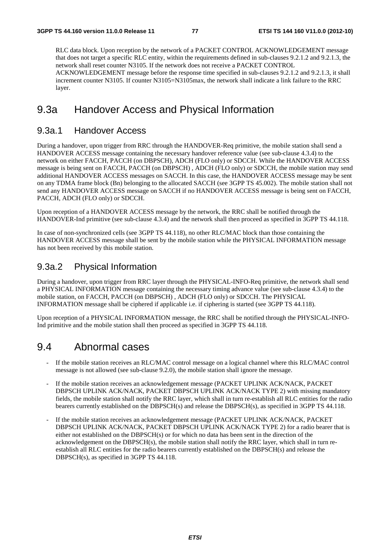RLC data block. Upon reception by the network of a PACKET CONTROL ACKNOWLEDGEMENT message that does not target a specific RLC entity, within the requirements defined in sub-clauses 9.2.1.2 and 9.2.1.3, the network shall reset counter N3105. If the network does not receive a PACKET CONTROL ACKNOWLEDGEMENT message before the response time specified in sub-clauses 9.2.1.2 and 9.2.1.3, it shall increment counter N3105. If counter N3105=N3105max, the network shall indicate a link failure to the RRC layer.

# 9.3a Handover Access and Physical Information

### 9.3a.1 Handover Access

During a handover, upon trigger from RRC through the HANDOVER-Req primitive, the mobile station shall send a HANDOVER ACCESS message containing the necessary handover reference value (see sub-clause 4.3.4) to the network on either FACCH, PACCH (on DBPSCH), ADCH (FLO only) or SDCCH. While the HANDOVER ACCESS message is being sent on FACCH, PACCH (on DBPSCH) , ADCH (FLO only) or SDCCH, the mobile station may send additional HANDOVER ACCESS messages on SACCH. In this case, the HANDOVER ACCESS message may be sent on any TDMA frame block (Bn) belonging to the allocated SACCH (see 3GPP TS 45.002). The mobile station shall not send any HANDOVER ACCESS message on SACCH if no HANDOVER ACCESS message is being sent on FACCH, PACCH, ADCH (FLO only) or SDCCH.

Upon reception of a HANDOVER ACCESS message by the network, the RRC shall be notified through the HANDOVER-Ind primitive (see sub-clause 4.3.4) and the network shall then proceed as specified in 3GPP TS 44.118.

In case of non-synchronized cells (see 3GPP TS 44.118), no other RLC/MAC block than those containing the HANDOVER ACCESS message shall be sent by the mobile station while the PHYSICAL INFORMATION message has not been received by this mobile station.

## 9.3a.2 Physical Information

During a handover, upon trigger from RRC layer through the PHYSICAL-INFO-Req primitive, the network shall send a PHYSICAL INFORMATION message containing the necessary timing advance value (see sub-clause 4.3.4) to the mobile station, on FACCH, PACCH (on DBPSCH) , ADCH (FLO only) or SDCCH. The PHYSICAL INFORMATION message shall be ciphered if applicable i.e. if ciphering is started (see 3GPP TS 44.118).

Upon reception of a PHYSICAL INFORMATION message, the RRC shall be notified through the PHYSICAL-INFO-Ind primitive and the mobile station shall then proceed as specified in 3GPP TS 44.118.

# 9.4 Abnormal cases

- If the mobile station receives an RLC/MAC control message on a logical channel where this RLC/MAC control message is not allowed (see sub-clause 9.2.0), the mobile station shall ignore the message.
- If the mobile station receives an acknowledgement message (PACKET UPLINK ACK/NACK, PACKET DBPSCH UPLINK ACK/NACK, PACKET DBPSCH UPLINK ACK/NACK TYPE 2) with missing mandatory fields, the mobile station shall notify the RRC layer, which shall in turn re-establish all RLC entities for the radio bearers currently established on the DBPSCH(s) and release the DBPSCH(s), as specified in 3GPP TS 44.118.
- If the mobile station receives an acknowledgement message (PACKET UPLINK ACK/NACK, PACKET DBPSCH UPLINK ACK/NACK, PACKET DBPSCH UPLINK ACK/NACK TYPE 2) for a radio bearer that is either not established on the DBPSCH(s) or for which no data has been sent in the direction of the acknowledgement on the DBPSCH(s), the mobile station shall notify the RRC layer, which shall in turn reestablish all RLC entities for the radio bearers currently established on the DBPSCH(s) and release the DBPSCH(s), as specified in 3GPP TS 44.118.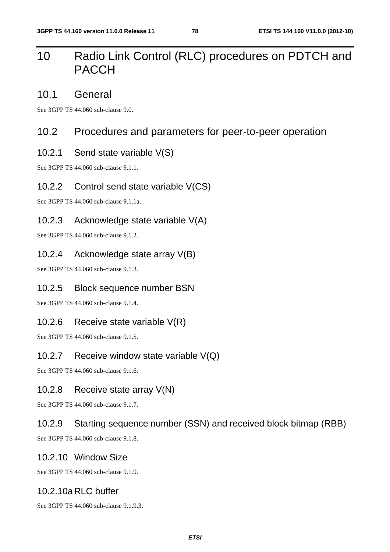# 10 Radio Link Control (RLC) procedures on PDTCH and PACCH

# 10.1 General

See 3GPP TS 44.060 sub-clause 9.0.

# 10.2 Procedures and parameters for peer-to-peer operation

## 10.2.1 Send state variable V(S)

See 3GPP TS 44.060 sub-clause 9.1.1.

## 10.2.2 Control send state variable V(CS)

See 3GPP TS 44.060 sub-clause 9.1.1a.

## 10.2.3 Acknowledge state variable V(A)

See 3GPP TS 44.060 sub-clause 9.1.2.

## 10.2.4 Acknowledge state array V(B)

See 3GPP TS 44.060 sub-clause 9.1.3.

## 10.2.5 Block sequence number BSN

See 3GPP TS 44.060 sub-clause 9.1.4.

## 10.2.6 Receive state variable V(R)

See 3GPP TS 44.060 sub-clause 9.1.5.

## 10.2.7 Receive window state variable V(Q)

See 3GPP TS 44.060 sub-clause 9.1.6.

## 10.2.8 Receive state array V(N)

See 3GPP TS 44.060 sub-clause 9.1.7.

# 10.2.9 Starting sequence number (SSN) and received block bitmap (RBB)

See 3GPP TS 44.060 sub-clause 9.1.8.

## 10.2.10 Window Size

See 3GPP TS 44.060 sub-clause 9.1.9.

## 10.2.10a RLC buffer

See 3GPP TS 44.060 sub-clause 9.1.9.3.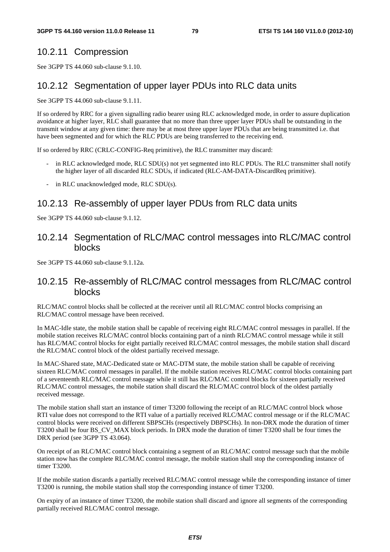## 10.2.11 Compression

See 3GPP TS 44.060 sub-clause 9.1.10.

## 10.2.12 Segmentation of upper layer PDUs into RLC data units

See 3GPP TS 44.060 sub-clause 9.1.11.

If so ordered by RRC for a given signalling radio bearer using RLC acknowledged mode, in order to assure duplication avoidance at higher layer, RLC shall guarantee that no more than three upper layer PDUs shall be outstanding in the transmit window at any given time: there may be at most three upper layer PDUs that are being transmitted i.e. that have been segmented and for which the RLC PDUs are being transferred to the receiving end.

If so ordered by RRC (CRLC-CONFIG-Req primitive), the RLC transmitter may discard:

- in RLC acknowledged mode, RLC SDU(s) not yet segmented into RLC PDUs. The RLC transmitter shall notify the higher layer of all discarded RLC SDUs, if indicated (RLC-AM-DATA-DiscardReq primitive).
- in RLC unacknowledged mode, RLC SDU(s).

## 10.2.13 Re-assembly of upper layer PDUs from RLC data units

See 3GPP TS 44.060 sub-clause 9.1.12.

## 10.2.14 Segmentation of RLC/MAC control messages into RLC/MAC control blocks

See 3GPP TS 44.060 sub-clause 9.1.12a.

## 10.2.15 Re-assembly of RLC/MAC control messages from RLC/MAC control blocks

RLC/MAC control blocks shall be collected at the receiver until all RLC/MAC control blocks comprising an RLC/MAC control message have been received.

In MAC-Idle state, the mobile station shall be capable of receiving eight RLC/MAC control messages in parallel. If the mobile station receives RLC/MAC control blocks containing part of a ninth RLC/MAC control message while it still has RLC/MAC control blocks for eight partially received RLC/MAC control messages, the mobile station shall discard the RLC/MAC control block of the oldest partially received message.

In MAC-Shared state, MAC-Dedicated state or MAC-DTM state, the mobile station shall be capable of receiving sixteen RLC/MAC control messages in parallel. If the mobile station receives RLC/MAC control blocks containing part of a seventeenth RLC/MAC control message while it still has RLC/MAC control blocks for sixteen partially received RLC/MAC control messages, the mobile station shall discard the RLC/MAC control block of the oldest partially received message.

The mobile station shall start an instance of timer T3200 following the receipt of an RLC/MAC control block whose RTI value does not correspond to the RTI value of a partially received RLC/MAC control message or if the RLC/MAC control blocks were received on different SBPSCHs (respectively DBPSCHs). In non-DRX mode the duration of timer T3200 shall be four BS\_CV\_MAX block periods. In DRX mode the duration of timer T3200 shall be four times the DRX period (see 3GPP TS 43.064).

On receipt of an RLC/MAC control block containing a segment of an RLC/MAC control message such that the mobile station now has the complete RLC/MAC control message, the mobile station shall stop the corresponding instance of timer T3200.

If the mobile station discards a partially received RLC/MAC control message while the corresponding instance of timer T3200 is running, the mobile station shall stop the corresponding instance of timer T3200.

On expiry of an instance of timer T3200, the mobile station shall discard and ignore all segments of the corresponding partially received RLC/MAC control message.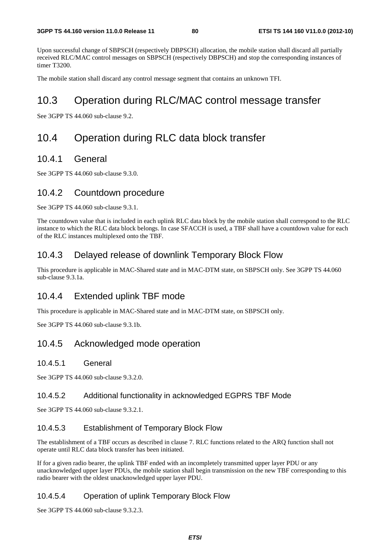Upon successful change of SBPSCH (respectively DBPSCH) allocation, the mobile station shall discard all partially received RLC/MAC control messages on SBPSCH (respectively DBPSCH) and stop the corresponding instances of timer T3200.

The mobile station shall discard any control message segment that contains an unknown TFI.

# 10.3 Operation during RLC/MAC control message transfer

See 3GPP TS 44.060 sub-clause 9.2.

# 10.4 Operation during RLC data block transfer

## 10.4.1 General

See 3GPP TS 44.060 sub-clause 9.3.0.

## 10.4.2 Countdown procedure

See 3GPP TS 44.060 sub-clause 9.3.1.

The countdown value that is included in each uplink RLC data block by the mobile station shall correspond to the RLC instance to which the RLC data block belongs. In case SFACCH is used, a TBF shall have a countdown value for each of the RLC instances multiplexed onto the TBF.

# 10.4.3 Delayed release of downlink Temporary Block Flow

This procedure is applicable in MAC-Shared state and in MAC-DTM state, on SBPSCH only. See 3GPP TS 44.060 sub-clause 9.3.1a.

## 10.4.4 Extended uplink TBF mode

This procedure is applicable in MAC-Shared state and in MAC-DTM state, on SBPSCH only.

See 3GPP TS 44.060 sub-clause 9.3.1b.

## 10.4.5 Acknowledged mode operation

#### 10.4.5.1 General

See 3GPP TS 44.060 sub-clause 9.3.2.0.

#### 10.4.5.2 Additional functionality in acknowledged EGPRS TBF Mode

See 3GPP TS 44.060 sub-clause 9.3.2.1.

#### 10.4.5.3 Establishment of Temporary Block Flow

The establishment of a TBF occurs as described in clause 7. RLC functions related to the ARQ function shall not operate until RLC data block transfer has been initiated.

If for a given radio bearer, the uplink TBF ended with an incompletely transmitted upper layer PDU or any unacknowledged upper layer PDUs, the mobile station shall begin transmission on the new TBF corresponding to this radio bearer with the oldest unacknowledged upper layer PDU.

#### 10.4.5.4 Operation of uplink Temporary Block Flow

See 3GPP TS 44.060 sub-clause 9.3.2.3.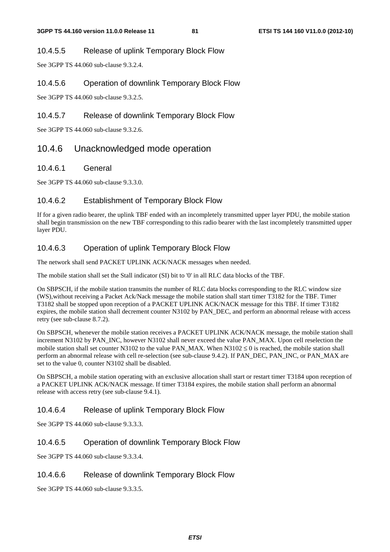#### 10.4.5.5 Release of uplink Temporary Block Flow

See 3GPP TS 44.060 sub-clause 9.3.2.4.

#### 10.4.5.6 Operation of downlink Temporary Block Flow

See 3GPP TS 44.060 sub-clause 9.3.2.5.

#### 10.4.5.7 Release of downlink Temporary Block Flow

See 3GPP TS 44.060 sub-clause 9.3.2.6.

# 10.4.6 Unacknowledged mode operation

#### 10.4.6.1 General

See 3GPP TS 44.060 sub-clause 9.3.3.0.

#### 10.4.6.2 Establishment of Temporary Block Flow

If for a given radio bearer, the uplink TBF ended with an incompletely transmitted upper layer PDU, the mobile station shall begin transmission on the new TBF corresponding to this radio bearer with the last incompletely transmitted upper layer PDU.

## 10.4.6.3 Operation of uplink Temporary Block Flow

The network shall send PACKET UPLINK ACK/NACK messages when needed.

The mobile station shall set the Stall indicator (SI) bit to '0' in all RLC data blocks of the TBF.

On SBPSCH, if the mobile station transmits the number of RLC data blocks corresponding to the RLC window size (WS),without receiving a Packet Ack/Nack message the mobile station shall start timer T3182 for the TBF. Timer T3182 shall be stopped upon reception of a PACKET UPLINK ACK/NACK message for this TBF. If timer T3182 expires, the mobile station shall decrement counter N3102 by PAN\_DEC, and perform an abnormal release with access retry (see sub-clause 8.7.2).

On SBPSCH, whenever the mobile station receives a PACKET UPLINK ACK/NACK message, the mobile station shall increment N3102 by PAN\_INC, however N3102 shall never exceed the value PAN\_MAX. Upon cell reselection the mobile station shall set counter N3102 to the value PAN\_MAX. When N3102  $\leq$  0 is reached, the mobile station shall perform an abnormal release with cell re-selection (see sub-clause 9.4.2). If PAN\_DEC, PAN\_INC, or PAN\_MAX are set to the value 0, counter N3102 shall be disabled.

On SBPSCH, a mobile station operating with an exclusive allocation shall start or restart timer T3184 upon reception of a PACKET UPLINK ACK/NACK message. If timer T3184 expires, the mobile station shall perform an abnormal release with access retry (see sub-clause 9.4.1).

#### 10.4.6.4 Release of uplink Temporary Block Flow

See 3GPP TS 44.060 sub-clause 9.3.3.3.

#### 10.4.6.5 Operation of downlink Temporary Block Flow

See 3GPP TS 44.060 sub-clause 9.3.3.4.

#### 10.4.6.6 Release of downlink Temporary Block Flow

See 3GPP TS 44.060 sub-clause 9.3.3.5.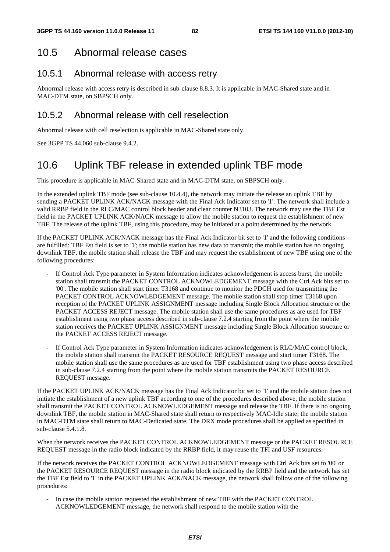# 10.5 Abnormal release cases

## 10.5.1 Abnormal release with access retry

Abnormal release with access retry is described in sub-clause 8.8.3. It is applicable in MAC-Shared state and in MAC-DTM state, on SBPSCH only.

# 10.5.2 Abnormal release with cell reselection

Abnormal release with cell reselection is applicable in MAC-Shared state only.

See 3GPP TS 44.060 sub-clause 9.4.2.

# 10.6 Uplink TBF release in extended uplink TBF mode

This procedure is applicable in MAC-Shared state and in MAC-DTM state, on SBPSCH only.

In the extended uplink TBF mode (see sub-clause 10.4.4), the network may initiate the release an uplink TBF by sending a PACKET UPLINK ACK/NACK message with the Final Ack Indicator set to '1'. The network shall include a valid RRBP field in the RLC/MAC control block header and clear counter N3103. The network may use the TBF Est field in the PACKET UPLINK ACK/NACK message to allow the mobile station to request the establishment of new TBF. The release of the uplink TBF, using this procedure, may be initiated at a point determined by the network.

If the PACKET UPLINK ACK/NACK message has the Final Ack Indicator bit set to '1' and the following conditions are fulfilled: TBF Est field is set to '1'; the mobile station has new data to transmit; the mobile station has no ongoing downlink TBF, the mobile station shall release the TBF and may request the establishment of new TBF using one of the following procedures:

- If Control Ack Type parameter in System Information indicates acknowledgement is access burst, the mobile station shall transmit the PACKET CONTROL ACKNOWLEDGEMENT message with the Ctrl Ack bits set to '00'. The mobile station shall start timer T3168 and continue to monitor the PDCH used for transmitting the PACKET CONTROL ACKNOWLEDGEMENT message. The mobile station shall stop timer T3168 upon reception of the PACKET UPLINK ASSIGNMENT message including Single Block Allocation structure or the PACKET ACCESS REJECT message. The mobile station shall use the same procedures as are used for TBF establishment using two phase access described in sub-clause 7.2.4 starting from the point where the mobile station receives the PACKET UPLINK ASSIGNMENT message including Single Block Allocation structure or the PACKET ACCESS REJECT message.
- If Control Ack Type parameter in System Information indicates acknowledgement is RLC/MAC control block, the mobile station shall transmit the PACKET RESOURCE REQUEST message and start timer T3168. The mobile station shall use the same procedures as are used for TBF establishment using two phase access described in sub-clause 7.2.4 starting from the point where the mobile station transmits the PACKET RESOURCE REQUEST message.

If the PACKET UPLINK ACK/NACK message has the Final Ack Indicator bit set to '1' and the mobile station does not initiate the establishment of a new uplink TBF according to one of the procedures described above, the mobile station shall transmit the PACKET CONTROL ACKNOWLEDGEMENT message and release the TBF. If there is no ongoing downlink TBF, the mobile station in MAC-Shared state shall return to respectively MAC-Idle state; the mobile station in MAC-DTM state shall return to MAC-Dedicated state. The DRX mode procedures shall be applied as specified in sub-clause 5.4.1.8.

When the network receives the PACKET CONTROL ACKNOWLEDGEMENT message or the PACKET RESOURCE REQUEST message in the radio block indicated by the RRBP field, it may reuse the TFI and USF resources.

If the network receives the PACKET CONTROL ACKNOWLEDGEMENT message with Ctrl Ack bits set to '00' or the PACKET RESOURCE REQUEST message in the radio block indicated by the RRBP field and the network has set the TBF Est field to '1' in the PACKET UPLINK ACK/NACK message, the network shall follow one of the following procedures:

In case the mobile station requested the establishment of new TBF with the PACKET CONTROL ACKNOWLEDGEMENT message, the network shall respond to the mobile station with the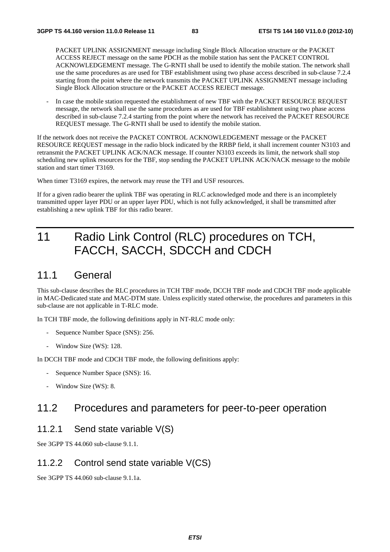PACKET UPLINK ASSIGNMENT message including Single Block Allocation structure or the PACKET ACCESS REJECT message on the same PDCH as the mobile station has sent the PACKET CONTROL ACKNOWLEDGEMENT message. The G-RNTI shall be used to identify the mobile station. The network shall use the same procedures as are used for TBF establishment using two phase access described in sub-clause 7.2.4 starting from the point where the network transmits the PACKET UPLINK ASSIGNMENT message including Single Block Allocation structure or the PACKET ACCESS REJECT message.

In case the mobile station requested the establishment of new TBF with the PACKET RESOURCE REQUEST message, the network shall use the same procedures as are used for TBF establishment using two phase access described in sub-clause 7.2.4 starting from the point where the network has received the PACKET RESOURCE REQUEST message. The G-RNTI shall be used to identify the mobile station.

If the network does not receive the PACKET CONTROL ACKNOWLEDGEMENT message or the PACKET RESOURCE REQUEST message in the radio block indicated by the RRBP field, it shall increment counter N3103 and retransmit the PACKET UPLINK ACK/NACK message. If counter N3103 exceeds its limit, the network shall stop scheduling new uplink resources for the TBF, stop sending the PACKET UPLINK ACK/NACK message to the mobile station and start timer T3169.

When timer T3169 expires, the network may reuse the TFI and USF resources.

If for a given radio bearer the uplink TBF was operating in RLC acknowledged mode and there is an incompletely transmitted upper layer PDU or an upper layer PDU, which is not fully acknowledged, it shall be transmitted after establishing a new uplink TBF for this radio bearer.

# 11 Radio Link Control (RLC) procedures on TCH, FACCH, SACCH, SDCCH and CDCH

# 11.1 General

This sub-clause describes the RLC procedures in TCH TBF mode, DCCH TBF mode and CDCH TBF mode applicable in MAC-Dedicated state and MAC-DTM state. Unless explicitly stated otherwise, the procedures and parameters in this sub-clause are not applicable in T-RLC mode.

In TCH TBF mode, the following definitions apply in NT-RLC mode only:

- Sequence Number Space (SNS): 256.
- Window Size (WS): 128.

In DCCH TBF mode and CDCH TBF mode, the following definitions apply:

- Sequence Number Space (SNS): 16.
- Window Size (WS): 8.

# 11.2 Procedures and parameters for peer-to-peer operation

## 11.2.1 Send state variable V(S)

See 3GPP TS 44.060 sub-clause 9.1.1.

## 11.2.2 Control send state variable V(CS)

See 3GPP TS 44.060 sub-clause 9.1.1a.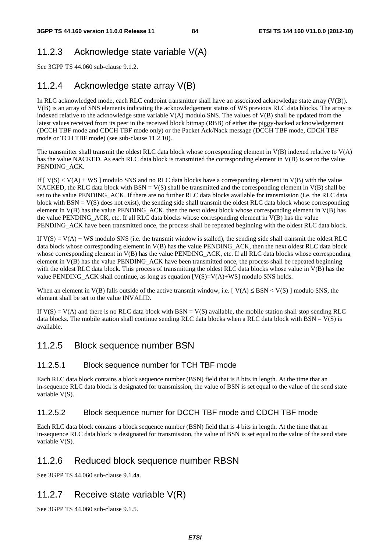# 11.2.3 Acknowledge state variable V(A)

See 3GPP TS 44.060 sub-clause 9.1.2.

# 11.2.4 Acknowledge state array V(B)

In RLC acknowledged mode, each RLC endpoint transmitter shall have an associated acknowledge state array (V(B)). V(B) is an array of SNS elements indicating the acknowledgement status of WS previous RLC data blocks. The array is indexed relative to the acknowledge state variable V(A) modulo SNS. The values of V(B) shall be updated from the latest values received from its peer in the received block bitmap (RBB) of either the piggy-backed acknowledgement (DCCH TBF mode and CDCH TBF mode only) or the Packet Ack/Nack message (DCCH TBF mode, CDCH TBF mode or TCH TBF mode) (see sub-clause 11.2.10).

The transmitter shall transmit the oldest RLC data block whose corresponding element in  $V(B)$  indexed relative to  $V(A)$ has the value NACKED. As each RLC data block is transmitted the corresponding element in V(B) is set to the value PENDING\_ACK.

If  $[V(S) < V(A) + WS]$  modulo SNS and no RLC data blocks have a corresponding element in  $V(B)$  with the value NACKED, the RLC data block with  $BSN = V(S)$  shall be transmitted and the corresponding element in  $V(B)$  shall be set to the value PENDING ACK. If there are no further RLC data blocks available for transmission (i.e. the RLC data block with  $BSN = V(S)$  does not exist), the sending side shall transmit the oldest RLC data block whose corresponding element in V(B) has the value PENDING\_ACK, then the next oldest block whose corresponding element in V(B) has the value PENDING\_ACK, etc. If all RLC data blocks whose corresponding element in V(B) has the value PENDING\_ACK have been transmitted once, the process shall be repeated beginning with the oldest RLC data block.

If  $V(S) = V(A) + WS$  modulo SNS (i.e. the transmit window is stalled), the sending side shall transmit the oldest RLC data block whose corresponding element in  $V(B)$  has the value PENDING ACK, then the next oldest RLC data block whose corresponding element in  $V(B)$  has the value PENDING\_ACK, etc. If all RLC data blocks whose corresponding element in V(B) has the value PENDING\_ACK have been transmitted once, the process shall be repeated beginning with the oldest RLC data block. This process of transmitting the oldest RLC data blocks whose value in V(B) has the value PENDING\_ACK shall continue, as long as equation  $[V(S)=V(A)+WS]$  modulo SNS holds.

When an element in  $V(B)$  falls outside of the active transmit window, i.e. [  $V(A) \leq BSN < V(S)$  ] modulo SNS, the element shall be set to the value INVALID.

If  $V(S) = V(A)$  and there is no RLC data block with BSN = V(S) available, the mobile station shall stop sending RLC data blocks. The mobile station shall continue sending RLC data blocks when a RLC data block with  $BSN = V(S)$  is available.

## 11.2.5 Block sequence number BSN

#### 11.2.5.1 Block sequence number for TCH TBF mode

Each RLC data block contains a block sequence number (BSN) field that is 8 bits in length. At the time that an in-sequence RLC data block is designated for transmission, the value of BSN is set equal to the value of the send state variable V(S).

#### 11.2.5.2 Block sequence numer for DCCH TBF mode and CDCH TBF mode

Each RLC data block contains a block sequence number (BSN) field that is 4 bits in length. At the time that an in-sequence RLC data block is designated for transmission, the value of BSN is set equal to the value of the send state variable V(S).

## 11.2.6 Reduced block sequence number RBSN

See 3GPP TS 44.060 sub-clause 9.1.4a.

# 11.2.7 Receive state variable V(R)

See 3GPP TS 44.060 sub-clause 9.1.5.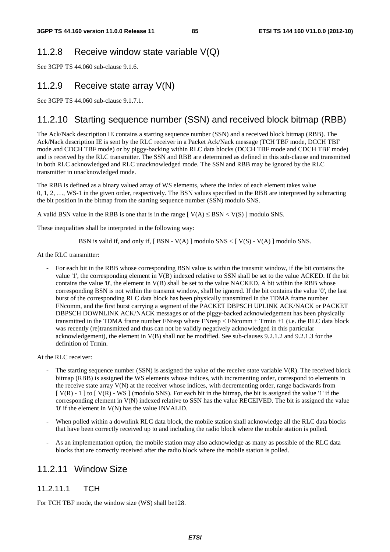## 11.2.8 Receive window state variable V(Q)

See 3GPP TS 44.060 sub-clause 9.1.6.

### 11.2.9 Receive state array V(N)

See 3GPP TS 44.060 sub-clause 9.1.7.1.

## 11.2.10 Starting sequence number (SSN) and received block bitmap (RBB)

The Ack/Nack description IE contains a starting sequence number (SSN) and a received block bitmap (RBB). The Ack/Nack description IE is sent by the RLC receiver in a Packet Ack/Nack message (TCH TBF mode, DCCH TBF mode and CDCH TBF mode) or by piggy-backing within RLC data blocks (DCCH TBF mode and CDCH TBF mode) and is received by the RLC transmitter. The SSN and RBB are determined as defined in this sub-clause and transmitted in both RLC acknowledged and RLC unacknowledged mode. The SSN and RBB may be ignored by the RLC transmitter in unacknowledged mode.

The RBB is defined as a binary valued array of WS elements, where the index of each element takes value 0, 1, 2, …, WS-1 in the given order, respectively. The BSN values specified in the RBB are interpreted by subtracting the bit position in the bitmap from the starting sequence number (SSN) modulo SNS.

A valid BSN value in the RBB is one that is in the range  $[ V(A) \leq BSN < V(S) ]$  modulo SNS.

These inequalities shall be interpreted in the following way:

BSN is valid if, and only if,  $[BSN - V(A)]$  modulo SNS <  $[V(S) - V(A)]$  modulo SNS.

At the RLC transmitter:

- For each bit in the RBB whose corresponding BSN value is within the transmit window, if the bit contains the value '1', the corresponding element in V(B) indexed relative to SSN shall be set to the value ACKED. If the bit contains the value '0', the element in  $V(B)$  shall be set to the value NACKED. A bit within the RBB whose corresponding BSN is not within the transmit window, shall be ignored. If the bit contains the value '0', the last burst of the corresponding RLC data block has been physically transmitted in the TDMA frame number FNcomm, and the first burst carrying a segment of the PACKET DBPSCH UPLINK ACK/NACK or PACKET DBPSCH DOWNLINK ACK/NACK messages or of the piggy-backed acknowledgement has been physically transmitted in the TDMA frame number FNresp where FNresp < FNcomm + Trmin +1 (i.e. the RLC data block was recently (re)transmitted and thus can not be validly negatively acknowledged in this particular acknowledgement), the element in V(B) shall not be modified. See sub-clauses 9.2.1.2 and 9.2.1.3 for the definition of Trmin.

At the RLC receiver:

- The starting sequence number (SSN) is assigned the value of the receive state variable  $V(R)$ . The received block bitmap (RBB) is assigned the WS elements whose indices, with incrementing order, correspond to elements in the receive state array V(N) at the receiver whose indices, with decrementing order, range backwards from  $[V(R) - 1]$  to  $[V(R) - WS]$  (modulo SNS). For each bit in the bitmap, the bit is assigned the value '1' if the corresponding element in V(N) indexed relative to SSN has the value RECEIVED. The bit is assigned the value '0' if the element in V(N) has the value INVALID.
- When polled within a downlink RLC data block, the mobile station shall acknowledge all the RLC data blocks that have been correctly received up to and including the radio block where the mobile station is polled.
- As an implementation option, the mobile station may also acknowledge as many as possible of the RLC data blocks that are correctly received after the radio block where the mobile station is polled.

## 11.2.11 Window Size

#### 11.2.11.1 TCH

For TCH TBF mode, the window size (WS) shall be128.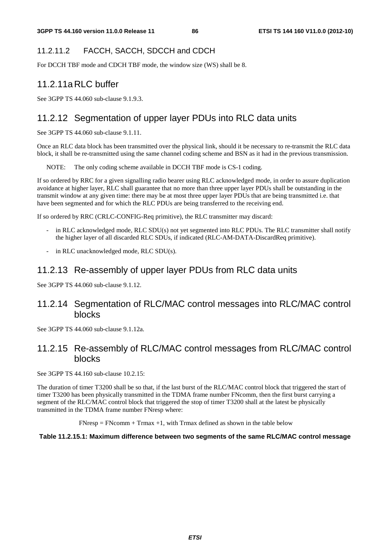# 11.2.11.2 FACCH, SACCH, SDCCH and CDCH

For DCCH TBF mode and CDCH TBF mode, the window size (WS) shall be 8.

# 11.2.11a RLC buffer

See 3GPP TS 44.060 sub-clause 9.1.9.3.

# 11.2.12 Segmentation of upper layer PDUs into RLC data units

See 3GPP TS 44.060 sub-clause 9.1.11.

Once an RLC data block has been transmitted over the physical link, should it be necessary to re-transmit the RLC data block, it shall be re-transmitted using the same channel coding scheme and BSN as it had in the previous transmission.

NOTE: The only coding scheme available in DCCH TBF mode is CS-1 coding.

If so ordered by RRC for a given signalling radio bearer using RLC acknowledged mode, in order to assure duplication avoidance at higher layer, RLC shall guarantee that no more than three upper layer PDUs shall be outstanding in the transmit window at any given time: there may be at most three upper layer PDUs that are being transmitted i.e. that have been segmented and for which the RLC PDUs are being transferred to the receiving end.

If so ordered by RRC (CRLC-CONFIG-Req primitive), the RLC transmitter may discard:

- in RLC acknowledged mode, RLC SDU(s) not yet segmented into RLC PDUs. The RLC transmitter shall notify the higher layer of all discarded RLC SDUs, if indicated (RLC-AM-DATA-DiscardReq primitive).
- in RLC unacknowledged mode, RLC SDU(s).

# 11.2.13 Re-assembly of upper layer PDUs from RLC data units

See 3GPP TS 44.060 sub-clause 9.1.12.

## 11.2.14 Segmentation of RLC/MAC control messages into RLC/MAC control blocks

See 3GPP TS 44.060 sub-clause 9.1.12a.

# 11.2.15 Re-assembly of RLC/MAC control messages from RLC/MAC control blocks

See 3GPP TS 44.160 sub-clause 10.2.15:

The duration of timer T3200 shall be so that, if the last burst of the RLC/MAC control block that triggered the start of timer T3200 has been physically transmitted in the TDMA frame number FNcomm, then the first burst carrying a segment of the RLC/MAC control block that triggered the stop of timer T3200 shall at the latest be physically transmitted in the TDMA frame number FNresp where:

 $FN$ resp =  $FN$ comm +  $Trans +1$ , with  $Trans$  defined as shown in the table below

#### **Table 11.2.15.1: Maximum difference between two segments of the same RLC/MAC control message**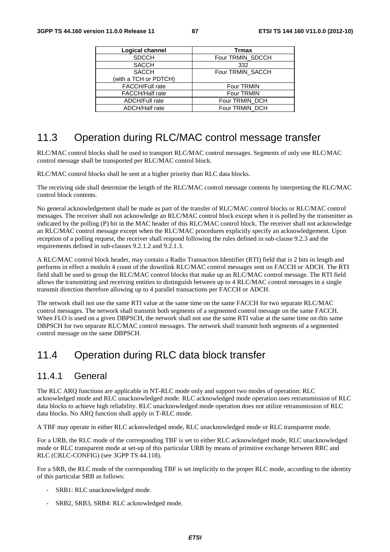| Logical channel        | <b>Trmax</b>     |
|------------------------|------------------|
| <b>SDCCH</b>           | Four TRMIN_SDCCH |
| <b>SACCH</b>           | 332              |
| <b>SACCH</b>           | Four TRMIN_SACCH |
| (with a TCH or PDTCH)  |                  |
| <b>FACCH/Full rate</b> | Four TRMIN       |
| <b>FACCH/Half rate</b> | Four TRMIN       |
| <b>ADCH/Full rate</b>  | Four TRMIN_DCH   |
| <b>ADCH/Half</b> rate  | Four TRMIN_DCH   |

# 11.3 Operation during RLC/MAC control message transfer

RLC/MAC control blocks shall be used to transport RLC/MAC control messages. Segments of only one RLC/MAC control message shall be transported per RLC/MAC control block.

RLC/MAC control blocks shall be sent at a higher priority than RLC data blocks.

The receiving side shall determine the length of the RLC/MAC control message contents by interpreting the RLC/MAC control block contents.

No general acknowledgement shall be made as part of the transfer of RLC/MAC control blocks or RLC/MAC control messages. The receiver shall not acknowledge an RLC/MAC control block except when it is polled by the transmitter as indicated by the polling (P) bit in the MAC header of this RLC/MAC control block. The receiver shall not acknowledge an RLC/MAC control message except when the RLC/MAC procedures explicitly specify an acknowledgement. Upon reception of a polling request, the receiver shall respond following the rules defined in sub-clause 9.2.3 and the requirements defined in sub-clauses 9.2.1.2 and 9.2.1.3.

A RLC/MAC control block header, may contain a Radio Transaction Identifier (RTI) field that is 2 bits in length and performs in effect a modulo 4 count of the downlink RLC/MAC control messages sent on FACCH or ADCH. The RTI field shall be used to group the RLC/MAC control blocks that make up an RLC/MAC control message. The RTI field allows the transmitting and receiving entities to distinguish between up to 4 RLC/MAC control messages in a single transmit direction therefore allowing up to 4 parallel transactions per FACCH or ADCH.

The network shall not use the same RTI value at the same time on the same FACCH for two separate RLC/MAC control messages. The network shall transmit both segments of a segmented control message on the same FACCH. When FLO is used on a given DBPSCH, the network shall not use the same RTI value at the same time on this same DBPSCH for two separate RLC/MAC control messages. The network shall transmit both segments of a segmented control message on the same DBPSCH.

# 11.4 Operation during RLC data block transfer

## 11.4.1 General

The RLC ARQ functions are applicable in NT-RLC mode only and support two modes of operation: RLC acknowledged mode and RLC unacknowledged mode. RLC acknowledged mode operation uses retransmission of RLC data blocks to achieve high reliability. RLC unacknowledged mode operation does not utilize retransmission of RLC data blocks. No ARQ function shall apply in T-RLC mode.

A TBF may operate in either RLC acknowledged mode, RLC unacknowledged mode or RLC transparent mode.

For a URB, the RLC mode of the corresponding TBF is set to either RLC acknowledged mode, RLC unacknowledged mode or RLC transparent mode at set-up of this particular URB by means of primitive exchange between RRC and RLC (CRLC-CONFIG) (see 3GPP TS 44.118).

For a SRB, the RLC mode of the corresponding TBF is set implicitly to the proper RLC mode, according to the identity of this particular SRB as follows:

- SRB1: RLC unacknowledged mode.
- SRB2, SRB3, SRB4: RLC acknowledged mode.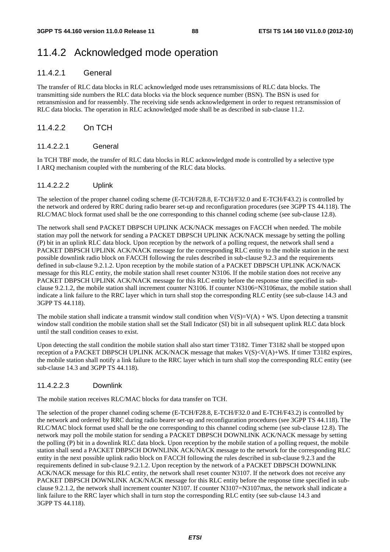# 11.4.2 Acknowledged mode operation

#### 11.4.2.1 General

The transfer of RLC data blocks in RLC acknowledged mode uses retransmissions of RLC data blocks. The transmitting side numbers the RLC data blocks via the block sequence number (BSN). The BSN is used for retransmission and for reassembly. The receiving side sends acknowledgement in order to request retransmission of RLC data blocks. The operation in RLC acknowledged mode shall be as described in sub-clause 11.2.

#### 11.4.2.2 On TCH

#### 11.4.2.2.1 General

In TCH TBF mode, the transfer of RLC data blocks in RLC acknowledged mode is controlled by a selective type I ARQ mechanism coupled with the numbering of the RLC data blocks.

#### 11.4.2.2.2 Uplink

The selection of the proper channel coding scheme (E-TCH/F28.8, E-TCH/F32.0 and E-TCH/F43.2) is controlled by the network and ordered by RRC during radio bearer set-up and reconfiguration procedures (see 3GPP TS 44.118). The RLC/MAC block format used shall be the one corresponding to this channel coding scheme (see sub-clause 12.8).

The network shall send PACKET DBPSCH UPLINK ACK/NACK messages on FACCH when needed. The mobile station may poll the network for sending a PACKET DBPSCH UPLINK ACK/NACK message by setting the polling (P) bit in an uplink RLC data block. Upon reception by the network of a polling request, the network shall send a PACKET DBPSCH UPLINK ACK/NACK message for the corresponding RLC entity to the mobile station in the next possible downlink radio block on FACCH following the rules described in sub-clause 9.2.3 and the requirements defined in sub-clause 9.2.1.2. Upon reception by the mobile station of a PACKET DBPSCH UPLINK ACK/NACK message for this RLC entity, the mobile station shall reset counter N3106. If the mobile station does not receive any PACKET DBPSCH UPLINK ACK/NACK message for this RLC entity before the response time specified in subclause 9.2.1.2, the mobile station shall increment counter N3106. If counter N3106=N3106max, the mobile station shall indicate a link failure to the RRC layer which in turn shall stop the corresponding RLC entity (see sub-clause 14.3 and 3GPP TS 44.118).

The mobile station shall indicate a transmit window stall condition when  $V(S)=V(A) + WS$ . Upon detecting a transmit window stall condition the mobile station shall set the Stall Indicator (SI) bit in all subsequent uplink RLC data block until the stall condition ceases to exist.

Upon detecting the stall condition the mobile station shall also start timer T3182. Timer T3182 shall be stopped upon reception of a PACKET DBPSCH UPLINK ACK/NACK message that makes V(S)<V(A)+WS. If timer T3182 expires, the mobile station shall notify a link failure to the RRC layer which in turn shall stop the corresponding RLC entity (see sub-clause 14.3 and 3GPP TS 44.118).

#### 11.4.2.2.3 Downlink

The mobile station receives RLC/MAC blocks for data transfer on TCH.

The selection of the proper channel coding scheme (E-TCH/F28.8, E-TCH/F32.0 and E-TCH/F43.2) is controlled by the network and ordered by RRC during radio bearer set-up and reconfiguration procedures (see 3GPP TS 44.118). The RLC/MAC block format used shall be the one corresponding to this channel coding scheme (see sub-clause 12.8). The network may poll the mobile station for sending a PACKET DBPSCH DOWNLINK ACK/NACK message by setting the polling (P) bit in a downlink RLC data block. Upon reception by the mobile station of a polling request, the mobile station shall send a PACKET DBPSCH DOWNLINK ACK/NACK message to the network for the corresponding RLC entity in the next possible uplink radio block on FACCH following the rules described in sub-clause 9.2.3 and the requirements defined in sub-clause 9.2.1.2. Upon reception by the network of a PACKET DBPSCH DOWNLINK ACK/NACK message for this RLC entity, the network shall reset counter N3107. If the network does not receive any PACKET DBPSCH DOWNLINK ACK/NACK message for this RLC entity before the response time specified in subclause 9.2.1.2, the network shall increment counter N3107. If counter N3107=N3107max, the network shall indicate a link failure to the RRC layer which shall in turn stop the corresponding RLC entity (see sub-clause 14.3 and 3GPP TS 44.118).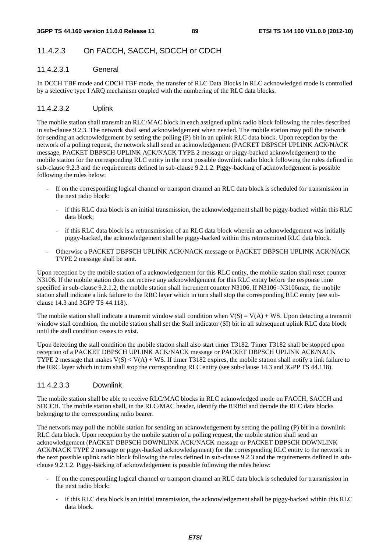## 11.4.2.3 On FACCH, SACCH, SDCCH or CDCH

#### 11.4.2.3.1 General

In DCCH TBF mode and CDCH TBF mode, the transfer of RLC Data Blocks in RLC acknowledged mode is controlled by a selective type I ARQ mechanism coupled with the numbering of the RLC data blocks.

#### 11.4.2.3.2 Uplink

The mobile station shall transmit an RLC/MAC block in each assigned uplink radio block following the rules described in sub-clause 9.2.3. The network shall send acknowledgement when needed. The mobile station may poll the network for sending an acknowledgement by setting the polling (P) bit in an uplink RLC data block. Upon reception by the network of a polling request, the network shall send an acknowledgement (PACKET DBPSCH UPLINK ACK/NACK message, PACKET DBPSCH UPLINK ACK/NACK TYPE 2 message or piggy-backed acknowledgement) to the mobile station for the corresponding RLC entity in the next possible downlink radio block following the rules defined in sub-clause 9.2.3 and the requirements defined in sub-clause 9.2.1.2. Piggy-backing of acknowledgement is possible following the rules below:

- If on the corresponding logical channel or transport channel an RLC data block is scheduled for transmission in the next radio block:
	- if this RLC data block is an initial transmission, the acknowledgement shall be piggy-backed within this RLC data block;
	- if this RLC data block is a retransmission of an RLC data block wherein an acknowledgement was initially piggy-backed, the acknowledgement shall be piggy-backed within this retransmitted RLC data block.
- Otherwise a PACKET DBPSCH UPLINK ACK/NACK message or PACKET DBPSCH UPLINK ACK/NACK TYPE 2 message shall be sent.

Upon reception by the mobile station of a acknowledgement for this RLC entity, the mobile station shall reset counter N3106. If the mobile station does not receive any acknowledgement for this RLC entity before the response time specified in sub-clause 9.2.1.2, the mobile station shall increment counter N3106. If N3106=N3106max, the mobile station shall indicate a link failure to the RRC layer which in turn shall stop the corresponding RLC entity (see subclause 14.3 and 3GPP TS 44.118).

The mobile station shall indicate a transmit window stall condition when  $V(S) = V(A) + WS$ . Upon detecting a transmit window stall condition, the mobile station shall set the Stall indicator (SI) bit in all subsequent uplink RLC data block until the stall condition ceases to exist.

Upon detecting the stall condition the mobile station shall also start timer T3182. Timer T3182 shall be stopped upon reception of a PACKET DBPSCH UPLINK ACK/NACK message or PACKET DBPSCH UPLINK ACK/NACK TYPE 2 message that makes  $V(S) < V(A) + WS$ . If timer T3182 expires, the mobile station shall notify a link failure to the RRC layer which in turn shall stop the corresponding RLC entity (see sub-clause 14.3 and 3GPP TS 44.118).

#### 11.4.2.3.3 Downlink

The mobile station shall be able to receive RLC/MAC blocks in RLC acknowledged mode on FACCH, SACCH and SDCCH. The mobile station shall, in the RLC/MAC header, identify the RRBid and decode the RLC data blocks belonging to the corresponding radio bearer.

The network may poll the mobile station for sending an acknowledgement by setting the polling (P) bit in a downlink RLC data block. Upon reception by the mobile station of a polling request, the mobile station shall send an acknowledgement (PACKET DBPSCH DOWNLINK ACK/NACK message or PACKET DBPSCH DOWNLINK ACK/NACK TYPE 2 message or piggy-backed acknowledgement) for the corresponding RLC entity to the network in the next possible uplink radio block following the rules defined in sub-clause 9.2.3 and the requirements defined in subclause 9.2.1.2. Piggy-backing of acknowledgement is possible following the rules below:

- If on the corresponding logical channel or transport channel an RLC data block is scheduled for transmission in the next radio block:
	- if this RLC data block is an initial transmission, the acknowledgement shall be piggy-backed within this RLC data block.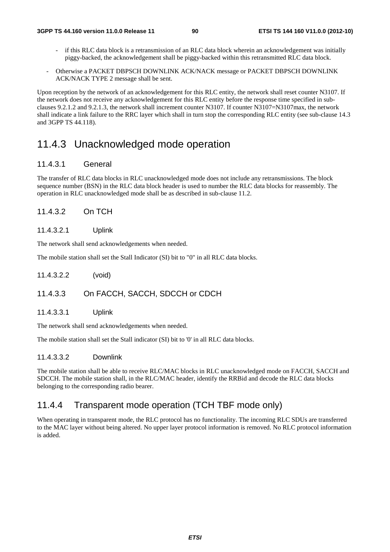- if this RLC data block is a retransmission of an RLC data block wherein an acknowledgement was initially piggy-backed, the acknowledgement shall be piggy-backed within this retransmitted RLC data block.
- Otherwise a PACKET DBPSCH DOWNLINK ACK/NACK message or PACKET DBPSCH DOWNLINK ACK/NACK TYPE 2 message shall be sent.

Upon reception by the network of an acknowledgement for this RLC entity, the network shall reset counter N3107. If the network does not receive any acknowledgement for this RLC entity before the response time specified in subclauses 9.2.1.2 and 9.2.1.3, the network shall increment counter N3107. If counter N3107=N3107max, the network shall indicate a link failure to the RRC layer which shall in turn stop the corresponding RLC entity (see sub-clause 14.3 and 3GPP TS 44.118).

# 11.4.3 Unacknowledged mode operation

#### 11.4.3.1 General

The transfer of RLC data blocks in RLC unacknowledged mode does not include any retransmissions. The block sequence number (BSN) in the RLC data block header is used to number the RLC data blocks for reassembly. The operation in RLC unacknowledged mode shall be as described in sub-clause 11.2.

#### 11.4.3.2 On TCH

#### 11.4.3.2.1 Uplink

The network shall send acknowledgements when needed.

The mobile station shall set the Stall Indicator (SI) bit to "0" in all RLC data blocks.

11.4.3.2.2 (void)

#### 11.4.3.3 On FACCH, SACCH, SDCCH or CDCH

11.4.3.3.1 Uplink

The network shall send acknowledgements when needed.

The mobile station shall set the Stall indicator (SI) bit to '0' in all RLC data blocks.

#### 11.4.3.3.2 Downlink

The mobile station shall be able to receive RLC/MAC blocks in RLC unacknowledged mode on FACCH, SACCH and SDCCH. The mobile station shall, in the RLC/MAC header, identify the RRBid and decode the RLC data blocks belonging to the corresponding radio bearer.

## 11.4.4 Transparent mode operation (TCH TBF mode only)

When operating in transparent mode, the RLC protocol has no functionality. The incoming RLC SDUs are transferred to the MAC layer without being altered. No upper layer protocol information is removed. No RLC protocol information is added.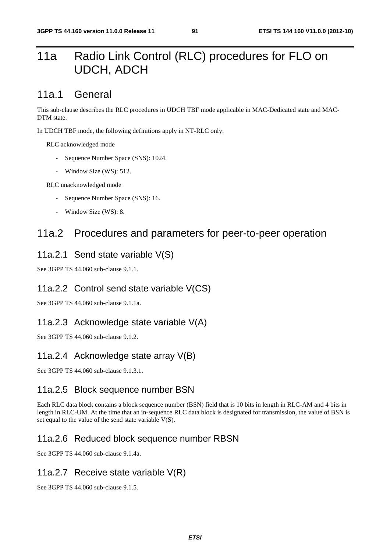# 11a Radio Link Control (RLC) procedures for FLO on UDCH, ADCH

# 11a.1 General

This sub-clause describes the RLC procedures in UDCH TBF mode applicable in MAC-Dedicated state and MAC-DTM state.

In UDCH TBF mode, the following definitions apply in NT-RLC only:

RLC acknowledged mode

- Sequence Number Space (SNS): 1024.
- Window Size (WS): 512.

RLC unacknowledged mode

- Sequence Number Space (SNS): 16.
- Window Size (WS): 8.

# 11a.2 Procedures and parameters for peer-to-peer operation

### 11a.2.1 Send state variable V(S)

See 3GPP TS 44.060 sub-clause 9.1.1.

## 11a.2.2 Control send state variable V(CS)

See 3GPP TS 44.060 sub-clause 9.1.1a.

# 11a.2.3 Acknowledge state variable V(A)

See 3GPP TS 44.060 sub-clause 9.1.2.

## 11a.2.4 Acknowledge state array V(B)

See 3GPP TS 44.060 sub-clause 9.1.3.1.

#### 11a.2.5 Block sequence number BSN

Each RLC data block contains a block sequence number (BSN) field that is 10 bits in length in RLC-AM and 4 bits in length in RLC-UM. At the time that an in-sequence RLC data block is designated for transmission, the value of BSN is set equal to the value of the send state variable V(S).

## 11a.2.6 Reduced block sequence number RBSN

See 3GPP TS 44.060 sub-clause 9.1.4a.

## 11a.2.7 Receive state variable V(R)

See 3GPP TS 44.060 sub-clause 9.1.5.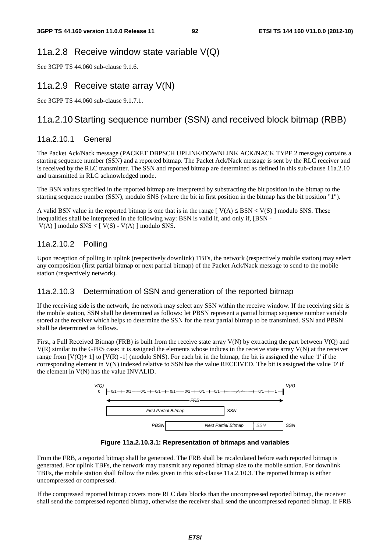#### 11a.2.8 Receive window state variable V(Q)

See 3GPP TS 44.060 sub-clause 9.1.6.

### 11a.2.9 Receive state array V(N)

See 3GPP TS 44.060 sub-clause 9.1.7.1.

## 11a.2.10 Starting sequence number (SSN) and received block bitmap (RBB)

#### 11a.2.10.1 General

The Packet Ack/Nack message (PACKET DBPSCH UPLINK/DOWNLINK ACK/NACK TYPE 2 message) contains a starting sequence number (SSN) and a reported bitmap. The Packet Ack/Nack message is sent by the RLC receiver and is received by the RLC transmitter. The SSN and reported bitmap are determined as defined in this sub-clause 11a.2.10 and transmitted in RLC acknowledged mode.

The BSN values specified in the reported bitmap are interpreted by substracting the bit position in the bitmap to the starting sequence number (SSN), modulo SNS (where the bit in first position in the bitmap has the bit position "1").

A valid BSN value in the reported bitmap is one that is in the range  $[V(A) \leq BSN < V(S)]$  modulo SNS. These inequalities shall be interpreted in the following way: BSN is valid if, and only if, [BSN -  $V(A)$ ] modulo SNS < [ $V(S) - V(A)$ ] modulo SNS.

#### 11a.2.10.2 Polling

Upon reception of polling in uplink (respectively downlink) TBFs, the network (respectively mobile station) may select any composition (first partial bitmap or next partial bitmap) of the Packet Ack/Nack message to send to the mobile station (respectively network).

#### 11a.2.10.3 Determination of SSN and generation of the reported bitmap

If the receiving side is the network, the network may select any SSN within the receive window. If the receiving side is the mobile station, SSN shall be determined as follows: let PBSN represent a partial bitmap sequence number variable stored at the receiver which helps to determine the SSN for the next partial bitmap to be transmitted. SSN and PBSN shall be determined as follows.

First, a Full Received Bitmap (FRB) is built from the receive state array V(N) by extracting the part between V(Q) and  $V(R)$  similar to the GPRS case: it is assigned the elements whose indices in the receive state array  $V(N)$  at the receiver range from  $[V(O)+1]$  to  $[V(R)-1]$  (modulo SNS). For each bit in the bitmap, the bit is assigned the value '1' if the corresponding element in V(N) indexed relative to SSN has the value RECEIVED. The bit is assigned the value '0' if the element in V(N) has the value INVALID.



**Figure 11a.2.10.3.1: Representation of bitmaps and variables** 

From the FRB, a reported bitmap shall be generated. The FRB shall be recalculated before each reported bitmap is generated. For uplink TBFs, the network may transmit any reported bitmap size to the mobile station. For downlink TBFs, the mobile station shall follow the rules given in this sub-clause 11a.2.10.3. The reported bitmap is either uncompressed or compressed.

If the compressed reported bitmap covers more RLC data blocks than the uncompressed reported bitmap, the receiver shall send the compressed reported bitmap, otherwise the receiver shall send the uncompressed reported bitmap. If FRB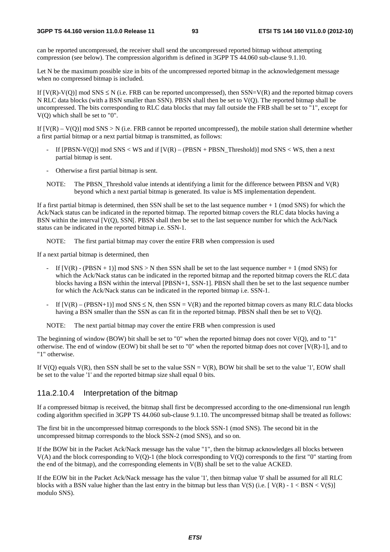can be reported uncompressed, the receiver shall send the uncompressed reported bitmap without attempting compression (see below). The compression algorithm is defined in 3GPP TS 44.060 sub-clause 9.1.10.

Let N be the maximum possible size in bits of the uncompressed reported bitmap in the acknowledgement message when no compressed bitmap is included.

If  $[V(R)-V(Q)]$  mod SNS  $\leq N$  (i.e. FRB can be reported uncompressed), then SSN=V(R) and the reported bitmap covers N RLC data blocks (with a BSN smaller than SSN). PBSN shall then be set to V(Q). The reported bitmap shall be uncompressed. The bits corresponding to RLC data blocks that may fall outside the FRB shall be set to "1", except for V(Q) which shall be set to "0".

If  $[V(R) - V(Q)]$  mod SNS > N (i.e. FRB cannot be reported uncompressed), the mobile station shall determine whether a first partial bitmap or a next partial bitmap is transmitted, as follows:

- If  $[PBSN-V(Q)] \text{ mod } SNS < WS$  and if  $[V(R) (PBSN + PBSN_T$ hreshold)] mod SNS < WS, then a next partial bitmap is sent.
- Otherwise a first partial bitmap is sent.
- NOTE: The PBSN\_Threshold value intends at identifying a limit for the difference between PBSN and V(R) beyond which a next partial bitmap is generated. Its value is MS implementation dependent.

If a first partial bitmap is determined, then SSN shall be set to the last sequence number + 1 (mod SNS) for which the Ack/Nack status can be indicated in the reported bitmap. The reported bitmap covers the RLC data blocks having a BSN within the interval [V(Q), SSN[. PBSN shall then be set to the last sequence number for which the Ack/Nack status can be indicated in the reported bitmap i.e. SSN-1.

NOTE: The first partial bitmap may cover the entire FRB when compression is used

If a next partial bitmap is determined, then

- If  $[V(R) (PBSN + 1)]$  mod SNS > N then SSN shall be set to the last sequence number + 1 (mod SNS) for which the Ack/Nack status can be indicated in the reported bitmap and the reported bitmap covers the RLC data blocks having a BSN within the interval [PBSN+1, SSN-1]. PBSN shall then be set to the last sequence number for which the Ack/Nack status can be indicated in the reported bitmap i.e. SSN-1.
- If  $[V(R) (PBSN+1)] \text{ mod } SNS \leq N$ , then SSN = V(R) and the reported bitmap covers as many RLC data blocks having a BSN smaller than the SSN as can fit in the reported bitmap. PBSN shall then be set to V(Q).

NOTE: The next partial bitmap may cover the entire FRB when compression is used

The beginning of window (BOW) bit shall be set to "0" when the reported bitmap does not cover V(Q), and to "1" otherwise. The end of window (EOW) bit shall be set to "0" when the reported bitmap does not cover  $[V(R)-1]$ , and to "1" otherwise.

If  $V(Q)$  equals  $V(R)$ , then SSN shall be set to the value SSN =  $V(R)$ , BOW bit shall be set to the value '1', EOW shall be set to the value '1' and the reported bitmap size shall equal 0 bits.

#### 11a.2.10.4 Interpretation of the bitmap

If a compressed bitmap is received, the bitmap shall first be decompressed according to the one-dimensional run length coding algorithm specified in 3GPP TS 44.060 sub-clause 9.1.10. The uncompressed bitmap shall be treated as follows:

The first bit in the uncompressed bitmap corresponds to the block SSN-1 (mod SNS). The second bit in the uncompressed bitmap corresponds to the block SSN-2 (mod SNS), and so on.

If the BOW bit in the Packet Ack/Nack message has the value "1", then the bitmap acknowledges all blocks between V(A) and the block corresponding to V(Q)-1 (the block corresponding to V(Q) corresponds to the first "0" starting from the end of the bitmap), and the corresponding elements in V(B) shall be set to the value ACKED.

If the EOW bit in the Packet Ack/Nack message has the value '1', then bitmap value '0' shall be assumed for all RLC blocks with a BSN value higher than the last entry in the bitmap but less than  $V(S)$  (i.e.  $[V(R) - 1 < BSN < V(S)]$ ) modulo SNS).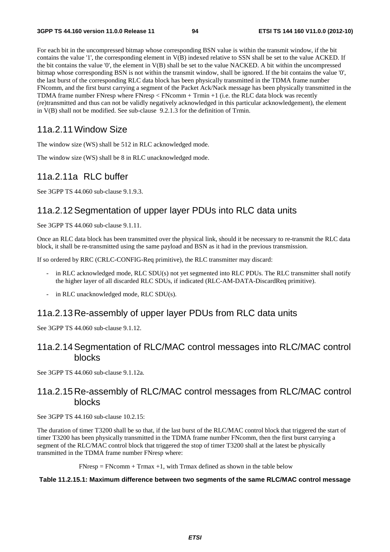For each bit in the uncompressed bitmap whose corresponding BSN value is within the transmit window, if the bit contains the value '1', the corresponding element in V(B) indexed relative to SSN shall be set to the value ACKED. If the bit contains the value '0', the element in V(B) shall be set to the value NACKED. A bit within the uncompressed bitmap whose corresponding BSN is not within the transmit window, shall be ignored. If the bit contains the value '0', the last burst of the corresponding RLC data block has been physically transmitted in the TDMA frame number FNcomm, and the first burst carrying a segment of the Packet Ack/Nack message has been physically transmitted in the TDMA frame number FNresp where FNresp < FNcomm + Trmin +1 (i.e. the RLC data block was recently (re)transmitted and thus can not be validly negatively acknowledged in this particular acknowledgement), the element in V(B) shall not be modified. See sub-clause 9.2.1.3 for the definition of Trmin.

## 11a.2.11 Window Size

The window size (WS) shall be 512 in RLC acknowledged mode.

The window size (WS) shall be 8 in RLC unacknowledged mode.

## 11a.2.11a RLC buffer

See 3GPP TS 44.060 sub-clause 9.1.9.3.

## 11a.2.12 Segmentation of upper layer PDUs into RLC data units

See 3GPP TS 44.060 sub-clause 9.1.11.

Once an RLC data block has been transmitted over the physical link, should it be necessary to re-transmit the RLC data block, it shall be re-transmitted using the same payload and BSN as it had in the previous transmission.

If so ordered by RRC (CRLC-CONFIG-Req primitive), the RLC transmitter may discard:

- in RLC acknowledged mode, RLC SDU(s) not yet segmented into RLC PDUs. The RLC transmitter shall notify the higher layer of all discarded RLC SDUs, if indicated (RLC-AM-DATA-DiscardReq primitive).
- in RLC unacknowledged mode, RLC SDU(s).

## 11a.2.13 Re-assembly of upper layer PDUs from RLC data units

See 3GPP TS 44.060 sub-clause 9.1.12.

## 11a.2.14 Segmentation of RLC/MAC control messages into RLC/MAC control blocks

See 3GPP TS 44.060 sub-clause 9.1.12a.

## 11a.2.15 Re-assembly of RLC/MAC control messages from RLC/MAC control blocks

See 3GPP TS 44.160 sub-clause 10.2.15:

The duration of timer T3200 shall be so that, if the last burst of the RLC/MAC control block that triggered the start of timer T3200 has been physically transmitted in the TDMA frame number FNcomm, then the first burst carrying a segment of the RLC/MAC control block that triggered the stop of timer T3200 shall at the latest be physically transmitted in the TDMA frame number FNresp where:

 $FNresp = FNcomm + Trmax +1$ , with Trmax defined as shown in the table below

#### **Table 11.2.15.1: Maximum difference between two segments of the same RLC/MAC control message**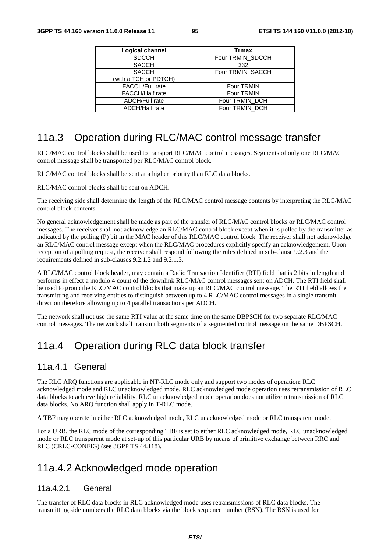| Logical channel        | <b>Trmax</b>     |
|------------------------|------------------|
| <b>SDCCH</b>           | Four TRMIN_SDCCH |
| <b>SACCH</b>           | 332              |
| <b>SACCH</b>           | Four TRMIN_SACCH |
| (with a TCH or PDTCH)  |                  |
| <b>FACCH/Full rate</b> | Four TRMIN       |
| <b>FACCH/Half rate</b> | Four TRMIN       |
| <b>ADCH/Full rate</b>  | Four TRMIN DCH   |
| <b>ADCH/Half rate</b>  | Four TRMIN_DCH   |

# 11a.3 Operation during RLC/MAC control message transfer

RLC/MAC control blocks shall be used to transport RLC/MAC control messages. Segments of only one RLC/MAC control message shall be transported per RLC/MAC control block.

RLC/MAC control blocks shall be sent at a higher priority than RLC data blocks.

RLC/MAC control blocks shall be sent on ADCH.

The receiving side shall determine the length of the RLC/MAC control message contents by interpreting the RLC/MAC control block contents.

No general acknowledgement shall be made as part of the transfer of RLC/MAC control blocks or RLC/MAC control messages. The receiver shall not acknowledge an RLC/MAC control block except when it is polled by the transmitter as indicated by the polling (P) bit in the MAC header of this RLC/MAC control block. The receiver shall not acknowledge an RLC/MAC control message except when the RLC/MAC procedures explicitly specify an acknowledgement. Upon reception of a polling request, the receiver shall respond following the rules defined in sub-clause 9.2.3 and the requirements defined in sub-clauses 9.2.1.2 and 9.2.1.3.

A RLC/MAC control block header, may contain a Radio Transaction Identifier (RTI) field that is 2 bits in length and performs in effect a modulo 4 count of the downlink RLC/MAC control messages sent on ADCH. The RTI field shall be used to group the RLC/MAC control blocks that make up an RLC/MAC control message. The RTI field allows the transmitting and receiving entities to distinguish between up to 4 RLC/MAC control messages in a single transmit direction therefore allowing up to 4 parallel transactions per ADCH.

The network shall not use the same RTI value at the same time on the same DBPSCH for two separate RLC/MAC control messages. The network shall transmit both segments of a segmented control message on the same DBPSCH.

# 11a.4 Operation during RLC data block transfer

## 11a.4.1 General

The RLC ARQ functions are applicable in NT-RLC mode only and support two modes of operation: RLC acknowledged mode and RLC unacknowledged mode. RLC acknowledged mode operation uses retransmission of RLC data blocks to achieve high reliability. RLC unacknowledged mode operation does not utilize retransmission of RLC data blocks. No ARQ function shall apply in T-RLC mode.

A TBF may operate in either RLC acknowledged mode, RLC unacknowledged mode or RLC transparent mode.

For a URB, the RLC mode of the corresponding TBF is set to either RLC acknowledged mode, RLC unacknowledged mode or RLC transparent mode at set-up of this particular URB by means of primitive exchange between RRC and RLC (CRLC-CONFIG) (see 3GPP TS 44.118).

# 11a.4.2 Acknowledged mode operation

#### 11a.4.2.1 General

The transfer of RLC data blocks in RLC acknowledged mode uses retransmissions of RLC data blocks. The transmitting side numbers the RLC data blocks via the block sequence number (BSN). The BSN is used for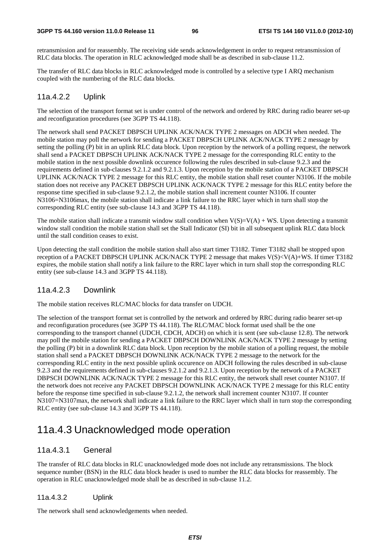retransmission and for reassembly. The receiving side sends acknowledgement in order to request retransmission of RLC data blocks. The operation in RLC acknowledged mode shall be as described in sub-clause 11.2.

The transfer of RLC data blocks in RLC acknowledged mode is controlled by a selective type I ARQ mechanism coupled with the numbering of the RLC data blocks.

#### 11a.4.2.2 Uplink

The selection of the transport format set is under control of the network and ordered by RRC during radio bearer set-up and reconfiguration procedures (see 3GPP TS 44.118).

The network shall send PACKET DBPSCH UPLINK ACK/NACK TYPE 2 messages on ADCH when needed. The mobile station may poll the network for sending a PACKET DBPSCH UPLINK ACK/NACK TYPE 2 message by setting the polling (P) bit in an uplink RLC data block. Upon reception by the network of a polling request, the network shall send a PACKET DBPSCH UPLINK ACK/NACK TYPE 2 message for the corresponding RLC entity to the mobile station in the next possible downlink occurence following the rules described in sub-clause 9.2.3 and the requirements defined in sub-clauses 9.2.1.2 and 9.2.1.3. Upon reception by the mobile station of a PACKET DBPSCH UPLINK ACK/NACK TYPE 2 message for this RLC entity, the mobile station shall reset counter N3106. If the mobile station does not receive any PACKET DBPSCH UPLINK ACK/NACK TYPE 2 message for this RLC entity before the response time specified in sub-clause 9.2.1.2, the mobile station shall increment counter N3106. If counter N3106=N3106max, the mobile station shall indicate a link failure to the RRC layer which in turn shall stop the corresponding RLC entity (see sub-clause 14.3 and 3GPP TS 44.118).

The mobile station shall indicate a transmit window stall condition when  $V(S)=V(A) + WS$ . Upon detecting a transmit window stall condition the mobile station shall set the Stall Indicator (SI) bit in all subsequent uplink RLC data block until the stall condition ceases to exist.

Upon detecting the stall condition the mobile station shall also start timer T3182. Timer T3182 shall be stopped upon reception of a PACKET DBPSCH UPLINK ACK/NACK TYPE 2 message that makes V(S)<V(A)+WS. If timer T3182 expires, the mobile station shall notify a link failure to the RRC layer which in turn shall stop the corresponding RLC entity (see sub-clause 14.3 and 3GPP TS 44.118).

#### 11a.4.2.3 Downlink

The mobile station receives RLC/MAC blocks for data transfer on UDCH.

The selection of the transport format set is controlled by the network and ordered by RRC during radio bearer set-up and reconfiguration procedures (see 3GPP TS 44.118). The RLC/MAC block format used shall be the one corresponding to the transport channel (UDCH, CDCH, ADCH) on which it is sent (see sub-clause 12.8). The network may poll the mobile station for sending a PACKET DBPSCH DOWNLINK ACK/NACK TYPE 2 message by setting the polling (P) bit in a downlink RLC data block. Upon reception by the mobile station of a polling request, the mobile station shall send a PACKET DBPSCH DOWNLINK ACK/NACK TYPE 2 message to the network for the corresponding RLC entity in the next possible uplink occurence on ADCH following the rules described in sub-clause 9.2.3 and the requirements defined in sub-clauses 9.2.1.2 and 9.2.1.3. Upon reception by the network of a PACKET DBPSCH DOWNLINK ACK/NACK TYPE 2 message for this RLC entity, the network shall reset counter N3107. If the network does not receive any PACKET DBPSCH DOWNLINK ACK/NACK TYPE 2 message for this RLC entity before the response time specified in sub-clause 9.2.1.2, the network shall increment counter N3107. If counter N3107=N3107max, the network shall indicate a link failure to the RRC layer which shall in turn stop the corresponding RLC entity (see sub-clause 14.3 and 3GPP TS 44.118).

# 11a.4.3 Unacknowledged mode operation

#### 11a.4.3.1 General

The transfer of RLC data blocks in RLC unacknowledged mode does not include any retransmissions. The block sequence number (BSN) in the RLC data block header is used to number the RLC data blocks for reassembly. The operation in RLC unacknowledged mode shall be as described in sub-clause 11.2.

#### 11a.4.3.2 Uplink

The network shall send acknowledgements when needed.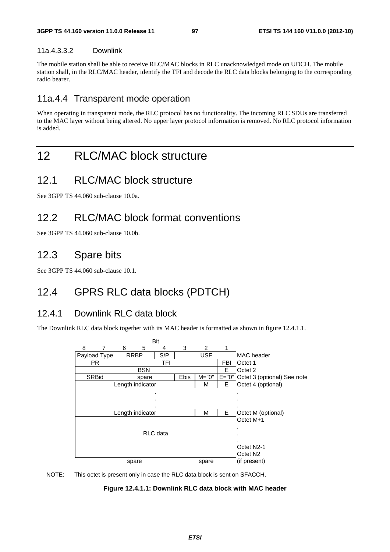#### 11a.4.3.3.2 Downlink

The mobile station shall be able to receive RLC/MAC blocks in RLC unacknowledged mode on UDCH. The mobile station shall, in the RLC/MAC header, identify the TFI and decode the RLC data blocks belonging to the corresponding radio bearer.

# 11a.4.4 Transparent mode operation

When operating in transparent mode, the RLC protocol has no functionality. The incoming RLC SDUs are transferred to the MAC layer without being altered. No upper layer protocol information is removed. No RLC protocol information is added.

# 12 RLC/MAC block structure

# 12.1 RLC/MAC block structure

See 3GPP TS 44.060 sub-clause 10.0a.

# 12.2 RLC/MAC block format conventions

See 3GPP TS 44.060 sub-clause 10.0b.

# 12.3 Spare bits

See 3GPP TS 44.060 sub-clause 10.1.

# 12.4 GPRS RLC data blocks (PDTCH)

## 12.4.1 Downlink RLC data block

The Downlink RLC data block together with its MAC header is formatted as shown in figure 12.4.1.1.



NOTE: This octet is present only in case the RLC data block is sent on SFACCH.

**Figure 12.4.1.1: Downlink RLC data block with MAC header**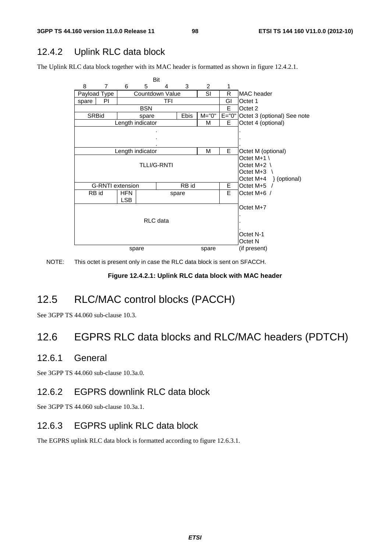# 12.4.2 Uplink RLC data block

The Uplink RLC data block together with its MAC header is formatted as shown in figure 12.4.2.1.



NOTE: This octet is present only in case the RLC data block is sent on SFACCH.

#### **Figure 12.4.2.1: Uplink RLC data block with MAC header**

# 12.5 RLC/MAC control blocks (PACCH)

See 3GPP TS 44.060 sub-clause 10.3.

# 12.6 EGPRS RLC data blocks and RLC/MAC headers (PDTCH)

## 12.6.1 General

See 3GPP TS 44.060 sub-clause 10.3a.0.

# 12.6.2 EGPRS downlink RLC data block

See 3GPP TS 44.060 sub-clause 10.3a.1.

## 12.6.3 EGPRS uplink RLC data block

The EGPRS uplink RLC data block is formatted according to figure 12.6.3.1.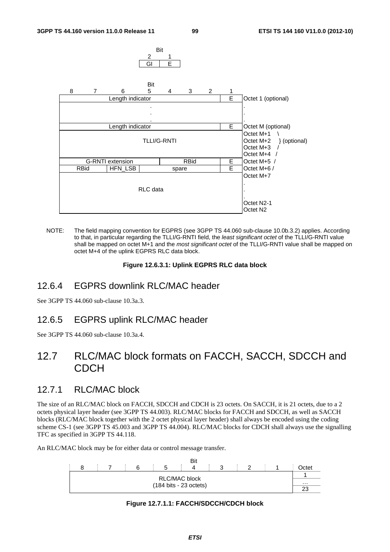

NOTE: The field mapping convention for EGPRS (see 3GPP TS 44.060 sub-clause 10.0b.3.2) applies. According to that, in particular regarding the TLLI/G-RNTI field, the *least significant octet* of the TLLI/G-RNTI value shall be mapped on octet M+1 and the *most significant octet* of the TLLI/G-RNTI value shall be mapped on octet M+4 of the uplink EGPRS RLC data block.

#### **Figure 12.6.3.1: Uplink EGPRS RLC data block**

## 12.6.4 EGPRS downlink RLC/MAC header

See 3GPP TS 44.060 sub-clause 10.3a.3.

#### 12.6.5 EGPRS uplink RLC/MAC header

See 3GPP TS 44.060 sub-clause 10.3a.4.

# 12.7 RLC/MAC block formats on FACCH, SACCH, SDCCH and CDCH

## 12.7.1 RLC/MAC block

The size of an RLC/MAC block on FACCH, SDCCH and CDCH is 23 octets. On SACCH, it is 21 octets, due to a 2 octets physical layer header (see 3GPP TS 44.003). RLC/MAC blocks for FACCH and SDCCH, as well as SACCH blocks (RLC/MAC block together with the 2 octet physical layer header) shall always be encoded using the coding scheme CS-1 (see 3GPP TS 45.003 and 3GPP TS 44.004). RLC/MAC blocks for CDCH shall always use the signalling TFC as specified in 3GPP TS 44.118.

An RLC/MAC block may be for either data or control message transfer.

|  |  |  |                                          | Bit |  |  |  |          |
|--|--|--|------------------------------------------|-----|--|--|--|----------|
|  |  |  |                                          |     |  |  |  | Octet    |
|  |  |  | <b>RLC/MAC block</b>                     |     |  |  |  |          |
|  |  |  | $(184 \text{ bits} - 23 \text{ octets})$ |     |  |  |  | $\cdots$ |
|  |  |  |                                          |     |  |  |  | າາ       |

#### **Figure 12.7.1.1: FACCH/SDCCH/CDCH block**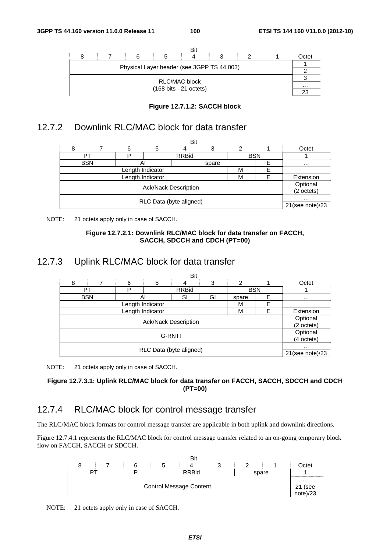



# 12.7.2 Downlink RLC/MAC block for data transfer

|                             | Bit                   |    |                  |              |       |            |  |                    |
|-----------------------------|-----------------------|----|------------------|--------------|-------|------------|--|--------------------|
| 8                           |                       | 6  | 5                | 4            | 3     | 2          |  | Octet              |
|                             | PT                    |    |                  | <b>RRBid</b> |       | <b>BSN</b> |  |                    |
|                             | <b>BSN</b>            | Al |                  |              | spare |            |  | $\cdots$           |
|                             | Length Indicator<br>М |    |                  |              |       |            |  |                    |
|                             |                       |    | Length Indicator |              |       | М          |  | Extension          |
|                             |                       |    |                  |              |       |            |  | Optional           |
| <b>Ack/Nack Description</b> |                       |    |                  |              |       |            |  | (2 octets)         |
|                             |                       |    |                  |              |       |            |  | $\cdots$           |
| RLC Data (byte aligned)     |                       |    |                  |              |       |            |  | $21$ (see note)/23 |

NOTE: 21 octets apply only in case of SACCH.



# 12.7.3 Uplink RLC/MAC block for data transfer

|                         | Bit       |                  |   |                             |    |                |   |                 |  |
|-------------------------|-----------|------------------|---|-----------------------------|----|----------------|---|-----------------|--|
| 8                       |           | 6                | 5 | 4                           | 3  | $\overline{2}$ |   | Octet           |  |
| PT                      |           | D                |   | <b>RRBid</b>                |    | <b>BSN</b>     |   |                 |  |
| <b>BSN</b>              |           | Al               |   | SI                          | GI | spare          | F | $\cdots$        |  |
|                         |           | Length Indicator |   |                             |    | м              | E |                 |  |
|                         | Extension |                  |   |                             |    |                |   |                 |  |
|                         |           |                  |   | <b>Ack/Nack Description</b> |    |                |   | Optional        |  |
|                         |           |                  |   |                             |    |                |   | (2 octets)      |  |
|                         |           |                  |   |                             |    |                |   |                 |  |
| G-RNTI                  |           |                  |   |                             |    |                |   | (4 octets)      |  |
|                         |           |                  |   |                             |    |                |   | $\cdots$        |  |
| RLC Data (byte aligned) |           |                  |   |                             |    |                |   | 21(see note)/23 |  |

NOTE: 21 octets apply only in case of SACCH.

#### **Figure 12.7.3.1: Uplink RLC/MAC block for data transfer on FACCH, SACCH, SDCCH and CDCH (PT=00)**

# 12.7.4 RLC/MAC block for control message transfer

The RLC/MAC block formats for control message transfer are applicable in both uplink and downlink directions.

Figure 12.7.4.1 represents the RLC/MAC block for control message transfer related to an on-going temporary block flow on FACCH, SACCH or SDCCH.



NOTE: 21 octets apply only in case of SACCH.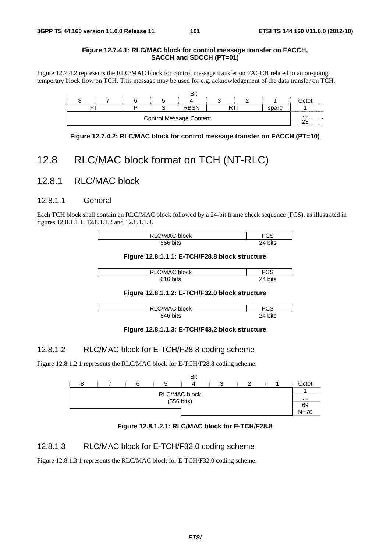#### **Figure 12.7.4.1: RLC/MAC block for control message transfer on FACCH, SACCH and SDCCH (PT=01)**

Figure 12.7.4.2 represents the RLC/MAC block for control message transfer on FACCH related to an on-going temporary block flow on TCH. This message may be used for e.g. acknowledgement of the data transfer on TCH.

|                                |  |  |  |  | Bit         |  |  |       |      |
|--------------------------------|--|--|--|--|-------------|--|--|-------|------|
|                                |  |  |  |  |             |  |  |       | Ctet |
|                                |  |  |  |  | <b>RBSN</b> |  |  | spare |      |
| <b>Control Message Content</b> |  |  |  |  |             |  |  | .     |      |

**Figure 12.7.4.2: RLC/MAC block for control message transfer on FACCH (PT=10)** 

# 12.8 RLC/MAC block format on TCH (NT-RLC)

#### 12.8.1 RLC/MAC block

#### 12.8.1.1 General

Each TCH block shall contain an RLC/MAC block followed by a 24-bit frame check sequence (FCS), as illustrated in figures 12.8.1.1.1, 12.8.1.1.2 and 12.8.1.1.3.

| RLC/MAC block | -८১            |
|---------------|----------------|
| 556 bits      | bits<br>$2\pi$ |

**Figure 12.8.1.1.1: E-TCH/F28.8 block structure** 

| C/MAC block | -^^<br>ت ا |
|-------------|------------|
| bits        | וגר        |
| 21 C        | bits       |

#### **Figure 12.8.1.1.2: E-TCH/F32.0 block structure**

| C/MAC block<br>RI C | ∙دت.        |  |
|---------------------|-------------|--|
| bits<br>846         | эΛ.<br>bits |  |

#### **Figure 12.8.1.1.3: E-TCH/F43.2 block structure**

#### 12.8.1.2 RLC/MAC block for E-TCH/F28.8 coding scheme

Figure 12.8.1.2.1 represents the RLC/MAC block for E-TCH/F28.8 coding scheme.





#### 12.8.1.3 RLC/MAC block for E-TCH/F32.0 coding scheme

Figure 12.8.1.3.1 represents the RLC/MAC block for E-TCH/F32.0 coding scheme.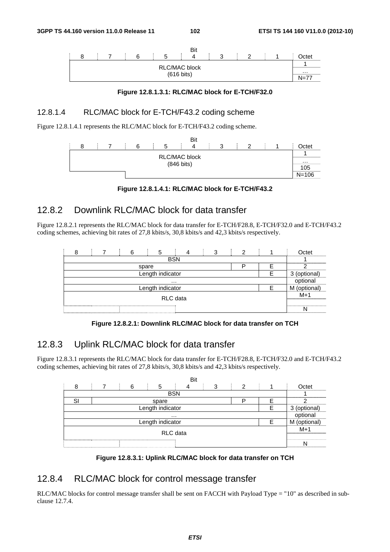

**Figure 12.8.1.3.1: RLC/MAC block for E-TCH/F32.0** 

#### 12.8.1.4 RLC/MAC block for E-TCH/F43.2 coding scheme

Figure 12.8.1.4.1 represents the RLC/MAC block for E-TCH/F43.2 coding scheme.





# 12.8.2 Downlink RLC/MAC block for data transfer

Figure 12.8.2.1 represents the RLC/MAC block for data transfer for E-TCH/F28.8, E-TCH/F32.0 and E-TCH/F43.2 coding schemes, achieving bit rates of 27,8 kbits/s, 30,8 kbits/s and 42,3 kbits/s respectively.

|          |                  |  |  |       |  |              |              |  | ົ |  | Octet |
|----------|------------------|--|--|-------|--|--------------|--------------|--|---|--|-------|
|          |                  |  |  |       |  | <b>BSN</b>   |              |  |   |  |       |
|          |                  |  |  | spare |  |              |              |  |   |  |       |
|          | Length indicator |  |  |       |  | 3 (optional) |              |  |   |  |       |
|          | $\cdots$         |  |  |       |  |              | optional     |  |   |  |       |
|          | Length indicator |  |  |       |  |              | M (optional) |  |   |  |       |
| RLC data |                  |  |  |       |  | $M+1$        |              |  |   |  |       |
|          |                  |  |  |       |  |              |              |  |   |  |       |

**Figure 12.8.2.1: Downlink RLC/MAC block for data transfer on TCH** 

# 12.8.3 Uplink RLC/MAC block for data transfer

Figure 12.8.3.1 represents the RLC/MAC block for data transfer for E-TCH/F28.8, E-TCH/F32.0 and E-TCH/F43.2 coding schemes, achieving bit rates of 27,8 kbits/s, 30,8 kbits/s and 42,3 kbits/s respectively.



**Figure 12.8.3.1: Uplink RLC/MAC block for data transfer on TCH** 

## 12.8.4 RLC/MAC block for control message transfer

RLC/MAC blocks for control message transfer shall be sent on FACCH with Payload Type = "10" as described in subclause 12.7.4.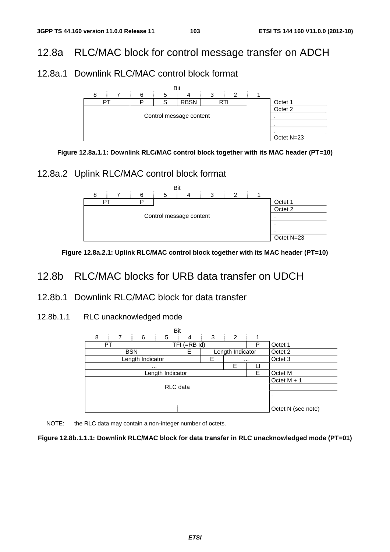# 12.8a RLC/MAC block for control message transfer on ADCH

# 12.8a.1 Downlink RLC/MAC control block format





# 12.8a.2 Uplink RLC/MAC control block format



**Figure 12.8a.2.1: Uplink RLC/MAC control block together with its MAC header (PT=10)** 

# 12.8b RLC/MAC blocks for URB data transfer on UDCH

## 12.8b.1 Downlink RLC/MAC block for data transfer

12.8b.1.1 RLC unacknowledged mode





#### **Figure 12.8b.1.1.1: Downlink RLC/MAC block for data transfer in RLC unacknowledged mode (PT=01)**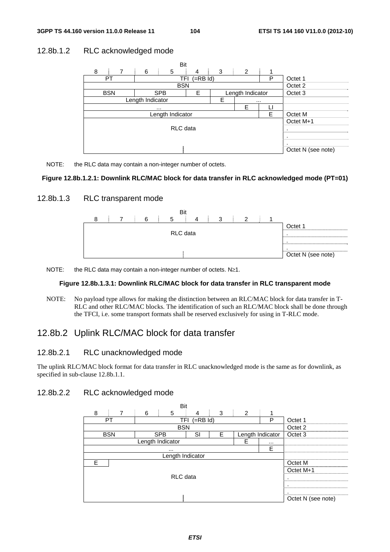## 12.8b.1.2 RLC acknowledged mode



NOTE: the RLC data may contain a non-integer number of octets.

#### **Figure 12.8b.1.2.1: Downlink RLC/MAC block for data transfer in RLC acknowledged mode (PT=01)**

#### 12.8b.1.3 RLC transparent mode



NOTE: the RLC data may contain a non-integer number of octets. N≥1.

#### **Figure 12.8b.1.3.1: Downlink RLC/MAC block for data transfer in RLC transparent mode**

NOTE: No payload type allows for making the distinction between an RLC/MAC block for data transfer in T-RLC and other RLC/MAC blocks. The identification of such an RLC/MAC block shall be done through the TFCI, i.e. some transport formats shall be reserved exclusively for using in T-RLC mode.

# 12.8b.2 Uplink RLC/MAC block for data transfer

#### 12.8b.2.1 RLC unacknowledged mode

The uplink RLC/MAC block format for data transfer in RLC unacknowledged mode is the same as for downlink, as specified in sub-clause 12.8b.1.1.

#### 12.8b.2.2 RLC acknowledged mode

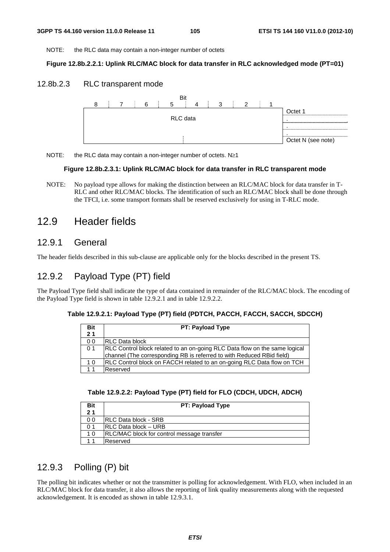NOTE: the RLC data may contain a non-integer number of octets

#### **Figure 12.8b.2.2.1: Uplink RLC/MAC block for data transfer in RLC acknowledged mode (PT=01)**

#### 12.8b.2.3 RLC transparent mode



NOTE: the RLC data may contain a non-integer number of octets. N≥1

#### **Figure 12.8b.2.3.1: Uplink RLC/MAC block for data transfer in RLC transparent mode**

NOTE: No payload type allows for making the distinction between an RLC/MAC block for data transfer in T-RLC and other RLC/MAC blocks. The identification of such an RLC/MAC block shall be done through the TFCI, i.e. some transport formats shall be reserved exclusively for using in T-RLC mode.

# 12.9 Header fields

## 12.9.1 General

The header fields described in this sub-clause are applicable only for the blocks described in the present TS.

# 12.9.2 Payload Type (PT) field

The Payload Type field shall indicate the type of data contained in remainder of the RLC/MAC block. The encoding of the Payload Type field is shown in table 12.9.2.1 and in table 12.9.2.2.

#### **Table 12.9.2.1: Payload Type (PT) field (PDTCH, PACCH, FACCH, SACCH, SDCCH)**

| <b>Bit</b>     | <b>PT: Payload Type</b>                                                       |
|----------------|-------------------------------------------------------------------------------|
| 2 <sub>1</sub> |                                                                               |
| 0 <sub>0</sub> | <b>IRLC Data block</b>                                                        |
| 0 <sub>1</sub> | RLC Control block related to an on-going RLC Data flow on the same logical    |
|                | channel (The corresponding RB is referred to with Reduced RBid field)         |
| 10             | <b>RLC Control block on FACCH related to an on-going RLC Data flow on TCH</b> |
| 11             | Reserved                                                                      |

| Table 12.9.2.2: Payload Type (PT) field for FLO (CDCH, UDCH, ADCH) |  |  |
|--------------------------------------------------------------------|--|--|
|--------------------------------------------------------------------|--|--|

| Bit<br>21      | <b>PT: Payload Type</b>                           |
|----------------|---------------------------------------------------|
| 0 <sub>0</sub> | <b>IRLC Data block - SRB</b>                      |
| 0 <sub>1</sub> | IRLC Data block - URB                             |
| 10             | <b>RLC/MAC block for control message transfer</b> |
| 11             | Reserved                                          |

## 12.9.3 Polling (P) bit

The polling bit indicates whether or not the transmitter is polling for acknowledgement. With FLO, when included in an RLC/MAC block for data transfer, it also allows the reporting of link quality measurements along with the requested acknowledgement. It is encoded as shown in table 12.9.3.1.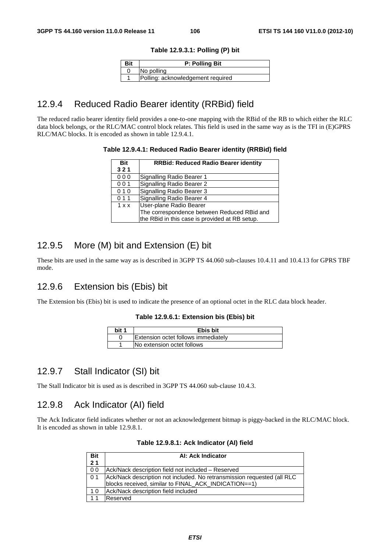#### **Table 12.9.3.1: Polling (P) bit**

| Bit | <b>P: Polling Bit</b>             |
|-----|-----------------------------------|
|     | No polling                        |
|     | Polling: acknowledgement required |

# 12.9.4 Reduced Radio Bearer identity (RRBid) field

The reduced radio bearer identity field provides a one-to-one mapping with the RBid of the RB to which either the RLC data block belongs, or the RLC/MAC control block relates. This field is used in the same way as is the TFI in (E)GPRS RLC/MAC blocks. It is encoded as shown in table 12.9.4.1.

#### **Table 12.9.4.1: Reduced Radio Bearer identity (RRBid) field**

| <b>Bit</b> | <b>RRBid: Reduced Radio Bearer identity</b>    |
|------------|------------------------------------------------|
| 321        |                                                |
| 000        | Signalling Radio Bearer 1                      |
| 001        | Signalling Radio Bearer 2                      |
| 010        | Signalling Radio Bearer 3                      |
| 011        | Signalling Radio Bearer 4                      |
| 1 x x      | User-plane Radio Bearer                        |
|            | The correspondence between Reduced RBid and    |
|            | the RBid in this case is provided at RB setup. |

# 12.9.5 More (M) bit and Extension (E) bit

These bits are used in the same way as is described in 3GPP TS 44.060 sub-clauses 10.4.11 and 10.4.13 for GPRS TBF mode.

# 12.9.6 Extension bis (Ebis) bit

The Extension bis (Ebis) bit is used to indicate the presence of an optional octet in the RLC data block header.

#### **Table 12.9.6.1: Extension bis (Ebis) bit**

| bit 1 | Ebis bit                                   |
|-------|--------------------------------------------|
|       | <b>Extension octet follows immediately</b> |
|       | No extension octet follows                 |

# 12.9.7 Stall Indicator (SI) bit

The Stall Indicator bit is used as is described in 3GPP TS 44.060 sub-clause 10.4.3.

## 12.9.8 Ack Indicator (AI) field

The Ack Indicator field indicates whether or not an acknowledgement bitmap is piggy-backed in the RLC/MAC block. It is encoded as shown in table 12.9.8.1.

| <b>Bit</b>     | AI: Ack Indicator                                                       |
|----------------|-------------------------------------------------------------------------|
| 2 <sub>1</sub> |                                                                         |
| 0 <sub>0</sub> | Ack/Nack description field not included - Reserved                      |
| 0 <sub>1</sub> | Ack/Nack description not included. No retransmission requested (all RLC |
|                | blocks received, similar to FINAL_ACK_INDICATION==1)                    |
| 10             | Ack/Nack description field included                                     |
|                | Reserved                                                                |

#### **Table 12.9.8.1: Ack Indicator (AI) field**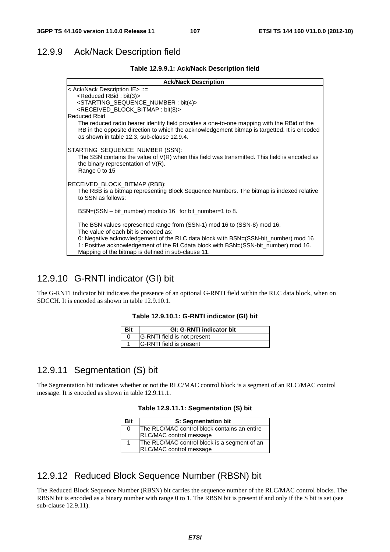# 12.9.9 Ack/Nack Description field

**Table 12.9.9.1: Ack/Nack Description field** 

| <b>Ack/Nack Description</b>                                                                                                                                                                                                                                                                                                                       |
|---------------------------------------------------------------------------------------------------------------------------------------------------------------------------------------------------------------------------------------------------------------------------------------------------------------------------------------------------|
| < Ack/Nack Description IE> ::=<br><reduced bit(3)="" rbid:=""><br/><starting_sequence_number: bit(4)=""><br/><received_block_bitmap: bit(8)=""></received_block_bitmap:></starting_sequence_number:></reduced>                                                                                                                                    |
| <b>Reduced Rhid</b><br>The reduced radio bearer identity field provides a one-to-one mapping with the RBid of the<br>RB in the opposite direction to which the acknowledgement bitmap is targetted. It is encoded<br>as shown in table 12.3, sub-clause 12.9.4.                                                                                   |
| STARTING_SEQUENCE_NUMBER (SSN):<br>The SSN contains the value of $V(R)$ when this field was transmitted. This field is encoded as<br>the binary representation of $V(R)$ .<br>Range 0 to 15                                                                                                                                                       |
| RECEIVED_BLOCK_BITMAP (RBB):<br>The RBB is a bitmap representing Block Sequence Numbers. The bitmap is indexed relative<br>to SSN as follows:                                                                                                                                                                                                     |
| BSN=(SSN – bit_number) modulo 16 for bit_number=1 to 8.                                                                                                                                                                                                                                                                                           |
| The BSN values represented range from (SSN-1) mod 16 to (SSN-8) mod 16.<br>The value of each bit is encoded as:<br>0: Negative acknowledgement of the RLC data block with BSN=(SSN-bit_number) mod 16<br>1: Positive acknowledgement of the RLCdata block with BSN=(SSN-bit_number) mod 16.<br>Mapping of the bitmap is defined in sub-clause 11. |

# 12.9.10 G-RNTI indicator (GI) bit

The G-RNTI indicator bit indicates the presence of an optional G-RNTI field within the RLC data block, when on SDCCH. It is encoded as shown in table 12.9.10.1.

|  |  |  | Table 12.9.10.1: G-RNTI indicator (GI) bit |  |
|--|--|--|--------------------------------------------|--|
|--|--|--|--------------------------------------------|--|

| Bit | <b>GI: G-RNTI indicator bit</b> |
|-----|---------------------------------|
|     | G-RNTI field is not present     |
|     | G-RNTI field is present         |

# 12.9.11 Segmentation (S) bit

The Segmentation bit indicates whether or not the RLC/MAC control block is a segment of an RLC/MAC control message. It is encoded as shown in table 12.9.11.1.

|  |  |  | Table 12.9.11.1: Segmentation (S) bit |  |  |
|--|--|--|---------------------------------------|--|--|
|--|--|--|---------------------------------------|--|--|

| Bit | S: Segmentation bit                          |
|-----|----------------------------------------------|
| 0   | The RLC/MAC control block contains an entire |
|     | RLC/MAC control message                      |
| 1   | The RLC/MAC control block is a segment of an |
|     | RLC/MAC control message                      |

## 12.9.12 Reduced Block Sequence Number (RBSN) bit

The Reduced Block Sequence Number (RBSN) bit carries the sequence number of the RLC/MAC control blocks. The RBSN bit is encoded as a binary number with range 0 to 1. The RBSN bit is present if and only if the S bit is set (see sub-clause 12.9.11).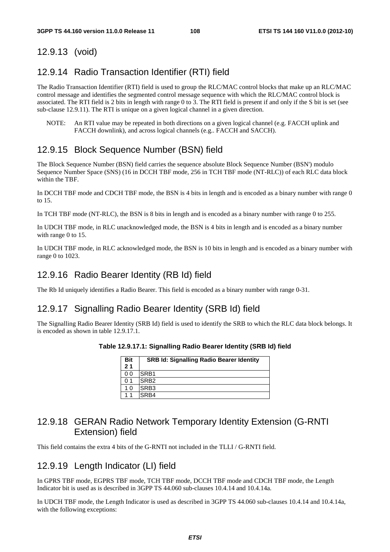#### 12.9.13 (void)

## 12.9.14 Radio Transaction Identifier (RTI) field

The Radio Transaction Identifier (RTI) field is used to group the RLC/MAC control blocks that make up an RLC/MAC control message and identifies the segmented control message sequence with which the RLC/MAC control block is associated. The RTI field is 2 bits in length with range 0 to 3. The RTI field is present if and only if the S bit is set (see sub-clause 12.9.11). The RTI is unique on a given logical channel in a given direction.

NOTE: An RTI value may be repeated in both directions on a given logical channel (e.g. FACCH uplink and FACCH downlink), and across logical channels (e.g.. FACCH and SACCH).

### 12.9.15 Block Sequence Number (BSN) field

The Block Sequence Number (BSN) field carries the sequence absolute Block Sequence Number (BSN') modulo Sequence Number Space (SNS) (16 in DCCH TBF mode, 256 in TCH TBF mode (NT-RLC)) of each RLC data block within the TBF.

In DCCH TBF mode and CDCH TBF mode, the BSN is 4 bits in length and is encoded as a binary number with range 0 to 15.

In TCH TBF mode (NT-RLC), the BSN is 8 bits in length and is encoded as a binary number with range 0 to 255.

In UDCH TBF mode, in RLC unacknowledged mode, the BSN is 4 bits in length and is encoded as a binary number with range 0 to 15.

In UDCH TBF mode, in RLC acknowledged mode, the BSN is 10 bits in length and is encoded as a binary number with range 0 to 1023.

#### 12.9.16 Radio Bearer Identity (RB Id) field

The Rb Id uniquely identifies a Radio Bearer. This field is encoded as a binary number with range 0-31.

#### 12.9.17 Signalling Radio Bearer Identity (SRB Id) field

The Signalling Radio Bearer Identity (SRB Id) field is used to identify the SRB to which the RLC data block belongs. It is encoded as shown in table 12.9.17.1.

| Table 12.9.17.1: Signalling Radio Bearer Identity (SRB Id) field |  |  |  |  |
|------------------------------------------------------------------|--|--|--|--|
|------------------------------------------------------------------|--|--|--|--|

| <b>Bit</b>     | <b>SRB Id: Signalling Radio Bearer Identity</b> |
|----------------|-------------------------------------------------|
| 2 <sub>1</sub> |                                                 |
| 0 0            | SRB <sub>1</sub>                                |
| -1             | SRB <sub>2</sub>                                |
| 10             | SRB <sub>3</sub>                                |
|                | SRB4                                            |

## 12.9.18 GERAN Radio Network Temporary Identity Extension (G-RNTI Extension) field

This field contains the extra 4 bits of the G-RNTI not included in the TLLI / G-RNTI field.

#### 12.9.19 Length Indicator (LI) field

In GPRS TBF mode, EGPRS TBF mode, TCH TBF mode, DCCH TBF mode and CDCH TBF mode, the Length Indicator bit is used as is described in 3GPP TS 44.060 sub-clauses 10.4.14 and 10.4.14a.

In UDCH TBF mode, the Length Indicator is used as described in 3GPP TS 44.060 sub-clauses 10.4.14 and 10.4.14a, with the following exceptions: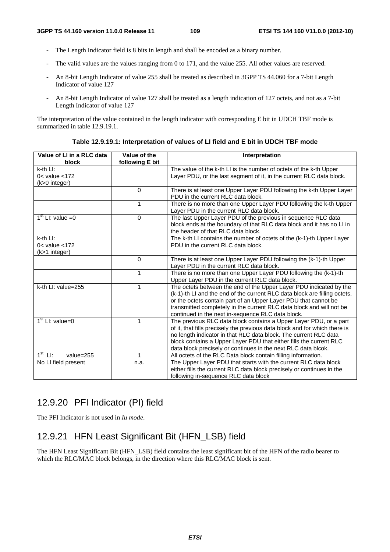- The Length Indicator field is 8 bits in length and shall be encoded as a binary number.
- The valid values are the values ranging from 0 to 171, and the value 255. All other values are reserved.
- An 8-bit Length Indicator of value 255 shall be treated as described in 3GPP TS 44.060 for a 7-bit Length Indicator of value 127
- An 8-bit Length Indicator of value 127 shall be treated as a length indication of 127 octets, and not as a 7-bit Length Indicator of value 127

The interpretation of the value contained in the length indicator with corresponding E bit in UDCH TBF mode is summarized in table 12.9.19.1.

| Value of LI in a RLC data                 | Value of the    | Interpretation                                                             |
|-------------------------------------------|-----------------|----------------------------------------------------------------------------|
| block                                     | following E bit |                                                                            |
| $k-th$ $L!$ :                             |                 | The value of the k-th LI is the number of octets of the k-th Upper         |
| $0<$ value $<$ 172                        |                 | Layer PDU, or the last segment of it, in the current RLC data block.       |
| (k>0 integer)                             |                 |                                                                            |
|                                           | $\Omega$        | There is at least one Upper Layer PDU following the k-th Upper Layer       |
|                                           |                 | PDU in the current RLC data block.                                         |
|                                           | $\mathbf 1$     | There is no more than one Upper Layer PDU following the k-th Upper         |
|                                           |                 | Layer PDU in the current RLC data block.                                   |
| $1st$ LI: value = 0                       | $\Omega$        | The last Upper Layer PDU of the previous in sequence RLC data              |
|                                           |                 | block ends at the boundary of that RLC data block and it has no LI in      |
|                                           |                 | the header of that RLC data block.                                         |
| $k$ -th $L!$ :                            |                 | The k-th LI contains the number of octets of the (k-1)-th Upper Layer      |
| $0<$ value $<$ 172                        |                 | PDU in the current RLC data block.                                         |
| (k>1 integer)                             |                 |                                                                            |
|                                           | $\Omega$        | There is at least one Upper Layer PDU following the (k-1)-th Upper         |
|                                           |                 | Layer PDU in the current RLC data block.                                   |
|                                           | $\mathbf{1}$    | There is no more than one Upper Layer PDU following the (k-1)-th           |
|                                           |                 | Upper Layer PDU in the current RLC data block.                             |
| k-th LI: value=255                        | $\mathbf{1}$    | The octets between the end of the Upper Layer PDU indicated by the         |
|                                           |                 | (k-1)-th LI and the end of the current RLC data block are filling octets,  |
|                                           |                 | or the octets contain part of an Upper Layer PDU that cannot be            |
|                                           |                 | transmitted completely in the current RLC data block and will not be       |
|                                           |                 | continued in the next in-sequence RLC data block.                          |
| $1st$ LI: value=0                         | 1               | The previous RLC data block contains a Upper Layer PDU, or a part          |
|                                           |                 | of it, that fills precisely the previous data block and for which there is |
|                                           |                 | no length indicator in that RLC data block. The current RLC data           |
|                                           |                 | block contains a Upper Layer PDU that either fills the current RLC         |
|                                           |                 | data block precisely or continues in the next RLC data blcok.              |
| $1^{\overline{st}}$<br>$L$ :<br>value=255 | 1               | All octets of the RLC Data block contain filling information.              |
| No LI field present                       | n.a.            | The Upper Layer PDU that starts with the current RLC data block            |
|                                           |                 | either fills the current RLC data block precisely or continues in the      |
|                                           |                 | following in-sequence RLC data block                                       |

**Table 12.9.19.1: Interpretation of values of LI field and E bit in UDCH TBF mode** 

## 12.9.20 PFI Indicator (PI) field

The PFI Indicator is not used in *Iu mode*.

## 12.9.21 HFN Least Significant Bit (HFN\_LSB) field

The HFN Least Significant Bit (HFN\_LSB) field contains the least significant bit of the HFN of the radio bearer to which the RLC/MAC block belongs, in the direction where this RLC/MAC block is sent.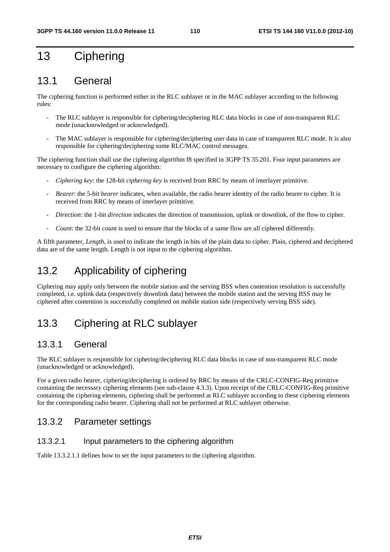# 13 Ciphering

## 13.1 General

The ciphering function is performed either in the RLC sublayer or in the MAC sublayer according to the following rules:

- The RLC sublayer is responsible for ciphering/deciphering RLC data blocks in case of non-transparent RLC mode (unacknowledged or acknowledged).
- The MAC sublayer is responsible for ciphering/deciphering user data in case of transparent RLC mode. It is also responsible for ciphering/deciphering some RLC/MAC control messages.

The ciphering function shall use the ciphering algorithm f8 specified in 3GPP TS 35.201. Four input parameters are necessary to configure the ciphering algorithm:

- *Ciphering key*: the 128-bit *ciphering key* is received from RRC by means of interlayer primitive.
- *Bearer*: the 5-bit *bearer* indicates, when available, the radio bearer identity of the radio bearer to cipher. It is received from RRC by means of interlayer primitive.
- *Direction*: the 1-bit *direction* indicates the direction of transmission, uplink or downlink, of the flow to cipher.
- *Count*: the 32-bit *count* is used to ensure that the blocks of a same flow are all ciphered differently.

A fifth parameter, *Length*, is used to indicate the length in bits of the plain data to cipher. Plain, ciphered and deciphered data are of the same length. Length is not input to the ciphering algorithm.

## 13.2 Applicability of ciphering

Ciphering may apply only between the mobile station and the serving BSS when contention resolution is successfully completed, i.e. uplink data (respectively downlink data) between the mobile station and the serving BSS may be ciphered after contention is successfully completed on mobile station side (respectively serving BSS side).

## 13.3 Ciphering at RLC sublayer

#### 13.3.1 General

The RLC sublayer is responsible for ciphering/deciphering RLC data blocks in case of non-transparent RLC mode (unacknowledged or acknowledged).

For a given radio bearer, ciphering/deciphering is ordered by RRC by means of the CRLC-CONFIG-Req primitive containing the necessary ciphering elements (see sub-clause 4.3.3). Upon receipt of the CRLC-CONFIG-Req primitive containing the ciphering elements, ciphering shall be performed at RLC sublayer according to these ciphering elements for the corresponding radio bearer. Ciphering shall not be performed at RLC sublayer otherwise.

## 13.3.2 Parameter settings

#### 13.3.2.1 Input parameters to the ciphering algorithm

Table 13.3.2.1.1 defines how to set the input parameters to the ciphering algorithm.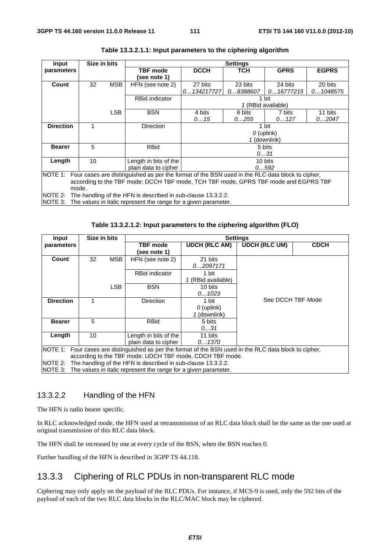| Input                                                                               | Size in bits |            |                                                                                                         |              | <b>Settings</b> |                    |              |  |
|-------------------------------------------------------------------------------------|--------------|------------|---------------------------------------------------------------------------------------------------------|--------------|-----------------|--------------------|--------------|--|
| parameters                                                                          |              |            | <b>TBF</b> mode                                                                                         | <b>DCCH</b>  | <b>TCH</b>      | <b>GPRS</b>        | <b>EGPRS</b> |  |
|                                                                                     |              |            | (see note 1)                                                                                            |              |                 |                    |              |  |
| Count                                                                               | 32           | <b>MSB</b> | HFN (see note 2)                                                                                        | 27 bits      | 23 bits         | 24 bits            | 20 bits      |  |
|                                                                                     |              |            |                                                                                                         | 0134217727   | 08388607        | 016777215          | 01048575     |  |
|                                                                                     |              |            | <b>RBid indicator</b>                                                                                   |              |                 | 1 bit              |              |  |
|                                                                                     |              |            |                                                                                                         |              |                 | 1 (RBid available) |              |  |
|                                                                                     |              | <b>LSB</b> | <b>BSN</b>                                                                                              | 4 bits       | 8 bits          | 7 bits             | 11 bits      |  |
|                                                                                     |              |            |                                                                                                         | 015          | 0255            | 0127               | 02047        |  |
| <b>Direction</b>                                                                    | 1            |            | <b>Direction</b>                                                                                        | 1 bit        |                 |                    |              |  |
|                                                                                     |              |            |                                                                                                         | $O$ (uplink) |                 |                    |              |  |
|                                                                                     |              |            |                                                                                                         | 1 (downlink) |                 |                    |              |  |
| <b>Bearer</b>                                                                       | 5            |            | <b>RBid</b>                                                                                             |              |                 | 5 bits             |              |  |
|                                                                                     |              |            |                                                                                                         |              |                 | 031                |              |  |
| Length                                                                              | 10           |            | Length in bits of the                                                                                   |              |                 | 10 bits            |              |  |
|                                                                                     |              |            | plain data to cipher<br>0592                                                                            |              |                 |                    |              |  |
|                                                                                     |              |            | NOTE 1: Four cases are distinguished as per the format of the BSN used in the RLC data block to cipher, |              |                 |                    |              |  |
| according to the TBF mode: DCCH TBF mode, TCH TBF mode, GPRS TBF mode and EGPRS TBF |              |            |                                                                                                         |              |                 |                    |              |  |
| mode.                                                                               |              |            |                                                                                                         |              |                 |                    |              |  |
| NOTE 2:                                                                             |              |            | The handling of the HFN is described in sub-clause 13.3.2.2.                                            |              |                 |                    |              |  |
|                                                                                     |              |            | NOTE 3: The values in italic represent the range for a given parameter.                                 |              |                 |                    |              |  |

| Table 13.3.2.1.1: Input parameters to the ciphering algorithm |  |
|---------------------------------------------------------------|--|
|---------------------------------------------------------------|--|

**Table 13.3.2.1.2: Input parameters to the ciphering algorithm (FLO)** 

| Input            | Size in bits                                                                                            |            |                                                                         |                      | <b>Settings</b>      |             |  |
|------------------|---------------------------------------------------------------------------------------------------------|------------|-------------------------------------------------------------------------|----------------------|----------------------|-------------|--|
| parameters       |                                                                                                         |            | <b>TBF</b> mode                                                         | <b>UDCH (RLC AM)</b> | <b>UDCH (RLC UM)</b> | <b>CDCH</b> |  |
|                  |                                                                                                         |            | see note 1)                                                             |                      |                      |             |  |
| Count            | 32                                                                                                      | <b>MSB</b> | HFN (see note 2)                                                        | 21 bits              |                      |             |  |
|                  |                                                                                                         |            |                                                                         | 02097171             |                      |             |  |
|                  |                                                                                                         |            | <b>RBid indicator</b>                                                   | 1 bit                |                      |             |  |
|                  |                                                                                                         |            |                                                                         | 1 (RBid available)   |                      |             |  |
|                  |                                                                                                         | <b>LSB</b> | <b>BSN</b>                                                              | 10 bits              |                      |             |  |
|                  |                                                                                                         |            |                                                                         | 01023                |                      |             |  |
| <b>Direction</b> |                                                                                                         |            | <b>Direction</b>                                                        | 1 bit                | See DCCH TBF Mode    |             |  |
|                  |                                                                                                         |            |                                                                         | $O$ (uplink)         |                      |             |  |
|                  |                                                                                                         |            |                                                                         | 1 (downlink)         |                      |             |  |
| <b>Bearer</b>    | 5                                                                                                       |            | <b>RBid</b>                                                             | 5 bits               |                      |             |  |
|                  |                                                                                                         |            |                                                                         | 031                  |                      |             |  |
| Length           | 10                                                                                                      |            | Length in bits of the                                                   | 11 bits              |                      |             |  |
|                  |                                                                                                         |            | plain data to cipher                                                    | 01370                |                      |             |  |
|                  | NOTE 1: Four cases are distinguished as per the format of the BSN used in the RLC data block to cipher, |            |                                                                         |                      |                      |             |  |
|                  | according to the TBF mode: UDCH TBF mode, CDCH TBF mode.                                                |            |                                                                         |                      |                      |             |  |
|                  | NOTE 2: The handling of the HFN is described in sub-clause 13.3.2.2.                                    |            |                                                                         |                      |                      |             |  |
|                  |                                                                                                         |            | NOTE 3: The values in italic represent the range for a given parameter. |                      |                      |             |  |

#### 13.3.2.2 Handling of the HFN

The HFN is radio bearer specific.

In RLC acknowledged mode, the HFN used at retransmission of an RLC data block shall be the same as the one used at original transmission of this RLC data block.

The HFN shall be increased by one at every cycle of the BSN, when the BSN reaches 0.

Further handling of the HFN is described in 3GPP TS 44.118.

## 13.3.3 Ciphering of RLC PDUs in non-transparent RLC mode

Ciphering may only apply on the payload of the RLC PDUs. For instance, if MCS-9 is used, only the 592 bits of the payload of each of the two RLC data blocks in the RLC/MAC block may be ciphered.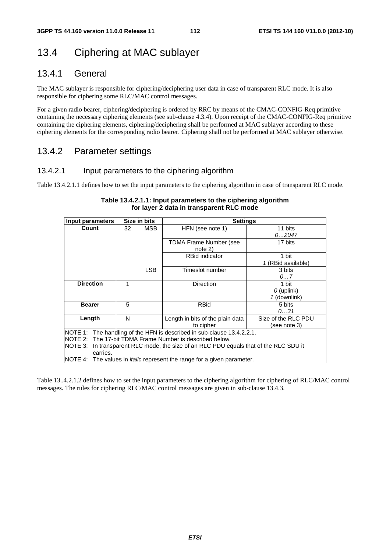# 13.4 Ciphering at MAC sublayer

## 13.4.1 General

The MAC sublayer is responsible for ciphering/deciphering user data in case of transparent RLC mode. It is also responsible for ciphering some RLC/MAC control messages.

For a given radio bearer, ciphering/deciphering is ordered by RRC by means of the CMAC-CONFIG-Req primitive containing the necessary ciphering elements (see sub-clause 4.3.4). Upon receipt of the CMAC-CONFIG-Req primitive containing the ciphering elements, ciphering/deciphering shall be performed at MAC sublayer according to these ciphering elements for the corresponding radio bearer. Ciphering shall not be performed at MAC sublayer otherwise.

## 13.4.2 Parameter settings

#### 13.4.2.1 Input parameters to the ciphering algorithm

Table 13.4.2.1.1 defines how to set the input parameters to the ciphering algorithm in case of transparent RLC mode.

| Input parameters                                                                         | Size in bits | <b>Settings</b>                                                        |                     |  |  |  |
|------------------------------------------------------------------------------------------|--------------|------------------------------------------------------------------------|---------------------|--|--|--|
| Count                                                                                    | MSB.<br>32   | HFN (see note 1)                                                       | 11 bits             |  |  |  |
|                                                                                          |              |                                                                        | 02047               |  |  |  |
|                                                                                          |              | TDMA Frame Number (see                                                 | 17 bits             |  |  |  |
|                                                                                          |              | note 2)                                                                |                     |  |  |  |
|                                                                                          |              | <b>RBid indicator</b>                                                  | 1 bit               |  |  |  |
|                                                                                          |              |                                                                        | 1 (RBid available)  |  |  |  |
|                                                                                          | <b>LSB</b>   | Timeslot number                                                        | 3 bits              |  |  |  |
|                                                                                          |              |                                                                        | 07                  |  |  |  |
| <b>Direction</b>                                                                         | 1            | <b>Direction</b>                                                       | 1 bit               |  |  |  |
|                                                                                          |              |                                                                        | $O$ (uplink)        |  |  |  |
|                                                                                          |              |                                                                        | 1 (downlink)        |  |  |  |
| <b>Bearer</b>                                                                            | 5            | <b>RBid</b>                                                            | 5 bits              |  |  |  |
|                                                                                          |              |                                                                        | 031                 |  |  |  |
| Length                                                                                   | N            | Length in bits of the plain data                                       | Size of the RLC PDU |  |  |  |
|                                                                                          |              | to cipher                                                              | (see note 3)        |  |  |  |
|                                                                                          |              | NOTE 1: The handling of the HFN is described in sub-clause 13.4.2.2.1. |                     |  |  |  |
| INOTE 2: The 17-bit TDMA Frame Number is described below.                                |              |                                                                        |                     |  |  |  |
| NOTE 3:<br>In transparent RLC mode, the size of an RLC PDU equals that of the RLC SDU it |              |                                                                        |                     |  |  |  |
| carries.                                                                                 |              |                                                                        |                     |  |  |  |
| NOTE 4: The values in <i>italic</i> represent the range for a given parameter.           |              |                                                                        |                     |  |  |  |

#### **Table 13.4.2.1.1: Input parameters to the ciphering algorithm for layer 2 data in transparent RLC mode**

Table 13..4.2.1.2 defines how to set the input parameters to the ciphering algorithm for ciphering of RLC/MAC control messages. The rules for ciphering RLC/MAC control messages are given in sub-clause 13.4.3.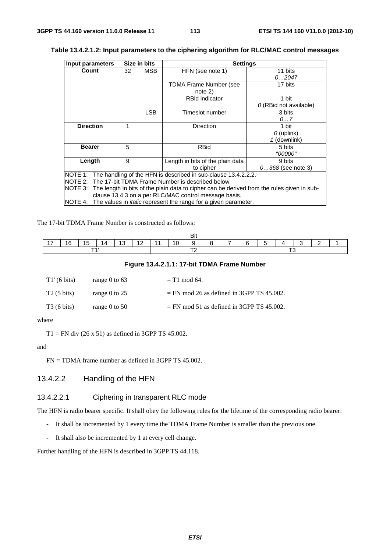| Input parameters                                                                                   | Size in bits     | <b>Settings</b>                                                        |                       |  |  |  |
|----------------------------------------------------------------------------------------------------|------------------|------------------------------------------------------------------------|-----------------------|--|--|--|
| Count                                                                                              | <b>MSB</b><br>32 | HFN (see note 1)                                                       | 11 bits               |  |  |  |
|                                                                                                    |                  |                                                                        | 02047                 |  |  |  |
|                                                                                                    |                  | TDMA Frame Number (see                                                 | 17 bits               |  |  |  |
|                                                                                                    |                  | $note$ 2)                                                              |                       |  |  |  |
|                                                                                                    |                  | <b>RBid indicator</b>                                                  | 1 bit                 |  |  |  |
|                                                                                                    |                  |                                                                        | O(RBid not available) |  |  |  |
|                                                                                                    | <b>LSB</b>       | Timeslot number                                                        | 3 bits                |  |  |  |
|                                                                                                    |                  |                                                                        | 07                    |  |  |  |
| <b>Direction</b>                                                                                   |                  | <b>Direction</b>                                                       | 1 bit                 |  |  |  |
|                                                                                                    |                  |                                                                        | $O$ (uplink)          |  |  |  |
|                                                                                                    |                  |                                                                        | 1 (downlink)          |  |  |  |
| <b>Bearer</b>                                                                                      | 5                | <b>RBid</b>                                                            | 5 bits                |  |  |  |
|                                                                                                    |                  |                                                                        | "00000"               |  |  |  |
| Length                                                                                             | 9                | Length in bits of the plain data                                       | 9 bits                |  |  |  |
|                                                                                                    |                  | to cipher                                                              | $0368$ (see note 3)   |  |  |  |
|                                                                                                    |                  | NOTE 1: The handling of the HFN is described in sub-clause 13.4.2.2.2. |                       |  |  |  |
| NOTE 2: The 17-bit TDMA Frame Number is described below.                                           |                  |                                                                        |                       |  |  |  |
| NOTE 3: The length in bits of the plain data to cipher can be derived from the rules given in sub- |                  |                                                                        |                       |  |  |  |
| clause 13.4.3 on a per RLC/MAC control message basis.                                              |                  |                                                                        |                       |  |  |  |
| NOTE 4: The values in <i>italic</i> represent the range for a given parameter.                     |                  |                                                                        |                       |  |  |  |

#### **Table 13.4.2.1.2: Input parameters to the ciphering algorithm for RLC/MAC control messages**

The 17-bit TDMA Frame Number is constructed as follows:

|                          |    |   |     |    |     |  |     | Bit |                          |        |  |  |  |
|--------------------------|----|---|-----|----|-----|--|-----|-----|--------------------------|--------|--|--|--|
| $\overline{\phantom{0}}$ | 16 | Ð | 14. | 13 | . . |  | 10. | a   | $\overline{\phantom{a}}$ | $\sim$ |  |  |  |
|                          |    |   |     |    |     |  |     |     |                          |        |  |  |  |

#### **Figure 13.4.2.1.1: 17-bit TDMA Frame Number**

| $T1'$ (6 bits)       | range 0 to $63$ | $=$ T1 mod 64.                              |
|----------------------|-----------------|---------------------------------------------|
| $T2(5 \text{ bits})$ | range 0 to $25$ | $=$ FN mod 26 as defined in 3GPP TS 45.002. |
| $T3(6 \text{ bits})$ | range 0 to $50$ | $=$ FN mod 51 as defined in 3GPP TS 45.002. |

where

 $T1 = FN$  div (26 x 51) as defined in 3GPP TS 45.002.

and

FN = TDMA frame number as defined in 3GPP TS 45.002.

#### 13.4.2.2 Handling of the HFN

#### 13.4.2.2.1 Ciphering in transparent RLC mode

The HFN is radio bearer specific. It shall obey the following rules for the lifetime of the corresponding radio bearer:

- It shall be incremented by 1 every time the TDMA Frame Number is smaller than the previous one.
- It shall also be incremented by 1 at every cell change.

Further handling of the HFN is described in 3GPP TS 44.118.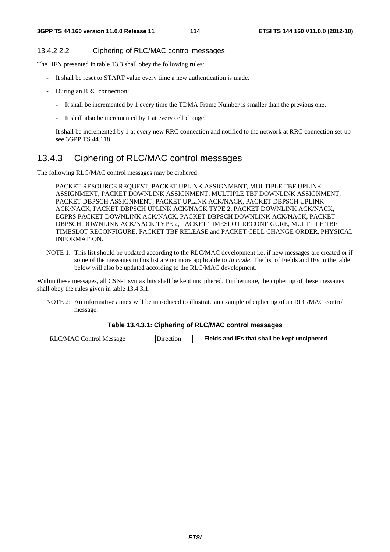#### 13.4.2.2.2 Ciphering of RLC/MAC control messages

The HFN presented in table 13.3 shall obey the following rules:

- It shall be reset to START value every time a new authentication is made.
- During an RRC connection:
	- It shall be incremented by 1 every time the TDMA Frame Number is smaller than the previous one.
	- It shall also be incremented by 1 at every cell change.
- It shall be incremented by 1 at every new RRC connection and notified to the network at RRC connection set-up see 3GPP TS 44.118.

## 13.4.3 Ciphering of RLC/MAC control messages

The following RLC/MAC control messages may be ciphered:

- PACKET RESOURCE REQUEST, PACKET UPLINK ASSIGNMENT, MULTIPLE TBF UPLINK ASSIGNMENT, PACKET DOWNLINK ASSIGNMENT, MULTIPLE TBF DOWNLINK ASSIGNMENT, PACKET DBPSCH ASSIGNMENT, PACKET UPLINK ACK/NACK, PACKET DBPSCH UPLINK ACK/NACK, PACKET DBPSCH UPLINK ACK/NACK TYPE 2, PACKET DOWNLINK ACK/NACK, EGPRS PACKET DOWNLINK ACK/NACK, PACKET DBPSCH DOWNLINK ACK/NACK, PACKET DBPSCH DOWNLINK ACK/NACK TYPE 2, PACKET TIMESLOT RECONFIGURE, MULTIPLE TBF TIMESLOT RECONFIGURE, PACKET TBF RELEASE and PACKET CELL CHANGE ORDER, PHYSICAL INFORMATION.
- NOTE 1: This list should be updated according to the RLC/MAC development i.e. if new messages are created or if some of the messages in this list are no more applicable to *Iu mode*. The list of Fields and IEs in the table below will also be updated according to the RLC/MAC development.

Within these messages, all CSN-1 syntax bits shall be kept unciphered. Furthermore, the ciphering of these messages shall obey the rules given in table 13.4.3.1.

NOTE 2: An informative annex will be introduced to illustrate an example of ciphering of an RLC/MAC control message.

#### **Table 13.4.3.1: Ciphering of RLC/MAC control messages**

| <b>RLC/MAC Control Message</b> | Direction | Fields and IEs that shall be kept unciphered |
|--------------------------------|-----------|----------------------------------------------|
|--------------------------------|-----------|----------------------------------------------|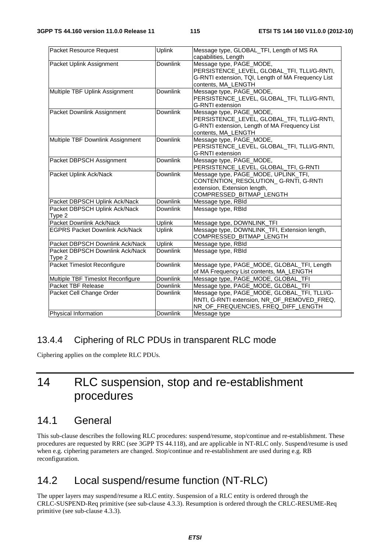| Packet Resource Request                   | <b>Uplink</b>   | Message type, GLOBAL_TFI, Length of MS RA<br>capabilities, Length                                                                                    |
|-------------------------------------------|-----------------|------------------------------------------------------------------------------------------------------------------------------------------------------|
| Packet Uplink Assignment                  | <b>Downlink</b> | Message type, PAGE_MODE,<br>PERSISTENCE_LEVEL, GLOBAL_TFI, TLLI/G-RNTI,<br>G-RNTI extension, TQI, Length of MA Frequency List<br>contents, MA_LENGTH |
| Multiple TBF Uplink Assignment            | <b>Downlink</b> | Message type, PAGE_MODE,<br>PERSISTENCE_LEVEL, GLOBAL_TFI, TLLI/G-RNTI,<br><b>G-RNTI</b> extension                                                   |
| Packet Downlink Assignment                | <b>Downlink</b> | Message type, PAGE_MODE,<br>PERSISTENCE_LEVEL, GLOBAL_TFI, TLLI/G-RNTI,<br>G-RNTI extension, Length of MA Frequency List<br>contents, MA_LENGTH      |
| Multiple TBF Downlink Assignment          | <b>Downlink</b> | Message type, PAGE_MODE,<br>PERSISTENCE_LEVEL, GLOBAL_TFI, TLLI/G-RNTI,<br><b>G-RNTI</b> extension                                                   |
| Packet DBPSCH Assignment                  | <b>Downlink</b> | Message type, PAGE_MODE,<br>PERSISTENCE_LEVEL, GLOBAL_TFI, G-RNTI                                                                                    |
| Packet Uplink Ack/Nack                    | <b>Downlink</b> | Message type, PAGE_MODE, UPLINK_TFI,<br>CONTENTION_RESOLUTION_G-RNTI, G-RNTI<br>extension, Extension length,<br>COMPRESSED_BITMAP_LENGTH             |
| Packet DBPSCH Uplink Ack/Nack             | Downlink        | Message type, RBId                                                                                                                                   |
| Packet DBPSCH Uplink Ack/Nack<br>Type 2   | <b>Downlink</b> | Message type, RBId                                                                                                                                   |
| Packet Downlink Ack/Nack                  | <b>Uplink</b>   | Message type, DOWNLINK_TFI                                                                                                                           |
| <b>EGPRS Packet Downlink Ack/Nack</b>     | Uplink          | Message type, DOWNLINK_TFI, Extension length,<br>COMPRESSED_BITMAP_LENGTH                                                                            |
| Packet DBPSCH Downlink Ack/Nack           | Uplink          | Message type, RBId                                                                                                                                   |
| Packet DBPSCH Downlink Ack/Nack<br>Type 2 | <b>Downlink</b> | Message type, RBId                                                                                                                                   |
| Packet Timeslot Reconfigure               | <b>Downlink</b> | Message type, PAGE_MODE, GLOBAL_TFI, Length<br>of MA Frequency List contents, MA_LENGTH                                                              |
| Multiple TBF Timeslot Reconfigure         | <b>Downlink</b> | Message type, PAGE_MODE, GLOBAL_TFI                                                                                                                  |
| Packet TBF Release                        | Downlink        | Message type, PAGE_MODE, GLOBAL_TFI                                                                                                                  |
| Packet Cell Change Order                  | <b>Downlink</b> | Message type, PAGE_MODE, GLOBAL_TFI, TLLI/G-<br>RNTI, G-RNTI extension, NR_OF_REMOVED_FREQ,<br>NR_OF_FREQUENCIES, FREQ_DIFF_LENGTH                   |
| Physical Information                      | Downlink        | Message type                                                                                                                                         |

## 13.4.4 Ciphering of RLC PDUs in transparent RLC mode

Ciphering applies on the complete RLC PDUs.

# 14 RLC suspension, stop and re-establishment procedures

## 14.1 General

This sub-clause describes the following RLC procedures: suspend/resume, stop/continue and re-establishment. These procedures are requested by RRC (see 3GPP TS 44.118), and are applicable in NT-RLC only. Suspend/resume is used when e.g. ciphering parameters are changed. Stop/continue and re-establishment are used during e.g. RB reconfiguration.

# 14.2 Local suspend/resume function (NT-RLC)

The upper layers may suspend/resume a RLC entity. Suspension of a RLC entity is ordered through the CRLC-SUSPEND-Req primitive (see sub-clause 4.3.3). Resumption is ordered through the CRLC-RESUME-Req primitive (see sub-clause 4.3.3).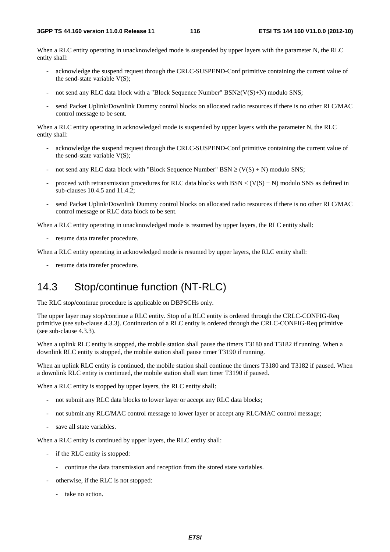When a RLC entity operating in unacknowledged mode is suspended by upper layers with the parameter N, the RLC entity shall:

- acknowledge the suspend request through the CRLC-SUSPEND-Conf primitive containing the current value of the send-state variable  $V(S)$ ;
- not send any RLC data block with a "Block Sequence Number" BSN≥(V(S)+N) modulo SNS;
- send Packet Uplink/Downlink Dummy control blocks on allocated radio resources if there is no other RLC/MAC control message to be sent.

When a RLC entity operating in acknowledged mode is suspended by upper layers with the parameter N, the RLC entity shall:

- acknowledge the suspend request through the CRLC-SUSPEND-Conf primitive containing the current value of the send-state variable  $V(S)$ ;
- not send any RLC data block with "Block Sequence Number"  $BSN \ge (V(S) + N)$  modulo SNS;
- proceed with retransmission procedures for RLC data blocks with  $BSN < (V(S) + N)$  modulo SNS as defined in sub-clauses 10.4.5 and 11.4.2;
- send Packet Uplink/Downlink Dummy control blocks on allocated radio resources if there is no other RLC/MAC control message or RLC data block to be sent.

When a RLC entity operating in unacknowledged mode is resumed by upper layers, the RLC entity shall:

- resume data transfer procedure.

When a RLC entity operating in acknowledged mode is resumed by upper layers, the RLC entity shall:

- resume data transfer procedure.

## 14.3 Stop/continue function (NT-RLC)

The RLC stop/continue procedure is applicable on DBPSCHs only.

The upper layer may stop/continue a RLC entity. Stop of a RLC entity is ordered through the CRLC-CONFIG-Req primitive (see sub-clause 4.3.3). Continuation of a RLC entity is ordered through the CRLC-CONFIG-Req primitive (see sub-clause 4.3.3).

When a uplink RLC entity is stopped, the mobile station shall pause the timers T3180 and T3182 if running. When a downlink RLC entity is stopped, the mobile station shall pause timer T3190 if running.

When an uplink RLC entity is continued, the mobile station shall continue the timers T3180 and T3182 if paused. When a downlink RLC entity is continued, the mobile station shall start timer T3190 if paused.

When a RLC entity is stopped by upper layers, the RLC entity shall:

- not submit any RLC data blocks to lower layer or accept any RLC data blocks;
- not submit any RLC/MAC control message to lower layer or accept any RLC/MAC control message;
- save all state variables.

When a RLC entity is continued by upper layers, the RLC entity shall:

- if the RLC entity is stopped:
	- continue the data transmission and reception from the stored state variables.
- otherwise, if the RLC is not stopped:
	- take no action.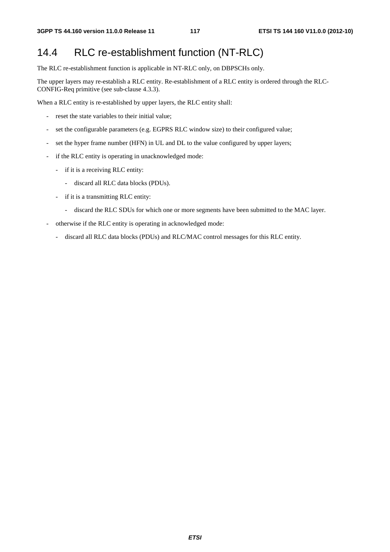## 14.4 RLC re-establishment function (NT-RLC)

The RLC re-establishment function is applicable in NT-RLC only, on DBPSCHs only.

The upper layers may re-establish a RLC entity. Re-establishment of a RLC entity is ordered through the RLC-CONFIG-Req primitive (see sub-clause 4.3.3).

When a RLC entity is re-established by upper layers, the RLC entity shall:

- reset the state variables to their initial value;
- set the configurable parameters (e.g. EGPRS RLC window size) to their configured value;
- set the hyper frame number (HFN) in UL and DL to the value configured by upper layers;
- if the RLC entity is operating in unacknowledged mode:
	- if it is a receiving RLC entity:
		- discard all RLC data blocks (PDUs).
	- if it is a transmitting RLC entity:
		- discard the RLC SDUs for which one or more segments have been submitted to the MAC layer.
- otherwise if the RLC entity is operating in acknowledged mode:
	- discard all RLC data blocks (PDUs) and RLC/MAC control messages for this RLC entity.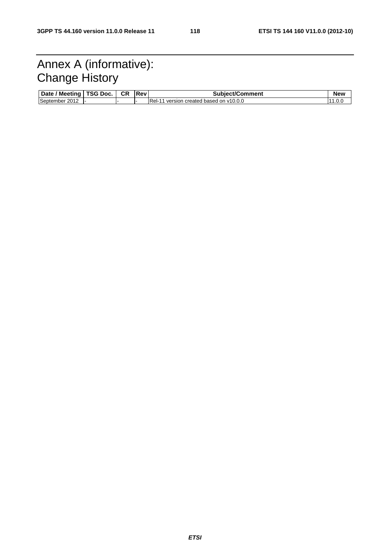# Annex A (informative): Change History

| <b>Meetina</b><br><b>Date</b> | TSG Doc. | <b>CR</b> | <b>Rev</b> | Subject/Comment                          | New   |
|-------------------------------|----------|-----------|------------|------------------------------------------|-------|
| September<br>2012             | . .      |           |            | Rel-<br>version created based on v10.0.0 | 1.V.J |